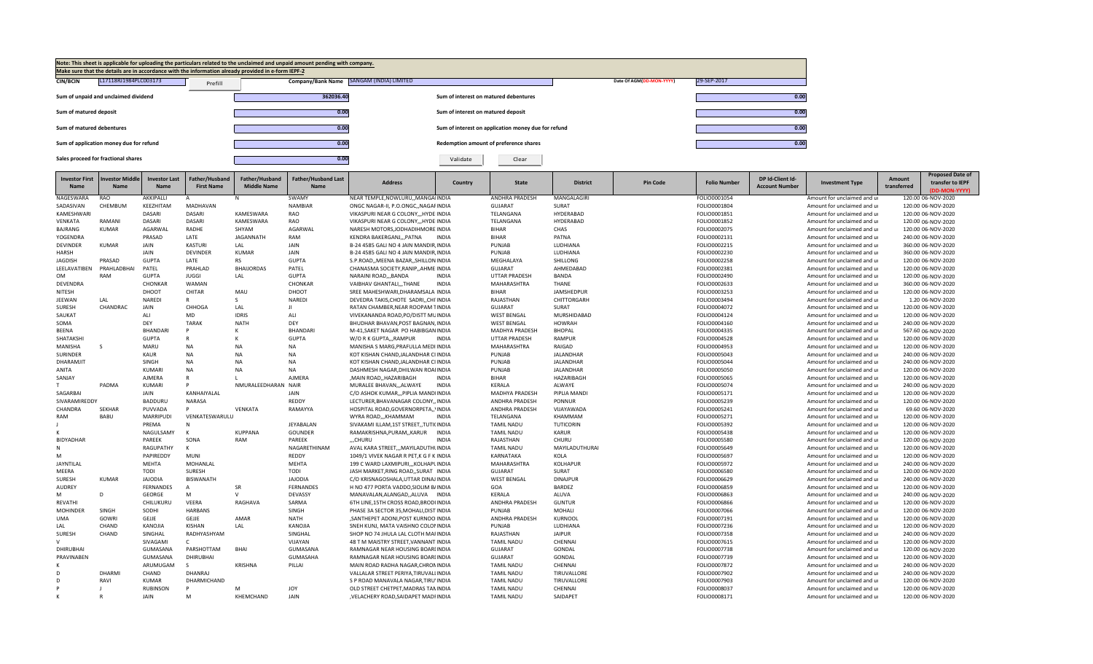

| <b>Investor First</b><br><b>Name</b> | nvestor Middle<br><b>Name</b> | <b>Investor Last</b><br><b>Name</b> | Father/Husband<br><b>First Name</b> | Father/Husband<br><b>Middle Name</b> | <b>Father/Husband Last</b><br>Name | <b>Address</b>                         | Country      | <b>State</b>          | <b>District</b>  | <b>Pin Code</b> | <b>Folio Number</b> | DP Id-Client Id-<br><b>Account Number</b> | <b>Investment Type</b>      | Amount<br>transferred | <b>Proposed Date of</b><br>transfer to IEPF<br>(DD-MON-YYYY) |
|--------------------------------------|-------------------------------|-------------------------------------|-------------------------------------|--------------------------------------|------------------------------------|----------------------------------------|--------------|-----------------------|------------------|-----------------|---------------------|-------------------------------------------|-----------------------------|-----------------------|--------------------------------------------------------------|
| NAGESWARA                            | RAO                           | AKKIPALLI                           | $\Delta$                            | N                                    | SWAMY                              | NEAR TEMPLE, NOWLURU, , MANGAIINDIA    |              | <b>ANDHRA PRADESH</b> | MANGALAGIRI      |                 | FOLIO0001054        |                                           | Amount for unclaimed and ur |                       | 120.00 06-NOV-2020                                           |
| SADASIVAN                            | CHEMBUM                       | KEEZHITAM                           | <b>MADHAVAN</b>                     |                                      | <b>NAMBIAR</b>                     | ONGC NAGAR-II, P.O.ONGC, NAGAFINDIA    |              | <b>GUJARAT</b>        | SURAT            |                 | FOLIO0001804        |                                           | Amount for unclaimed and ur |                       | 120.00 06-NOV-2020                                           |
| KAMESHWARI                           |                               | DASARI                              | <b>DASARI</b>                       | KAMESWARA                            | <b>RAO</b>                         | VIKASPURI NEAR G COLONY HYDE INDIA     |              | TELANGANA             | HYDERABAD        |                 | FOLIO0001851        |                                           | Amount for unclaimed and ur |                       | 120.00 06-NOV-2020                                           |
| VENKATA                              | RAMANI                        | DASARI                              | DASARI                              | KAMESWARA                            | RAO                                | VIKASPURI NEAR G COLONY,,, HYDEIINDIA  |              | TELANGANA             | HYDERABAD        |                 | FOLIO0001852        |                                           | Amount for unclaimed and ur |                       | 120.00 06-NOV-2020                                           |
| BAJRANG                              | KUMAR                         | AGARWAL                             | RADHE                               | SHYAM                                | <b>AGARWAL</b>                     | NARESH MOTORS, JODHADIHMORE INDIA      |              | <b>BIHAR</b>          | CHAS             |                 | FOLIO0002075        |                                           | Amount for unclaimed and ur |                       | 120.00 06-NOV-2020                                           |
| YOGENDRA                             |                               | PRASAD                              | LATE                                | <b>JAGANNATH</b>                     | RAM                                | KENDRA BAKERGANJPATNA                  | <b>INDIA</b> | <b>BIHAR</b>          | PATNA            |                 | FOLIO0002131        |                                           | Amount for unclaimed and ur |                       | 240.00 06-NOV-2020                                           |
| <b>DEVINDER</b>                      | <b>KUMAR</b>                  | JAIN                                | <b>KASTURI</b>                      | LAL                                  | <b>JAIN</b>                        | B-24 4585 GALI NO 4 JAIN MANDIR INDIA  |              | PUNJAB                | LUDHIANA         |                 | FOLIO0002215        |                                           | Amount for unclaimed and ur |                       | 360.00 06-NOV-2020                                           |
| <b>HARSH</b>                         |                               | JAIN                                | <b>DEVINDER</b>                     | <b>KUMAR</b>                         | <b>JAIN</b>                        | B-24 4585 GALI NO 4 JAIN MANDIR, INDIA |              | PUNJAB                | LUDHIANA         |                 | FOLIO0002230        |                                           | Amount for unclaimed and ur |                       | 360.00 06-NOV-2020                                           |
| <b>JAGDISH</b>                       | PRASAD                        | <b>GUPTA</b>                        | LATE                                | <b>RS</b>                            | <b>GUPTA</b>                       | S.P.ROAD,, MEENA BAZAR,, SHILLON INDIA |              | MEGHALAYA             | SHILLONG         |                 | FOLIO0002258        |                                           | Amount for unclaimed and ur |                       | 120.00 06-NOV-2020                                           |
| LEELAVATIBEN                         | PRAHLADBHAI                   | PATEL                               | PRAHLAD                             | <b>BHAIJORDAS</b>                    | PATEL                              | CHANASMA SOCIETY, RANIP, , AHME INDIA  |              | GUJARAT               | AHMEDABAD        |                 | FOLIO0002381        |                                           | Amount for unclaimed and ur |                       | 120.00 06-NOV-2020                                           |
| <b>OM</b>                            | RAM                           | <b>GUPTA</b>                        | <b>JUGGI</b>                        | LAL                                  | <b>GUPTA</b>                       | NARAINI ROAD,,,BANDA                   | <b>INDIA</b> | <b>UTTAR PRADESH</b>  | BANDA            |                 | FOLIO0002490        |                                           | Amount for unclaimed and ur |                       | 120.00 06-NOV-2020                                           |
| <b>DEVENDRA</b>                      |                               | CHONKAR                             | <b>WAMAN</b>                        |                                      | CHONKAR                            | VAIBHAV GHANTALITHANE                  | <b>INDIA</b> | MAHARASHTRA           | <b>THANE</b>     |                 | FOLIO0002633        |                                           | Amount for unclaimed and ur |                       | 360.00 06-NOV-2020                                           |
| NITESH                               |                               | DHOOT                               | CHITAR                              | MAU                                  | DHOOT                              | SREE MAHESHWARI, DHARAMSALA INDIA      |              | <b>BIHAR</b>          | JAMSHEDPUR       |                 | FOLIO0003253        |                                           | Amount for unclaimed and ur |                       | 120.00 06-NOV-2020                                           |
| <b>JEEWAN</b>                        | LAL                           | <b>NAREDI</b>                       |                                     | -S                                   | <b>NAREDI</b>                      | DEVEDRA TAKIS.CHOTE SADRICHI INDIA     |              | RAJASTHAN             | CHITTORGARH      |                 | FOLIO0003494        |                                           | Amount for unclaimed and ur |                       | 1.20 06-NOV-2020                                             |
| <b>SURESH</b>                        | CHANDRAC                      | JAIN                                | CHHOGA                              | LAL                                  | $\mathbf{H}$                       | RATAN CHAMBER, NEAR ROOPAM TINDIA      |              | <b>GUJARAT</b>        | SURAT            |                 | FOLIO0004072        |                                           | Amount for unclaimed and ur |                       | 120.00 06-NOV-2020                                           |
| SAUKAT                               |                               | ALI                                 | <b>MD</b>                           | <b>IDRIS</b>                         | ALI                                | VIVEKANANDA ROAD, PO/DISTT MUINDIA     |              | <b>WEST BENGAL</b>    | MURSHIDABAD      |                 | FOLIO0004124        |                                           | Amount for unclaimed and ur |                       | 120.00 06-NOV-2020                                           |
| SOMA                                 |                               | DEY                                 | <b>TARAK</b>                        | <b>NATH</b>                          | <b>DEY</b>                         | BHUDHAR BHAVAN.POST BAGNAN.INDIA       |              | <b>WEST BENGAL</b>    | <b>HOWRAH</b>    |                 | FOLIO0004160        |                                           | Amount for unclaimed and ur |                       | 240.00 06-NOV-2020                                           |
| <b>BEENA</b>                         |                               | <b>BHANDARI</b>                     |                                     |                                      | <b>BHANDARI</b>                    | M-41, SAKET NAGAR PO HABIBGANINDIA     |              | MADHYA PRADESH        | <b>BHOPAL</b>    |                 | FOLIO0004335        |                                           | Amount for unclaimed and ur |                       | 567.60 06-NOV-2020                                           |
| <b>SHATAKSHI</b>                     |                               | <b>GUPTA</b>                        | R                                   |                                      | <b>GUPTA</b>                       | W/O R K GUPTA,,,RAMPUR                 | <b>INDIA</b> | <b>UTTAR PRADESH</b>  | <b>RAMPUR</b>    |                 | FOLIO0004528        |                                           | Amount for unclaimed and ur |                       | 120.00 06-NOV-2020                                           |
| MANISHA                              | -S                            | MARU                                | <b>NA</b>                           | <b>NA</b>                            | <b>NA</b>                          | MANISHA S MARG, PRAFULLA MEDI INDIA    |              | MAHARASHTRA           | RAIGAD           |                 | FOLIO0004953        |                                           | Amount for unclaimed and ur |                       | 120.00 06-NOV-2020                                           |
| <b>SURINDER</b>                      |                               | <b>KAUR</b>                         | <b>NA</b>                           | <b>NA</b>                            | <b>NA</b>                          | KOT KISHAN CHAND JALANDHAR CI INDIA    |              | PUNJAB                | <b>JALANDHAR</b> |                 | FOLIO0005043        |                                           | Amount for unclaimed and ur |                       | 240.00 06-NOV-2020                                           |
| DHARAMJIT                            |                               | SINGH                               | <b>NA</b>                           | <b>NA</b>                            | <b>NA</b>                          | KOT KISHAN CHAND, JALANDHAR CI INDIA   |              | PUNJAB                | <b>JALANDHAR</b> |                 | FOLIO0005044        |                                           | Amount for unclaimed and ur |                       | 240.00 06-NOV-2020                                           |
| ANITA                                |                               | <b>KUMARI</b>                       | <b>NA</b>                           | <b>NA</b>                            | <b>NA</b>                          | DASHMESH NAGAR, DHILWAN ROAIINDIA      |              | PUNJAB                | <b>JALANDHAR</b> |                 | FOLIO0005050        |                                           | Amount for unclaimed and ur |                       | 120.00 06-NOV-2020                                           |
| SANJAY                               |                               | <b>AJMERA</b>                       | R                                   |                                      | <b>AJMERA</b>                      | ,MAIN ROAD,,HAZARIBAGH                 | <b>INDIA</b> | <b>BIHAR</b>          | HAZARIBAGH       |                 | FOLIO0005065        |                                           | Amount for unclaimed and ur |                       | 120.00 06-NOV-2020                                           |
|                                      | PADMA                         | KUMARI                              |                                     | NMURALEEDHARAN NAIR                  |                                    | MURALEE BHAVAN,,,ALWAYE                | <b>INDIA</b> | KERALA                | ALWAYE           |                 | FOLIO0005074        |                                           | Amount for unclaimed and ur |                       | 240.00 06-NOV-2020                                           |
| SAGARBAI                             |                               | JAIN                                | KANHAIYALAL                         |                                      | JAIN                               | C/O ASHOK KUMAR,,,PIPLIA MANDIINDIA    |              | <b>MADHYA PRADESH</b> | PIPLIA MANDI     |                 | FOLIO0005171        |                                           | Amount for unclaimed and ur |                       | 120.00 06-NOV-2020                                           |
| SIVARAMIREDDY                        |                               | <b>BADDURU</b>                      | NARASA                              |                                      | REDDY                              | LECTURER, BHAVANAGAR COLONY,, INDIA    |              | ANDHRA PRADESH        | PONNUR           |                 | FOLIO0005239        |                                           | Amount for unclaimed and ur |                       | 120.00 06-NOV-2020                                           |
| CHANDRA                              | <b>SEKHAR</b>                 | PUVVADA                             | D                                   | VENKATA                              | RAMAYYA                            | HOSPITAL ROAD, GOVERNORPETA, , INDIA   |              | <b>ANDHRA PRADESH</b> | VIJAYAWADA       |                 | FOLIO0005241        |                                           | Amount for unclaimed and ur |                       | 69.60 06-NOV-2020                                            |
| RAM                                  | <b>BABU</b>                   | <b>MARRIPUDI</b>                    | VENKATESWARULU                      |                                      |                                    | WYRA ROADKHAMMAM                       | <b>INDIA</b> | TELANGANA             | KHAMMAM          |                 | FOLIO0005271        |                                           | Amount for unclaimed and ur |                       | 120.00 06-NOV-2020                                           |
|                                      |                               | PREMA                               | N                                   |                                      | JEYABALAN                          | SIVAKAMI ILLAM, 1ST STREET, TUTI(INDIA |              | <b>TAMIL NADU</b>     | TUTICORIN        |                 | FOLIO0005392        |                                           | Amount for unclaimed and ur |                       | 120.00 06-NOV-2020                                           |
|                                      |                               | NAGULSAMY                           | $\mathbf{k}$                        | <b>KUPPANA</b>                       | <b>GOUNDER</b>                     | RAMAKRISHNA, PURAM, , KARUR            | <b>INDIA</b> | <b>TAMIL NADU</b>     | <b>KARUR</b>     |                 | FOLIO0005438        |                                           | Amount for unclaimed and ur |                       | 120.00 06-NOV-2020                                           |
| BIDYADHAR                            |                               | PAREEK                              | SONA                                | <b>RAM</b>                           | PAREEK                             | "CHURU                                 | <b>INDIA</b> | RAJASTHAN             | CHURU            |                 | FOLIO0005580        |                                           | Amount for unclaimed and ur |                       | 120.00 06-NOV-2020                                           |
|                                      |                               | RAGUPATHY                           | К                                   |                                      | NAGARETHINAM                       | AVAL KARA STREET,,, MAYILADUTHLINDIA   |              | <b>TAMIL NADU</b>     | MAYILADUTHURAI   |                 | FOLIO0005649        |                                           | Amount for unclaimed and ur |                       | 120.00 06-NOV-2020                                           |
| м                                    |                               | PAPIREDDY                           | <b>MUNI</b>                         |                                      | REDDY                              | 1049/1 VIVEK NAGAR R PET.K G F KINDIA  |              | KARNATAKA             | KOLA             |                 | FOLIO0005697        |                                           | Amount for unclaimed and ur |                       | 120.00 06-NOV-2020                                           |
| JAYNTILAL                            |                               | <b>MEHTA</b>                        | MOHANLAL                            |                                      | <b>MEHTA</b>                       | 199 C WARD LAXMIPURI,,,KOLHAPLINDIA    |              | MAHARASHTRA           | KOLHAPUR         |                 | FOLIO0005972        |                                           | Amount for unclaimed and ur |                       | 240.00 06-NOV-2020                                           |
| MEERA                                |                               | <b>TODI</b>                         | SURESH                              |                                      | <b>TODI</b>                        | JASH MARKET, RING ROAD, , SURAT INDIA  |              | GUJARAT               | SURAT            |                 | FOLIO0006580        |                                           | Amount for unclaimed and ur |                       | 120.00 06-NOV-2020                                           |
| SURESH                               | <b>KUMAR</b>                  | <b>JAJODIA</b>                      | <b>BISWANATH</b>                    |                                      | <b>JAJODIA</b>                     | C/O KRISNAGOSHALA, UTTAR DINAJ INDIA   |              | <b>WEST BENGAL</b>    | <b>DINAJPUF</b>  |                 | FOLIO0006629        |                                           | Amount for unclaimed and ur |                       | 240.00 06-NOV-2020                                           |
| <b>AUDREY</b>                        |                               | <b>FERNANDES</b>                    | $\overline{A}$                      | <b>SR</b>                            | <b>FERNANDES</b>                   | H NO 477 PORTA VADDO, SIOLIM B/INDIA   |              | GOA                   | <b>BARDEZ</b>    |                 | FOLIO0006859        |                                           | Amount for unclaimed and ur |                       | 120.00 06-NOV-2020                                           |
| M                                    | <sup>D</sup>                  | <b>GEORGE</b>                       | M                                   | $\mathbf{v}$                         | DEVASSY                            | MANAVALAN.ALANGADALUVA INDIA           |              | KERALA                | <b>ALUVA</b>     |                 | FOLIO0006863        |                                           | Amount for unclaimed and ur |                       | 240.00 06-NOV-2020                                           |
| <b>REVATHI</b>                       |                               | CHILUKURU                           | VEERA                               | RAGHAVA                              | SARMA                              | 6TH LINE, 15TH CROSS ROAD, BRODI INDIA |              | ANDHRA PRADESH        | <b>GUNTUR</b>    |                 | FOLIO0006866        |                                           | Amount for unclaimed and ur |                       | 120.00 06-NOV-2020                                           |
| <b>MOHINDEI</b>                      | SINGH                         | SODHI                               | <b>HARBANS</b>                      |                                      | SINGH                              | PHASE 3A SECTOR 35, MOHALI, DISTINDIA  |              | PUNJAB                | MOHALI           |                 | FOLIO0007066        |                                           | Amount for unclaimed and ur |                       | 120.00 06-NOV-2020                                           |
| <b>UMA</b>                           | <b>GOWRI</b>                  | GEJJE                               | GEJJE                               | AMAR                                 | <b>NATH</b>                        | , SANTHEPET ADONI, POST KURNOOIINDIA   |              | ANDHRA PRADESH        | KURNOOL          |                 | FOLIO0007191        |                                           | Amount for unclaimed and ur |                       | 120.00 06-NOV-2020                                           |
| LAL                                  | CHAND                         | KANOJIA                             | <b>KISHAN</b>                       | LAL                                  | KANOJIA                            | SNEH KUNJ, MATA VAISHNO COLONINDIA     |              | PUNJAB                | LUDHIANA         |                 | FOLIO0007236        |                                           | Amount for unclaimed and ur |                       | 120.00 06-NOV-2020                                           |
| SURESH                               | CHAND                         | SINGHAL                             | RADHYASHYAM                         |                                      | SINGHAL                            | SHOP NO 74 JHULA LAL CLOTH MAFINDIA    |              | RAJASTHAN             | <b>JAIPUR</b>    |                 | FOLIO0007358        |                                           | Amount for unclaimed and ur |                       | 240.00 06-NOV-2020                                           |
|                                      |                               | SIVAGAMI                            | $\epsilon$                          |                                      | VIJAYAN                            | 48 T M MAISTRY STREET, VANNANT INDIA   |              | <b>TAMIL NADU</b>     | CHENNAI          |                 | FOLIO0007615        |                                           | Amount for unclaimed and ur |                       | 120.00 06-NOV-2020                                           |
| <b>DHIRUBHAI</b>                     |                               | <b>GUMASANA</b>                     | PARSHOTTAM                          | BHAI                                 | <b>GUMASANA</b>                    | RAMNAGAR NEAR HOUSING BOARLINDIA       |              | <b>GUJARAT</b>        | GONDAL           |                 | FOLIO0007738        |                                           | Amount for unclaimed and ur |                       | 120.00 06-NOV-2020                                           |
| PRAVINABEN                           |                               | GUMASANA                            | DHIRUBHAI                           |                                      | <b>GUMASAHA</b>                    | RAMNAGAR NEAR HOUSING BOARLINDIA       |              | <b>GUJARAT</b>        | GONDAL           |                 | FOLIO0007739        |                                           | Amount for unclaimed and ur |                       | 120.00 06-NOV-2020                                           |
|                                      |                               | ARUMUGAM                            | $\varsigma$                         | <b>KRISHNA</b>                       | PILLAI                             | MAIN ROAD RADHA NAGAR, CHRONINDIA      |              | <b>TAMIL NADU</b>     | CHENNAI          |                 | FOLIO0007872        |                                           | Amount for unclaimed and ur |                       | 240.00 06-NOV-2020                                           |
|                                      | <b>DHARMI</b>                 | CHAND                               | DHANRAJ                             |                                      |                                    | VALLALAR STREET PERIYA.TIRUVALLINDIA   |              | <b>TAMIL NADU</b>     | TIRUVALLORE      |                 | FOLIO0007902        |                                           | Amount for unclaimed and ur |                       | 240.00 06-NOV-2020                                           |
| D                                    | RAVI                          | <b>KUMAR</b>                        | DHARMICHAND                         |                                      |                                    | S P ROAD MANAVALA NAGAR, TIRU'INDIA    |              | <b>TAMIL NADU</b>     | TIRUVALLORE      |                 | FOLIO0007903        |                                           | Amount for unclaimed and ur |                       | 120.00 06-NOV-2020                                           |
|                                      |                               | <b>RUBINSON</b>                     |                                     | M                                    | <b>JOY</b>                         | OLD STREET CHETPET, MADRAS TANINDIA    |              | <b>TAMIL NADU</b>     | CHENNAI          |                 | FOLIO0008037        |                                           | Amount for unclaimed and ur |                       | 120.00 06-NOV-2020                                           |
|                                      |                               | <b>JAIN</b>                         | M                                   | KHEMCHAND                            | <b>JAIN</b>                        | , VELACHERY ROAD, SAIDAPET MADFINDIA   |              | <b>TAMIL NADU</b>     | SAIDAPET         |                 | FOLIO0008171        |                                           | Amount for unclaimed and ur |                       | 120.00 06-NOV-2020                                           |
|                                      |                               |                                     |                                     |                                      |                                    |                                        |              |                       |                  |                 |                     |                                           |                             |                       |                                                              |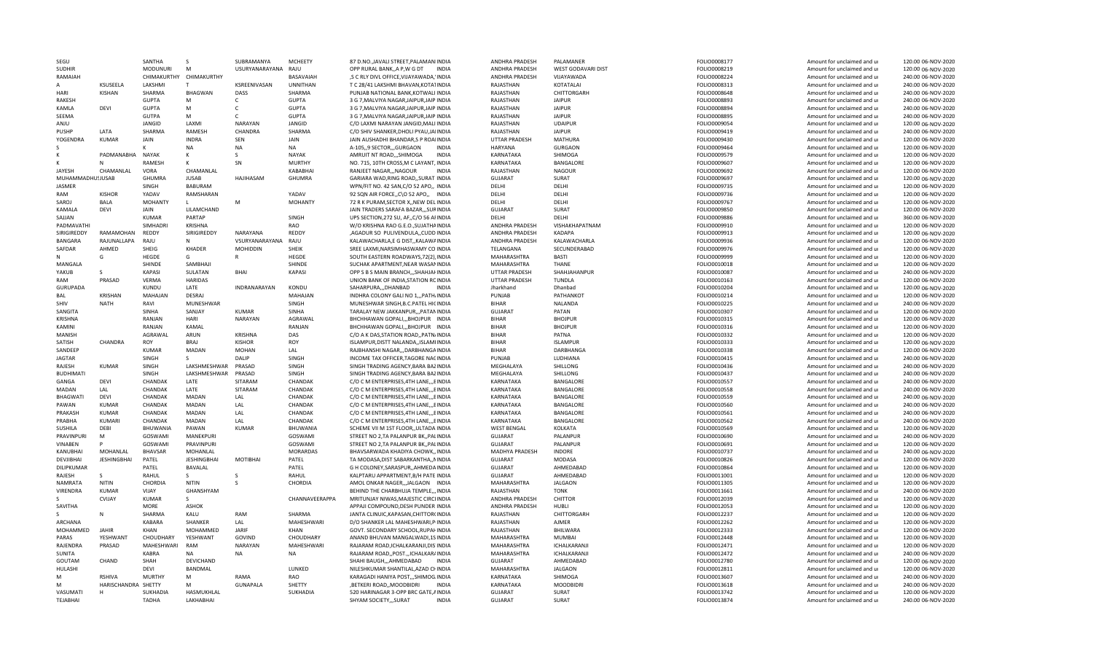| SEGU                 |                     | SANTHA                   | <sub>S</sub>            | SUBRAMANYA          | <b>MCHEETY</b>    | 87 D.NO., JAVALI STREET, PALAMANIINDIA                                        | ANDHRA PRADESH            | PALAMANFR          | FOLIO0008177                 | Amount for unclaimed and ur                                | 120.00 06-NOV-2020                       |
|----------------------|---------------------|--------------------------|-------------------------|---------------------|-------------------|-------------------------------------------------------------------------------|---------------------------|--------------------|------------------------------|------------------------------------------------------------|------------------------------------------|
| <b>SUDHIR</b>        |                     | <b>MODUNURI</b>          | M                       | USURYANARAYANA RAJU |                   | OPP RURAL BANK, A P, W G DT<br>INDIA                                          | ANDHRA PRADESH            | WEST GODAVARI DIST | FOLIO0008219                 | Amount for unclaimed and ur                                | 120.00 06-NOV-2020                       |
| RAMAIAH              |                     | CHIMAKURTHY              | CHIMAKURTHY             |                     | BASAVAIAH         | ,S C RLY DIVL OFFICE, VIJAYAWADA, 'INDIA                                      | ANDHRA PRADESH            | VIJAYAWADA         | FOLIO0008224                 | Amount for unclaimed and ur                                | 240.00 06-NOV-2020                       |
|                      | KSUSFFLA            | LAKSHMI                  | T                       | KSREENIVASAN        | <b>UNNITHAN</b>   | T C 28/41 LAKSHMI BHAVAN, KOTA1INDIA                                          | RAJASTHAN                 | KOTATALAI          | FOLIO0008313                 | Amount for unclaimed and ur                                | 240.00 06-NOV-2020                       |
| HARI                 | <b>KISHAN</b>       | SHARMA                   | BHAGWAN                 | DASS                | SHARMA            | PUNJAB NATIONAL BANK.KOTWALI INDIA                                            | RAJASTHAN                 | CHITTORGARH        | FOLIO0008648                 | Amount for unclaimed and ur                                | 240.00 06-NOV-2020                       |
| <b>RAKESH</b>        |                     | <b>GUPTA</b>             | M                       | $\mathsf{C}$        | <b>GUPTA</b>      | 3 G 7, MALVIYA NAGAR, JAIPUR, JAIP INDIA                                      | RAJASTHAN                 | JAIPUR             | FOLIO0008893                 | Amount for unclaimed and ur                                | 240.00 06-NOV-2020                       |
| KAMLA                | DEVI                | <b>GUPTA</b>             | M                       | C                   | <b>GUPTA</b>      | 3 G 7, MALVIYA NAGAR, JAIPUR, JAIP INDIA                                      | RAJASTHAN                 | <b>JAIPUR</b>      | FOLIO0008894                 | Amount for unclaimed and ur                                | 240.00 06-NOV-2020                       |
| SEEMA                |                     | GUTPA                    | M                       | $\mathsf{C}$        | <b>GUPTA</b>      | 3 G 7, MALVIYA NAGAR, JAIPUR, JAIP INDIA                                      | RAJASTHAN                 | <b>JAIPUR</b>      | FOLIO0008895                 | Amount for unclaimed and ur                                | 240.00 06-NOV-2020                       |
| ANJU                 |                     | JANGID                   | LAXMI                   | <b>NARAYAN</b>      | JANGID            | C/O LAXMI NARAYAN JANGID, MALI INDIA                                          | RAJASTHAN                 | <b>UDAIPUR</b>     | FOLIO0009054                 | Amount for unclaimed and ur                                | 120.00 06-NOV-2020                       |
| PUSHP                | LATA                | SHARMA                   | RAMESH                  | CHANDRA             | SHARMA            | C/O SHIV SHANKER, DHOLI PYAU, JAIINDIA                                        | RAJASTHAN                 | <b>JAIPUR</b>      | FOLIO0009419                 | Amount for unclaimed and ur                                | 240.00 06-NOV-2020                       |
| YOGENDRA             | <b>KUMAR</b>        | JAIN                     | <b>INDRA</b>            | SEN                 | JAIN              | JAIN AUSHADHI BHANDAR, SP ROAIINDIA                                           | UTTAR PRADESH             | MATHURA            | FOLIO0009430                 | Amount for unclaimed and ur                                |                                          |
|                      |                     |                          |                         |                     |                   |                                                                               |                           |                    |                              |                                                            | 120.00 06-NOV-2020                       |
|                      |                     |                          | <b>NA</b>               | <b>NA</b>           | <b>NA</b>         | A-105.9 SECTORGURGAON<br><b>INDIA</b>                                         | HARYANA                   | <b>GURGAON</b>     | FOLIO0009464                 | Amount for unclaimed and u                                 | 120.00 06-NOV-2020                       |
|                      | PADMANABHA          | <b>NAYAK</b>             | к                       | s                   | <b>NAYAK</b>      | <b>INDIA</b><br>AMRUIT NT ROADSHIMOGA                                         | KARNATAKA                 | SHIMOGA            | FOLIO0009579                 | Amount for unclaimed and ur                                | 120.00 06-NOV-2020                       |
|                      | N                   | RAMESH                   | к                       | SN                  | <b>MURTHY</b>     | NO. 715, 10TH CROSS, M C LAYANT, INDIA                                        | KARNATAKA                 | BANGALORE          | FOLIO0009607                 | Amount for unclaimed and ur                                | 120.00 06-NOV-2020                       |
| <b>JAYFSH</b>        | CHAMANLAL           | VORA                     | CHAMANLAL               |                     | KABABHAI          | RANJEET NAGAR,,,NAGOUR<br><b>INDIA</b>                                        | RAJASTHAN                 | <b>NAGOUR</b>      | FOLIO0009692                 | Amount for unclaimed and ur                                | 120.00 06-NOV-2020                       |
| MUHAMMADHU!JUSAB     |                     | GHUMRA                   | <b>JUSAB</b>            | <b>HAJIHASAM</b>    | GHUMRA            | GARIARA WAD, RING ROAD, , SURAT INDIA                                         | <b>GUJARAT</b>            | SURAT              | FOLIO0009697                 | Amount for unclaimed and ur                                | 120.00 06-NOV-2020                       |
| <b>JASMER</b>        |                     | SINGH                    | <b>BABURAM</b>          |                     |                   | WPN/FIT NO. 42 SAN, C/O 52 APO,, INDIA                                        | DELHI                     | DELHI              | FOLIO0009735                 | Amount for unclaimed and ur                                | 120.00 06-NOV-2020                       |
| RAM                  | <b>KISHOR</b>       | YADAV                    | RAMSHARAN               |                     | YADAV             | 92 SQN AIR FORCE, C\O 52 APO,, INDIA                                          | DFLHI                     | DFLHI              | FOLIO0009736                 | Amount for unclaimed and ur                                | 120.00 06-NOV-2020                       |
| SAROJ                | <b>BALA</b>         | <b>MOHANTY</b>           | $\mathsf{L}$            | M                   | <b>MOHANTY</b>    | 72 R K PURAM.SECTOR X. NEW DELINDIA                                           | DELHI                     | DELHI              | FOLIO0009767                 | Amount for unclaimed and ur                                | 120.00 06-NOV-2020                       |
| KAMALA               | DEVI                | JAIN                     | LILAMCHAND              |                     |                   | JAIN TRADERS SARAFA BAZAR,,,SURINDIA                                          | GUJARAT                   | SURAT              | FOLIO0009850                 | Amount for unclaimed and ur                                | 120.00 06-NOV-2020                       |
| SAJJAN               |                     | <b>KUMAR</b>             | PARTAP                  |                     | SINGH             | UPS SECTION, 272 SU, AF, C/O 56 AFINDIA                                       | DFLHI                     | DFLHI              | FOLIO0009886                 | Amount for unclaimed and ur                                | 360.00 06-NOV-2020                       |
| PADMAVATHI           |                     | SIMHADRI                 | KRISHNA                 |                     | RAO               | W/O KRISHNA RAO G.E.O., SUJATHAINDIA                                          | ANDHRA PRADESH            | VISHAKHAPATNAM     | FOLIO0009910                 | Amount for unclaimed and ur                                | 120.00 06-NOV-2020                       |
| SIRIGIREDDY          | RAMAMOHAN           | REDDY                    | SIRIGIREDDY             | <b>NARAYANA</b>     | REDDY             | ,AGADUR SO PULIVENDULA,,CUDD.INDIA                                            | ANDHRA PRADESH            | KADAPA             | FOLIO0009913                 | Amount for unclaimed and ur                                | 120.00 06-NOV-2020                       |
|                      | RAJUNALLAPA         | RAJU                     | N                       | VSURYANARAYANA      |                   |                                                                               | ANDHRA PRADESH            | KALAWACHARLA       |                              |                                                            |                                          |
| BANGARA              |                     |                          |                         |                     | RAJU              | KALAWACHARLA,E G DIST,, KALAWAINDIA                                           |                           |                    | FOLIO0009936                 | Amount for unclaimed and ur                                | 120.00 06-NOV-2020                       |
| SAFDAR               | AHMED               | SHEIG                    | <b>KHADER</b>           | MOHIDDIN            | SHEIK             | SREE LAXMI, NARSIMHASWAMY CO INDIA                                            | TELANGANA                 | SECUNDERABAD       | FOLIO0009976                 | Amount for unclaimed and ur                                | 120.00 06-NOV-2020                       |
|                      | G                   | HEGDE                    | G                       | R                   | HEGDE             | SOUTH EASTERN ROADWAYS, 72(2), INDIA                                          | MAHARASHTRA               | BASTI              | FOLIO0009999                 | Amount for unclaimed and ur                                | 120.00 06-NOV-2020                       |
| MANGALA              |                     | <b>SHINDF</b>            | SAMBHAII                |                     | SHINDE            | SUCHAK APARTMENT, NEAR WASANINDIA                                             | MAHARASHTRA               | THANE              | FOLIO0010018                 | Amount for unclaimed and ur                                | 120.00 06-NOV-2020                       |
| YAKUB                | s                   | KAPASI                   | SULATAN                 | BHAI                | <b>KAPASI</b>     | OPP S B S MAIN BRANCH, , SHAHJAI INDIA                                        | UTTAR PRADESH             | SHAHJAHANPUR       | FOLIO0010087                 | Amount for unclaimed and ur                                | 240.00 06-NOV-2020                       |
| RAM                  | PRASAD              | VERMA                    | <b>HARIDAS</b>          |                     |                   | UNION BANK OF INDIA, STATION RCINDIA                                          | UTTAR PRADESH             | TUNDLA             | FOLIO0010163                 | Amount for unclaimed and ur                                | 120.00 06-NOV-2020                       |
| <b>GURUPADA</b>      |                     | KUNDU                    | LATE                    | <b>INDRANARAYAN</b> | KONDU             | SAHARPURA DHANBAD<br><b>INDIA</b>                                             | Jharkhand                 | Dhanbad            | FOLIO0010204                 | Amount for unclaimed and ur                                | 120.00 06-NOV-2020                       |
| <b>BAL</b>           | <b>KRISHAN</b>      | MAHAJAN                  | DESRAJ                  |                     | MAHAJAN           | INDHRA COLONY GALI NO 1,,, PATH/INDIA                                         | PUNJAB                    | PATHANKOT          | FOLIO0010214                 | Amount for unclaimed and ur                                | 120.00 06-NOV-2020                       |
| SHIV                 | <b>NATH</b>         | RAVI                     | MUNESHWAR               |                     | SINGH             | MUNESHWAR SINGH, B.C. PATEL HICINDIA                                          | <b>BIHAR</b>              | NALANDA            | FOLIO0010225                 | Amount for unclaimed and ur                                | 240.00 06-NOV-2020                       |
| SANGITA              |                     | <b>SINHA</b>             | SANJAY                  | <b>KUMAR</b>        | <b>SINHA</b>      | TARALAY NEW JAKKANPUR PATANINDIA                                              | <b>GUJARAT</b>            | PATAN              | FOLIO0010307                 | Amount for unclaimed and ur                                | 120.00 06-NOV-2020                       |
| <b>KRISHNA</b>       |                     | RANJAN                   | HARI                    | <b>NARAYAN</b>      | AGRAWAL           | BHCHHAWAN GOPALI,,, BHOJPUR INDIA                                             | <b>BIHAR</b>              | <b>BHOJPUR</b>     | FOLIO0010315                 | Amount for unclaimed and ur                                | 120.00 06-NOV-2020                       |
| <b>KAMINI</b>        |                     | RANJAN                   | KAMAL                   |                     | RANJAN            | BHCHHAWAN GOPALI,,, BHOJPUR INDIA                                             | <b>BIHAR</b>              | <b>BHOJPUR</b>     | FOLIO0010316                 | Amount for unclaimed and ur                                | 120.00 06-NOV-2020                       |
| <b>MANISH</b>        |                     | AGRAWAL                  | ARUN                    | KRISHNA             | DAS               | C/O A K DAS, STATION ROAD, , PATN/INDIA                                       | <b>BIHAR</b>              | PATNA              | FOLIO0010332                 | Amount for unclaimed and ur                                | 120.00 06-NOV-2020                       |
|                      |                     | <b>ROY</b>               | <b>BRAJ</b>             | <b>KISHOR</b>       |                   |                                                                               | <b>BIHAR</b>              |                    |                              |                                                            |                                          |
| SATISH               | CHANDRA             |                          |                         |                     | ROY               | ISLAMPUR, DISTT NALANDA, , ISLAMI INDIA                                       |                           | <b>ISLAMPUR</b>    | FOLIO0010333                 | Amount for unclaimed and ur                                | 120.00 06-NOV-2020                       |
| SANDEEP              |                     | <b>KUMAR</b>             | MADAN                   | <b>MOHAN</b>        | LAL               | RAJBHANSHI NAGAR,,,DARBHANGAINDIA                                             | <b>BIHAR</b>              | DARBHANGA          | FOLIO0010338                 | Amount for unclaimed and ur                                | 120.00 06-NOV-2020                       |
| <b>JAGTAR</b>        |                     | SINGH                    | S                       | DALIP               | SINGH             | INCOME TAX OFFICER, TAGORE NACINDIA                                           | PUNJAB                    | LUDHIANA           | FOLIO0010415                 | Amount for unclaimed and ur                                | 240.00 06-NOV-2020                       |
| RAJESH               | KUMAR               | <b>SINGH</b>             | LAKSHMESHWAR            | PRASAD              | SINGH             | SINGH TRADING AGENCY, BARA BAZINDIA                                           | MEGHALAYA                 | SHILLONG           | FOLIO0010436                 | Amount for unclaimed and ur                                | 240.00 06-NOV-2020                       |
| <b>BUDHIMAT</b>      |                     | SINGH                    | LAKSHMESHWAR            | PRASAD              |                   | SINGH TRADING AGENCY, BARA BAZINDIA                                           |                           | SHILLONG           |                              |                                                            | 240.00 06-NOV-2020                       |
| GANGA                |                     |                          |                         |                     | SINGH             |                                                                               | MEGHALAYA                 |                    | FOLIO0010437                 | Amount for unclaimed and ur                                |                                          |
| MADAN                | DEVI                | CHANDAK                  | LATE                    | SITARAM             | CHANDAK           | C/O C M ENTERPRISES, 4TH LANE, ,, EINDIA                                      | KARNATAKA                 | BANGALORE          | FOLIO0010557                 | Amount for unclaimed and ur                                | 240.00 06-NOV-2020                       |
|                      | LAL                 | CHANDAK                  | LATE                    | SITARAM             | CHANDAK           | C/O C M ENTERPRISES, 4TH LANE, ,, EINDIA                                      | KARNATAKA                 | BANGALORE          | FOLIO0010558                 | Amount for unclaimed and ur                                | 240.00 06-NOV-2020                       |
| <b>BHAGWATI</b>      | <b>DEVI</b>         | CHANDAK                  | <b>MADAN</b>            | LAL                 | CHANDAK           | C/O C M ENTERPRISES, 4TH LANE, ,, EINDIA                                      | KARNATAKA                 | <b>BANGALORE</b>   | FOLIO0010559                 | Amount for unclaimed and ur                                | 240.00 06-NOV-2020                       |
| PAWAN                | KUMAR               | CHANDAK                  | MADAN                   | LAL                 | CHANDAK           |                                                                               | KARNATAKA                 | BANGALORE          |                              | Amount for unclaimed and ur                                |                                          |
|                      |                     |                          |                         |                     |                   | C/O C M ENTERPRISES, 4TH LANE, ,, EINDIA                                      |                           |                    | FOLIO0010560                 |                                                            | 240.00 06-NOV-2020                       |
| PRAKASH              | <b>KUMAR</b>        | CHANDAK                  | MADAN                   | LAL                 | CHANDAK           | C/O C M ENTERPRISES, 4TH LANE, ,, EINDIA                                      | KARNATAKA                 | BANGALORE          | FOLIO0010561                 | Amount for unclaimed and ur                                | 240.00 06-NOV-2020                       |
| PRABHA               | <b>KUMARI</b>       | CHANDAK                  | <b>MADAN</b>            | LAL                 | CHANDAK           | C/O C M ENTERPRISES.4TH LANEEINDIA                                            | KARNATAKA                 | <b>BANGALORE</b>   | FOLIO0010562                 | Amount for unclaimed and ur                                | 240.00 06-NOV-2020                       |
| <b>SUSHILA</b>       | DEBI                | BHUWANIA                 | PAWAN                   | <b>KUMAR</b>        | <b>BHUWANIA</b>   | SCHEME VII M 1ST FLOOR,, ULTADA INDIA                                         | <b>WEST BENGAL</b>        | <b>KOLKATA</b>     | FOLIO0010569                 | Amount for unclaimed and ur                                | 120.00 06-NOV-2020                       |
| PRAVINPURI           | M                   | GOSWAMI                  | MANEKPURI               |                     | GOSWAMI           | STREET NO 2, TA PALANPUR BK,, PALINDIA                                        | <b>GUJARAT</b>            | PALANPUR           | FOLIO0010690                 | Amount for unclaimed and ur                                | 240.00 06-NOV-2020                       |
| <b>VINABEN</b>       |                     | GOSWAMI                  | PRAVINPURI              |                     | GOSWAMI           | STREET NO 2, TA PALANPUR BK,, PALINDIA                                        | GUJARAT                   | PALANPUR           | FOLIO0010691                 | Amount for unclaimed and ur                                | 120.00 06-NOV-2020                       |
| KANUBHAI             | MOHANLAL            | <b>BHAVSAR</b>           | MOHANLAL                |                     | <b>MORARDAS</b>   | BHAVSARWADA KHADIYA CHOWK,, INDIA                                             | MADHYA PRADESH            | <b>INDORE</b>      | FOLIO0010737                 | Amount for unclaimed and ur                                | 240.00 06-NOV-2020                       |
| DEVJIBHAI            | <b>JESHINGBHAI</b>  | PATEL                    | <b>JESHINGBHAI</b>      | MOTIBHAI            | PATEL             | TA MODASA, DIST SABARKANTHA,, NINDIA                                          | <b>GUJARAT</b>            | MODASA             | FOLIO0010826                 | Amount for unclaimed and ur                                | 120.00 06-NOV-2020                       |
| DILIPKUMAR           |                     | PATEL                    | BAVALAL                 |                     | PATEL             | G H COLONEY, SARASPUR, , AHMEDAINDIA                                          | <b>GUJARAT</b>            | AHMEDABAD          | FOLIO0010864                 | Amount for unclaimed and ur                                | 120.00 06-NOV-2020                       |
| RAJESH               | S.                  | RAHUL                    | S.                      |                     | RAHUL             | KALPTARU APPARTMENT, B/H PATE INDIA                                           | <b>GUJARAT</b>            | AHMEDABAD          | FOLIO0011001                 | Amount for unclaimed and ur                                | 120.00 06-NOV-2020                       |
| NAMRATA              | <b>NITIN</b>        | CHORDIA                  | <b>NITIN</b>            | -S                  | CHORDIA           | AMOL ONKAR NAGER,,,JALGAON INDIA                                              | MAHARASHTRA               | <b>JALGAON</b>     | FOLIO0011305                 | Amount for unclaimed and ur                                | 120.00 06-NOV-2020                       |
| VIRENDRA             | <b>KUMAR</b>        | VIJAY                    | GHANSHYAM               |                     |                   | BEHIND THE CHARBHUJA TEMPLE,,, INDIA                                          | RAJASTHAN                 | <b>TONK</b>        | FOLIO0011661                 | Amount for unclaimed and ur                                | 240.00 06-NOV-2020                       |
|                      | <b>CVIJAY</b>       | <b>KUMAR</b>             | S.                      |                     | CHANNAVEERAPPA    | MRITUNJAY NIWAS, MAJESTIC CIRCLINDIA                                          | ANDHRA PRADESH            | <b>CHITTOR</b>     | FOLIO0012039                 | Amount for unclaimed and ur                                | 120.00 06-NOV-2020                       |
| SAVITHA              |                     | <b>MORE</b>              | <b>ASHOK</b>            |                     |                   | APPAJI COMPOUND, DESH PUNDER INDIA                                            | ANDHRA PRADESH            | <b>HUBLI</b>       | FOLIO0012053                 | Amount for unclaimed and ur                                | 120.00 06-NOV-2020                       |
| S.                   | N                   | SHARMA                   | KALU                    | <b>RAM</b>          | SHARMA            | JANTA CLINUIC, KAPASAN, CHITTOR(INDIA                                         | RAJASTHAN                 | CHITTORGARH        | FOLIO0012237                 | Amount for unclaimed and ur                                | 120.00 06-NOV-2020                       |
| ARCHANA              |                     | KABARA                   | SHANKER                 | LAL                 | MAHESHWARI        | D/O SHANKER LAL MAHESHWARI, PINDIA                                            | RAJASTHAN                 | AJMER              | FOLIO0012262                 | Amount for unclaimed and ur                                | 120.00 06-NOV-2020                       |
| MOHAMMFD             | <b>JAHIR</b>        |                          |                         | JARIF               | KHAN              |                                                                               |                           |                    |                              |                                                            |                                          |
|                      |                     | KHAN                     | MOHAMMED                |                     |                   | GOVT. SECONDARY SCHOOL, RUPAHINDIA                                            | RAJASTHAN                 | BHILWARA           | FOLIO0012333                 | Amount for unclaimed and ur                                | 120.00 06-NOV-2020                       |
| PARAS                | YESHWANT            | CHOUDHARY                | YESHWANT                | GOVIND              | CHOUDHARY         | ANAND BHUVAN MANGALWADI.1SINDIA                                               | <b>MAHARASHTRA</b>        | <b>MUMBAI</b>      | FOLIO0012448                 | Amount for unclaimed and ur                                | 120.00 06-NOV-2020                       |
| RAJENDRA             | PRASAD              | MAHESHWARI               | RAM                     | NARAYAN             | <b>MAHFSHWARI</b> | RAJARAM ROAD, ICHALKARANJI, DIS'INDIA                                         | MAHARASHTRA               | ICHALKARANJI       | FOLIO0012471                 | Amount for unclaimed and ur                                | 120.00 06-NOV-2020                       |
| <b>SUNITA</b>        |                     | KABRA                    | <b>NA</b>               | <b>NA</b>           | <b>NA</b>         | RAJARAM ROAD,, POST.,, ICHALKAR/INDIA                                         | MAHARASHTRA               | ICHALKARANJI       | FOLIO0012472                 | Amount for unclaimed and ur                                | 240.00 06-NOV-2020                       |
| GOUTAM               | CHAND               | SHAH                     | DEVICHAND               |                     |                   | SHAHI BAUGH,,,AHMEDABAD<br><b>INDIA</b>                                       | <b>GUJARAT</b>            | AHMEDABAD          | FOLIO0012780                 | Amount for unclaimed and ur                                | 120.00 06-NOV-2020                       |
| HULASHI              |                     | <b>DEVI</b>              | BANDMAL                 |                     | LUNKED            | NILESHKUMAR SHANTILAL, AZAD CI-INDIA                                          | MAHARASHTRA               | <b>JALGAON</b>     | FOLIO0012811                 | Amount for unclaimed and ur                                | 120.00 06-NOV-2020                       |
| м                    | RSHIVA              | <b>MURTHY</b>            | м                       | RAMA                | RAO               | KARAGADI HANIYA POST,,,SHIMOG.INDIA                                           | KARNATAKA                 | SHIMOGA            | FOLIO0013607                 | Amount for unclaimed and ur                                | 240.00 06-NOV-2020                       |
| м                    | HARISCHANDRA SHETTY |                          | м                       | <b>GUNAPALA</b>     | SHETTY            | ,BETKERI ROAD,,MOODBIDRI<br><b>INDIA</b>                                      | KARNATAKA                 | <b>MOODBIDR</b>    | FOLIO0013618                 | Amount for unclaimed and ur                                | 240.00 06-NOV-2020                       |
| VASUMATI<br>TEJABHAI | н                   | SUKHADIA<br><b>TADHA</b> | HASMUKHLAL<br>LAKHABHAI |                     | SUKHADIA          | 520 HARINAGAR 3-OPP BRC GATE, AINDIA<br><b>INDIA</b><br>SHYAM SOCIETY,,,SURAT | GUJARAT<br><b>GUJARAT</b> | SURAT<br>SURAT     | FOLIO0013742<br>FOLIO0013874 | Amount for unclaimed and ur<br>Amount for unclaimed and ur | 120.00 06-NOV-2020<br>240.00 06-NOV-2020 |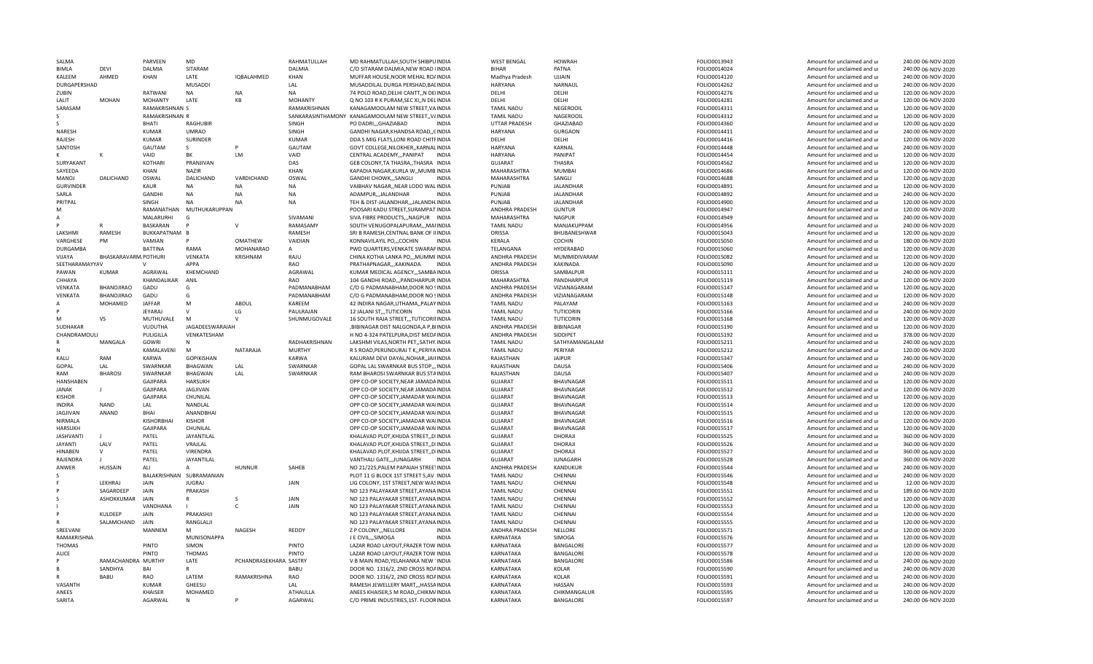| SALMA            |                      | PARVFFN                  | MD                |                        | RAHMATULLAH     | MD RAHMATULLAH, SOUTH SHIBPUINDIA                   | <b>WEST BENGAL</b> | <b>HOWRAH</b>    | FOLIO0013943 | Amount for unclaimed and ur | 240.00 06-NOV-2020 |
|------------------|----------------------|--------------------------|-------------------|------------------------|-----------------|-----------------------------------------------------|--------------------|------------------|--------------|-----------------------------|--------------------|
| <b>BIMLA</b>     | DEVI                 | DALMIA                   | SITARAM           |                        | DALMIA          | C/O SITARAM DALMIA, NEW ROAD IINDIA                 | <b>BIHAR</b>       | PATNA            | FOLIO0014024 | Amount for unclaimed and ur | 240.00 06-NOV-2020 |
| KALEEM           | AHMED                | KHAN                     | LATE              | IQBALAHMED             | KHAN            | MUFFAR HOUSE NOOR MEHAL ROAINDIA                    | Madhya Pradesh     | UJJAIN           | FOLIO0014120 | Amount for unclaimed and ur | 240.00 06-NOV-2020 |
| DURGAPERSHAD     |                      |                          | MUSADDI           |                        | LAL             | MUSADDILAL DURGA PERSHAD, BALINDIA                  | <b>HARYANA</b>     | NARNAUL          | FOLIO0014262 | Amount for unclaimed and ur | 240.00 06-NOV-2020 |
| ZUBIN            |                      | RATWANI                  | NA                | <b>NA</b>              | <b>NA</b>       | 74 POLO ROAD, DELHI CANTT, N DEIINDIA               | DELHI              | DELHI            | FOLIO0014276 | Amount for unclaimed and ur | 120.00 06-NOV-2020 |
| LALIT            | <b>MOHAN</b>         | <b>MOHANTY</b>           | LATE              | KB                     | <b>MOHANTY</b>  | Q NO 103 R K PURAM, SEC XI, N DELINDIA              | DELHI              | DELHI            | FOLIO0014281 | Amount for unclaimed and ur | 120.00 06-NOV-2020 |
| SARASAM          |                      | RAMAKRISHNAN S           |                   |                        | RAMAKRISHNAN    | KANAGAMOOLAM NEW STREET.VAINDIA                     | <b>TAMIL NADU</b>  | NEGEROOIL        | FOLIO0014311 | Amount for unclaimed and ur | 120.00 06-NOV-2020 |
| S.               |                      | <b>RAMAKRISHNAN R</b>    |                   |                        |                 | SANKARASINTHAMONY KANAGAMOOLAM NEW STREET,, V/INDIA | <b>TAMIL NADU</b>  | NAGEROOIL        | FOLIO0014312 | Amount for unclaimed and ur | 120.00 06-NOV-2020 |
|                  |                      | <b>BHATI</b>             | RAGHUBIR          |                        | SINGH           | PO DADRI,,,GHAZIABAD<br><b>INDIA</b>                | UTTAR PRADESH      | GHAZIABAD        | FOLIO0014360 | Amount for unclaimed and ur | 120.00 06-NOV-2020 |
| NARESH           |                      | <b>KUMAR</b>             | <b>UMRAO</b>      |                        | SINGH           | GANDHI NAGAR, KHANDSA ROAD, , CINDIA                | <b>HARYANA</b>     | <b>GURGAON</b>   | FOLIO0014411 | Amount for unclaimed and ur | 240.00 06-NOV-2020 |
| RAJESH           |                      | <b>KUMAR</b>             | SURINDER          |                        | <b>KUMAR</b>    | DDA S MIG FLATS, LONI ROAD CHITFINDIA               | DELHI              | DELHI            | FOLIO0014416 | Amount for unclaimed and ur | 120.00 06-NOV-2020 |
| SANTOSH          |                      | GAUTAM                   | S                 |                        | GAUTAM          | GOVT COLLEGE, NILOKHER, , KARNAL INDIA              | HARYANA            | KARNAL           | FOLIO0014448 | Amount for unclaimed and ur | 240.00 06-NOV-2020 |
|                  |                      | VAID                     | BK                | <b>LM</b>              | VAID            | CENTRAL ACADEMY,,,PANIPAT<br><b>INDIA</b>           | <b>HARYANA</b>     | PANIPAT          | FOLIO0014454 | Amount for unclaimed and ur | 120.00 06-NOV-2020 |
| SURYAKANT        |                      | <b>KOTHARI</b>           | PRANJIVAN         |                        | DAS             | GEB COLONY, TA THASRA, , THASRA INDIA               | GUJARAT            | <b>THASRA</b>    | FOLIO0014562 | Amount for unclaimed and ur | 120.00 06-NOV-2020 |
| SAYEEDA          |                      | KHAN                     | <b>NAZIR</b>      |                        | KHAN            | KAPADIA NAGAR, KURLA W,, MUMB. INDIA                | MAHARASHTRA        | <b>MUMBAI</b>    | FOLIO0014686 | Amount for unclaimed and ur | 120.00 06-NOV-2020 |
| MANOJ            | DALICHAND            | OSWAL                    | DALICHAND         | VARDICHAND             | OSWAL           | GANDHI CHOWK,,,SANGLI<br>INDIA                      | MAHARASHTRA        | SANGLI           | FOLIO0014688 | Amount for unclaimed and ur | 120.00 06-NOV-2020 |
| <b>GURVINDER</b> |                      | KAUR                     | <b>NA</b>         | <b>NA</b>              | <b>NA</b>       | VAIBHAV NAGAR, NEAR LODO WALINDIA                   | PUNJAB             | <b>JALANDHAR</b> | FOLIO0014891 | Amount for unclaimed and ur | 120.00 06-NOV-2020 |
| SARLA            |                      | <b>GANDHI</b>            | NA                | <b>NA</b>              | <b>NA</b>       | ADAMPURJALANDHAR<br><b>INDIA</b>                    | PUNJAB             | <b>JALANDHAR</b> | FOLIO0014892 | Amount for unclaimed and ur | 240.00 06-NOV-2020 |
| PRITPAL          |                      | SINGH                    | <b>NA</b>         | <b>NA</b>              | <b>NA</b>       | TEH & DIST-JALANDHAR,,,JALANDH.INDIA                | PUNJAB             | <b>JALANDHAR</b> | FOLIO0014900 | Amount for unclaimed and ur | 120.00 06-NOV-2020 |
| м                |                      | RAMANATHAN               | MUTHUKARUPPAN     |                        |                 | POOSARI KADU STREET, SURAMPAT INDIA                 | ANDHRA PRADESH     | <b>GUNTUR</b>    | FOLIO0014947 | Amount for unclaimed and ur | 120.00 06-NOV-2020 |
|                  |                      | MALARURHI                | G                 |                        | SIVAMANI        | SIVA FIBRE PRODUCTS,,,NAGPUR INDIA                  | MAHARASHTRA        | <b>NAGPUR</b>    | FOLIO0014949 | Amount for unclaimed and ur | 240.00 06-NOV-2020 |
|                  |                      | BASKARAN                 |                   | $\mathbf{v}$           | RAMASAMY        | SOUTH VENUGOPALAPURAM,,,MAIINDIA                    | <b>TAMIL NADU</b>  | MANJAKUPPAM      | FOLIO0014956 | Amount for unclaimed and ur | 240.00 06-NOV-2020 |
| LAKSHMI          | RAMESH               | BUKKAPATNAM B            |                   |                        | RAMESH          | SRI B RAMESH, CENTNAL BANK OF IIINDIA               | ORISSA             | BHUBANESHWAR     | FOLIO0015043 | Amount for unclaimed and ur | 120.00 06-NOV-2020 |
| VARGHESE         | PM                   | VAMIAN                   | $\mathsf{P}$      | <b>OMATHEW</b>         | VAIDIAN         | KONNAVILAYIL PO,,,COCHIN<br><b>INDIA</b>            | KERALA             | <b>COCHIN</b>    | FOLIO0015050 | Amount for unclaimed and ur | 180.00 06-NOV-2020 |
| <b>DURGAMBA</b>  |                      | <b>BATTINA</b>           | RAMA              | <b>MOHANARAO</b>       | $\overline{A}$  | PWD QUARTERS, VENKATE SWARAPINDIA                   | TELANGANA          | HYDERABAD        | FOLIO0015060 | Amount for unclaimed and ur | 120.00 06-NOV-2020 |
| VIJAYA           | BHASKARAVARM POTHURI |                          | VENKATA           | KRISHNAM               | RAJU            | CHINA KOTHA LANKA PO,,, MUMMI INDIA                 | ANDHRA PRADESH     | MUMMIDIVARAM     | FOLIO0015082 | Amount for unclaimed and ur | 120.00 06-NOV-2020 |
| SEETHARAMAYYAV   |                      | $\mathsf{V}$             | APPA              |                        | RAO             | PRATHAPNAGAR,,,KAKINADA<br><b>INDIA</b>             | ANDHRA PRADESH     | KAKINADA         | FOLIO0015090 | Amount for unclaimed and ur | 120.00 06-NOV-2020 |
| PAWAN            | KUMAR                | AGRAWAL                  | KHEMCHAND         |                        | AGRAWAL         | KUMAR MEDICAL AGENCY,,,SAMBAINDIA                   | ORISSA             | SAMBALPUR        | FOLIO0015111 | Amount for unclaimed and ur | 240.00 06-NOV-2020 |
| CHHAYA           |                      | KHANDALIKAR              | ANIL              |                        | RAO             | 104 GANDHI ROAD, ,, PANDHARPUR INDIA                | MAHARASHTRA        | PANDHARPUR       | FOLIO0015119 | Amount for unclaimed and ur | 120.00 06-NOV-2020 |
| VENKATA          | BHANOJIRAO           | GADU                     | G                 |                        | PADMANABHAM     | C/O G PADMANABHAM, DOOR NO SINDIA                   | ANDHRA PRADESH     | VIZIANAGARAM     | FOLIO0015147 | Amount for unclaimed and ur | 120.00 06-NOV-2020 |
| VENKATA          | BHANOJIRAO           | GADU                     | G                 |                        | PADMANABHAM     | C/O G PADMANABHAM, DOOR NO SINDIA                   | ANDHRA PRADESH     | VIZIANAGARAM     | FOLIO0015148 | Amount for unclaimed and ur | 120.00 06-NOV-2020 |
|                  | MOHAMED              | <b>JAFFAR</b>            | M                 | ABDUL                  | KAREEM          | 42 INDIRA NAGAR, UTHAMA,, PALAYINDIA                | <b>TAMIL NADU</b>  | PALAYAM          | FOLIO0015163 | Amount for unclaimed and ur | 240.00 06-NOV-2020 |
|                  |                      | JEYARAJ                  | $\mathsf{V}$      | LG                     | PAULRAIAN       | 12 JALANI ST,,,TUTICORIN<br><b>INDIA</b>            | <b>TAMIL NADU</b>  | <b>TUTICORIN</b> | FOLIO0015166 | Amount for unclaimed and ur | 240.00 06-NOV-2020 |
| M                | VS                   | MUTHUVALE                | M                 |                        | SHUNMUGOVALE    | 16 SOUTH RAJA STREET,,,TUTICORINIDIA                | <b>TAMIL NADU</b>  | TUTICORIN        | FOLIO0015168 | Amount for unclaimed and ur | 120.00 06-NOV-2020 |
| SUDHAKAR         |                      | VUDUTHA                  | JAGADEESWARAIAH   |                        |                 | ,BIBINAGAR DIST NALGONDA, A P, BIINDIA              | ANDHRA PRADESH     | BIBINAGAR        | FOLIO0015190 | Amount for unclaimed and ur | 120.00 06-NOV-2020 |
| CHANDRAMOULI     |                      | PULIGILLA                | VENKATESHAM       |                        |                 | H NO 4-324 PATELPURA, DIST MEDAINDIA                | ANDHRA PRADESH     | <b>SIDDIPFT</b>  | FOLIO0015192 | Amount for unclaimed and ur | 378.00 06-NOV-2020 |
|                  | MANGALA              | GOWRI                    | N                 |                        | RADHAKRISHNAN   | LAKSHMI VILAS, NORTH PET,, SATHY. INDIA             | <b>TAMIL NADU</b>  | SATHYAMANGALAM   | FOLIO0015211 | Amount for unclaimed and ur | 240.00 06-NOV-2020 |
|                  |                      | KAMALAVENI               | M                 | NATARAJA               | <b>MURTHY</b>   | R S ROAD, PERUNDURAI T K,, PERIYA INDIA             | <b>TAMIL NADU</b>  | PFRIYAR          | FOLIO0015212 | Amount for unclaimed and ur | 120.00 06-NOV-2020 |
| KALU             | RAM                  | KARWA                    | <b>GOPIKISHAN</b> |                        | KARWA           | KALURAM DEVI DAYAL, NOHAR, JAIHNDIA                 | RAJASTHAN          | <b>JAIPUR</b>    | FOLIO0015347 | Amount for unclaimed and ur | 240.00 06-NOV-2020 |
| GOPAL            | LAL                  | SWARNKAR                 | BHAGWAN           | LAL                    | SWARNKAR        | GOPAL LAL SWARNKAR BUS STOP,,, INDIA                | RAJASTHAN          | DAUSA            | FOLIO0015406 | Amount for unclaimed and ur | 240.00 06-NOV-2020 |
| RAM              | <b>BHAROSI</b>       | SWARNKAR                 | <b>BHAGWAN</b>    | LAL                    | SWARNKAR        | RAM BHAROSI SWARNKAR BUS STAINDIA                   | RAJASTHAN          | DAUSA            | FOLIO0015407 | Amount for unclaimed and ur | 240.00 06-NOV-2020 |
| HANSHABEN        |                      | GAJIPARA                 | HARSUKH           |                        |                 | OPP CO-OP SOCIETY, NEAR JAMADAINDIA                 | <b>GUJARAT</b>     | BHAVNAGAR        | FOLIO0015511 | Amount for unclaimed and ur | 120.00 06-NOV-2020 |
| <b>JANAK</b>     |                      | GAJIPARA                 | JAGJIVAN          |                        |                 | OPP CO-OP SOCIETY, NEAR JAMADAINDIA                 | <b>GUJARAT</b>     | <b>BHAVNAGAR</b> | FOLIO0015512 | Amount for unclaimed and ur | 120.00 06-NOV-2020 |
| <b>KISHOR</b>    |                      | <b>GAJIPARA</b>          | CHUNILAL          |                        |                 | OPP CO-OP SOCIETY, JAMADAR WAIINDIA                 | <b>GUJARAT</b>     | <b>BHAVNAGAR</b> | FOLIO0015513 | Amount for unclaimed and ur | 120.00 06-NOV-2020 |
| <b>INDIRA</b>    | <b>NAND</b>          | LAL                      | NANDLAL           |                        |                 | OPP CO-OP SOCIETY, JAMADAR WAIINDIA                 | <b>GUJARAT</b>     | BHAVNAGAR        | FOLIO0015514 | Amount for unclaimed and ur | 120.00 06-NOV-2020 |
| <b>JAGJIVAN</b>  | ANAND                | BHAI                     | ANANDBHAI         |                        |                 | OPP CO-OP SOCIETY, JAMADAR WAIINDIA                 | <b>GUJARAT</b>     | BHAVNAGAR        | FOLIO0015515 | Amount for unclaimed and ur | 120.00 06-NOV-2020 |
| NIRMALA          |                      | KISHORBHAI               | <b>KISHOR</b>     |                        |                 | OPP CO-OP SOCIETY, JAMADAR WAIINDIA                 | <b>GUJARAT</b>     | BHAVNAGAR        | FOLIO0015516 | Amount for unclaimed and ur | 120.00 06-NOV-2020 |
| <b>HARSUKH</b>   |                      | GAIIPARA                 | CHUNILAL          |                        |                 | OPP CO-OP SOCIETY, JAMADAR WAIINDIA                 | <b>GUJARAT</b>     | <b>BHAVNAGAR</b> | FOLIO0015517 | Amount for unclaimed and ur | 120.00 06-NOV-2020 |
| <b>JASHVANT</b>  |                      | PATEL                    | JAYANTILAL        |                        |                 | KHALAVAD PLOT, KHIJDA STREET, , DIINDIA             | <b>GUJARAT</b>     | DHORAJI          | FOLIO0015525 | Amount for unclaimed and ur | 360.00 06-NOV-2020 |
| <b>JAYANTI</b>   | LALV                 | PATEL                    | VRAJLAL           |                        |                 | KHALAVAD PLOT, KHIJDA STREET, , DIINDIA             | <b>GUJARAT</b>     | DHORAJI          | FOLIO0015526 | Amount for unclaimed and ur | 360.00 06-NOV-2020 |
| <b>HINABEN</b>   | $\mathsf{V}$         | PATEL                    | VIRENDRA          |                        |                 | KHALAVAD PLOT, KHIJDA STREET, , DIINDIA             | <b>GUJARAT</b>     | DHORAJI          | FOLIO0015527 | Amount for unclaimed and ur | 360.00 06-NOV-2020 |
| RAIFNDRA         |                      | PATEL                    | <b>JAYANTILAL</b> |                        |                 | VANTHALI GATE,,,JUNAGARH<br><b>INDIA</b>            | GUJARAT            | <b>JUNAGARH</b>  | FOLIO0015528 | Amount for unclaimed and ur | 360.00 06-NOV-2020 |
| ANWER            | <b>HUSSAIN</b>       | ALI                      | A                 | <b>HUNNUR</b>          | SAHEB           | NO 21/225, PALEM PAPAIAH STREETINDIA                | ANDHRA PRADESH     | KANDUKUR         | FOLIO0015544 | Amount for unclaimed and ur | 240.00 06-NOV-2020 |
|                  |                      | BALAKRISHNAN SUBRAMANIAN |                   |                        |                 | PLOT 11 G BLOCK 1ST STREET 5, AV INDIA              | <b>TAMIL NADU</b>  | CHENNAI          | FOLIO0015546 | Amount for unclaimed and ur | 240.00 06-NOV-2020 |
|                  | LEKHRAJ              | JAIN                     | <b>JUGRAJ</b>     |                        | JAIN            | LIG COLONY, 1ST STREET, NEW WASINDIA                | <b>TAMIL NADU</b>  | CHENNAI          | FOLIO0015548 | Amount for unclaimed and ur | 12.00 06-NOV-2020  |
|                  | SAGARDEEP            | JAIN                     | PRAKASH           |                        |                 | NO 123 PALAYAKAR STREET, AYANA INDIA                | <b>TAMIL NADU</b>  | CHENNAI          | FOLIO0015551 | Amount for unclaimed and ur | 189.60 06-NOV-2020 |
|                  | ASHOKKUMAR           | JAIN                     | R                 |                        | JAIN            | NO 123 PALAYAKAR STREET, AYANA INDIA                | <b>TAMIL NADU</b>  | CHENNAI          | FOLIO0015552 | Amount for unclaimed and ur | 120.00 06-NOV-2020 |
|                  |                      | VANDHANA                 |                   | $\mathsf{C}$           | JAIN            | NO 123 PALAYAKAR STREET, AYANA INDIA                | <b>TAMIL NADU</b>  | CHENNAI          | FOLIO0015553 | Amount for unclaimed and ur | 120.00 06-NOV-2020 |
|                  | KULDEEP              | JAIN                     | PRAKASHJI         |                        |                 | NO 123 PALAYAKAR STREET, AYANA INDIA                | <b>TAMIL NADU</b>  | CHENNAI          | FOLIO0015554 | Amount for unclaimed and ur | 120.00 06-NOV-2020 |
|                  | SALAMCHAND           | <b>JAIN</b>              | RANGLALJI         |                        |                 | NO 123 PALAYAKAR STREET, AYANA INDIA                | <b>TAMIL NADU</b>  | CHENNAI          | FOLIO0015555 | Amount for unclaimed and ur | 120.00 06-NOV-2020 |
| SREEVANI         |                      | MANNEM                   | M                 | NAGESH                 | REDDY           | Z P COLONY,,, NELLORE<br><b>INDIA</b>               | ANDHRA PRADESH     | NELLORE          | FOLIO0015571 | Amount for unclaimed and ur | 120.00 06-NOV-2020 |
| RAMAKRISHNA      |                      |                          | MUNISONAPPA       |                        |                 | J E CIVIL, SIMOGA<br><b>INDIA</b>                   | KARNATAKA          | SIMOGA           | FOLIO0015576 | Amount for unclaimed and ur | 120.00 06-NOV-2020 |
| THOMAS           |                      | PINTO                    | SIMON             |                        | <b>PINTO</b>    | LAZAR ROAD LAYOUT, FRAZER TOW INDIA                 | KARNATAKA          | BANGALORE        | FOLIO0015577 | Amount for unclaimed and ur | 120.00 06-NOV-2020 |
| ALICE            |                      | PINTO                    | <b>THOMAS</b>     |                        | PINTO           | LAZAR ROAD LAYOUT.FRAZER TOW INDIA                  | KARNATAKA          | BANGALORE        | FOLIO0015578 | Amount for unclaimed and ur | 120.00 06-NOV-2020 |
|                  | RAMACHANDRA MURTHY   |                          | LATE              | PCHANDRASEKHARA SASTRY |                 | V B MAIN ROAD, YELAHANKA NEW 1INDIA                 | KARNATAKA          | BANGALORE        | FOLIO0015586 | Amount for unclaimed and ur | 240.00 06-NOV-2020 |
|                  | SANDHYA              | <b>BA</b>                |                   |                        | <b>BABU</b>     | DOOR NO. 1316/2, 2ND CROSS ROAINDIA                 | KARNATAKA          | KOLAR            | FOLIO0015590 | Amount for unclaimed and ur | 240.00 06-NOV-2020 |
|                  | RARI.                | <b>RAO</b>               | LATEM             | RAMAKRISHNA            | RAO             | DOOR NO. 1316/2, 2ND CROSS ROAINDIA                 | KARNATAKA          | KOLAR            | FOLIO0015591 | Amount for unclaimed and ur | 240.00 06-NOV-2020 |
| VASANTH          |                      | <b>KUMAR</b>             | GHEESU            |                        | LAL             | RAMESH JEWELLERY MART,,, HASSAINDIA                 | KARNATAKA          | <b>HASSAN</b>    | FOLIO0015593 | Amount for unclaimed and ur | 240.00 06-NOV-2020 |
| ANEES            |                      | KHAISER                  | MOHAMED           |                        | <b>ATHAULLA</b> | ANEES KHAISER, S M ROAD,, CHIKM/INDIA               | KARNATAKA          | CHIKMANGALUR     | FOLIO0015595 | Amount for unclaimed and ur | 120.00 06-NOV-2020 |
|                  |                      |                          | $\mathsf{N}$      |                        | AGARWAL         | C/O PRIME INDUSTRIES, 1ST. FLOORINDIA               | KARNATAKA          | BANGALORE        | FOLIO0015597 | Amount for unclaimed and ur | 240.00 06-NOV-2020 |
| SARITA           |                      | AGARWAL                  |                   |                        |                 |                                                     |                    |                  |              |                             |                    |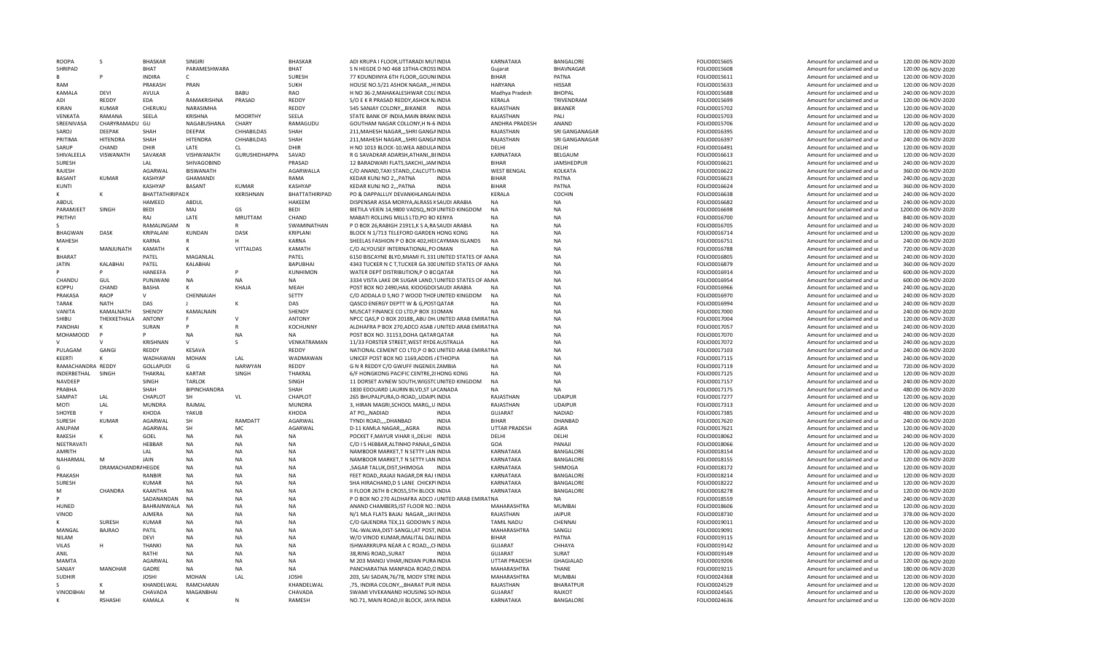| ROOPA             | s                  | <b>BHASKAR</b>         | SINGIRI          |                  | <b>BHASKAR</b>        | ADI KRUPA I FLOOR, UTTARADI MUTINDIA                                         | KARNATAKA            | BANGALORE           | FOLIO0015605                 | Amount for unclaimed and ur                                | 120.00 06-NOV-2020                       |
|-------------------|--------------------|------------------------|------------------|------------------|-----------------------|------------------------------------------------------------------------------|----------------------|---------------------|------------------------------|------------------------------------------------------------|------------------------------------------|
| SHRIPAD           |                    | BHAT                   | PARAMESHWARA     |                  | BHAT                  | S N HEGDE D NO 468 13THA-CROSSINDIA                                          | Guiarat              | BHAVNAGAR           | FOLIO0015608                 | Amount for unclaimed and ur                                | 120.00 06-NOV-2020                       |
| R                 | P                  | <b>INDIRA</b>          | $\mathsf{C}$     |                  | SURESH                | 77 KOUNDINYA 6TH FLOOR, GOUNIINDIA                                           | <b>BIHAR</b>         | PATNA               | FOLIO0015611                 | Amount for unclaimed and ur                                | 120.00 06-NOV-2020                       |
| RAM               |                    | PRAKASH                | PRAN             |                  | <b>SUKH</b>           | HOUSE NO.5/21 ASHOK NAGAR,,,HIINDIA                                          | <b>HARYANA</b>       | <b>HISSAR</b>       | FOLIO0015633                 | Amount for unclaimed and ur                                | 120.00 06-NOV-2020                       |
| KAMALA            | DEVI               | AVULA                  |                  | <b>BABU</b>      | RAO                   | H NO 36-2, MAHAKALESHWAR COL(INDIA                                           | Madhya Pradesh       | <b>BHOPAL</b>       | FOLIO0015688                 | Amount for unclaimed and ur                                | 240.00 06-NOV-2020                       |
| ADI               | REDDY              | <b>EDA</b>             | RAMAKRISHNA      | PRASAD           | <b>REDDY</b>          | S/O E K R PRASAD REDDY, ASHOK N/INDIA                                        | KERALA               | TRIVENDRAM          | FOLIO0015699                 | Amount for unclaimed and ur                                | 120.00 06-NOV-2020                       |
| <b>KIRAN</b>      | KUMAR              | CHERUKU                | NARASIMHA        |                  | REDDY                 | 545 SANJAY COLONY,,,BIKANER INDIA                                            | RAJASTHAN            | <b>BIKANFR</b>      | FOLIO0015702                 | Amount for unclaimed and ur                                | 120.00 06-NOV-2020                       |
| VENKATA           | RAMANA             | SEELA                  | KRISHNA          | <b>MOORTHY</b>   | SEELA                 | STATE BANK OF INDIA, MAIN BRANCINDIA                                         | RAJASTHAN            | PALI                | FOLIO0015703                 | Amount for unclaimed and ur                                | 120.00 06-NOV-2020                       |
| SREENIVASA        | CHARYRAMADU GU     |                        | NAGABUSHANA      | CHARY            | RAMAGUDU              | GOUTHAM NAGAR COLLONY, H N-6 INDIA                                           | ANDHRA PRADESH       | ANAND               | FOLIO0015706                 | Amount for unclaimed and ur                                | 120.00 06-NOV-2020                       |
| SAROJ             | <b>DEEPAK</b>      | SHAH                   | <b>DEEPAK</b>    | CHHABILDAS       | SHAH                  | 211. MAHESH NAGAR SHRI GANGAINDIA                                            | RAJASTHAN            | SRI GANGANAGAR      | FOLIO0016395                 | Amount for unclaimed and ur                                | 120.00 06-NOV-2020                       |
| PRITIMA           | HITENDRA           | SHAH                   | <b>HITENDRA</b>  | CHHABILDAS       | SHAH                  | 211, MAHESH NAGAR,,, SHRI GANGAINDIA                                         | RAJASTHAN            | SRI GANGANAGAR      | FOLIO0016397                 | Amount for unclaimed and ur                                | 240.00 06-NOV-2020                       |
| SARUP             | CHAND              | DHIR                   | LATE             | CL               | DHIR                  | H NO 1013 BLOCK-10, WEA ABDULAINDIA                                          | DELHI                | DELHI               | FOLIO0016491                 | Amount for unclaimed and ur                                | 120.00 06-NOV-2020                       |
| SHIVALEELA        | VISWANATH          | SAVAKAR                | VISHWANATH       | GURUSHIDHAPPA    | SAVAD                 | R G SAVADKAR ADARSH, ATHANI, BIINDIA                                         | KARNATAKA            | BELGAUM             | FOLIO0016613                 | Amount for unclaimed and ur                                | 120.00 06-NOV-2020                       |
| SURESH            |                    | LAL                    | SHIVAGOBIND      |                  | PRASAD                | 12 BARADWARI FLATS, SAKCHI, JAMINDIA                                         | <b>BIHAR</b>         | <b>JAMSHEDPUR</b>   | FOLIO0016621                 | Amount for unclaimed and ur                                | 240.00 06-NOV-2020                       |
| RAJESH            |                    | AGARWAL                | <b>BISWANATH</b> |                  | AGARWALLA             | C/O ANAND, TAXI STAND,, CALCUTT/INDIA                                        | <b>WEST BENGAL</b>   | KOLKATA             | FOLIO0016622                 | Amount for unclaimed and ur                                | 360.00 06-NOV-2020                       |
| <b>BASANT</b>     | <b>KUMAR</b>       | KASHYAP                | <b>GHAMANDI</b>  |                  | RAMA                  | KEDAR KUNJ NO 2,,, PATNA<br><b>INDIA</b>                                     | <b>BIHAR</b>         | PATNA               | FOLIO0016623                 | Amount for unclaimed and ur                                | 240.00 06-NOV-2020                       |
| KUNTI             |                    | <b>KASHYAP</b>         | <b>BASANT</b>    | <b>KUMAR</b>     | <b>KASHYAP</b>        | <b>KFDAR KUNJ NO 2 PATNA</b><br><b>INDIA</b>                                 | <b>BIHAR</b>         | PATNA               | FOLIO0016624                 | Amount for unclaimed and u                                 | 360.00 06-NOV-2020                       |
| к                 | к                  | <b>BHATTATHIRIPADK</b> |                  | <b>KKRISHNAN</b> | <b>BHATTATHIRIPAD</b> | PO & DAPPALLUY DEVANKHLANGAIINDIA                                            | KERALA               | COCHIN              | FOLIO0016638                 | Amount for unclaimed and ur                                | 240.00 06-NOV-2020                       |
| ABDUL             |                    | HAMEED                 | <b>ABDUL</b>     |                  | HAKEEM                | DISPENSAR ASSA MORIYA, ALRASS KSAUDI ARABIA                                  | <b>NA</b>            | NA                  | FOLIO0016682                 | Amount for unclaimed and ur                                | 240.00 06-NOV-2020                       |
| PARAMJEET         | SINGH              | <b>BEDI</b>            | MAI              | GS               | <b>BEDI</b>           | BIETILA VEIEN 14,9800 VADSQ,, NOI UNITED KINGDOM                             | <b>NA</b>            | <b>NA</b>           | FOLIO0016698                 | Amount for unclaimed and ur                                | 1200.00 06-NOV-2020                      |
| PRITHVI           |                    | RAJ                    | LATE             | <b>MRUTTAM</b>   | CHAND                 | MABATI ROLLING MILLS LTD, PO BO KENYA                                        | NA                   | <b>NA</b>           | FOLIO0016700                 | Amount for unclaimed and ur                                | 840.00 06-NOV-2020                       |
|                   |                    | RAMALINGAM             | N                |                  | SWAMINATHAN           | P O BOX 26, RABIGH 21911, K S A, RASAUDI ARABIA                              | <b>NA</b>            | <b>NA</b>           | FOLIO0016705                 | Amount for unclaimed and ur                                | 240.00 06-NOV-2020                       |
| <b>BHAGWAN</b>    | <b>DASK</b>        | KRIPALANI              | KUNDAN           | DASK             | KRIPLANI              | BLOCK N 1/713 TELEFORD GARDEN HONG KONG                                      | <b>NA</b>            | <b>NA</b>           | FOLIO0016714                 | Amount for unclaimed and ur                                | 1200.00 06-NOV-2020                      |
| MAHESH            |                    | KARNA                  | $\mathsf{R}$     | н                | KARNA                 | SHEELAS FASHION P O BOX 402, HEECAYMAN ISLANDS                               | <b>NA</b>            | NA                  | FOLIO0016751                 | Amount for unclaimed and ur                                | 240.00 06-NOV-2020                       |
| к                 | MANJUNATH          | KAMATH                 | к                | <b>VITTALDAS</b> | KAMATH                | C/O ALYOUSEF INTERNATIONAL.PO OMAN                                           | <b>NA</b>            | <b>NA</b>           | FOLIO0016788                 | Amount for unclaimed and ur                                | 720.00 06-NOV-2020                       |
| <b>BHARAT</b>     |                    | PATEL                  | MAGANLAL         |                  | PATEL                 | 6150 BISCAYNE BLYD, MIAMI FL 331 UNITED STATES OF ANNA                       |                      | <b>NA</b>           | FOLIO0016805                 | Amount for unclaimed and ur                                | 240.00 06-NOV-2020                       |
| <b>JATIN</b>      | KALABHAI           | PATEL                  | KALABHAI         |                  | <b>BAPUBHAI</b>       | 4343 TUCKER N C T, TUCKER GA 300 UNITED STATES OF AN NA                      |                      | <b>NA</b>           | FOLIO0016879                 | Amount for unclaimed and ur                                | 360.00 06-NOV-2020                       |
|                   | P                  | <b>HANEEFA</b>         | p                |                  | <b>KUNHIMON</b>       | WATER DEPT DISTRIBUTION.P O BOOATAR                                          | <b>NA</b>            | <b>NA</b>           | FOLIO0016914                 | Amount for unclaimed and u                                 | 600.00 06-NOV-2020                       |
| CHANDU            | GUL                | PUNJWANI               | NA               | <b>NA</b>        | <b>NA</b>             | 3334 VISTA LAKE DR SUGAR LAND, TUNITED STATES OF AN NA                       |                      | <b>NA</b>           | FOLIO0016954                 | Amount for unclaimed and ur                                | 600.00 06-NOV-2020                       |
| <b>KOPPU</b>      | CHAND              | BASHA                  | K                | KHAJA            | MEAH                  | POST BOX NO 2490, HAIL KIOOGDOISAUDI ARABIA                                  | <b>NA</b>            | NA                  | FOLIO0016966                 | Amount for unclaimed and ur                                | 240.00 06-NOV-2020                       |
| <b>PRAKASA</b>    | RAOP               | V                      | CHENNAIAH        |                  | SETTY                 | C/O ADDALA D S, NO 7 WOOD THOFUNITED KINGDOM                                 | <b>NA</b>            | <b>NA</b>           | FOLIO0016970                 | Amount for unclaimed and ur                                | 240.00 06-NOV-2020                       |
| <b>TARAK</b>      | <b>NATH</b>        | DAS                    |                  | к                | DAS                   | OASCO ENERGY DEPTT W & G.POSTOATAR                                           | <b>NA</b>            | <b>NA</b>           | FOLIO0016994                 | Amount for unclaimed and ur                                | 240.00 06-NOV-2020                       |
| VANITA            | KAMALNATH          | SHENOY                 | KAMALNAIN        |                  | SHENOY                | MUSCAT FINANCE CO LTD.P BOX 310MAN                                           | <b>NA</b>            | <b>NA</b>           | FOLIO0017000                 | Amount for unclaimed and ur                                | 240.00 06-NOV-2020                       |
| SHIBU             | THEKKETHALA        | <b>ANTONY</b>          |                  | V                | <b>ANTONY</b>         | NPCC QAS,P O BOX 20188, ABU DH UNITED ARAB EMIRAT NA                         |                      | <b>NA</b>           | FOLIO0017004                 | Amount for unclaimed and ur                                | 120.00 06-NOV-2020                       |
| PANDHAI           |                    | SURAN                  |                  |                  | <b>KOCHUNNY</b>       | ALDHAFRA P BOX 270, ADCO ASAB / UNITED ARAB EMIRAT NA                        |                      | <b>NA</b>           | FOLIO0017057                 | Amount for unclaimed and ur                                | 240.00 06-NOV-2020                       |
| <b>MOHAMOOD</b>   |                    |                        | <b>NA</b>        | <b>NA</b>        | <b>NA</b>             | POST BOX NO. 31153, DOHA QATAR QATAR                                         | <b>NA</b>            | <b>NA</b>           | FOLIO0017070                 | Amount for unclaimed and ur                                | 240.00 06-NOV-2020                       |
|                   | $\vee$             | KRISHNAN               | $\mathsf{V}$     | S                | VENKATRAMAN           | 11/33 FORSTER STREET, WEST RYDE AUSTRALIA                                    | <b>NA</b>            | <b>NA</b>           | FOLIO0017072                 | Amount for unclaimed and ur                                | 240.00 06-NOV-2020                       |
| PULAGAM           | GANGI              | RFDDY                  |                  |                  |                       |                                                                              |                      |                     |                              |                                                            |                                          |
|                   |                    |                        |                  |                  |                       |                                                                              |                      |                     |                              |                                                            |                                          |
|                   |                    |                        | KESAVA           |                  | RFDDY                 | NATIONAL CEMENT CO LTD, P O BO. UNITED ARAB EMIRAT NA                        |                      | <b>NA</b>           | FOLIO0017103                 | Amount for unclaimed and ur                                | 240.00 06-NOV-2020                       |
| KEERTI            | к                  | WADHAWAN               | <b>MOHAN</b>     | LAL              | WADMAWAN              | UNICEF POST BOX NO 1169, ADDIS / ETHIOPIA                                    | <b>NA</b>            | <b>NA</b>           | FOLIO0017115                 | Amount for unclaimed and ur                                | 240.00 06-NOV-2020                       |
| RAMACHANDRA REDDY |                    | GOLLAPUDI              | G                | <b>NARWYAN</b>   | REDDY                 | G N R REDDY C/O GWUFF INGENEILZAMBIA                                         | <b>NA</b>            | <b>NA</b>           | FOLIO0017119                 | Amount for unclaimed and ur                                | 720.00 06-NOV-2020                       |
| INDERBETHAL       | SINGH              | THAKRAL                | KARTAR           | SINGH            | THAKRAL               | 6/F HONGKONG PACIFIC CENTRE, 28 HONG KONG                                    | <b>NA</b>            | NA                  | FOLIO0017125                 | Amount for unclaimed and ur                                | 120.00 06-NOV-2020                       |
| NAVDEEP           |                    | SINGH                  | <b>TARLOK</b>    |                  | SINGH                 | 11 DORSET AVNEW SOUTH, WIGSTCUNITED KINGDOM                                  | <b>NA</b>            | <b>NA</b>           | FOLIO0017157                 | Amount for unclaimed and ur                                | 240.00 06-NOV-2020                       |
| PRABHA            |                    | SHAH                   | BIPINCHANDRA     |                  | SHAH                  | 1830 EDOUARD LAURIN BLVD, ST LACANADA                                        | NΔ                   | <b>NA</b>           | FOLIO0017175                 | Amount for unclaimed and ur                                | 480.00 06-NOV-2020                       |
| SAMPAT            | LAL                | CHAPLOT                | SH               | VL               | CHAPLOT               | 265 BHUPALPURA, O-ROAD,, UDAIPLINDIA                                         | RAJASTHAN            | <b>UDAIPUR</b>      | FOLIO0017277                 | Amount for unclaimed and ur                                | 120.00 06-NOV-2020                       |
| MOTI              | LAL                | <b>MUNDRA</b>          | RAJMAL           |                  | <b>MUNDRA</b>         | 3, HIRAN MAGRI, SCHOOL MARG, ,UINDIA                                         | RAJASTHAN            | <b>UDAIPUR</b>      | FOLIO0017313                 | Amount for unclaimed and ur                                | 120.00 06-NOV-2020                       |
| SHOYEB            | Y                  | KHODA                  | YAKUB            |                  | KHODA                 | AT PO,,, NADIAD<br><b>INDIA</b>                                              | <b>GUJARAT</b>       | NADIAD              | FOLIO0017385                 | Amount for unclaimed and ur                                | 480.00 06-NOV-2020                       |
| SURESH            | <b>KUMAR</b>       | AGARWAL                | SH               | RAMDATT          | AGARWAL               | TYNDI ROADDHANBAD<br><b>INDIA</b>                                            | RIHAR                | DHANBAD             | FOLIO0017620                 | Amount for unclaimed and ui                                | 240.00 06-NOV-2020                       |
| ANUPAM            |                    | AGARWAL                | SH               | MC               | AGARWAL               | D-11 KAMLA NAGAR,,,,AGRA<br><b>INDIA</b>                                     | UTTAR PRADESH        | AGRA                | FOLIO0017621                 | Amount for unclaimed and ur                                | 120.00 06-NOV-2020                       |
| RAKESH            | K                  | GOEL                   | <b>NA</b>        | <b>NA</b>        | <b>NA</b>             | POCKET F, MAYUR VIHAR II, , DELHI INDIA                                      | DELHI                | DELHI               | FOLIO0018062                 | Amount for unclaimed and ur                                | 240.00 06-NOV-2020                       |
| NEETRAVATI        |                    | HEBBAR                 | <b>NA</b>        | <b>NA</b>        | <b>NA</b>             | C/O I S HEBBAR, ALTINHO PANAJI, , GINDIA                                     | GOA                  | PANAJI              | FOLIO0018066                 | Amount for unclaimed and ur                                | 120.00 06-NOV-2020                       |
| AMRITH            |                    | LAL                    | <b>NA</b>        | <b>NA</b>        | <b>NA</b>             | NAMBOOR MARKET,T N SETTY LAN INDIA                                           | <b>KARNATAKA</b>     | BANGALORE           | FOLIO0018154                 | Amount for unclaimed and ur                                | 120.00 06-NOV-2020                       |
| NAHARMAL          | M                  | JAIN                   | <b>NA</b>        | <b>NA</b>        | <b>NA</b>             | NAMBOOR MARKET,T N SETTY LAN INDIA                                           | KARNATAKA            | BANGALORE           | FOLIO0018155                 | Amount for unclaimed and ur                                | 120.00 06-NOV-2020                       |
| G.                | DRAMACHANDRA HEGDE |                        | NA               | <b>NA</b>        | <b>NA</b>             | ,SAGAR TALUK,DIST,SHIMOGA INDIA                                              | KARNATAKA            | SHIMOGA             | FOLIO0018172                 | Amount for unclaimed and ur                                | 120.00 06-NOV-2020                       |
| PRAKASH           |                    | <b>RANBIR</b>          | <b>NA</b>        | <b>NA</b>        | <b>NA</b>             | FFFT ROAD. RAIAII NAGAR DR RAI HNDIA                                         | KARNATAKA            | <b>BANGALORE</b>    | FOLIO0018214                 | Amount for unclaimed and ur                                | 120.00 06-NOV-2020                       |
| SURESH            |                    | <b>KUMAR</b>           | <b>NA</b>        | <b>NA</b>        | NA                    | SHA HIRACHAND.D S LANE CHICKPIINDIA                                          | KARNATAKA            | <b>BANGALORE</b>    | FOLIO0018222                 | Amount for unclaimed and ur                                | 120.00 06-NOV-2020                       |
| м                 | CHANDRA            | KAANTHA                | <b>NA</b>        | NA               | <b>NA</b>             | II FLOOR 26TH B CROSS, 5TH BLOCK INDIA                                       | KARNATAKA            | BANGALORE           | FOLIO0018278                 | Amount for unclaimed and ur                                | 120.00 06-NOV-2020                       |
|                   |                    | SADANANDAN             | <b>NA</b>        | <b>NA</b>        | <b>NA</b>             | P O BOX NO 270 ALDHAFRA ADCO / UNITED ARAB EMIRAT NA                         |                      | NA                  | FOLIO0018559                 | Amount for unclaimed and ur                                | 240.00 06-NOV-2020                       |
| HUNED             |                    | BAHRAINWALA            | <b>NA</b>        | <b>NA</b>        | <b>NA</b>             | ANAND CHAMBERS, IST FLOOR NO.1INDIA                                          | MAHARASHTRA          | <b>MUMBAI</b>       | FOLIO0018606                 | Amount for unclaimed and ur                                | 120.00 06-NOV-2020                       |
| VINOD             |                    | AJMERA                 | NA               | <b>NA</b>        | NA                    | N/1 MLA FLATS BAJAJ NAGAR,,,JAIFINDIA                                        | RAJASTHAN            | <b>JAIPUR</b>       | FOLIO0018730                 | Amount for unclaimed and ur                                | 378.00 06-NOV-2020                       |
| к                 | SURESH             | <b>KUMAR</b>           | NA               | <b>NA</b>        | NA                    | C/O GAJENDRA TEX,11 GODOWN S'INDIA                                           | <b>TAMIL NADU</b>    | CHENNAI             | FOLIO0019011                 | Amount for unclaimed and ur                                | 120.00 06-NOV-2020                       |
| MANGAL            | <b>BAJRAO</b>      | PATIL                  | NA               | NA               | NA                    | TAL-WALWA, DIST-SANGLI, AT POST, INDIA                                       | MAHARASHTRA          | SANGLI              | FOLIO0019091                 | Amount for unclaimed and ur                                | 120.00 06-NOV-2020                       |
| <b>NILAM</b>      |                    | DEVI                   | NA               | <b>NA</b>        | NA                    | W/O VINOD KUMAR, IMALITAL DALIINDIA                                          | RIHAR                | PATNA               | FOLIO0019115                 | Amount for unclaimed and ur                                | 120.00 06-NOV-2020                       |
| VILAS             | н                  | THANKI                 | <b>NA</b>        | <b>NA</b>        | NA                    | ISHWARKRUPA NEAR A C ROAD, , CHNDIA                                          | <b>GUJARAT</b>       | CHHAYA              | FOLIO0019142                 | Amount for unclaimed and ur                                | 120.00 06-NOV-2020                       |
| <b>ANIL</b>       |                    | <b>RATHI</b>           | <b>NA</b>        | <b>NA</b>        | <b>NA</b>             | 38, RING ROAD, , SURAT<br><b>INDIA</b>                                       | <b>GUJARAT</b>       | SURAT               | FOLIO0019149                 | Amount for unclaimed and ur                                | 120.00 06-NOV-2020                       |
| MAMTA             |                    | AGARWAL                | <b>NA</b>        | <b>NA</b>        | <b>NA</b>             | M 203 MANOJ VIHAR.INDIAN PURAINDIA                                           | <b>UTTAR PRADESH</b> | <b>GHAGIALAD</b>    | FOLIO0019206                 | Amount for unclaimed and ur                                | 120.00 06-NOV-2020                       |
| SANJAY            | <b>MANOHAR</b>     | GADRE                  | <b>NA</b>        | <b>NA</b>        | <b>NA</b>             | PANCHARATNA MANPADA ROAD, OINDIA                                             | MAHARASHTRA          | THANE               | FOLIO0019215                 | Amount for unclaimed and ur                                | 180.00 06-NOV-2020                       |
| <b>SUDHIR</b>     |                    | <b>JOSHI</b>           | <b>MOHAN</b>     | LAL              | <b>JOSHI</b>          | 203, SAI SADAN, 76/78, MODY STRE INDIA                                       | MAHARASHTRA          | <b>MUMBAI</b>       | FOLIO0024368                 | Amount for unclaimed and ur                                | 120.00 06-NOV-2020                       |
|                   |                    | KHANDELWAL             | RAMCHARAN        |                  | KHANDELWAL            | ,75, INDIRA COLONY,,,BHARAT PUR INDIA                                        | RAJASTHAN            | <b>BHARATPUR</b>    | FOLIO0024529                 | Amount for unclaimed and ur                                | 120.00 06-NOV-2020                       |
| VINODBHAI         | M<br><b>RSHASH</b> | CHAVADA<br>KAMALA      | MAGANBHAI<br>к   | N                | CHAVADA<br>RAMESH     | SWAMI VIVEKANAND HOUSING SO(INDIA<br>NO.71, MAIN ROAD, III BLOCK, JAYA INDIA | GUJARAT<br>KARNATAKA | RAIKOT<br>BANGALORE | FOLIO0024565<br>FOLIO0024636 | Amount for unclaimed and ur<br>Amount for unclaimed and ur | 120.00 06-NOV-2020<br>120.00 06-NOV-2020 |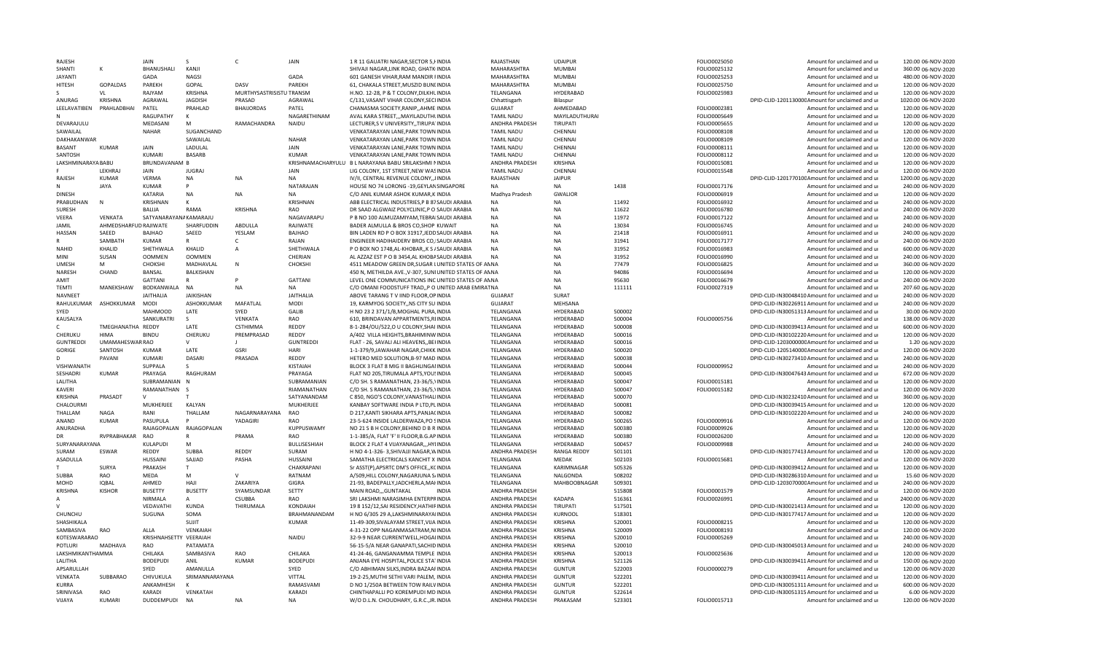|                     |                       | <b>JAIN</b>                 |                       |                          | JAIN                | 1 R 11 GAUATRI NAGAR SECTOR 5. HNDIA                                          | RAJASTHAN                        | <b>UDAIPUR</b>            |                  | FOLIO0025050 | Amount for unclaimed and u                                                     | 120.00 06-NOV-2020                     |
|---------------------|-----------------------|-----------------------------|-----------------------|--------------------------|---------------------|-------------------------------------------------------------------------------|----------------------------------|---------------------------|------------------|--------------|--------------------------------------------------------------------------------|----------------------------------------|
| SHANTI              | ĸ                     | BHANUSHALI                  | KANJI                 |                          |                     | SHIVAJI NAGAR, LINK ROAD, GHATKINDIA                                          | MAHARASHTRA                      | MUMBAI                    |                  | FOLIO0025132 | Amount for unclaimed and ur                                                    | 360.00 06-NOV-2020                     |
| <b>JAYANT</b>       |                       | GADA                        | NAGSI                 |                          | GADA                | 601 GANESH VIHAR, RAM MANDIR FINDIA                                           | MAHARASHTRA                      | MUMBAI                    |                  | FOLIO0025253 | Amount for unclaimed and ur                                                    | 480.00 06-NOV-2020                     |
| <b>HITFSH</b>       | <b>GOPALDAS</b>       | PAREKH                      | GOPAL                 | DASV                     | PAREKH              | 61, CHAKALA STREET, MUSZID BUNLINDIA                                          | MAHARASHTRA                      | <b>MUMBAI</b>             |                  | FOLIO0025750 | Amount for unclaimed and ur                                                    | 120.00 06-NOV-2020                     |
|                     |                       |                             |                       |                          |                     |                                                                               |                                  |                           |                  |              |                                                                                |                                        |
|                     | VL                    | RAJYAM                      | <b>KRISHNA</b>        | MURTHYSASTRISISTU TRANSM |                     | H.NO. 12-28, P & T COLONY, DILKHL INDIA                                       | TELANGANA                        | HYDERABAD                 |                  | FOLIO0025983 | Amount for unclaimed and ur                                                    | 120.00 06-NOV-2020                     |
| ANURAG              | <b>KRISHNA</b>        | AGRAWAL                     | <b>JAGDISH</b>        | PRASAD                   | AGRAWAL             | C/131, VASANT VIHAR COLONY, SECLINDIA                                         | Chhattisgarh                     | Bilaspur                  |                  |              | DPID-CLID-120113000CAmount for unclaimed and ur                                | 1020.00 06-NOV-2020                    |
| LEELAVATIBEN        | PRAHLADBHAI           | PATEL                       | PRAHLAD               | <b>BHAIJORDAS</b>        | PATEL               | CHANASMA SOCIETY, RANIP, , AHME INDIA                                         | GUJARAT                          | AHMEDABAD                 |                  | FOLIO0002381 | Amount for unclaimed and ur                                                    | 120.00 06-NOV-2020                     |
|                     |                       | <b>RAGUPATHY</b>            | к                     |                          | NAGARFTHINAM        | AVAL KARA STREET,,, MAYILADUTHLINDIA                                          | <b>TAMIL NADU</b>                | MAYILADUTHURAI            |                  | FOLIO0005649 | Amount for unclaimed and ur                                                    | 120.00 06-NOV-2020                     |
| DEVARAJULU          |                       | MFDASANI                    | M                     | RAMACHANDRA              | NAIDU               | LECTURER, SV UNIVERSITY, TIRUPA INDIA                                         | ANDHRA PRADESH                   | TIRUPATI                  |                  | FOLIO0005655 | Amount for unclaimed and ur                                                    | 120.00 06-NOV-2020                     |
|                     |                       |                             |                       |                          |                     |                                                                               |                                  |                           |                  |              |                                                                                |                                        |
| SAWAILAL            |                       | NAHAR                       | SUGANCHAND            |                          |                     | VENKATARAYAN LANE, PARK TOWN INDIA                                            | <b>TAMIL NADU</b>                | CHENNAI                   |                  | FOLIO0008108 | Amount for unclaimed and ur                                                    | 120.00 06-NOV-2020                     |
| DAKHAKANWAR         |                       |                             | SAWAILAL              |                          | <b>NAHAR</b>        | VENKATARAYAN LANE, PARK TOWN INDIA                                            | <b>TAMIL NADU</b>                | CHENNAL                   |                  | FOLIO0008109 | Amount for unclaimed and ur                                                    | 120.00 06-NOV-2020                     |
| <b>RASANT</b>       | <b>KUMAR</b>          | <b>JAIN</b>                 | LADULAL               |                          | <b>JAIN</b>         | VENKATARAYAN LANE, PARK TOWN INDIA                                            | <b>TAMIL NADU</b>                | CHENNAI                   |                  | FOLIO0008111 | Amount for unclaimed and ur                                                    | 120.00 06-NOV-2020                     |
| SANTOSH             |                       | <b>KUMARI</b>               | <b>BASARB</b>         |                          | <b>KUMAR</b>        | VENKATARAYAN LANE, PARK TOWN INDIA                                            | <b>TAMIL NADU</b>                | CHENNAI                   |                  | FOLIO0008112 | Amount for unclaimed and ur                                                    | 120.00 06-NOV-2020                     |
| LAKSHMINARAYA BABU  |                       | BRUNDAVANAM B               |                       |                          |                     | KRISHNAMACHARYULU B L NARAYANA BABU SRILAKSHMI NINDIA                         | ANDHRA PRADESH                   | <b>KRISHNA</b>            |                  |              | Amount for unclaimed and ur                                                    | 120.00 06-NOV-2020                     |
|                     |                       |                             |                       |                          |                     |                                                                               |                                  |                           |                  | FOLIO0015081 |                                                                                |                                        |
|                     | <b>LEKHRA</b>         | JAIN                        | <b>JUGRAJ</b>         |                          | JAIN                | LIG COLONY, 1ST STREET, NEW WASINDIA                                          | <b>TAMIL NADU</b>                | CHENNAI                   |                  | FOLIO0015548 | Amount for unclaimed and ur                                                    | 120.00 06-NOV-2020                     |
| <b>RAJFSH</b>       | <b>KUMAR</b>          | <b>VERMA</b>                | <b>NA</b>             | <b>NA</b>                | <b>NA</b>           | IV/II, CENTRAL REVENUE COLONY, JINDIA                                         | RAJASTHAN                        | <b>JAIPUR</b>             |                  |              | DPID-CLID-120177010CAmount for unclaimed and ur                                | 1200.00 06-NOV-2020                    |
|                     | JAYA                  | <b>KUMAR</b>                |                       |                          | NATARAJAN           | HOUSE NO 74 LORONG -19, GEYLANSINGAPORE                                       |                                  | NA                        | 1438             | FOLIO0017176 | Amount for unclaimed and ur                                                    | 240.00 06-NOV-2020                     |
| <b>DINESH</b>       |                       | KATARIA                     | <b>NA</b>             | <b>NA</b>                | <b>NA</b>           | C/O ANIL KUMAR ASHOK KUMAR, KIINDIA                                           | Madhya Pradesh                   | <b>GWALIOR</b>            |                  | FOLIO0006919 | Amount for unclaimed and ur                                                    | 120.00 06-NOV-2020                     |
|                     |                       |                             |                       |                          |                     |                                                                               |                                  | <b>NA</b>                 |                  |              |                                                                                |                                        |
| PRABUDHAN           | N                     | KRISHNAN                    |                       |                          | KRISHNAN            | ABB ELECTRICAL INDUSTRIES, P B 87SAUDI ARABIA                                 |                                  |                           | 11492            | FOLIO0016932 | Amount for unclaimed and ur                                                    | 240.00 06-NOV-2020                     |
| <b>SURFSH</b>       |                       | BALIJA                      | <b>RAMA</b>           | <b>KRISHNA</b>           | <b>RAO</b>          | DR SAAD ALGWAIZ POLYCLINIC, P O SAUDI ARABIA                                  | <b>NA</b>                        | <b>NA</b>                 | 11622            | FOLIO0016780 | Amount for unclaimed and ur                                                    | 240.00 06-NOV-2020                     |
| VEERA               | VENKATA               | SATYANARAYANA KAMARAJU      |                       |                          | NAGAVARAPU          | P B NO 100 ALMUZAMIYAM, TEBRAISAUDI ARABIA                                    | <b>NA</b>                        | <b>NA</b>                 | 11972            | FOLIO0017122 | Amount for unclaimed and ur                                                    | 240.00 06-NOV-2020                     |
| <b>JAMIL</b>        | AHMEDSHARFUD RAJIWATE |                             | SHARFUDDIN            | ABDULLA                  | RAJIWATE            | BADER ALMULLA & BROS CO, SHOP KUWAIT                                          | <b>NA</b>                        | <b>NA</b>                 | 13034            | FOLIO0016745 | Amount for unclaimed and ur                                                    | 240.00 06-NOV-2020                     |
| HASSAN              | SAEED                 | <b>BAJHAO</b>               | SAEED                 | YESLAM                   | BAJHAO              | BIN LADEN RD P O BOX 31917.JEDDSAUDI ARABIA                                   | <b>NA</b>                        | <b>NA</b>                 | 21418            | FOLIO0016911 | Amount for unclaimed and ur                                                    | 240.00 06-NOV-2020                     |
|                     |                       |                             |                       |                          |                     |                                                                               |                                  |                           |                  |              |                                                                                |                                        |
|                     | SAMBATH               | KUMAR                       | R                     | $\mathsf{C}$             | RAJAN               | ENGINEER HADIHAIDERV BROS CO, ISAUDI ARABIA                                   | <b>NA</b>                        | <b>NA</b>                 | 31941            | FOLIO0017177 | Amount for unclaimed and u                                                     | 240.00 06-NOV-2020                     |
| NAHID               | KHALID                | SHETHWALA                   | KHALID                | A                        | SHETHWALA           | P O BOX NO 1748, AL-KHOBAR,, K S / SAUDI ARABIA                               | <b>NA</b>                        | <b>NA</b>                 | 31952            | FOLIO0016983 | Amount for unclaimed and ur                                                    | 600.00 06-NOV-2020                     |
| MINI                | SUSAN                 | <b>OOMMEN</b>               | <b>OOMMEN</b>         |                          | CHERIAN             | AL AZZAZ EST P O B 3454, AL KHOBASAUDI ARABIA                                 | <b>NA</b>                        | <b>NA</b>                 | 31952            | FOLIO0016990 | Amount for unclaimed and ur                                                    | 240.00 06-NOV-2020                     |
| UMFSH               | м                     | CHOKSHI                     | MADHAVLAL             | N                        | CHOKSHI             | 4511 MEADOW GREEN DR, SUGAR LUNITED STATES OF AN NA                           |                                  | <b>NA</b>                 | 77479            | FOLIO0016825 | Amount for unclaimed and ur                                                    | 360.00 06-NOV-2020                     |
| NARESH              | CHAND                 | BANSAL                      | BALKISHAN             |                          |                     |                                                                               |                                  | NΔ                        | 94086            |              |                                                                                | 120.00 06-NOV-2020                     |
|                     |                       |                             |                       |                          |                     | 450 N, METHILDA AVE., V-307, SUNIUNITED STATES OF ANNA                        |                                  |                           |                  | FOLIO0016694 | Amount for unclaimed and ur                                                    |                                        |
| AMIT                |                       | <b>GATTANI</b>              | R                     |                          | <b>GATTANI</b>      | LEVEL ONE COMMUNICATIONS INC UNITED STATES OF ANNA                            |                                  | <b>NA</b>                 | 95630            | FOLIO0016679 | Amount for unclaimed and ur                                                    | 240.00 06-NOV-2020                     |
| <b>TEMTI</b>        | MANEKSHAW             | BODKANWALA                  | <b>NA</b>             | <b>NA</b>                | <b>NA</b>           | C/O OMANI FOODSTUFF TRAD,, P O UNITED ARAB EMIRAT NA                          |                                  | <b>NA</b>                 | 111111           | FOLIO0027319 | Amount for unclaimed and ur                                                    | 207.60 06-NOV-2020                     |
| NAVNEET             |                       | <b>JAITHALIA</b>            | JAIKISHAN             |                          | <b>JAITHALIA</b>    | ABOVE TARANG TV IIND FLOOR, OP INDIA                                          | <b>GUJARAT</b>                   | SURAT                     |                  |              | DPID-CLID-IN30048410 Amount for unclaimed and ur                               | 240.00 06-NOV-2020                     |
| RAHULKUMAR          | ASHOKKUMAR            | <b>MODI</b>                 | ASHOKKUMAR            | MAFATLAL                 | MODI                | 19, KARMYOG SOCIETY,, NS CITY SUIINDIA                                        | <b>GUJARAT</b>                   | MEHSANA                   |                  |              | DPID-CLID-IN30226911 Amount for unclaimed and ur                               | 240.00 06-NOV-2020                     |
|                     |                       |                             |                       |                          |                     |                                                                               |                                  |                           |                  |              |                                                                                |                                        |
| SYED                |                       | <b>MAHMOOD</b>              | LATE                  | SYED                     | GALIB               | H NO 23 2 371/1/B, MOGHAL PURA, INDIA                                         | TELANGANA                        | HYDERABAD                 | 500002           |              | DPID-CLID-IN30051313 Amount for unclaimed and ur                               | 30.00 06-NOV-2020                      |
| KAUSALYA            |                       | SANKURATRI                  | -S                    | VFNKATA                  | <b>RAO</b>          | 610, BRINDAVAN APPARTMENTS, REINDIA                                           | TELANGANA                        | HYDERABAD                 | 500004           | FOLIO0005756 | Amount for unclaimed and ur                                                    | 138.00 06-NOV-2020                     |
|                     |                       |                             |                       |                          |                     |                                                                               |                                  |                           |                  |              |                                                                                |                                        |
| $\mathsf{C}$        | TMEGHANATHA REDDY     |                             | LATE                  | CSTHIMMA                 | REDDY               | 8-1-284/OU/522,O U COLONY, SHAI INDIA                                         | TELANGANA                        | HYDERABAD                 | 500008           |              | DPID-CLID-IN30039413 Amount for unclaimed and ur                               | 600.00 06-NOV-2020                     |
|                     | <b>HIMA</b>           |                             |                       | PREMPRASAD               |                     |                                                                               |                                  |                           |                  |              |                                                                                |                                        |
| CHERUKU             |                       | <b>BINDU</b>                | CHERUKU               |                          | REDDY               | A/402 VILLA HEIGHTS, BRAHIMINW INDIA                                          | TELANGANA                        | HYDERABAD                 | 500016           |              | DPID-CLID-IN30102220 Amount for unclaimed and ur                               | 120.00 06-NOV-2020                     |
| <b>GUNTREDDI</b>    | UMAMAHESWAR RAO       |                             | V                     |                          | <b>GUNTREDDI</b>    | FLAT - 26, SAVALI ALI HEAVENS,, BEHNDIA                                       | TELANGANA                        | HYDERABAD                 | 500016           |              | DPID-CLID-120300000C Amount for unclaimed and ur                               | 1.20 06-NOV-2020                       |
| <b>GORIGE</b>       | SANTOSH               | <b>KUMAR</b>                | LATE                  | GSRI                     | HARI                | 1-1-379/9, JAWAHAR NAGAR, CHIKK INDIA                                         | TELANGANA                        | HYDERABAD                 | 500020           |              | DPID-CLID-120514000CAmount for unclaimed and ur                                | 120.00 06-NOV-2020                     |
| D.                  | PAVANI                | <b>KUMARI</b>               | <b>DASARI</b>         | PRASADA                  | REDDY               | HETERO MED SOLUTION, B-97 MAD INDIA                                           | TELANGANA                        | <b>HYDERABAD</b>          | 500038           |              | DPID-CLID-IN30273410 Amount for unclaimed and ur                               | 240.00 06-NOV-2020                     |
| <b>VISHWANATH</b>   |                       | SUPPALA                     |                       |                          | KISTAIAH            | BLOCK 3 FLAT 8 MIG II BAGHLINGANNDIA                                          | TELANGANA                        | HYDERABAD                 | 500044           |              | Amount for unclaimed and ur                                                    | 240.00 06-NOV-2020                     |
|                     |                       |                             |                       |                          |                     |                                                                               |                                  |                           |                  | FOLIO0009952 |                                                                                |                                        |
| SESHADRI            | <b>KUMAR</b>          | PRAYAGA                     | RAGHURAM              |                          | PRAYAGA             | FLAT NO 205, TIRUMALA APTS, YOU! INDIA                                        | TELANGANA                        | HYDERABAD                 | 500045           |              | DPID-CLID-IN30047643 Amount for unclaimed and ur                               | 672.00 06-NOV-2020                     |
| LALITHA             |                       | SUBRAMANIAN N               |                       |                          | SUBRAMANIAN         | C/O SH. S RAMANATHAN, 23-36/5. INDIA                                          | TELANGANA                        | <b>HYDERABAD</b>          | 500047           | FOLIO0015181 | Amount for unclaimed and ur                                                    | 120.00 06-NOV-2020                     |
| <b>KAVFRI</b>       |                       | RAMANATHAN                  |                       |                          | RIAMANATHAN         | C/O SH. S RAMANATHAN, 23-36/5, INDIA                                          | TELANGANA                        | HYDERABAD                 | 500047           | FOLIO0015182 | Amount for unclaimed and ur                                                    | 120.00 06-NOV-2020                     |
| KRISHNA             | PRASADT               |                             |                       |                          | SATYANANDAM         | C 850, NGO'S COLONY, VANASTHALIINDIA                                          | TELANGANA                        | HYDERABAD                 | 500070           |              | DPID-CLID-IN30232410 Amount for unclaimed and ur                               | 360.00 06-NOV-2020                     |
|                     |                       |                             |                       |                          |                     |                                                                               |                                  |                           |                  |              |                                                                                |                                        |
| CHALOURMI           |                       | MUKHERJEE                   | KALYAN                |                          | MUKHERJEE           | KANBAY SOFTWARE INDIA P LTD, PLINDIA                                          | TELANGANA                        | HYDERABAD                 | 500081           |              | DPID-CLID-IN30039415 Amount for unclaimed and ur                               | 120.00 06-NOV-2020                     |
| THALLAM             | NAGA                  | RANI                        | THALLAM               | NAGARNARAYANA            | <b>RAO</b>          | D 217, KANTI SIKHARA APTS, PANJACINDIA                                        | TELANGANA                        | HYDERABAD                 | 500082           |              | DPID-CLID-IN30102220 Amount for unclaimed and ur                               | 240.00 06-NOV-2020                     |
| ANAND               | <b>KUMAR</b>          | PASUPULA                    | P                     | YADAGIRI                 | <b>RAO</b>          | 23-5-624 INSIDE LALDERWAZA, PO SINDIA                                         | TELANGANA                        | HYDERABAD                 | 500265           | FOLIO0009916 | Amount for unclaimed and ur                                                    | 120.00 06-NOV-2020                     |
| ANURADHA            |                       | RAJAGOPALAN                 | RAJAGOPALAN           |                          | KUPPUSWAMY          | NO 21 S B H COLONY, BEHIND D B R INDIA                                        | TELANGANA                        | HYDERABAD                 | 500380           | FOLIO0009926 | Amount for unclaimed and ur                                                    | 120.00 06-NOV-2020                     |
| DR                  | RVPRABHAKAR           | RAO                         | $\mathbb{R}$          | PRAMA                    | <b>RAO</b>          | 1-1-385/A, FLAT 'F' II FLOOR, B.G. AP INDIA                                   | TFLANGANA                        | <b>HYDFRABAD</b>          | 500380           | FOLIO0026200 | Amount for unclaimed and ur                                                    | 120.00 06-NOV-2020                     |
|                     |                       |                             |                       |                          |                     |                                                                               |                                  |                           |                  |              |                                                                                |                                        |
| SURYANARAYANA       |                       | KULAPUDI                    | M                     |                          | <b>BULLISESHIAH</b> | BLOCK 2 FLAT 4 VIJAYANAGAR,,,HYIINDIA                                         | TELANGANA                        | HYDERABAD                 | 500457           | FOLIO0009988 | Amount for unclaimed and ur                                                    | 240.00 06-NOV-2020                     |
| <b>SURAM</b>        | <b>ESWAR</b>          | REDDY                       | SUBBA                 | RFDDY                    | SURAM               | H NO 4-1-326-3, SHIVAJJI NAGAR, WINDIA                                        | ANDHRA PRADESH                   | <b>RANGA REDDY</b>        | 501101           |              | DPID-CLID-IN30177413 Amount for unclaimed and ur                               | 120.00 06-NOV-2020                     |
| ASADULLA            |                       | <b>HUSSAINI</b>             | SAJJAD                | PASHA                    | <b>HUSSAINI</b>     | SAMATHA ELECTRICALS KANCHIT X INDIA                                           | TELANGANA                        | MEDAK                     | 502103           | FOLIO0015681 | Amount for unclaimed and ur                                                    | 120.00 06-NOV-2020                     |
|                     | SURYA                 | PRAKASH                     | T                     |                          | CHAKRAPANI          | Sr ASST(P), APSRTC DM'S OFFICE, , KCINDIA                                     | TELANGANA                        | KARIMNAGAR                | 505326           |              | DPID-CLID-IN30039412 Amount for unclaimed and ur                               | 120.00 06-NOV-2020                     |
| <b>SUBBA</b>        | <b>RAO</b>            | <b>MEDA</b>                 | M                     | $\mathsf{V}$             | RATNAM              | A/509.HILL COLONY.NAGARJUNA S/INDIA                                           | TELANGANA                        | NALGONDA                  | 508202           |              | DPID-CLID-IN30286310 Amount for unclaimed and ur                               | 15.60 06-NOV-2020                      |
| MOHD                |                       |                             | HAI                   |                          |                     |                                                                               | TFLANGANA                        |                           |                  |              |                                                                                | 240.00 06-NOV-2020                     |
|                     | <b>IQBAL</b>          | AHMED                       |                       | ZAKARIYA                 | <b>GIGRA</b>        | 21-93, BADEPALLY, JADCHERLA, MAHNDIA                                          |                                  | MAHBOOBNAGAR              | 509301           |              | DPID-CLID-120307000CAmount for unclaimed and ur                                |                                        |
| <b>KRISHNA</b>      | <b>KISHOR</b>         | <b>BUSETTY</b>              | <b>BUSETTY</b>        | SYAMSUNDAR               | SETTY               | MAIN ROAD,,,GUNTAKAL<br><b>INDIA</b>                                          | ANDHRA PRADESH                   |                           | 515808           | FOLIO0001579 | Amount for unclaimed and ur                                                    | 120.00 06-NOV-2020                     |
|                     |                       | <b>NIRMALA</b>              | A                     | <b>CSUBBA</b>            | RAO                 | SRI LAKSHMI NARASIMHA ENTERPRINDIA                                            | ANDHRA PRADESH                   | KADAPA                    | 516361           | FOLIO0026991 | Amount for unclaimed and ur                                                    | 2400.00 06-NOV-2020                    |
|                     |                       | VEDAVATHI                   | <b>KUNDA</b>          | THIRUMALA                | KONDAIAH            | 19 8 152/12, SAI RESIDENCY, HATHIRINDIA                                       | ANDHRA PRADESH                   | <b>TIRUPATI</b>           | 517501           |              | DPID-CLID-IN30021413 Amount for unclaimed and ur                               | 120.00 06-NOV-2020                     |
| CHUNCHU             |                       |                             | SOMA                  |                          | BRAHMANANDAM        |                                                                               |                                  | <b>KURNOOL</b>            |                  |              |                                                                                | 120.00 06-NOV-2020                     |
|                     |                       | SUGUNA                      |                       |                          |                     | H NO 6/305 29 A, LAKSHMINARAYAIINDIA                                          | ANDHRA PRADESH                   |                           | 518301           |              | DPID-CLID-IN30177417 Amount for unclaimed and ur                               |                                        |
| SHASHIKALA          |                       |                             | SUJIT                 |                          | <b>KUMAR</b>        | 11-49-309, SIVALAYAM STREET, VIJA INDIA                                       | ANDHRA PRADESH                   | KRISHNA                   | 520001           | FOLIO0008215 | Amount for unclaimed and ur                                                    | 120.00 06-NOV-2020                     |
| SAMBASIVA           | <b>RAO</b>            | ALLA                        | VENKAIAH              |                          |                     | 4-31-22 OPP NAGANMASATRAM, NIINDIA                                            | ANDHRA PRADESH                   | KRISHNA                   | 520009           | FOLIO0008193 | Amount for unclaimed and ur                                                    | 120.00 06-NOV-2020                     |
| KOTESWARARAO        |                       | KRISHNAHSETTY               | VEERAIAH              |                          | NAIDU               | 32-9-9 NEAR CURRENTWELL, HOGAIINDIA                                           | <b>ANDHRA PRADESH</b>            | <b>KRISHNA</b>            | 520010           | FOLIO0005269 | Amount for unclaimed and u                                                     | 240.00 06-NOV-2020                     |
| POTLURI             | MADHAVA               | RAO                         | PATAMATA              |                          |                     | 56-15-5/A NEAR GANAPATI, SACHID INDIA                                         | ANDHRA PRADESH                   | <b>KRISHNA</b>            | 520010           |              | DPID-CLID-IN30045013 Amount for unclaimed and ur                               | 240.00 06-NOV-2020                     |
|                     |                       |                             |                       |                          |                     |                                                                               | <b>ANDHRA PRADESH</b>            |                           |                  |              |                                                                                |                                        |
| LAKSHMIKANTHAMMA    |                       | CHILAKA                     | SAMBASIVA             | RAO                      | CHILAKA             | 41-24-46, GANGANAMMA TEMPLE INDIA                                             |                                  | KRISHNA                   | 520013           | FOLIO0025636 | Amount for unclaimed and ur                                                    | 120.00 06-NOV-2020                     |
| LALITHA             |                       | <b>BODEPUDI</b>             | ANIL                  | <b>KUMAR</b>             | <b>BODEPUDI</b>     | ANJANA EYE HOSPITAL, POLICE STATINDIA                                         | ANDHRA PRADESH                   | <b>KRISHNA</b>            | 521126           |              | DPID-CLID-IN30039411 Amount for unclaimed and ur                               | 150.00 06-NOV-2020                     |
| APSARULLAH          |                       | SYED                        | AMANULLA              |                          | SYED                | C/O ABHIMAN SILKS, INDRA BAZAAFINDIA                                          | ANDHRA PRADESH                   | <b>GUNTUR</b>             | 522003           | FOLIO0000279 | Amount for unclaimed and ur                                                    | 120.00 06-NOV-2020                     |
| VENKATA             | SUBBARAO              | CHIVUKULA                   | SRIMANNARAYANA        |                          | VITTAL              | 19-2-25, MUTHI SETHI VARI PALEM, INDIA                                        | ANDHRA PRADESH                   | <b>GUNTUR</b>             | 522201           |              | DPID-CLID-IN30039411 Amount for unclaimed and ur                               | 120.00 06-NOV-2020                     |
| KURRA               |                       | <b>ANKAMHESH</b>            |                       |                          | RAMASVAMI           | D NO 1/250A BETWEEN TOW RAILVINDIA                                            | ANDHRA PRADESH                   | <b>GUNTUR</b>             | 522201           |              | DPID-CLID-IN30051311 Amount for unclaimed and ur                               | 600.00 06-NOV-2020                     |
|                     |                       |                             |                       |                          |                     |                                                                               |                                  |                           |                  |              |                                                                                |                                        |
| SRINIVASA<br>VIJAYA | RAO<br>KUMARI         | KARADI<br><b>DUDDEMPUDI</b> | VENKATAH<br><b>NA</b> | <b>NA</b>                | KARADI<br><b>NA</b> | CHINTHAPALLI PO KOREMPUDI MD INDIA<br>W/O D.L.N. CHOUDHARY, G.R.C., JR. INDIA | ANDHRA PRADESH<br>ANDHRA PRADESH | <b>GUNTUR</b><br>PRAKASAM | 522614<br>523301 | FOLIO0015713 | DPID-CLID-IN30051315 Amount for unclaimed and ur<br>Amount for unclaimed and u | 6.00 06-NOV-2020<br>120.00 06-NOV-2020 |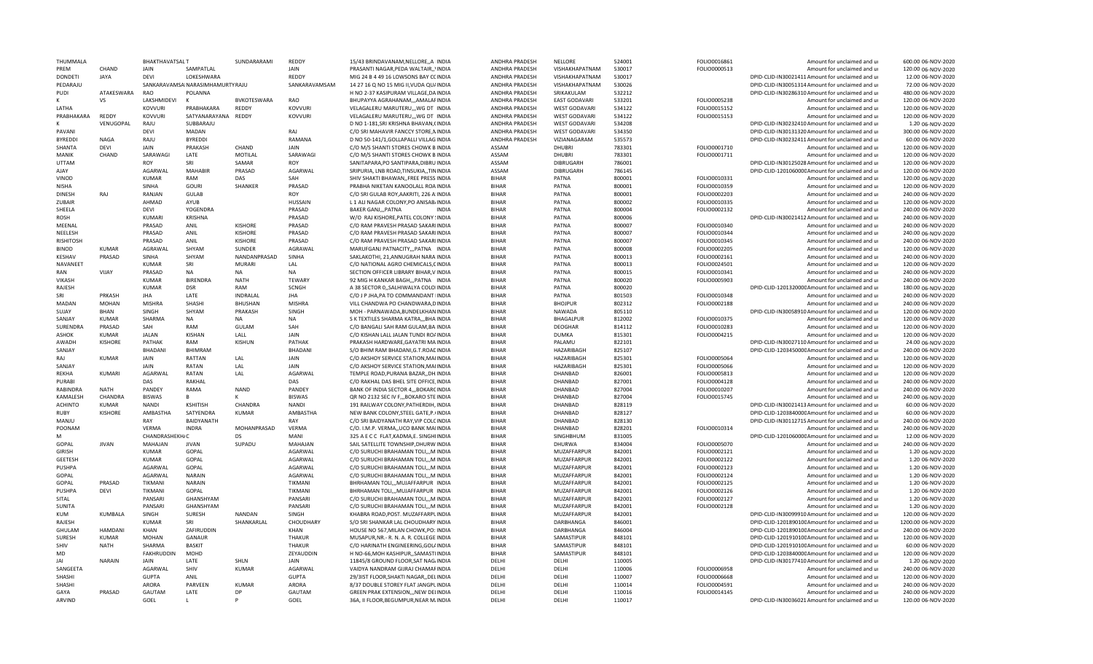| THUMMALA         |                | <b>BHAKTHAVATSALT</b> |                                   | SUNDARARAMI        | <b>REDDY</b>   | 15/43 BRINDAVANAM, NELLORE, , A IINDIA   | ANDHRA PRADESH        | NELLORE              | 524001 | FOLIO0016861 | Amount for unclaimed and ur                      | 600.00 06-NOV-2020  |
|------------------|----------------|-----------------------|-----------------------------------|--------------------|----------------|------------------------------------------|-----------------------|----------------------|--------|--------------|--------------------------------------------------|---------------------|
| PRFM             | CHAND          | JAIN                  | SAMPATLAL                         |                    | <b>JAIN</b>    | PRASANTI NAGAR, PEDA WALTAIR,, VINDIA    | ANDHRA PRADESH        | VISHAKHAPATNAM       | 530017 | FOLIO0000513 | Amount for unclaimed and ur                      | 120.00 06-NOV-2020  |
| <b>DONDETI</b>   | JAYA           | DFVI                  | LOKESHWARA                        |                    | REDDY          | MIG 24 B 4 49 16 LOWSONS BAY CCINDIA     | ANDHRA PRADESH        | VISHAKHAPATNAM       | 530017 |              | DPID-CLID-IN30021411 Amount for unclaimed and ur | 12.00 06-NOV-2020   |
| PFDARAIU         |                |                       | SANKARAVAMSAI NARASIMHAMURTY RAJU |                    | SANKARAVAMSAM  | 14 27 16 Q NO 15 MIG II, VUDA QU/INDIA   | ANDHRA PRADESH        | VISHAKHAPATNAM       | 530026 |              | DPID-CLID-IN30051314 Amount for unclaimed and ur | 72.00 06-NOV-2020   |
| PUDI             | ATAKESWARA     | RAO                   | POLANNA                           |                    |                | H NO 2-37 KASIPURAM VILLAGE.DAINDIA      | <b>ANDHRA PRADESH</b> | SRIKAKULAM           | 532212 |              | DPID-CLID-IN30286310 Amount for unclaimed and ur | 480.00 06-NOV-2020  |
|                  | VS             | LAKSHMIDEVI           | K                                 | <b>BVKOTESWARA</b> | RAO            | BHUPAYYA AGRAHANAM,,,AMALAFINDIA         | ANDHRA PRADESH        | <b>EAST GODAVARI</b> | 533201 | FOLIO0005238 | Amount for unclaimed and ur                      | 120.00 06-NOV-2020  |
| LATHA            |                | <b>KOVVURI</b>        | PRABHAKARA                        | REDDY              | <b>KOVVURI</b> | VELAGALERU MARUTERU,,, WG DT INDIA       | ANDHRA PRADESH        | <b>WEST GODAVARI</b> | 534122 | FOLIO0015152 | Amount for unclaimed and ur                      | 120.00 06-NOV-2020  |
| PRABHAKARA       | REDDY          | <b>KOVVURI</b>        | SATYANARAYANA                     | REDDY              | <b>KOVVURI</b> | VELAGALERU MARUTERU,,, WG DT INDIA       | ANDHRA PRADESH        | <b>WEST GODAVARI</b> | 534122 | FOLIO0015153 | Amount for unclaimed and ur                      | 120.00 06-NOV-2020  |
|                  | VENUGOPAL      | RAJU                  | SUBBARAJU                         |                    |                | D NO 1-181, SRI KRISHNA BHAVAN, (INDIA   | ANDHRA PRADESH        | <b>WEST GODAVARI</b> | 534208 |              | DPID-CLID-IN30232410 Amount for unclaimed and ur | 1.20 06-NOV-2020    |
| PAVANI           |                | <b>DEVI</b>           | MADAN                             |                    | RAJ            | C/O SRI MAHAVIR FANCCY STORE, NINDIA     | ANDHRA PRADESH        | WEST GODAVARI        | 534350 |              | DPID-CLID-IN30131320 Amount for unclaimed and ur | 300.00 06-NOV-2020  |
| BYREDDI          | <b>NAGA</b>    | RAJU                  | <b>BYREDDI</b>                    |                    | RAMANA         | D NO 50-141/1, GOLLAPALLI VILLAG INDIA   | ANDHRA PRADESH        | VIZIANAGARAM         | 535573 |              | DPID-CLID-IN30232411 Amount for unclaimed and ur | 60.00 06-NOV-2020   |
| <b>SHANTA</b>    | DFVI           | <b>JAIN</b>           | PRAKASH                           | CHAND              | <b>JAIN</b>    | C/O M/S SHANTI STORES CHOWK B INDIA      | ASSAM                 | <b>DHUBRI</b>        | 783301 | FOLIO0001710 | Amount for unclaimed and u                       | 120.00 06-NOV-2020  |
|                  |                |                       |                                   |                    |                |                                          |                       |                      |        |              |                                                  |                     |
| MANIK            | CHAND          | SARAWAGI              | LATE                              | MOTILAL            | SARAWAGI       | C/O M/S SHANTI STORES CHOWK B INDIA      | ASSAM                 | <b>DHUBRI</b>        | 783301 | FOLIO0001711 | Amount for unclaimed and ur                      | 120.00 06-NOV-2020  |
| <b>UTTAM</b>     |                | ROY                   | SRI                               | SAMAR              | ROY            | SANITAPARA, PO SANTIPARA, DIBRU INDIA    | ASSAM                 | <b>DIBRUGARH</b>     | 786001 |              | DPID-CLID-IN30125028 Amount for unclaimed and ur | 120.00 06-NOV-2020  |
| AJAY             |                | AGARWAL               | <b>MAHABIR</b>                    | PRASAD             | AGARWAL        | SRIPURIA, LNB ROAD, TINSUKIA, , TININDIA | ASSAM                 | <b>DIBRUGARH</b>     | 786145 |              | DPID-CLID-120106000C Amount for unclaimed and ur | 120.00 06-NOV-2020  |
| VINOD            |                | <b>KUMAR</b>          | RAM                               | DAS                | SAH            | SHIV SHAKTI BHAWAN, FREE PRESS INDIA     | <b>BIHAR</b>          | PATNA                | 800001 | FOLIO0010331 | Amount for unclaimed and ur                      | 120.00 06-NOV-2020  |
| NISHA            |                | SINHA                 | <b>GOURI</b>                      | <b>SHANKER</b>     | PRASAD         | PRABHA NIKETAN KANOOLALL ROA INDIA       | <b>BIHAR</b>          | PATNA                | 800001 | FOLIO0010359 | Amount for unclaimed and ur                      | 120.00 06-NOV-2020  |
| DINESH           | RAI            | RANJAN                | <b>GULAB</b>                      |                    | <b>ROY</b>     | C/O SRI GULAB ROY, AAKRITI, 226 A. INDIA | <b>BIHAR</b>          | PATNA                | 800001 | FOLIO0002203 | Amount for unclaimed and ur                      | 240.00 06-NOV-2020  |
| ZUBAIR           |                | AHMAD                 | AYUB                              |                    | <b>HUSSAIN</b> | L 1 ALI NAGAR COLONY.PO ANISAB/INDIA     | <b>BIHAR</b>          | PATNA                | 800002 | FOLIO0010335 | Amount for unclaimed and ur                      | 120.00 06-NOV-2020  |
| SHEELA           |                | <b>DEVI</b>           | YOGENDRA                          |                    | PRASAD         | <b>BAKER GANLPATNA</b><br><b>INDIA</b>   | <b>BIHAR</b>          | PATNA                | 800004 | FOLIO0002132 | Amount for unclaimed and ur                      | 240.00 06-NOV-2020  |
| ROSH             |                | KUMARI                | KRISHNA                           |                    | PRASAD         | W/O RAJ KISHORE, PATEL COLONY : INDIA    | <b>BIHAR</b>          | PATNA                | 800006 |              | DPID-CLID-IN30021412 Amount for unclaimed and ur | 240.00 06-NOV-2020  |
| MEENAL           |                | PRASAD                | ANIL                              | <b>KISHORE</b>     | PRASAD         | C/O RAM PRAVESH PRASAD SAKARIINDIA       | <b>BIHAR</b>          | PATNA                | 800007 | FOLIO0010340 | Amount for unclaimed and ur                      | 240.00 06-NOV-2020  |
| NEELESH          |                | PRASAD                | ANIL                              | <b>KISHORE</b>     | PRASAD         | C/O RAM PRAVESH PRASAD SAKARIINDIA       | <b>BIHAR</b>          | <b>PATNA</b>         | 800007 | FOLIO0010344 | Amount for unclaimed and ur                      | 240.00 06-NOV-2020  |
| <b>RISHITOSH</b> |                | PRASAD                | ANIL                              | <b>KISHORE</b>     | PRASAD         | C/O RAM PRAVESH PRASAD SAKARIINDIA       | BIHAR                 | PATNA                |        |              |                                                  |                     |
|                  |                |                       |                                   |                    |                |                                          |                       |                      | 800007 | FOLIO0010345 | Amount for unclaimed and ur                      | 240.00 06-NOV-2020  |
| BINOD            | KUMAR          | AGRAWAL               | SHYAM                             | SUNDER             | AGRAWAL        | MARUFGANJ PATNACITY,,,PATNA INDIA        | <b>BIHAR</b>          | PATNA                | 800008 | FOLIO0002205 | Amount for unclaimed and ur                      | 120.00 06-NOV-2020  |
| KESHAV           | PRASAD         | SINHA                 | SHYAM                             | NANDANPRASAD       | SINHA          | SAKLAKOTHI, 21, ANNUGRAH NARA INDIA      | <b>BIHAR</b>          | PATNA                | 800013 | FOLIO0002161 | Amount for unclaimed and ur                      | 240.00 06-NOV-2020  |
| <b>NAVANEET</b>  |                | KUMAR                 | SRI                               | <b>MURARI</b>      | LAL            | C/O NATIONAL AGRO CHEMICALS, CINDIA      | <b>BIHAR</b>          | PATNA                | 800013 | FOLIO0024501 | Amount for unclaimed and ur                      | 120.00 06-NOV-2020  |
| RAN              | VIJAY          | PRASAD                | <b>NA</b>                         | <b>NA</b>          | <b>NA</b>      | SECTION OFFICER LIBRARY BIHAR, V INDIA   | <b>BIHAR</b>          | PATNA                | 800015 | FOLIO0010341 | Amount for unclaimed and ur                      | 240.00 06-NOV-2020  |
| VIKASH           |                | KUMAR                 | <b>BIRFNDRA</b>                   | <b>NATH</b>        | <b>TEWARY</b>  | 92 MIG H KANKAR BAGH,,,PATNA INDIA       | <b>BIHAR</b>          | PATNA                | 800020 | FOLIO0005903 | Amount for unclaimed and ur                      | 240.00 06-NOV-2020  |
| RAJESH           |                | <b>KUMAR</b>          | <b>DSR</b>                        | RAM                | <b>SCNGH</b>   | A 38 SECTOR 0, SALHIWALYA COLOIINDIA     | <b>BIHAR</b>          | PATNA                | 800020 |              | DPID-CLID-120132000CAmount for unclaimed and ur  | 180.00 06-NOV-2020  |
| SRI              | PRKASH         | JHA                   | LATE                              | <b>INDRALAL</b>    | <b>JHA</b>     | C/O J P JHA, PA TO COMMANDANT IINDIA     | <b>BIHAR</b>          | PATNA                | 801503 | FOLIO0010348 | Amount for unclaimed and ur                      | 240.00 06-NOV-2020  |
| MADAN            | MOHAN          | <b>MISHRA</b>         | <b>SHASHI</b>                     | <b>BHUSHAN</b>     | <b>MISHRA</b>  | VILL CHANDWA PO CHANDWARA, DINDIA        | <b>BIHAR</b>          | <b>BHOJPUR</b>       | 802312 | FOLIO0002188 | Amount for unclaimed and ur                      | 240.00 06-NOV-2020  |
| SUJAY            | <b>BHAN</b>    | SINGH                 | SHYAM                             | PRAKASH            | SINGH          | MOH - PARNAWADA.BUNDELKHAN INDIA         | <b>BIHAR</b>          | <b>NAWADA</b>        | 805110 |              | DPID-CLID-IN30058910 Amount for unclaimed and ur | 120.00 06-NOV-2020  |
| SANJAY           | KIIMAR         | SHARMA                | <b>NA</b>                         | <b>NA</b>          | <b>NA</b>      | S K TEXTILES SHARMA KATRA,,, BHA INDIA   | <b>BIHAR</b>          | <b>BHAGALPUR</b>     | 812002 | FOLIO0010375 | Amount for unclaimed and ur                      | 120.00 06-NOV-2020  |
| <b>SURENDRA</b>  | PRASAD         | SAH                   | RAM                               | GULAM              | SAH            | C/O BANGALI SAH RAM GULAM, BAIINDIA      | <b>BIHAR</b>          | <b>DEOGHAR</b>       | 814112 | FOLIO0010283 | Amount for unclaimed and ur                      | 120.00 06-NOV-2020  |
| ASHOK            | KUMAR          | <b>JALAN</b>          | KISHAN                            | LALL               | <b>JAIN</b>    | C/O KISHAN LALL JALAN TUNDI ROAINDIA     | <b>BIHAR</b>          | <b>DUMKA</b>         | 815301 | FOLIO0004215 | Amount for unclaimed and ur                      | 120.00 06-NOV-2020  |
|                  |                | PATHAK                | RAM                               | KISHUN             | PATHAK         |                                          | <b>BIHAR</b>          |                      |        |              |                                                  |                     |
| AWADH            | <b>KISHORE</b> |                       |                                   |                    |                | PRAKASH HARDWARE, GAYATRI MAINDIA        |                       | PALAMU               | 822101 |              | DPID-CLID-IN30027110 Amount for unclaimed and ur | 24.00 06-NOV-2020   |
| SANJAY           |                | <b>BHADAN</b>         | BHIMRAM                           |                    | <b>BHADANI</b> | S/O BHIM RAM BHADANI, G.T. ROACINDIA     | BIHAR                 | HAZARIBAGH           | 825107 |              | DPID-CLID-120345000CAmount for unclaimed and ur  | 240.00 06-NOV-2020  |
| RAJ              | KUMAR          | JAIN                  | RATTAN                            | LAL                | JAIN           | C/O AKSHOY SERVICE STATION, MAIINDIA     | <b>BIHAR</b>          | HAZARIBAGH           | 825301 | FOLIO0005064 | Amount for unclaimed and ur                      | 120.00 06-NOV-2020  |
| SANJAY           |                | JAIN                  | RATAN                             | LAL                | JAIN           | C/O AKSHOY SERVICE STATION, MAIINDIA     | <b>BIHAR</b>          | HAZARIBAGH           | 825301 | FOLIO0005066 | Amount for unclaimed and ur                      | 120.00 06-NOV-2020  |
| <b>REKHA</b>     | KUMARI         | AGARWAL               | RATAN                             | LAL                | AGARWAL        | TEMPLE ROAD, PURANA BAZAR, , DH. INDIA   | <b>BIHAR</b>          | DHANBAD              | 826001 | FOLIO0005813 | Amount for unclaimed and ur                      | 120.00 06-NOV-2020  |
| PURABI           |                | DAS                   | RAKHAL                            |                    | DAS            | C/O RAKHAL DAS BHEL SITE OFFICE INDIA    | <b>BIHAR</b>          | DHANBAD              | 827001 | FOLIO0004128 | Amount for unclaimed and ur                      | 240.00 06-NOV-2020  |
| RABINDRA         | <b>NATH</b>    | PANDEY                | RAMA                              | <b>NAND</b>        | PANDEY         | BANK OF INDIA SECTOR 4., BOKARCINDIA     | <b>BIHAR</b>          | DHANBAD              | 827004 | FOLIO0010207 | Amount for unclaimed and ur                      | 240.00 06-NOV-2020  |
| KAMALFSH         | CHANDRA        | <b>BISWAS</b>         | R                                 |                    | <b>BISWAS</b>  | QR NO 2132 SEC IV F., BOKARO STE INDIA   | <b>BIHAR</b>          | <b>DHANBAD</b>       | 827004 | FOLIO0015745 | Amount for unclaimed and ur                      | 240.00 06-NOV-2020  |
| <b>ACHINTO</b>   | <b>KUMAR</b>   | <b>NANDI</b>          | <b>KSHITISH</b>                   | CHANDRA            | <b>NANDI</b>   | 191 RAILWAY COLONY, PATHERDIH, INDIA     | <b>BIHAR</b>          | DHANBAD              | 828119 |              | DPID-CLID-IN30021413 Amount for unclaimed and ur | 60.00 06-NOV-2020   |
| RUBY             | <b>KISHORE</b> | AMBASTHA              | SATYENDRA                         | KUMAR              | AMBASTHA       | NEW BANK COLONY, STEEL GATE, P. (INDIA   | <b>BIHAR</b>          | DHANBAD              | 828127 |              | DPID-CLID-120384000CAmount for unclaimed and ur  | 60.00 06-NOV-2020   |
| <b>MANJU</b>     |                | RAY                   | <b>BAIDYANATH</b>                 |                    | RAY            | C/O SRI BAIDYANATH RAY. VIP COLCINDIA    | <b>BIHAR</b>          | <b>DHANBAD</b>       | 828130 |              | DPID-CLID-IN30112715 Amount for unclaimed and ur | 240.00 06-NOV-2020  |
| POONAM           |                | <b>VERMA</b>          | <b>INDRA</b>                      | MOHANPRASAD        | VERMA          | C/O. I.M.P. VERMA,, UCO BANK MAIINDIA    | <b>BIHAR</b>          | <b>DHANBAD</b>       | 828201 | FOLIO0010314 | Amount for unclaimed and ur                      | 240.00 06-NOV-2020  |
| NЛ               |                |                       |                                   | <b>DS</b>          | MANI           |                                          | <b>BIHAR</b>          |                      |        |              |                                                  | 12.00 06-NOV-2020   |
|                  | <b>JIVAN</b>   | CHANDRASHEKH/C        | <b>JIVAN</b>                      |                    |                | 325 A E C C FLAT, KADMA, E. SINGHIINDIA  | <b>BIHAR</b>          | SINGHBHUM            | 831005 |              | DPID-CLID-120106000CAmount for unclaimed and ur  |                     |
| GOPAL            |                | MAHAJAN               |                                   | SUPADU             | MAHAJAN        | SAIL SATELLITE TOWNSHIP, DHURW INDIA     |                       | DHURWA               | 834004 | FOLIO0005070 | Amount for unclaimed and ur                      | 240.00 06-NOV-2020  |
| <b>GIRISH</b>    |                | KUMAR                 | GOPAL                             |                    | AGARWAL        | C/O SURUCHI BRAHAMAN TOLI,,,M INDIA      | <b>BIHAR</b>          | MUZAFFARPUR          | 842001 | FOLIO0002121 | Amount for unclaimed and ur                      | 1.20 06-NOV-2020    |
| <b>GEETESH</b>   |                | <b>KUMAR</b>          | GOPAL                             |                    | AGARWAL        | C/O SURUCHI BRAHAMAN TOLI,,,M INDIA      | BIHAR                 | MUZAFFARPUR          | 842001 | FOLIO0002122 | Amount for unclaimed and ur                      | 1.20 06-NOV-2020    |
| PUSHPA           |                | AGARWAL               | GOPAL                             |                    | AGARWAL        | C/O SURUCHI BRAHAMAN TOLI,,,M INDIA      | <b>BIHAR</b>          | MUZAFFARPUR          | 842001 | FOLIO0002123 | Amount for unclaimed and ur                      | 1.20 06-NOV-2020    |
| GOPAL            |                | AGARWAL               | <b>NARAIN</b>                     |                    | AGARWAL        | C/O SURUCHI BRAHAMAN TOLI,,,M INDIA      | <b>BIHAR</b>          | MUZAFFARPUR          | 842001 | FOLIO0002124 | Amount for unclaimed and ur                      | 1.20 06-NOV-2020    |
| GOPAL            | PRASAD         | TIKMANI               | <b>NARAIN</b>                     |                    | <b>TIKMANI</b> | BHRHAMAN TOLI,,,MUJAFFARPUR INDIA        | <b>BIHAR</b>          | MUZAFFARPUR          | 842001 | FOLIO0002125 | Amount for unclaimed and ur                      | 1.20 06-NOV-2020    |
| PUSHPA           | DEVI           | TIKMANI               | GOPAL                             |                    | TIKMANI        | BHRHAMAN TOLI,,,MUJAFFARPUR INDIA        | <b>BIHAR</b>          | MUZAFFARPUR          | 842001 | FOLIO0002126 | Amount for unclaimed and ur                      | 1.20 06-NOV-2020    |
| SITAL            |                | PANSAR                | GHANSHYAM                         |                    | PANSARI        | C/O SURUCHI BRAHAMAN TOLI,,,M INDIA      | <b>BIHAR</b>          | MUZAFFARPUR          | 842001 | FOLIO0002127 | Amount for unclaimed and ur                      | 1.20 06-NOV-2020    |
| <b>SUNITA</b>    |                | PANSAR                | GHANSHYAM                         |                    | PANSARI        | C/O SURUCHI BRAHAMAN TOLI,,,M INDIA      | <b>BIHAR</b>          | MUZAFFARPUR          | 842001 | FOLIO0002128 | Amount for unclaimed and ur                      | 1.20 06-NOV-2020    |
| KUM              | KUMBALA        | SINGH                 | SURESH                            | <b>NANDAN</b>      | SINGH          | KHABRA ROAD, POST. MUZAFFARPLINDIA       | <b>BIHAR</b>          | MUZAFFARPUR          | 842001 |              | DPID-CLID-IN30099910 Amount for unclaimed and up | 120.00 06-NOV-2020  |
| RAJESH           |                | <b>KUMAR</b>          | SRI                               | SHANKARLAL         | CHOUDHARY      | S/O SRI SHANKAR LAL CHOUDHARY INDIA      | <b>BIHAR</b>          | DARBHANGA            | 846001 |              | DPID-CLID-120189010CAmount for unclaimed and ur  | 1200.00 06-NOV-2020 |
| <b>GHULAM</b>    | HAMDANI        | KHAN                  | ZAFIRUDDIN                        |                    | KHAN           | HOUSE NO 567, MILAN CHOWK, PO: INDIA     | <b>BIHAR</b>          | DARBHANGA            | 846004 |              | DPID-CLID-120189010CAmount for unclaimed and ur  | 240.00 06-NOV-2020  |
|                  | KUMAR          |                       |                                   |                    | <b>THAKUR</b>  |                                          |                       |                      |        |              |                                                  |                     |
| SURESH           |                | <b>MOHAN</b>          | GANAUR                            |                    |                | MUSAPUR.NR.- R. N. A. R. COLLEGE INDIA   | <b>BIHAR</b>          | SAMASTIPUR           | 848101 |              | DPID-CLID-120191010CAmount for unclaimed and ur  | 120.00 06-NOV-2020  |
| SHIV             | <b>NATH</b>    | SHARMA                | <b>BASKIT</b>                     |                    | <b>THAKUR</b>  | C/O HARINATH ENGINEERING, GOL/INDIA      | <b>BIHAR</b>          | SAMASTIPUR           | 848101 |              | DPID-CLID-120191010CAmount for unclaimed and ur  | 60.00 06-NOV-2020   |
| MD               |                | <b>FAKHRUDDIN</b>     | MOHD                              |                    | ZEYAUDDIN      | H NO-66, MOH KASHIPUR, , SAMASTI INDIA   | <b>BIHAR</b>          | SAMASTIPUR           | 848101 |              | DPID-CLID-120384000CAmount for unclaimed and ur  | 120.00 06-NOV-2020  |
| <b>IAI</b>       | <b>NARAIN</b>  | JAIN                  | LATE                              | SHLN               | JAIN           | 11845/8 GROUND FLOOR, SAT NAG/INDIA      | DELHI                 | DELHI                | 110005 |              | DPID-CLID-IN30177410 Amount for unclaimed and ur | 1.20 06-NOV-2020    |
| SANGEETA         |                | AGARWAL               | SHIV                              | KUMAR              | AGARWAL        | VAIDYA NANDRAM GIJRAJ CHAMAFINDIA        | DELHI                 | DELHI                | 110006 | FOLIO0006958 | Amount for unclaimed and ur                      | 240.00 06-NOV-2020  |
| SHASHI           |                | <b>GUPTA</b>          | ANIL                              |                    | <b>GUPTA</b>   | 29/3IST FLOOR, SHAKTI NAGAR, , DELINDIA  | DELHI                 | DELHI                | 110007 | FOLIO0006668 | Amount for unclaimed and ur                      | 120.00 06-NOV-2020  |
| SHASHI           |                | ARORA                 | PARVEEN                           | <b>KUMAR</b>       | ARORA          | 8/37 DOUBLE STOREY FLAT JANGPLINDIA      | DELHI                 | DELHI                | 110014 | FOLIO0004591 | Amount for unclaimed and ur                      | 240.00 06-NOV-2020  |
| GAYA             | PRASAD         | GAUTAM                | LATE                              | DP                 | GAUTAM         | GREEN PRAK EXTENSION, , NEW DELINDIA     | DELHI                 | DFLHI                | 110016 | FOLIO0014145 | Amount for unclaimed and u                       | 240.00 06-NOV-2020  |
| <b>ARVIND</b>    |                | GOEL                  |                                   | P                  | GOEL           | 36A, II FLOOR, BEGUMPUR, NEAR M. INDIA   | DELHI                 | DFLHI                | 110017 |              | DPID-CLID-IN30036021 Amount for unclaimed and ur | 120.00 06-NOV-2020  |
|                  |                |                       |                                   |                    |                |                                          |                       |                      |        |              |                                                  |                     |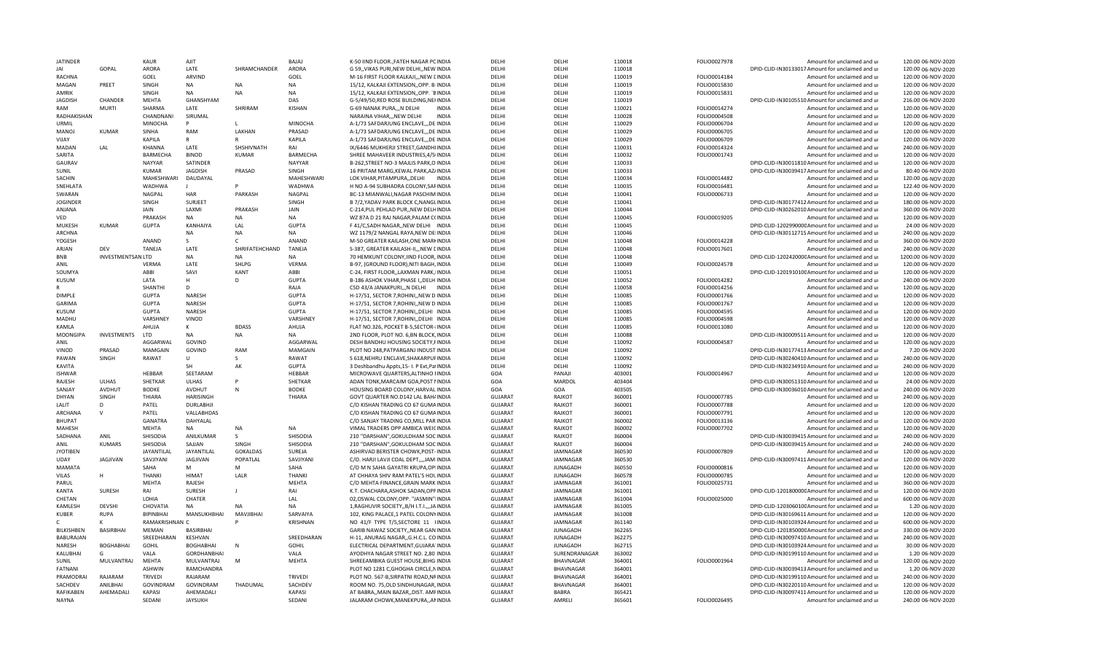| <b>JATINDER</b>           |                          | KAUR                    | AJIT                 |                 | BAJAJ                   | K-50 IIND FLOOR., FATEH NAGAR PCINDIA                                         | DFLHI                            | DFLHI                  | 110018           | FOLIO0027978 | Amount for unclaimed and ur                                                     | 120.00 06-NOV-2020                       |
|---------------------------|--------------------------|-------------------------|----------------------|-----------------|-------------------------|-------------------------------------------------------------------------------|----------------------------------|------------------------|------------------|--------------|---------------------------------------------------------------------------------|------------------------------------------|
| <b>IAI</b>                | GOPAL                    | ARORA                   | LATE                 | SHRAMCHANDER    | ARORA                   | G 59,, VIKAS PURI, NEW DELHI, NEW INDIA                                       | DELHI                            | DELHI                  | 110018           |              | DPID-CLID-IN30133017 Amount for unclaimed and ur                                | 120.00 06-NOV-2020                       |
| RACHNA                    |                          | GOEL                    | ARVIND               |                 | GOEL                    | M-16 FIRST FLOOR KALKAJI,,,NEW LINDIA                                         | DFLHI                            | DELHI                  | 110019           | FOLIO0014184 | Amount for unclaimed and ur                                                     | 120.00 06-NOV-2020                       |
| MAGAN                     | PREET                    | SINGH                   | <b>NA</b>            | <b>NA</b>       | <b>NA</b>               | 15/12, KALKAJI EXTENSION, OPP. B-INDIA                                        | DELHI                            | DELHI                  | 110019           | FOLIO0015830 | Amount for unclaimed and ur                                                     | 120.00 06-NOV-2020                       |
| AMRIK                     |                          | SINGH                   | <b>NA</b>            | <b>NA</b>       | <b>NA</b>               | 15/12, KALKAJI EXTENSION, OPP. `BINDIA                                        | DELHI                            | DELHI                  | 110019           | FOLIO0015831 | Amount for unclaimed and ur                                                     | 120.00 06-NOV-2020                       |
| JAGDISH                   | CHANDER                  | MEHTA                   | GHANSHYAM            |                 | DAS                     | G-5/49/50, RED ROSE BUILDING, NEHNDIA                                         | DELHI                            | DELHI                  | 110019           |              | DPID-CLID-IN30105510 Amount for unclaimed and ur                                | 216.00 06-NOV-2020                       |
| RAM                       | MURTI                    | SHARMA                  | LATF                 | SHRIRAM         | KISHAN                  | G-69 NANAK PURA,,,N DELHI<br><b>INDIA</b>                                     | DFLHI                            | DFLHI                  | 110021           | FOLIO0014274 | Amount for unclaimed and ur                                                     | 120.00 06-NOV-2020                       |
| RADHAKISHAN               |                          | CHANDNANI               | SIRUMAL              |                 |                         | NARAINA VIHARNEW DELHI<br><b>INDIA</b>                                        | DFLHI                            | DFLHI                  | 110028           | FOLIO0004508 | Amount for unclaimed and ur                                                     | 120.00 06-NOV-2020                       |
| <b>URMIL</b>              |                          | <b>MINOCHA</b>          |                      |                 | MINOCHA                 | A-1/73 SAFDARJUNG ENCLAVE,,,DE INDIA                                          | DFLHI                            | DELHI                  | 110029           | FOLIO0006704 | Amount for unclaimed and ur                                                     | 120.00 06-NOV-2020                       |
| MANOJ                     | KUMAR                    | SINHA                   | RAM                  | LAKHAN          | PRASAD                  | A-1/73 SAFDARJUNG ENCLAVE, , DE INDIA                                         | DELHI                            | DELHI                  | 110029           | FOLIO0006705 | Amount for unclaimed and ur                                                     | 120.00 06-NOV-2020                       |
| VIJAY                     |                          | KAPILA                  | $\mathsf{R}$         |                 | KAPILA                  | A-1/73 SAFDARJUNG ENCLAVE,,,DE INDIA                                          | DFLHI                            | DFLHI                  | 110029           | FOLIO0006709 | Amount for unclaimed and ur                                                     | 120.00 06-NOV-2020                       |
| MADAN                     | LAL                      | KHANNA                  | LATE                 | SHSHIVNATH      | RAI                     | IX/6446 MUKHERJI STREET, GANDHIINDIA                                          | DELHI                            | DELHI                  | 110031           | FOLIO0014324 | Amount for unclaimed and ur                                                     | 240.00 06-NOV-2020                       |
|                           |                          |                         |                      |                 |                         |                                                                               |                                  |                        |                  |              |                                                                                 |                                          |
| SARITA                    |                          | BARMECHA                | <b>BINOD</b>         | <b>KUMAR</b>    | BARMECHA                | SHREE MAHAVEER INDUSTRIES, 4/5/INDIA                                          | DELHI                            | DELHI                  | 110032           | FOLIO0001743 | Amount for unclaimed and ur                                                     | 120.00 06-NOV-2020                       |
| GAURAV                    |                          | NAYYAR                  | SATINDER             |                 | <b>NAYYAR</b>           | B-262, STREET NO-3 MAJLIS PARK, O INDIA                                       | DELHI                            | DELHI                  | 110033           |              | DPID-CLID-IN30011810 Amount for unclaimed and ur                                | 120.00 06-NOV-2020                       |
| SUNIL                     |                          | <b>KUMAR</b>            | <b>JAGDISH</b>       | PRASAD          | SINGH                   | 16 PRITAM MARG, KEWAL PARK, AZ/INDIA                                          | DELHI                            | DELHI                  | 110033           |              | DPID-CLID-IN30039417 Amount for unclaimed and ur                                | 80.40 06-NOV-2020                        |
| SACHIN                    |                          | MAHESHWARI              | DAUDAYAL             |                 | <b>MAHFSHWARI</b>       | LOK VIHAR, PITAMPURA, , DELHI INDIA                                           | DFLHI                            | DFLHI                  | 110034           | FOLIO0014482 | Amount for unclaimed and ur                                                     | 120.00 06-NOV-2020                       |
| SNEHLATA                  |                          | WADHWA                  |                      |                 | WADHWA                  | H NO A-94 SUBHADRA COLONY, SAFINDIA                                           | DELHI                            | DELHI                  | 110035           | FOLIO0016481 | Amount for unclaimed and ur                                                     | 122.40 06-NOV-2020                       |
| SWARAN                    |                          | <b>NAGPAL</b>           | <b>HAR</b>           | PARKASH         | NAGPAL                  | BC-13 MIANWALI, NAGAR PASCHIM INDIA                                           | DELHI                            | DFLHI                  | 110041           | FOLIO0006733 | Amount for unclaimed and ur                                                     | 120.00 06-NOV-2020                       |
| <b>JOGINDER</b>           |                          | SINGH                   | SURJEET              |                 | SINGH                   | <b>B 7/2. YADAV PARK BLOCK C. NANGLINDIA</b>                                  | DELHI                            | DELHI                  | 110041           |              | DPID-CLID-IN30177412 Amount for unclaimed and ur                                | 180.00 06-NOV-2020                       |
| ANJANA                    |                          | JAIN                    | LAXMI                | PRAKASH         | JAIN                    | C-214, PUL PEHLAD PUR, NEW DELHINDIA                                          | DELHI                            | DELHI                  | 110044           |              | DPID-CLID-IN30262010 Amount for unclaimed and ur                                | 360.00 06-NOV-2020                       |
| VED                       |                          | PRAKASH                 | <b>NA</b>            | <b>NA</b>       | <b>NA</b>               | WZ 87A D 21 RAJ NAGAR, PALAM C(INDIA                                          | DELHI                            | DELHI                  | 110045           | FOLIO0019205 | Amount for unclaimed and ur                                                     | 120.00 06-NOV-2020                       |
| MUKESH                    | <b>KUMAR</b>             | <b>GUPTA</b>            | KANHAIYA             | LAL             | <b>GUPTA</b>            | F 41/C, SADH NAGAR, , NEW DELHI INDIA                                         | DELHI                            | DELHI                  | 110045           |              | DPID-CLID-120299000CAmount for unclaimed and ur                                 | 24.00 06-NOV-2020                        |
| <b>ARCHNA</b>             |                          |                         | <b>NA</b>            | <b>NA</b>       | <b>NA</b>               | WZ 1179/2 NANGAL RAYA, NEW DEIINDIA                                           | DFLHI                            | DFLHI                  | 110046           |              | DPID-CLID-IN30112715 Amount for unclaimed and ur                                | 240.00 06-NOV-2020                       |
| YOGESH                    |                          | ANAND                   | S                    | $\mathsf{C}$    | ANAND                   | M-50 GREATER KAILASH, ONE MARI INDIA                                          | DELHI                            | DELHI                  | 110048           | FOLIO0014228 | Amount for unclaimed and ur                                                     | 360.00 06-NOV-2020                       |
| ARJAN                     | DFV                      | TANEJA                  | LATE                 | SHRIFATEHCHAND  | <b>TANEJA</b>           | S-387, GREATER KAILASH-II,,, NEW CINDIA                                       | DELHI                            | DELHI                  | 110048           | FOLIO0017601 | Amount for unclaimed and ur                                                     | 240.00 06-NOV-2020                       |
| <b>BNB</b>                | <b>INVESTMENTSAN LTD</b> |                         | <b>NA</b>            | <b>NA</b>       | <b>NA</b>               | 70 HEMKUNT COLONY, IIND FLOOR, INDIA                                          | DFLHI                            | DFLHI                  | 110048           |              | DPID-CLID-120242000CAmount for unclaimed and ur                                 | 1200.00 06-NOV-2020                      |
|                           |                          |                         |                      |                 |                         |                                                                               |                                  |                        |                  |              |                                                                                 |                                          |
| ANII                      |                          | <b>VERMA</b>            | LATE                 | SHLPG           | <b>VERMA</b>            | B-97, (GROUND FLOOR), NITI BAGH, INDIA                                        | DELHI                            | DELHI                  | 110049           | FOLIO0024578 | Amount for unclaimed and u                                                      | 120.00 06-NOV-2020                       |
| SOUMYA                    |                          | ABBI                    | SAVI                 | <b>KANT</b>     | ABBI                    | C-24, FIRST FLOOR, LAXMAN PARK, IINDIA                                        | DELHI                            | DELHI                  | 110051           |              | DPID-CLID-120191010CAmount for unclaimed and ur                                 | 120.00 06-NOV-2020                       |
| KUSUM                     |                          | LATA                    | H                    | <sub>D</sub>    | <b>GUPTA</b>            | B-186 ASHOK VIHAR, PHASE I, DELHINDIA                                         | DELHI                            | DELHI                  | 110052           | FOLIO0014282 | Amount for unclaimed and ur                                                     | 240.00 06-NOV-2020                       |
|                           |                          | <b>SHANTHI</b>          | D                    |                 | RAJA                    | C5D 43/A JANAKPURI,,,N DELHI INDIA                                            | DELHI                            | DELHI                  | 110058           | FOLIO0014256 | Amount for unclaimed and ur                                                     | 120.00 06-NOV-2020                       |
| <b>DIMPLF</b>             |                          | <b>GUPTA</b>            | <b>NARESH</b>        |                 | <b>GUPTA</b>            | H-17/51, SECTOR 7, ROHINI, NEW D INDIA                                        | DELHI                            | DELHI                  | 110085           | FOLIO0001766 | Amount for unclaimed and ur                                                     | 120.00 06-NOV-2020                       |
| <b>GARIMA</b>             |                          | <b>GUPTA</b>            | NARESH               |                 | <b>GUPTA</b>            | H-17/51, SECTOR 7, ROHINI, NEW D INDIA                                        | DELHI                            | DELHI                  | 110085           | FOLIO0001767 | Amount for unclaimed and ur                                                     | 120.00 06-NOV-2020                       |
| KUSUM                     |                          | <b>GUPTA</b>            | <b>NARFSH</b>        |                 | GUPTA                   | H-17/51, SECTOR 7, ROHINI, DELHI INDIA                                        | DELHI                            | DFLHI                  | 110085           | FOLIO0004595 | Amount for unclaimed and ur                                                     | 120.00 06-NOV-2020                       |
| MADHU                     |                          | VARSHNEY                | VINOD                |                 | VARSHNEY                | H-17/51. SECTOR 7.ROHINIDELHI INDIA                                           | DELHI                            | DELHI                  | 110085           | FOLIO0004598 | Amount for unclaimed and ur                                                     | 120.00 06-NOV-2020                       |
| <b>KAMLA</b>              |                          | AHUJA                   | K                    | <b>BDASS</b>    | AHUJA                   | FLAT NO.326, POCKET B-5, SECTOR-INDIA                                         | DELHI                            | DFLHI                  | 110085           | FOLIO0011080 | Amount for unclaimed and ur                                                     | 120.00 06-NOV-2020                       |
| MOONGIPA                  | INVESTMENTS              | LTD                     | NA                   | NA              | <b>NA</b>               | 2ND FLOOR, PLOT NO. 6, BN BLOCK, INDIA                                        | DELHI                            | DELHI                  | 110088           |              | DPID-CLID-IN30009511 Amount for unclaimed and ur                                | 120.00 06-NOV-2020                       |
|                           |                          |                         |                      |                 |                         |                                                                               |                                  |                        |                  |              |                                                                                 |                                          |
|                           |                          |                         |                      |                 |                         |                                                                               |                                  |                        |                  |              |                                                                                 |                                          |
| <b>ANIL</b>               |                          | AGGARWAL                | GOVIND               |                 | AGGARWAL                | DESH BANDHU HOUSING SOCIETY, FINDIA                                           | DELHI                            | DELHI                  | 110092           | FOLIO0004587 | Amount for unclaimed and ur                                                     | 120.00 06-NOV-2020                       |
| VINOD                     | PRASAD                   | MAMGAIN                 | GOVIND               | RAM             | <b>MAMGAIN</b>          | PLOT NO 248, PATPARGANJ INDUST INDIA                                          | DFLHI                            | DELHI                  | 110092           |              | DPID-CLID-IN30177413 Amount for unclaimed and ur                                | 7.20 06-NOV-2020                         |
| PAWAN                     | SINGH                    | RAWAT                   | U                    | <sup>S</sup>    | RAWAT                   | S 618, NEHRU ENCLAVE, SHAKARPUFINDIA                                          | DELHI                            | DELHI                  | 110092           |              | DPID-CLID-IN30240410 Amount for unclaimed and ur                                | 240.00 06-NOV-2020                       |
| <b>KAVITA</b>             |                          |                         | SH                   | AK              | <b>GUPTA</b>            | 3 Deshbandhu Appts, 15- I. P Ext, PailNDIA                                    | DELHI                            | DELHI                  | 110092           |              | DPID-CLID-IN30234910 Amount for unclaimed and ur                                | 240.00 06-NOV-2020                       |
| <b>ISHWAR</b>             |                          | HEBBAR                  | SEETARAM             |                 | HEBBAR                  | MICROWAVE QUARTERS, ALTINHO IINDIA                                            | GOA                              | PANAJI                 | 403001           | FOLIO0014967 | Amount for unclaimed and ur                                                     | 120.00 06-NOV-2020                       |
| RAJESH                    | <b>ULHAS</b>             | SHETKAR                 | ULHAS                |                 | SHETKAR                 | ADAN TONK, MARCAIM GOA, POST I INDIA                                          | GOA                              | MARDOL                 | 403404           |              | DPID-CLID-IN30051310 Amount for unclaimed and ur                                | 24.00 06-NOV-2020                        |
| SANJAY                    | AVDHUT                   | <b>BODKE</b>            | AVDHUT               | N               | <b>BODKE</b>            | HOUSING BOARD COLONY, HARVAL INDIA                                            | GOA                              | GOA                    | 403505           |              | DPID-CLID-IN30036010 Amount for unclaimed and ur                                | 240.00 06-NOV-2020                       |
| DHYAN                     | SINGH                    | THIARA                  | <b>HARISINGH</b>     |                 | THIARA                  | GOVT QUARTER NO.D142 LAL BAH/INDIA                                            | GUIARAT                          | RAJKOT                 | 360001           | FOLIO0007785 | Amount for unclaimed and ur                                                     | 240.00 06-NOV-2020                       |
| LALIT                     | D.                       | PATEL                   | <b>DURLABHJI</b>     |                 |                         | C/O KISHAN TRADING CO 67 GUMAINDIA                                            | <b>GUJARAT</b>                   | RAJKOT                 | 360001           | FOLIO0007788 | Amount for unclaimed and u                                                      | 120.00 06-NOV-2020                       |
| ARCHANA                   | $\mathbf{v}$             | PATEL                   | VALLABHDAS           |                 |                         | C/O KISHAN TRADING CO 67 GUMAINDIA                                            | <b>GUJARAT</b>                   | RAJKOT                 | 360001           | FOLIO0007791 | Amount for unclaimed and ur                                                     | 120.00 06-NOV-2020                       |
| <b>BHUPAT</b>             |                          | <b>GANATRA</b>          | DAHYALAL             |                 |                         | C/O SANJAY TRADING CO, MILL PAR INDIA                                         | <b>GUJARAT</b>                   | RAJKOT                 | 360002           | FOLIO0013136 | Amount for unclaimed and ur                                                     | 120.00 06-NOV-2020                       |
| MAHESH                    |                          | MEHTA                   | NA                   | <b>NA</b>       | NA                      | VIMAL TRADERS OPP AMBICA WEICINDIA                                            | <b>GUJARAT</b>                   | RAJKOT                 | 360002           | FOLIO0007702 | Amount for unclaimed and ur                                                     | 120.00 06-NOV-2020                       |
| SADHANA                   | <b>ANIL</b>              | SHISODIA                | ANILKUMAR            | S.              | SHISODIA                | 210 "DARSHAN", GOKULDHAM SOC INDIA                                            | <b>GUJARAT</b>                   | RAJKOT                 | 360004           |              | DPID-CLID-IN30039415 Amount for unclaimed and ur                                | 240.00 06-NOV-2020                       |
| <b>ANIL</b>               | <b>KUMARS</b>            | SHISODIA                | SAIJAN               | <b>SINGH</b>    | SHISODIA                | 210 "DARSHAN", GOKULDHAM SOC INDIA                                            | GUJARAT                          | RAJKOT                 | 360004           |              |                                                                                 | 240.00 06-NOV-2020                       |
|                           |                          |                         |                      |                 |                         |                                                                               |                                  |                        |                  |              | DPID-CLID-IN30039415 Amount for unclaimed and ur                                |                                          |
| <b>JYOTIBEN</b>           |                          | <b>JAYANTILAL</b>       | JAYANTILAL           | <b>GOKALDAS</b> | SUREJA                  | ASHIRVAD BERISTER CHOWK, POST-INDIA                                           | <b>GUJARAT</b>                   | <b>JAMNAGAR</b>        | 360530           | FOLIO0007809 | Amount for unclaimed and ur                                                     | 120.00 06-NOV-2020                       |
| <b>UDAY</b>               | <b>JAGJIVAN</b>          | SAVJIYANI               | JAGJIVAN             | POPATLAL        | SAVJIYANI               | C/O. HARJI LAVJI COAL DEPT,,,,JAM INDIA                                       | <b>GUJARAT</b>                   | <b>JAMNAGAR</b>        | 360530           |              | DPID-CLID-IN30097411Amount for unclaimed and ur                                 | 120.00 06-NOV-2020                       |
| ΜΑΜΑΤΑ                    |                          | <b>SAHA</b>             | M                    | M               | <b>SAHA</b>             | C/O M N SAHA GAYATRI KRUPA, OPIINDIA                                          | <b>GUJARAT</b>                   | <b>JUNAGADH</b>        | 360550           | FOLIO0000816 | Amount for unclaimed and ur                                                     | 120.00 06-NOV-2020                       |
| VILAS                     | н                        | THANKI                  | <b>HIMAT</b>         | LALR            | <b>THANKI</b>           | AT CHHAYA SHIV RAM PATEL'S HOLINDIA                                           | <b>GUJARAT</b>                   | <b>JUNAGADH</b>        | 360578           | FOLIO0000785 | Amount for unclaimed and ur                                                     | 120.00 06-NOV-2020                       |
| PARUL                     |                          | MEHTA                   | RAJESH               |                 | <b>MEHTA</b>            | C/O MEHTA FINANCE, GRAIN MARK INDIA                                           | <b>GUJARAT</b>                   | <b>JAMNAGAR</b>        | 361001           | FOLIO0025731 | Amount for unclaimed and ur                                                     | 360.00 06-NOV-2020                       |
| KANTA                     | SURESH                   | RAI                     | SURESH               |                 | RAI                     | K.T. CHACHARA, ASHOK SADAN, OPPINDIA                                          | <b>GUJARAT</b>                   | <b>JAMNAGAR</b>        | 361001           |              | DPID-CLID-120180000C Amount for unclaimed and ur                                | 120.00 06-NOV-2020                       |
| CHETAN                    |                          | <b>LOHIA</b>            | CHATER               |                 | LAL                     | 02, OSWAL COLONY, OPP. "JASMIN" IINDIA                                        | <b>GUJARAT</b>                   | <b>JAMNAGAR</b>        | 361004           | FOLIO0025000 | Amount for unclaimed and ur                                                     | 600.00 06-NOV-2020                       |
| KAMLESH                   | <b>DEVSHI</b>            | CHOVATIA                | NA                   | <b>NA</b>       | <b>NA</b>               | 1, RAGHUVIR SOCIETY, B/H I.T.I., JAINDIA                                      | <b>GUJARAT</b>                   | <b>JAMNAGAR</b>        | 361005           |              | DPID-CLID-120306010CAmount for unclaimed and ur                                 | 1.20 06-NOV-2020                         |
| <b>KUBER</b>              | <b>RUPA</b>              | <b>BIPINBHAI</b>        | MANSUKHBHAI          | <b>MAVJIBHA</b> | SARVAIYA                | 102, KING PALACE, 1 PATEL COLONYINDIA                                         | <b>GUJARAT</b>                   | <b>JAMNAGAR</b>        | 361008           |              | DPID-CLID-IN30169611 Amount for unclaimed and ur                                | 120.00 06-NOV-2020                       |
|                           | ĸ                        | RAMAKRISHNAN C          |                      |                 | KRISHNAN                | NO 41/F TYPE T/5, SECTORE 11 HNDIA                                            | <b>GUJARAT</b>                   | <b>JAMNAGAR</b>        | 361140           |              | DPID-CLID-IN30103924 Amount for unclaimed and ur                                | 600.00 06-NOV-2020                       |
| BILKISHBEN                | <b>BASIRBHAI</b>         | <b>MEMAN</b>            | <b>BASIRBHAI</b>     |                 |                         | GARIB NAWAZ SOCIETY,, NEAR GAN INDIA                                          | <b>GUJARAT</b>                   | <b>JUNAGADH</b>        | 362265           |              | DPID-CLID-120185000CAmount for unclaimed and ur                                 | 330.00 06-NOV-2020                       |
| BABURAJAN                 |                          | SREEDHARAN              | KESHVAN              |                 | SREEDHARAN              | H-11, ANURAG NAGAR,, G.H.C.L. CO INDIA                                        | <b>GUJARAT</b>                   | <b>JUNAGADH</b>        | 362275           |              | DPID-CLID-IN30097410 Amount for unclaimed and ur                                | 240.00 06-NOV-2020                       |
| NARESH                    | <b>BOGHABHAI</b>         | GOHIL                   | <b>BOGHABHAI</b>     | N               | GOHIL                   | ELECTRICAL DEPARTMENT, GUJARA INDIA                                           | <b>GUJARAT</b>                   | <b>JUNAGADH</b>        | 362715           |              | DPID-CLID-IN30103924 Amount for unclaimed and ur                                | 30.00 06-NOV-2020                        |
| KALUBHAI                  | G                        | VALA                    | <b>GORDHANBHAI</b>   |                 | VALA                    | AYODHYA NAGAR STREET NO. 2,80 INDIA                                           | <b>GUJARAT</b>                   | SURENDRANAGAR          | 363002           |              | DPID-CLID-IN30199110 Amount for unclaimed and ur                                | 1.20 06-NOV-2020                         |
| SUNIL                     | MULVANTRAJ               | MEHTA                   | MULVANTRAJ           | M               | MEHTA                   | SHREEAMBIKA GUEST HOUSE, BIHGIINDIA                                           | <b>GUJARAT</b>                   | BHAVNAGAR              | 364001           | FOLIO0001964 | Amount for unclaimed and ur                                                     | 120.00 06-NOV-2020                       |
| FATNANI                   |                          | <b>ASHWIN</b>           | RAMCHANDRA           |                 |                         | PLOT NO 1281 C, GHOGHA CIRCLE, NINDIA                                         | <b>GUJARAT</b>                   | BHAVNAGAR              | 364001           |              | DPID-CLID-IN30039413 Amount for unclaimed and ur                                |                                          |
| PRAMODRAI                 | RAJARAM                  | <b>TRIVEDI</b>          | RAJARAM              |                 | <b>TRIVEDI</b>          | PLOT NO. 567-B.SIRPATNI ROAD.NRINDIA                                          | <b>GUJARAT</b>                   | <b>BHAVNAGAR</b>       | 364001           |              | DPID-CLID-IN30199110 Amount for unclaimed and ur                                | 1.20 06-NOV-2020<br>240.00 06-NOV-2020   |
| SACHDEV                   | <b>ANILBHAI</b>          | GOVINDRAM               |                      | THADUMAL        |                         |                                                                               |                                  |                        |                  |              |                                                                                 |                                          |
|                           |                          |                         | GOVINDRAM            |                 | SACHDEV                 | ROOM NO. 75, OLD SINDHUNAGAR, INDIA                                           | <b>GUJARAT</b>                   | <b>BHAVNAGAR</b>       | 364001           |              | DPID-CLID-IN30220110 Amount for unclaimed and ur                                | 120.00 06-NOV-2020                       |
| RAFIKABEN<br><b>NAYNA</b> | AHEMADALI                | <b>KAPASI</b><br>SEDANI | AHEMADALI<br>JAYSUKH |                 | <b>KAPASI</b><br>SEDANI | AT BABRA,, MAIN BAZAR,, DIST. AMFINDIA<br>JALARAM CHOWK, MANEKPURA, , ANINDIA | <b>GUJARAT</b><br><b>GUJARAT</b> | <b>BABRA</b><br>AMRELI | 365421<br>365601 | FOLIO0026495 | DPID-CLID-IN30097411 Amount for unclaimed and ur<br>Amount for unclaimed and ur | 120.00 06-NOV-2020<br>240.00 06-NOV-2020 |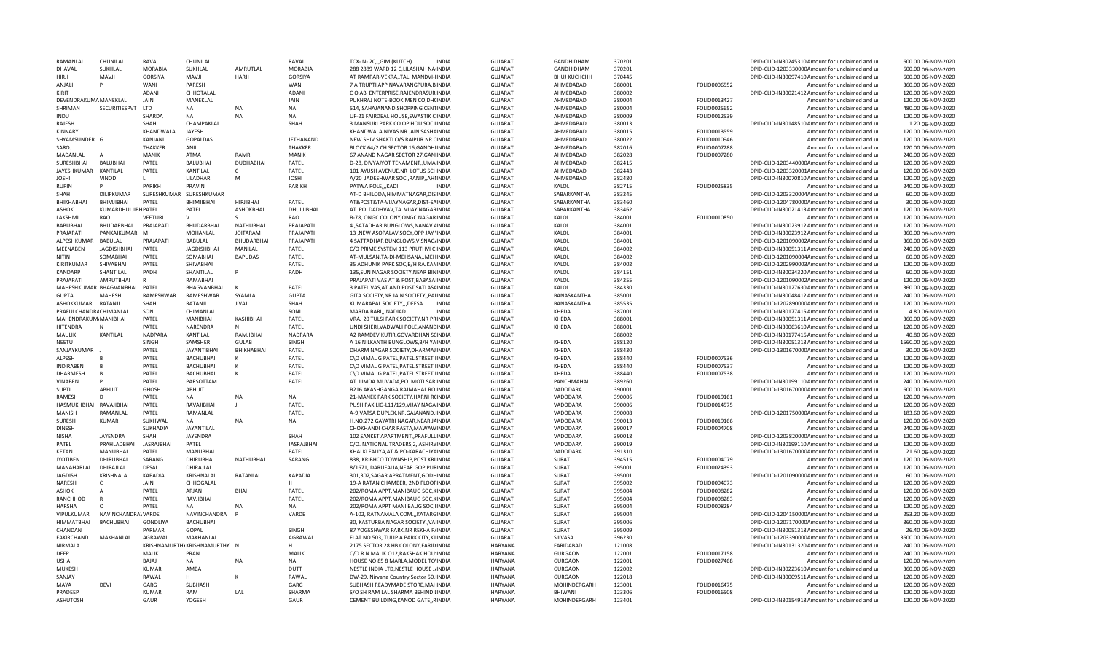| RAMANLAI                | CHUNILAL                      | RAVAL             | CHUNILAL                     |                  | RAVAL             | <b>INDIA</b><br>TCX- N- 20GIM (KUTCH)                                        | <b>GUJARAT</b>                   | GANDHIDHAM                     | 370201           |              | DPID-CLID-IN30245310 Amount for unclaimed and ur                                | 600.00 06-NOV-2020                       |
|-------------------------|-------------------------------|-------------------|------------------------------|------------------|-------------------|------------------------------------------------------------------------------|----------------------------------|--------------------------------|------------------|--------------|---------------------------------------------------------------------------------|------------------------------------------|
| DHAVAL                  | SUKHLAL                       | <b>MORABIA</b>    | SUKHLAL                      | AMRUTLAL         | <b>MORABIA</b>    | 288 2889 WARD 12 C,LILASHAH NA INDIA                                         | <b>GUJARAT</b>                   | GANDHIDHAM                     | 370201           |              | DPID-CLID-120333000CAmount for unclaimed and ur                                 | 600.00 06-NOV-2020                       |
| HIRII                   | <b>MAVJI</b>                  | GORSIYA           | <b>NAVJI</b>                 | HARJI            | <b>GORSIYA</b>    | AT RAMPAR-VEKRA,, TAL. MANDVI-IINDIA                                         | <b>GUJARAT</b>                   | <b>ВНИЈ КИСНСНН</b>            | 370445           |              | DPID-CLID-IN30097410 Amount for unclaimed and ur                                | 600.00 06-NOV-2020                       |
| ANJALI                  |                               | WANI              | PARFSH                       |                  | <b>WANI</b>       | 7 A TRUPTI APP NAVARANGPURA, BINDIA                                          | <b>GUJARAT</b>                   | AHMEDABAD                      | 380001           | FOLIO0006552 | Amount for unclaimed and ur                                                     | 360.00 06-NOV-2020                       |
| KIRIT                   |                               | ADANI             | CHHOTALAL                    |                  | <b>ADANI</b>      | CO AB ENTERPRISE, RAJENDRASUR INDIA                                          | <b>GUJARAT</b>                   | AHMEDABAD                      | 380002           |              | DPID-CLID-IN30021412 Amount for unclaimed and ur                                | 120.00 06-NOV-2020                       |
| DEVENDRAKLIMA MANEKLAL  |                               | <b>JAIN</b>       | MANEKLAL                     |                  | <b>JAIN</b>       | PUKHRAJ NOTE-BOOK MEN CO, DH(INDIA                                           | <b>GUJARAT</b>                   | AHMEDABAD                      | 380004           | FOLIO0013427 | Amount for unclaimed and ur                                                     | 120.00 06-NOV-2020                       |
| SHRIMAN                 | SECURITIESPVT                 | LTD               | <b>NA</b>                    | <b>NA</b>        | <b>NA</b>         | 514, SAHAJANAND SHOPPING CENTINDIA                                           | <b>GUJARAT</b>                   | AHMEDABAD                      | 380004           | FOLIO0025652 | Amount for unclaimed and ur                                                     | 480.00 06-NOV-2020                       |
| INDU                    |                               | SHARDA            | <b>NA</b>                    | <b>NA</b>        | <b>NA</b>         | UF-21 FAIRDEAL HOUSE, SWASTIK CINDIA                                         | <b>GUJARAT</b>                   | AHMEDABAD                      | 380009           | FOLIO0012539 | Amount for unclaimed and ur                                                     | 120.00 06-NOV-2020                       |
| RAJFSH                  |                               | SHAH              | CHAMPAKLAL                   |                  | SHAH              | 3 MANSURI PARK CO OP HOU SOCIIINDIA                                          | <b>GUJARAT</b>                   | AHMEDABAD                      | 380013           |              | DPID-CLID-IN30148510 Amount for unclaimed and ur                                | 1.20 06-NOV-2020                         |
| <b>KINNARY</b>          |                               | KHANDWALA         | JAYESH                       |                  |                   | KHANDWALA NIVAS NR JAIN SASHAINDIA                                           | GUJARAT                          | AHMEDABAD                      | 380015           | FOLIO0013559 | Amount for unclaimed and ur                                                     | 120.00 06-NOV-2020                       |
| SHYAMSUNDER G           |                               | KANJANI           | <b>GOPALDAS</b>              |                  | JETHANAND         | NEW SHIV SHAKTI O/S RAIPUR NR CINDIA                                         | <b>GUJARAT</b>                   | AHMEDABAD                      | 380022           | FOLIO0010946 | Amount for unclaimed and ur                                                     | 120.00 06-NOV-2020                       |
| SAROJ                   |                               | <b>THAKKER</b>    | ANIL                         |                  | <b>THAKKER</b>    | BLOCK 64/2 CH SECTOR 16.GANDHIINDIA                                          | <b>GUJARAT</b>                   | AHMEDABAD                      | 382016           | FOLIO0007288 | Amount for unclaimed and u                                                      | 120.00 06-NOV-2020                       |
| MADANLAL                | A                             | <b>MANIK</b>      | <b>ATMA</b>                  | RAMR             | <b>MANIK</b>      |                                                                              | <b>GUJARAT</b>                   | AHMEDABAD                      |                  |              |                                                                                 |                                          |
|                         |                               |                   |                              |                  |                   | 67 ANAND NAGAR SECTOR 27, GANIINDIA                                          |                                  |                                | 382028           | FOLIO0007280 | Amount for unclaimed and ur                                                     | 240.00 06-NOV-2020                       |
| SURESHBHAI              | <b>BALUBHAI</b>               | PATEL             | <b>BALUBHAI</b>              | DUDHABHAI        | PATEL             | D-28, DIVYAJYOT TENAMENT,, UMA INDIA                                         | <b>GUJARAT</b>                   | AHMFDABAD                      | 382415           |              | DPID-CLID-120344000CAmount for unclaimed and ur                                 | 120.00 06-NOV-2020                       |
| <b>JAYESHKUMAR</b>      | KANTILAL                      | PATEL             | KANTILAL                     | $\mathsf{C}$     | PATEL             | 101 AYUSH AVENUE, NR LOTUS SCHINDIA                                          | GUJARAT                          | AHMEDABAD                      | 382443           |              | DPID-CLID-1203320001Amount for unclaimed and ur                                 | 120.00 06-NOV-2020                       |
| <b>JOSHI</b>            | VINOD                         |                   | LILADHAR                     | M                | <b>JOSHI</b>      | A/20 JADESHWAR SOC., RANIP,, AHIINDIA                                        | <b>GUJARAT</b>                   | AHMEDABAD                      | 382480           |              | DPID-CLID-IN30070810 Amount for unclaimed and ur                                | 120.00 06-NOV-2020                       |
| <b>RUPIN</b>            |                               | PARIKH            | <b>PRAVIN</b>                |                  | PARIKH            | PATWA POLE,,,KADI<br><b>INDIA</b>                                            | GUJARAT                          | KALOL                          | 382715           | FOLIO0025835 | Amount for unclaimed and ur                                                     | 240.00 06-NOV-2020                       |
| SHAH                    | <b>DILIPKUMAR</b>             | SURESHKUMAR       | SURESHKUMAR                  |                  |                   | AT-D BHILODA, HIMMATNAGAR, DISINDIA                                          | <b>GUJARAT</b>                   | SABARKANTHA                    | 383245           |              | DPID-CLID-1203320004Amount for unclaimed and ur                                 | 60.00 06-NOV-2020                        |
| BHIKHABHAI              | BHIMJIBHAI                    | PATEL             | BHIMJIBHAI                   | HIRJIBHAI        | PATEL             | AT&POST&TA-VIJAYNAGAR,DIST-SAINDIA                                           | <b>GUJARAT</b>                   | SABARKANTHA                    | 383460           |              | DPID-CLID-120478000CAmount for unclaimed and ur                                 | 30.00 06-NOV-2020                        |
| ASHOK                   | KUMARDHULJIBHPATFL            |                   | PATEL                        | <b>ASHOKBHAI</b> | DHULJIBHAI        | AT PO DADHVAV, TA VIJAY NAGARINDIA                                           | GUJARAT                          | SABARKANTHA                    | 383462           |              | DPID-CLID-IN30021413 Amount for unclaimed and ur                                | 120.00 06-NOV-2020                       |
| LAKSHMI                 | <b>RAO</b>                    | <b>VEETURI</b>    |                              |                  | RAO               | B-78, ONGC COLONY, ONGC NAGAR INDIA                                          | <b>GUJARAT</b>                   | KALOL                          | 384001           | FOLIO0010850 | Amount for unclaimed and ur                                                     | 120.00 06-NOV-2020                       |
| <b>BABUBHAI</b>         | <b>BHUDARBHAI</b>             | PRAJAPAT          | BHUDARBHAI                   | NATHUBHAI        | PRAJAPATI         | 4 , SATADHAR BUNGLOWS, NANAV / INDIA                                         | <b>GUJARAT</b>                   | KALOL                          | 384001           |              | DPID-CLID-IN30023912 Amount for unclaimed and ur                                | 120.00 06-NOV-2020                       |
| PRAIAPATI               | PANKAJKUMAR M                 |                   | MOHANLAL                     | <b>JOITARAM</b>  | PRAJAPATI         | 13 .NEW ASOPALAV SOCY.OPP JAY 'INDIA                                         | <b>GUJARAT</b>                   | KALOL                          | 384001           |              | DPID-CLID-IN30023912 Amount for unclaimed and ur                                | 360.00 06-NOV-2020                       |
| ALPESHKUMAR             | BABULAL                       | PRAJAPAT          | <b>BABULAL</b>               | BHUDARBHAI       | PRAJAPATI         | 4 SATTADHAR BUNGLOWS, VISNAG/INDIA                                           | <b>GUJARAT</b>                   | KALOL                          | 384001           |              | DPID-CLID-1201090002Amount for unclaimed and ur                                 | 360.00 06-NOV-2020                       |
| MEENABEN                | <b>JAGDISHBHAI</b>            | PATEL             | <b>JAGDISHBHAI</b>           | MANILAL          | PATEL             | C/O PRIME SYSTEM 113 PRUTHVI CINDIA                                          | <b>GUJARAT</b>                   | KALOL                          | 384002           |              | DPID-CLID-IN30051311 Amount for unclaimed and ur                                | 240.00 06-NOV-2020                       |
| NITIN                   | SOMABHAI                      | PATEL             | SOMABHAI                     | <b>BAPUDAS</b>   | PATEL             | AT-MULSAN, TA-DI-MEHSANA,, MEHINDIA                                          | <b>GUJARAT</b>                   | KALOL                          | 384002           |              | DPID-CLID-1201090004Amount for unclaimed and ur                                 | 60.00 06-NOV-2020                        |
| <b>KIRITKI IMAR</b>     |                               | PATEL             |                              |                  |                   |                                                                              |                                  |                                | 384002           |              |                                                                                 |                                          |
|                         | SHIVABHAI                     |                   | SHIVABHAI                    |                  | PATEL             | 35 ADHUNIK PARK SOC, B/H RAJKANINDIA                                         | <b>GUJARAT</b>                   | KALOL                          |                  |              | DPID-CLID-1202990003Amount for unclaimed and ur                                 | 120.00 06-NOV-2020                       |
| <b>KANDARP</b>          | SHANTILAL                     | PADH              | SHANTILAL                    |                  | PADH              | 135, SUN NAGAR SOCIETY, NEAR BININDIA                                        | <b>GUJARAT</b>                   | KALOL                          | 384151           |              | DPID-CLID-IN30034320 Amount for unclaimed and ur                                | 60.00 06-NOV-2020                        |
| PRAJAPATI               | AMRUTBHAI                     | $\mathbb{R}$      | RAMABHAI                     |                  |                   | PRAJAPATI VAS AT & POST, BABASA INDIA                                        | <b>GUJARAT</b>                   | KALOL                          | 384255           |              | DPID-CLID-1201090002Amount for unclaimed and ur                                 | 120.00 06-NOV-2020                       |
|                         | MAHESHKUMAR BHAGVANBHAI PATEL |                   | BHAGVANBHAI                  |                  | PATEL             | 3 PATEL VAS, AT AND POST SATLAS AINDIA                                       | <b>GUJARAT</b>                   | KALOL                          | 384330           |              | DPID-CLID-IN30127630 Amount for unclaimed and ur                                | 360.00 06-NOV-2020                       |
| <b>GUPTA</b>            | <b>MAHFSH</b>                 | RAMFSHWAR         | RAMESHWAR                    | SYAMLAL          | <b>GUPTA</b>      | GITA SOCIETY, NR JAIN SOCIETY, PAIINDIA                                      | <b>GUJARAT</b>                   | <b>BANASKANTHA</b>             | 385001           |              | DPID-CLID-IN30048412 Amount for unclaimed and ur                                | 240.00 06-NOV-2020                       |
| ASHOKKUMAR              | RATANJI                       | SHAH              | RATANJI                      | JIVAJI           | SHAH              | KUMARAPAL SOCIETY,,,DEESA<br><b>INDIA</b>                                    | <b>GUJARAT</b>                   | BANASKANTHA                    | 385535           |              | DPID-CLID-120289000CAmount for unclaimed and ur                                 | 120.00 06-NOV-2020                       |
| PRAFULCHANDRA CHIMANLAL |                               | SONI              | CHIMANLAL                    |                  | SONI              | MARDA BARI,,,NADIAD<br><b>INDIA</b>                                          | <b>GUJARAT</b>                   | KHEDA                          | 387001           |              | DPID-CLID-IN30177415 Amount for unclaimed and ur                                | 4.80 06-NOV-2020                         |
| MAHENDRAKUM MANIBHAI    |                               | PATEL             | <b>MANIBHAI</b>              | KASHIBHAI        | PATEL             | VRAJ 20 TULSI PARK SOCIETY.NR PRINDIA                                        | <b>GUJARAT</b>                   | <b>KHEDA</b>                   | 388001           |              | DPID-CLID-IN30051311 Amount for unclaimed and ur                                | 360.00 06-NOV-2020                       |
| HITENDRA                | N                             | PATEL             | NARENDRA                     | N                | PATEL             | UNDI SHERI, VADWALI POLE, ANANCINDIA                                         | GUJARAT                          | KHEDA                          | 388001           |              | DPID-CLID-IN30063610 Amount for unclaimed and ur                                | 120.00 06-NOV-2020                       |
| MAULIK                  | KANTILAL                      | <b>NADPARA</b>    | KANTILAL                     | RAMJIBHAI        | <b>NADPARA</b>    | A2 RAMDEV KUTIR, GOVARDHAN SCINDIA                                           | <b>GUJARAT</b>                   |                                | 388002           |              | DPID-CLID-IN30177416 Amount for unclaimed and ur                                | 40.80 06-NOV-2020                        |
| NEETU                   |                               | SINGH             | SAMSHER                      | <b>GULAB</b>     | SINGH             | A 16 NILKANTH BUNGLOWS, B/H YAINDIA                                          | <b>GUJARAT</b>                   | KHEDA                          | 388120           |              | DPID-CLID-IN30051313 Amount for unclaimed and ur                                | 1560.00 06-NOV-2020                      |
| SANJAYKUMAR             |                               | PATEL             | <b>JAYANTIBHAI</b>           | BHIKHABHAI       | PATEL             | DHARM NAGAR SOCIETY, DHARMAJ INDIA                                           | <b>GUJARAT</b>                   | KHEDA                          | 388430           |              | DPID-CLID-130167000CAmount for unclaimed and ur                                 | 30.00 06-NOV-2020                        |
| ALPESH                  |                               | PATEL             | BACHUBHAI                    | к                | PATEL             | C\O VIMAL G PATEL, PATEL STREET IINDIA                                       | GUJARAT                          | KHEDA                          | 388440           | FOLIO0007536 | Amount for unclaimed and ur                                                     | 120.00 06-NOV-2020                       |
| <b>INDIRABEN</b>        | B.                            | PATEL             | BACHUBHAI                    | к                | PATEL             | C\O VIMAL G PATEL, PATEL STREET IINDIA                                       | <b>GUJARAT</b>                   | KHEDA                          | 388440           | FOLIO0007537 | Amount for unclaimed and ur                                                     | 120.00 06-NOV-2020                       |
| DHARMESH                | B.                            | PATEL             | BACHUBHAI                    | K                | PATEL             | C\O VIMAL G PATEL, PATEL STREET IINDIA                                       | <b>GUJARAT</b>                   | KHEDA                          | 388440           | FOLIO0007538 | Amount for unclaimed and ur                                                     | 120.00 06-NOV-2020                       |
|                         |                               |                   |                              |                  |                   |                                                                              |                                  |                                |                  |              |                                                                                 |                                          |
| VINABEN                 |                               | PATEL             | PARSOTTAM                    |                  | PATEL             | AT. LIMDA MUVADA, PO. MOTI SAR INDIA                                         | <b>GUJARAT</b>                   | PANCHMAHAL                     | 389260           |              | DPID-CLID-IN30199110 Amount for unclaimed and ur                                | 240.00 06-NOV-2020                       |
| <b>SUPTI</b>            | ABHIJIT                       | GHOSH             | ABHIJIT                      |                  |                   | B216 AKASHGANGA, RAJMAHAL ROJNDIA                                            | <b>GUJARAT</b>                   | VADODARA                       | 390001           |              | DPID-CLID-130167000CAmount for unclaimed and ur                                 | 600.00 06-NOV-2020                       |
| RAMESH                  | D                             | PATFL             | NA                           | <b>NA</b>        | <b>NA</b>         | 21-MANEK PARK SOCIETY, HARNI R(INDIA                                         | <b>GUJARAT</b>                   | VADODARA                       | 390006           | FOLIO0019161 | Amount for unclaimed and ur                                                     | 120.00 06-NOV-2020                       |
| HASMUKHBHAI             | RAVAJIBHAI                    | PATEL             | RAVAJIBHAI                   |                  | PATEL             | PUSH PAK LIG-L11/129, VIJAY NAGA INDIA                                       | <b>GUJARAT</b>                   | VADODARA                       | 390006           | FOLIO0014575 | Amount for unclaimed and u                                                      | 120.00 06-NOV-2020                       |
| MANISH                  | RAMANLAL                      | PATEL             | RAMANLAL                     |                  | PATEL             | A-9, VATSA DUPLEX, NR. GAJANAND, INDIA                                       | <b>GUJARAT</b>                   | VADODARA                       | 390008           |              | DPID-CLID-120175000CAmount for unclaimed and ur                                 | 183.60 06-NOV-2020                       |
| <b>SURESH</b>           | KUMAR                         | SUKHWAL           | NA                           | <b>NA</b>        | NA                | H.NO.272 GAYATRI NAGAR, NEAR JAINDIA                                         | <b>GUJARAT</b>                   | VADODARA                       | 390013           | FOLIO0019166 | Amount for unclaimed and ur                                                     | 120.00 06-NOV-2020                       |
| <b>DINESH</b>           |                               | SUKHADIA          | JAYANTILAL                   |                  |                   | CHOKHANDI CHAR RASTA, MAWAWINDIA                                             | <b>GUJARAT</b>                   | VADODARA                       | 390017           | FOLIO0004708 | Amount for unclaimed and ur                                                     | 240.00 06-NOV-2020                       |
| NISHA                   | JAYENDRA                      | SHAH              | <b>JAYENDRA</b>              |                  | SHAH              | 102 SANKET APARTMENT, PRAFULLINDIA                                           | <b>GUJARAT</b>                   | VADODARA                       | 390018           |              | DPID-CLID-120382000CAmount for unclaimed and ur                                 | 120.00 06-NOV-2020                       |
| PATEL                   | PRAHLADBHAI                   | <b>JASRAJBHAI</b> | PATEL                        |                  | <b>JASRAJBHAI</b> | C/O. NATIONAL TRADERS, 2, ASHIRVINDIA                                        | <b>GUJARAT</b>                   | VADODARA                       | 390019           |              | DPID-CLID-IN30199110 Amount for unclaimed and ur                                | 120.00 06-NOV-2020                       |
| KETAN                   | MANUBHAI                      | PATEL             | <b>MANUBHAI</b>              |                  | PATEL             | KHALKI FALIYA, AT & PO-KARACHIYAINDIA                                        | <b>GUJARAT</b>                   | VADODARA                       | 391310           |              | DPID-CLID-130167000CAmount for unclaimed and ur                                 | 21.60 06-NOV-2020                        |
| <b>IYOTIBEN</b>         | <b>DHIRUBHAI</b>              | SARANG            | <b>DHIRUBHAI</b>             | <b>NATHUBHAI</b> | SARANG            | 838. KRIBHCO TOWNSHIP.POST KRIINDIA                                          | <b>GUJARAT</b>                   | <b>SURAT</b>                   | 394515           | FOLIO0004079 | Amount for unclaimed and ur                                                     | 120.00 06-NOV-2020                       |
| MANAHARLAI              | DHIRAJLAL                     | <b>DESA</b>       | DHIRAJLAL                    |                  |                   | 8/1671, DARUFALIA, NEAR GOPIPUFINDIA                                         | <b>GUJARAT</b>                   | SURAT                          | 395001           | FOLIO0024393 | Amount for unclaimed and ur                                                     | 120.00 06-NOV-2020                       |
| JAGDISH                 | KRISHNALAL                    | KAPADIA           | KRISHNALAL                   | RATANLAL         | <b>KAPADIA</b>    | 301,302,SAGAR APRATMENT,GODHINDIA                                            | <b>GUJARAT</b>                   | SURAT                          | 395001           |              | DPID-CLID-120109000CAmount for unclaimed and ur                                 | 60.00 06-NOV-2020                        |
| NARESH                  | C.                            | <b>JAIN</b>       | CHHOGALAL                    |                  | $\mathbf{H}$      | 19-A RATAN CHAMBER, 2ND FLOOFINDIA                                           | <b>GUJARAT</b>                   | SURAT                          | 395002           | FOLIO0004073 | Amount for unclaimed and ur                                                     | 120.00 06-NOV-2020                       |
| <b>ASHOK</b>            |                               | PATEL             | ARJAN                        | <b>BHAI</b>      | PATEL             | 202/ROMA APPT, MANIBAUG SOC, KINDIA                                          | <b>GUJARAT</b>                   | <b>SURAT</b>                   | 395004           | FOLIO0008282 | Amount for unclaimed and ur                                                     | 120.00 06-NOV-2020                       |
|                         | R                             |                   |                              |                  |                   |                                                                              |                                  |                                |                  |              |                                                                                 | 120.00 06-NOV-2020                       |
| RANCHHOD                |                               | PATEL             | RAVJIBHAI                    |                  | PATEL             | 202/ROMA APPT, MANIBAUG SOC, KINDIA                                          | <b>GUJARAT</b>                   | SURAT                          | 395004           | FOLIO0008283 | Amount for unclaimed and ur                                                     |                                          |
| <b>HARSHA</b>           | O                             | PATEI             | <b>NA</b>                    | <b>NA</b>        | <b>NA</b>         | 202/ROMA APPT MANI BAUG SOC, IINDIA                                          | <b>GUJARAT</b>                   | SURAT                          | 395004           | FOLIO0008284 | Amount for unclaimed and ur                                                     | 120.00 06-NOV-2020                       |
| VIPULKUMAR              | NAVINCHANDRA\ VARDE           |                   | NAVINCHANDRA                 |                  | VARDE             | A-102, RATNAMALA COM.,,KATARGINDIA                                           | <b>GUJARAT</b>                   | SURAT                          | 395004           |              | DPID-CLID-120415000CAmount for unclaimed and ur                                 | 253.20 06-NOV-2020                       |
| <b>HIMMATBHAI</b>       | <b>BACHUBHAI</b>              | <b>GONDLIYA</b>   | <b>BACHUBHAI</b>             |                  |                   | 30, KASTURBA NAGAR SOCIETY,, VAINDIA                                         | <b>GUJARAT</b>                   | SURAT                          | 395006           |              | DPID-CLID-120717000CAmount for unclaimed and ur                                 | 360.00 06-NOV-2020                       |
| CHANDAN                 |                               | PARMAR            | GOPAL                        |                  | SINGH             | 87 YOGESHWAR PARK, NR REKHA P/INDIA                                          | GUJARAT                          | <b>SURAT</b>                   | 395009           |              | DPID-CLID-IN30051318 Amount for unclaimed and ur                                | 26.40 06-NOV-2020                        |
| <b>FAKIRCHAND</b>       | MAKHANLAL                     | AGRAWAL           | MAKHANLAL                    |                  | AGRAWAL           | FLAT NO.503, TULIP A PARK CITY, KIIINDIA                                     | <b>GUJARAT</b>                   | SILVASA                        | 396230           |              | DPID-CLID-120339000CAmount for unclaimed and ur                                 | 3600.00 06-NOV-2020                      |
| <b>NIRMALA</b>          |                               |                   | KRISHNAMURTHYKRISHNAMURTHY N |                  | H                 | 2175 SECTOR 28 HB COLONY, FARID INDIA                                        | <b>HARYANA</b>                   | <b>FARIDABAD</b>               | 121008           |              | DPID-CLID-IN30131320 Amount for unclaimed and ur                                | 240.00 06-NOV-2020                       |
| DEEP                    |                               | MALIK             | PRAN                         |                  | MALIK             | C/O R.N.MALIK 012, RAKSHAK HOU: INDIA                                        | <b>HARYANA</b>                   | <b>GURGAON</b>                 | 122001           | FOLIO0017158 | Amount for unclaimed and ur                                                     | 240.00 06-NOV-2020                       |
| USHA                    |                               | BAJAJ             | NA                           | <b>NA</b>        | <b>NA</b>         | HOUSE NO 85 8 MARLA, MODEL TO'INDIA                                          | <b>HARYANA</b>                   | <b>GURGAON</b>                 | 122001           | FOLIO0027468 | Amount for unclaimed and ur                                                     | 120.00 06-NOV-2020                       |
|                         |                               |                   |                              |                  |                   |                                                                              |                                  |                                |                  |              |                                                                                 |                                          |
| MUKESH                  |                               | KUMAR             | AMBA                         |                  | DUTT              | NESTLE INDIA LTD, NESTLE HOUSE J/INDIA                                       | <b>HARYANA</b>                   | <b>GURGAON</b>                 | 122002           |              | DPID-CLID-IN30223610 Amount for unclaimed and ur                                | 360.00 06-NOV-2020                       |
| SANJAY                  |                               | RAWAI             |                              |                  | RAWAI             |                                                                              |                                  |                                |                  |              |                                                                                 | 120.00 06-NOV-2020                       |
| MAYA                    | <b>DFVI</b>                   | GARG              | <b>SUBHASH</b>               |                  | GARG              | DW-29, Nirvana Country, Sector 50, INDIA                                     | HARYANA                          | <b>GURGAON</b>                 | 122018<br>123001 |              | DPID-CLID-IN30009511 Amount for unclaimed and ur                                | 120.00 06-NOV-2020                       |
|                         |                               |                   |                              |                  |                   | SUBHASH READYMADE STORE, MAI INDIA                                           | HARYANA                          | MOHINDERGARH                   |                  | FOLIO0016475 | Amount for unclaimed and ur                                                     |                                          |
| PRADEEP<br>ASHUTOSH     |                               | KUMAR<br>GAUR     | <b>RAM</b><br>YOGESH         | LAL              | SHARMA<br>GAUR    | S/O SH RAM LAL SHARMA BEHIND LINDIA<br>CEMENT BUILDING, KANOD GATE, , RINDIA | <b>HARYANA</b><br><b>HARYANA</b> | <b>BHIWANI</b><br>MOHINDERGARH | 123306<br>123401 | FOLIO0016508 | Amount for unclaimed and ur<br>DPID-CLID-IN30154918 Amount for unclaimed and ur | 120.00 06-NOV-2020<br>120.00 06-NOV-2020 |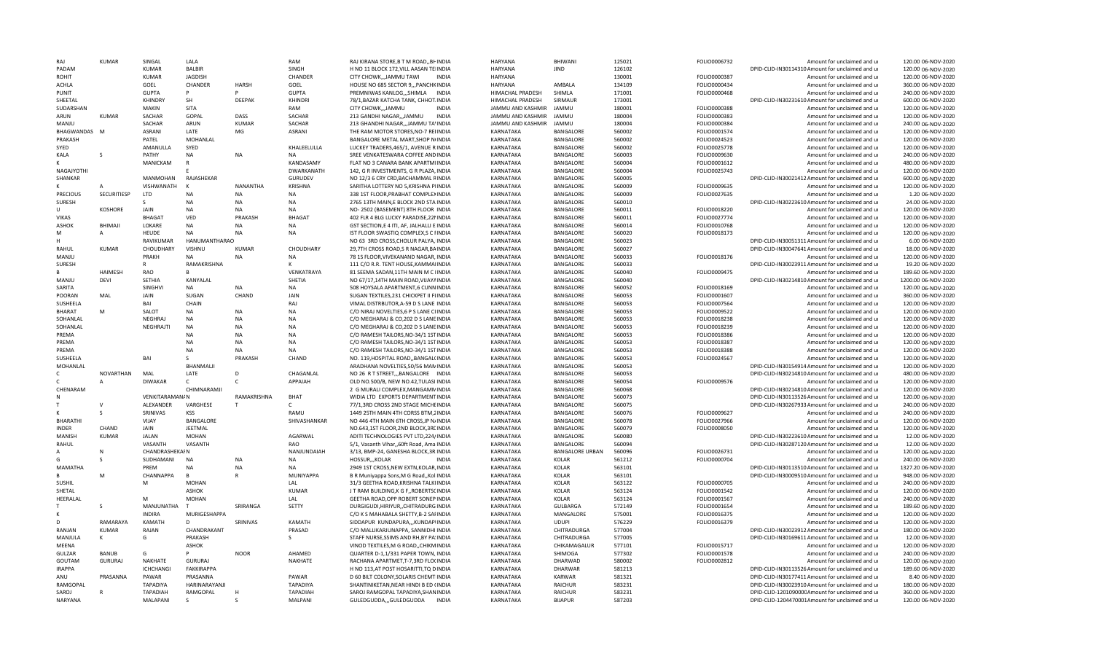| RAI             | <b>KUMAR</b>     | SINGAL                | LALA             |              | RAM               | RAJ KIRANA STORE, B T M ROAD,, BHINDIA    | <b>HARYANA</b>    | BHIWANI                | 125021 | FOLIO0006732 | Amount for unclaimed and ur                      | 120.00 06-NOV-2020  |
|-----------------|------------------|-----------------------|------------------|--------------|-------------------|-------------------------------------------|-------------------|------------------------|--------|--------------|--------------------------------------------------|---------------------|
| PADAM           |                  | KUMAR                 | <b>BALBIR</b>    |              | SINGH             | H NO 11 BLOCK 172, VILL AASAN TEIINDIA    | HARYANA           | <b>JIND</b>            | 126102 |              | DPID-CLID-IN30114310 Amount for unclaimed and ur | 120.00 06-NOV-2020  |
| ROHIT           |                  | <b>KUMAR</b>          | <b>JAGDISH</b>   |              | CHANDER           | CITY CHOWK,,,JAMMU TAWI<br><b>INDIA</b>   | HARYANA           |                        | 130001 | FOLIO0000387 | Amount for unclaimed and ur                      | 120.00 06-NOV-2020  |
| <b>ACHLA</b>    |                  | GOEL                  | CHANDER          | <b>HARSH</b> | GOEL              | HOUSE NO 685 SECTOR 9,,, PANCHKINDIA      | HARYANA           | AMBALA                 | 134109 | FOLIO0000434 | Amount for unclaimed and ur                      | 360.00 06-NOV-2020  |
| PUNIT           |                  | <b>GUPTA</b>          | Þ                | Þ            | <b>GUPTA</b>      | PREMNIWAS KANLOG,,,SHIMLA<br><b>INDIA</b> | HIMACHAL PRADESH  | SHIMLA                 | 171001 | FOLIO0000468 | Amount for unclaimed and ur                      | 240.00 06-NOV-2020  |
| SHEETAL         |                  | KHINDRY               | SH               | DEEPAK       | KHINDRI           | 78/1, BAZAR KATCHA TANK, CHHOT. INDIA     | HIMACHAL PRADESH  | SIRMAUR                | 173001 |              | DPID-CLID-IN30231610 Amount for unclaimed and ur | 600.00 06-NOV-2020  |
| SUDARSHAN       |                  | MAKIN                 | SITA             |              | RAM               | CITY CHOWK,,,JAMMU<br><b>INDIA</b>        | JAMMU AND KASHMIR | <b>JAMMU</b>           | 180001 | FOLIO0000388 | Amount for unclaimed and ur                      | 120.00 06-NOV-2020  |
| ARUN            | <b>KUMAR</b>     | SACHAR                | GOPAL            | DASS         | SACHAR            | 213 GANDHI NAGAR,,,JAMMU<br>INDIA         | JAMMU AND KASHMIR | <b>JAMMU</b>           | 180004 | FOLIO0000383 | Amount for unclaimed and ur                      | 120.00 06-NOV-2020  |
| MANIU           |                  | SACHAR                | ARUN             | KUMAR        | SACHAR            | 213 GHANDHI NAGAR,,,JAMMU TA'INDIA        | JAMMU AND KASHMIR | <b>JAMMU</b>           | 180004 | FOLIO0000384 | Amount for unclaimed and ur                      | 240.00 06-NOV-2020  |
| BHAGWANDAS M    |                  | ASRANI                | LATE             | MG           | <b>ASRANI</b>     | THE RAM MOTOR STORES, NO-7 REIINDIA       | KARNATAKA         | BANGALORE              | 560002 | FOLIO0001574 | Amount for unclaimed and ur                      | 120.00 06-NOV-2020  |
| PRAKASH         |                  | PATEL                 | MOHANLAL         |              |                   | BANGALORE METAL MART, SHOP NIINDIA        | KARNATAKA         | BANGALORE              | 560002 | FOLIO0024523 | Amount for unclaimed and ur                      | 120.00 06-NOV-2020  |
| SYED            |                  | AMANULLA              | SYED             |              | KHALEELULLA       | LUCKEY TRADERS.465/1. AVENUE R INDIA      | KARNATAKA         | <b>BANGALORE</b>       | 560002 | FOLIO0025778 | Amount for unclaimed and ur                      | 120.00 06-NOV-2020  |
| KALA            | <sub>S</sub>     | PATHY                 | NA               | <b>NA</b>    | <b>NA</b>         | SREE VENKATESWARA COFFEE AND INDIA        | KARNATAKA         | BANGALORE              | 560003 | FOLIO0009630 |                                                  | 240.00 06-NOV-2020  |
|                 |                  |                       |                  |              |                   |                                           |                   |                        |        |              | Amount for unclaimed and ur                      |                     |
|                 |                  | MANICKAM              | $\mathsf{R}$     |              | KANDASAMY         | FLAT NO 3 CANARA BANK APARTMIINDIA        | KARNATAKA         | <b>BANGALORE</b>       | 560004 | FOLIO0001612 | Amount for unclaimed and ur                      | 480.00 06-NOV-2020  |
| NAGAJYOTHI      |                  |                       |                  |              | <b>DWARKANATH</b> | 142, G R INVESTMENTS, G R PLAZA, INDIA    | KARNATAKA         | BANGALORE              | 560004 | FOLIO0025743 | Amount for unclaimed and ur                      | 120.00 06-NOV-2020  |
| SHANKAR         |                  | MANMOHAN              | RAJASHEKAR       |              | <b>GURUDEV</b>    | NO 12/3 6 CRY CRD, BACHAMMAL RINDIA       | KARNATAKA         | BANGALORE              | 560005 |              | DPID-CLID-IN30021412 Amount for unclaimed and ur | 600.00 06-NOV-2020  |
|                 |                  | VISHWANATH            | K                | NANANTHA     | <b>KRISHNA</b>    | SARITHA LOTTERY NO 5, KRISHNA PIINDIA     | <b>KARNATAKA</b>  | BANGALORE              | 560009 | FOLIO0009635 | Amount for unclaimed and ur                      | 120.00 06-NOV-2020  |
| <b>PRECIOUS</b> | SECURITIESP      | LTD                   | <b>NA</b>        | <b>NA</b>    | <b>NA</b>         | 338 1ST FLOOR, PRABHAT COMPLEXINDIA       | KARNATAKA         | BANGALORE              | 560009 | FOLIO0027635 | Amount for unclaimed and ur                      | 1.20 06-NOV-2020    |
| <b>SURESH</b>   |                  |                       | NA               | <b>NA</b>    | <b>NA</b>         | 2765 13TH MAIN, E BLOCK 2ND STAINDIA      | KARNATAKA         | BANGALORE              | 560010 |              | DPID-CLID-IN30223610 Amount for unclaimed and ur | 24.00 06-NOV-2020   |
| $\mathbf{U}$    | <b>KOSHORE</b>   | JAIN                  | <b>NA</b>        | <b>NA</b>    | <b>NA</b>         | NO- 2502 (BASEMENT) 8TH FLOOR INDIA       | KARNATAKA         | <b>BANGALORE</b>       | 560011 | FOLIO0018220 | Amount for unclaimed and ur                      | 120.00 06-NOV-2020  |
| <b>VIKAS</b>    |                  | <b>BHAGA1</b>         | VED              | PRAKASH      | <b>BHAGAT</b>     | 402 FLR 4 BLG LUCKY PARADISE, 22 NINDIA   | KARNATAKA         | BANGALORE              | 560011 | FOLIO0027774 | Amount for unclaimed and ur                      | 120.00 06-NOV-2020  |
| ASHOK           | BHIMAJI          | LOKARE                | <b>NA</b>        | NA           | <b>NA</b>         | GST SECTION,E 4 ITI, AF, JALHALLI E INDIA | KARNATAKA         | BANGALORE              | 560014 | FOLIO0010768 | Amount for unclaimed and ur                      | 120.00 06-NOV-2020  |
| M               | A                | HEUDE                 | NΔ               | <b>NA</b>    | <b>NA</b>         | IST FLOOR SWASTIQ COMPLEX,S C FINDIA      | KARNATAKA         | BANGALORE              | 560020 | FOLIO0018173 | Amount for unclaimed and ur                      | 120.00 06-NOV-2020  |
|                 |                  | RAVIKUMAR             | HANUMANTHARAO    |              |                   | NO 63 3RD CROSS, CHOLUR PALYA, INDIA      | KARNATAKA         | <b>BANGALORE</b>       | 560023 |              | DPID-CLID-IN30051311 Amount for unclaimed and ur | 6.00 06-NOV-2020    |
| RAHUI           | <b>KUMAR</b>     | CHOUDHARY             | <b>VISHNU</b>    | <b>KUMAR</b> | CHOUDHARY         | 29,7TH CROSS ROAD, SR NAGAR, BAINDIA      | KARNATAKA         | BANGALORE              | 560027 |              | DPID-CLID-IN30047641 Amount for unclaimed and ur | 18.00 06-NOV-2020   |
| MANJU           |                  | PRAKH                 | NA               | <b>NA</b>    | <b>NA</b>         | 78 1S FLOOR, VIVEKANAND NAGAR, INDIA      | KARNATAKA         | BANGALORE              | 560033 | FOLIO0018176 | Amount for unclaimed and ur                      | 120.00 06-NOV-2020  |
| <b>SURESH</b>   |                  | R                     | RAMAKRISHNA      |              |                   |                                           |                   | <b>BANGALORE</b>       |        |              | DPID-CLID-IN30023911 Amount for unclaimed and ur | 19.20 06-NOV-2020   |
|                 |                  |                       |                  |              |                   | 111 C/O R.R. TENT HOUSE, KAMMAIINDIA      | KARNATAKA         |                        | 560033 |              |                                                  |                     |
| R               | <b>HAIMESH</b>   | RAO                   | В                |              | VENKATRAYA        | 81 SEEMA SADAN, 11TH MAIN M C IINDIA      | KARNATAKA         | BANGALORE              | 560040 | FOLIO0009475 | Amount for unclaimed and ur                      | 189.60 06-NOV-2020  |
| MANJU           | <b>DEVI</b>      | <b>SETHIA</b>         | KANYALAL         |              | <b>SHETIA</b>     | NO 67/17,14TH MAIN ROAD, VIJAYAINDIA      | KARNATAKA         | BANGALORE              | 560040 |              | DPID-CLID-IN30214810 Amount for unclaimed and ur | 1200.00 06-NOV-2020 |
| SARITA          |                  | <b>SINGHV</b>         | <b>NA</b>        | NA           | <b>NA</b>         | 508 HOYSALA APARTMENT,6 CUNNINDIA         | KARNATAKA         | <b>BANGALORE</b>       | 560052 | FOLIO0018169 | Amount for unclaimed and ur                      | 120.00 06-NOV-2020  |
| POORAN          | MAL              | <b>JAIN</b>           | SUGAN            | CHAND        | JAIN              | SUGAN TEXTILES.231 CHICKPET II FUNDIA     | KARNATAKA         | <b>BANGALORE</b>       | 560053 | FOLIO0001607 | Amount for unclaimed and ur                      | 360.00 06-NOV-2020  |
| SUSHEELA        |                  | BAI                   | CHAIN            |              | RAJ               | VIMAL DISTRBUTOR, A-59 D S LANE INDIA     | KARNATAKA         | BANGALORE              | 560053 | FOLIO0007564 | Amount for unclaimed and ur                      | 120.00 06-NOV-2020  |
| <b>BHARAT</b>   | M                | SALOT                 | <b>NA</b>        | NA           | <b>NA</b>         | C/O NIRAJ NOVELTIES, 6 P S LANE CHNDIA    | KARNATAKA         | BANGALORE              | 560053 | FOLIO0009522 | Amount for unclaimed and ur                      | 120.00 06-NOV-2020  |
| SOHANLAL        |                  | <b>NEGHRAJ</b>        | NA               | NA           | <b>NA</b>         | C/O MEGHARAJ & CO, 202 D S LANE INDIA     | KARNATAKA         | <b>BANGALORE</b>       | 560053 | FOLIO0018238 | Amount for unclaimed and ur                      | 120.00 06-NOV-2020  |
| SOHANLAL        |                  | NEGHRAJTI             | <b>NA</b>        | <b>NA</b>    | <b>NA</b>         | C/O MEGHARAJ & CO, 202 D S LANE INDIA     | KARNATAKA         | BANGALORE              | 560053 | FOLIO0018239 | Amount for unclaimed and ur                      | 120.00 06-NOV-2020  |
| PREMA           |                  |                       | <b>NA</b>        | <b>NA</b>    | <b>NA</b>         | C/O RAMESH TAILORS, NO-34/1 1STINDIA      | KARNATAKA         | BANGALORE              | 560053 | FOLIO0018386 | Amount for unclaimed and ur                      | 120.00 06-NOV-2020  |
| PRFMA           |                  |                       | <b>NA</b>        | <b>NA</b>    | <b>NA</b>         | C/O RAMESH TAILORS, NO-34/1 1STINDIA      | KARNATAKA         | BANGALORE              | 560053 | FOLIO0018387 | Amount for unclaimed and ur                      | 120.00 06-NOV-2020  |
| PRFMA           |                  |                       | <b>NA</b>        | <b>NA</b>    | <b>NA</b>         | C/O RAMESH TAILORS.NO-34/1 1STINDIA       | KARNATAKA         | <b>BANGALORE</b>       | 560053 | FOLIO0018388 | Amount for unclaimed and ur                      | 120.00 06-NOV-2020  |
| SUSHEELA        |                  | BAI                   | S                | PRAKASH      | CHAND             | NO. 119, HOSPITAL ROAD, BANGAL(INDIA      | KARNATAKA         | BANGALORE              | 560053 | FOLIO0024567 | Amount for unclaimed and ur                      | 120.00 06-NOV-2020  |
| MOHANLAL        |                  |                       | <b>BHANMALII</b> |              |                   | ARADHANA NOVELTIES, 50/56 MANINDIA        | KARNATAKA         | BANGALORE              | 560053 |              | DPID-CLID-IN30154914 Amount for unclaimed and ur | 120.00 06-NOV-2020  |
|                 | <b>NOVARTHAN</b> | MAL                   |                  | D            |                   |                                           |                   |                        |        |              |                                                  |                     |
|                 |                  |                       | LATE             |              | CHAGANLAL         | NO 26 R T STREET,,, BANGALORE INDIA       | KARNATAKA         | BANGALORE              | 560053 |              | DPID-CLID-IN30214810 Amount for unclaimed and ur | 480.00 06-NOV-2020  |
|                 |                  | <b>DIWAKAR</b>        | $\mathsf{C}$     |              | APPAIAH           | OLD NO.500/B, NEW NO.42, TULASI INDIA     | KARNATAKA         | BANGALORE              | 560054 | FOLIO0009576 | Amount for unclaimed and ur                      | 120.00 06-NOV-2020  |
| CHENARAM        |                  |                       | CHIMNARAMJI      |              |                   | 2 G MURALI COMPLEX, MANGAMNINDIA          | <b>KARNATAKA</b>  | <b>BANGALORE</b>       | 560068 |              | DPID-CLID-IN30214810 Amount for unclaimed and ur | 120.00 06-NOV-2020  |
|                 |                  | <b>VENKITARAMAN/N</b> |                  | RAMAKRISHNA  | BHAT              | WIDIA LTD EXPORTS DEPARTMENT INDIA        | KARNATAKA         | BANGALORE              | 560073 |              | DPID-CLID-IN30113526 Amount for unclaimed and ur | 120.00 06-NOV-2020  |
|                 |                  | ALEXANDER             | VARGHESE         |              | $\mathsf{C}$      | 77/1,3RD CROSS 2ND STAGE MICHEINDIA       | KARNATAKA         | BANGALORE              | 560075 |              | DPID-CLID-IN30267933 Amount for unclaimed and ur | 240.00 06-NOV-2020  |
|                 |                  | SRINIVAS              | <b>KSS</b>       |              | RAMU              | 1449 25TH MAIN 4TH CORSS BTM, 2INDIA      | KARNATAKA         | BANGALORE              | 560076 | FOLIO0009627 | Amount for unclaimed and ur                      | 240.00 06-NOV-2020  |
| <b>BHARATH</b>  |                  | VIJAY                 | BANGALORE        |              | SHIVASHANKAR      | NO 446 4TH MAIN 6TH CROSS, JP N/INDIA     | KARNATAKA         | BANGALORE              | 560078 | FOLIO0027966 | Amount for unclaimed and ur                      | 120.00 06-NOV-2020  |
| <b>INDFR</b>    | CHAND            | JAIN                  | <b>JFFTMAL</b>   |              |                   | NO.643,1ST FLOOR,2ND BLOCK,3REINDIA       | KARNATAKA         | BANGALORE              | 560079 | FOLIO0008050 | Amount for unclaimed and ur                      | 120.00 06-NOV-2020  |
| <b>MANISH</b>   | <b>KUMAR</b>     | <b>JALAN</b>          | <b>MOHAN</b>     |              | AGARWAL           | ADITI TECHNOLOGIES PVT LTD, 224/INDIA     | KARNATAKA         | <b>BANGALORE</b>       | 560080 |              | DPID-CLID-IN30223610 Amount for unclaimed and ur | 12.00 06-NOV-2020   |
| RAHUL           |                  | VASANTH               | VASANTH          |              | RAO               | 5/1, Vasanth Vihar,, 60ft Road, Ama INDIA | KARNATAKA         | <b>BANGALORE</b>       | 560094 |              | DPID-CLID-IN30287120 Amount for unclaimed and ur | 12.00 06-NOV-2020   |
|                 | N                | CHANDRASHEKAI N       |                  |              | NANJUNDAIAH       | 3/13, BMP-24, GANESHA BLOCK, 3R INDIA     | KARNATAKA         | <b>BANGALORE URBAN</b> | 560096 | FOLIO0026731 | Amount for unclaimed and ur                      | 120.00 06-NOV-2020  |
| G               |                  | SUDHAMANI             | <b>NA</b>        | <b>NA</b>    | <b>NA</b>         | HOSSUR,,,KOLAR<br><b>INDIA</b>            | KARNATAKA         | <b>KOLAR</b>           | 561212 | FOLIO0000704 | Amount for unclaimed and ur                      | 240.00 06-NOV-2020  |
| MAMATHA         |                  | PREM                  | NA               | NA           | <b>NA</b>         | 2949 1ST CROSS, NEW EXTN, KOLAR, INDIA    | KARNATAKA         | <b>KOLAR</b>           | 563101 |              | DPID-CLID-IN30113510 Amount for unclaimed and ur | 1327.20 06-NOV-2020 |
| R               | M                | CHANNAPPA             | B                | R            | <b>MUNIYAPPA</b>  | B R Muniyappa Sons, M G Road,, Kol: INDIA | KARNATAKA         | <b>KOLAR</b>           | 563101 |              | DPID-CLID-IN30009510 Amount for unclaimed and ur | 948.00 06-NOV-2020  |
| SUSHIL          |                  | м                     | <b>MOHAN</b>     |              | LAL               | 31/3 GEETHA ROAD, KRISHNA TALKIINDIA      | KARNATAKA         | <b>KOLAR</b>           | 563122 | FOLIO0000705 | Amount for unclaimed and ur                      | 240.00 06-NOV-2020  |
| SHETAL          |                  |                       | ASHOK            |              | <b>KUMAR</b>      | J T RAM BUILDING, K G F,, ROBERTSCINDIA   | KARNATAKA         | <b>KOLAR</b>           | 563124 | FOLIO0001542 | Amount for unclaimed and ur                      | 120.00 06-NOV-2020  |
|                 |                  | M                     |                  |              |                   |                                           |                   |                        |        |              |                                                  |                     |
| HEERALAL        |                  |                       | <b>MOHAN</b>     |              | LAL               | GEETHA ROAD, OPP ROBERT SONEP INDIA       | KARNATAKA         | <b>KOLAR</b>           | 563124 | FOLIO0001567 | Amount for unclaimed and ur                      | 240.00 06-NOV-2020  |
|                 |                  | MANJUNATHA            |                  | SRIRANGA     | SETTY             | DURGIGUDI, HIRIYUR, , CHITRADURG INDIA    | KARNATAKA         | <b>GULBARGA</b>        | 572149 | FOLIO0001654 | Amount for unclaimed and ur                      | 189.60 06-NOV-2020  |
|                 |                  | <b>INDIRA</b>         | MURIGESHAPPA     |              |                   | C/O K S MAHABALA SHETTY, B-2 SAFINDIA     | KARNATAKA         | MANGALORE              | 575001 | FOLIO0016375 | Amount for unclaimed and ur                      | 120.00 06-NOV-2020  |
| D.              | RAMARAYA         | KAMATH                | D                | SRINIVAS     | KAMATH            | SIDDAPUR KUNDAPURA,,,KUNDAPIINDIA         | KARNATAKA         | <b>UDUPI</b>           | 576229 | FOLIO0016379 | Amount for unclaimed and u                       | 120.00 06-NOV-2020  |
| RANJAN          | <b>KUMAR</b>     | RAJAN                 | CHANDRAKANT      |              | PRASAD            | C/O MALLIKARJUNAPPA, SANNIDHI INDIA       | KARNATAKA         | CHITRADURGA            | 577004 |              | DPID-CLID-IN30023912 Amount for unclaimed and ur | 180.00 06-NOV-2020  |
| MANJULA         | Κ                | G                     | PRAKASH          |              | S                 | STAFF NURSE, SSIMS AND RH, BY PA: INDIA   | KARNATAKA         | CHITRADURGA            | 577005 |              | DPID-CLID-IN30169611 Amount for unclaimed and ur | 12.00 06-NOV-2020   |
| MEENA           |                  |                       | ASHOK            |              |                   | VINOD TEXTILES, M G ROAD, , CHIKMINDIA    | KARNATAKA         | CHIKAMAGALUR           | 577101 | FOLIO0015717 | Amount for unclaimed and ur                      | 120.00 06-NOV-2020  |
| GULZAR          | <b>BANUB</b>     | G.                    | <b>p</b>         | <b>NOOR</b>  | AHAMED            | QUARTER D-1,1/331 PAPER TOWN, INDIA       | KARNATAKA         | SHIMOGA                | 577302 | FOLIO0001578 | Amount for unclaimed and ur                      | 240.00 06-NOV-2020  |
| GOUTAM          | <b>GURURAJ</b>   | NAKHATE               | <b>GURURAJ</b>   |              | NAKHATE           | RACHANA APARTMET, T-7, 3RD FLO(INDIA      | KARNATAKA         | <b>DHARWAD</b>         | 580002 | FOLIO0002812 | Amount for unclaimed and ur                      | 120.00 06-NOV-2020  |
| <b>IRAPPA</b>   |                  | <b>ICHCHANGI</b>      | FAKKIRAPPA       |              |                   | H NO 113, AT POST HOSARITTI, TO DINDIA    | KARNATAKA         | <b>DHARWAR</b>         | 581213 |              | DPID-CLID-IN30113526 Amount for unclaimed and ur | 189.60 06-NOV-2020  |
| ANU             | PRASANNA         | PAWAR                 | PRASANNA         |              | PAWAR             | D 60 BILT COLONY.SOLARIS CHEMTINDIA       | <b>KARNATAKA</b>  | <b>KARWAR</b>          | 581321 |              | DPID-CLID-IN30177411 Amount for unclaimed and ur | 8.40 06-NOV-2020    |
| RAMGOPAL        |                  | <b>TAPADIYA</b>       | HARINARAYANJI    |              | <b>TAPADIYA</b>   | SHANTINIKETAN, NEAR HINDI B ED (INDIA     | <b>KARNATAKA</b>  | RAICHUR                | 583231 |              | DPID-CLID-IN30023910 Amount for unclaimed and ur | 180.00 06-NOV-2020  |
| <b>SAROJ</b>    |                  | TAPADIAH              | RAMGOPAL         | H            | <b>TAPADIAH</b>   | SAROJ RAMGOPAL TAPADIYA, SHANINDIA        | KARNATAKA         | RAICHUR                | 583231 |              | DPID-CLID-120109000CAmount for unclaimed and ur  | 360.00 06-NOV-2020  |
| NARYANA         |                  | MALAPANI              | S                | $\varsigma$  | MALPANI           | GULEDGUDDA,,,GULEDGUDDA INDIA             | KARNATAKA         | <b>BIJAPUR</b>         | 587203 |              | DPID-CLID-1204470001Amount for unclaimed and ur  | 120.00 06-NOV-2020  |
|                 |                  |                       |                  |              |                   |                                           |                   |                        |        |              |                                                  |                     |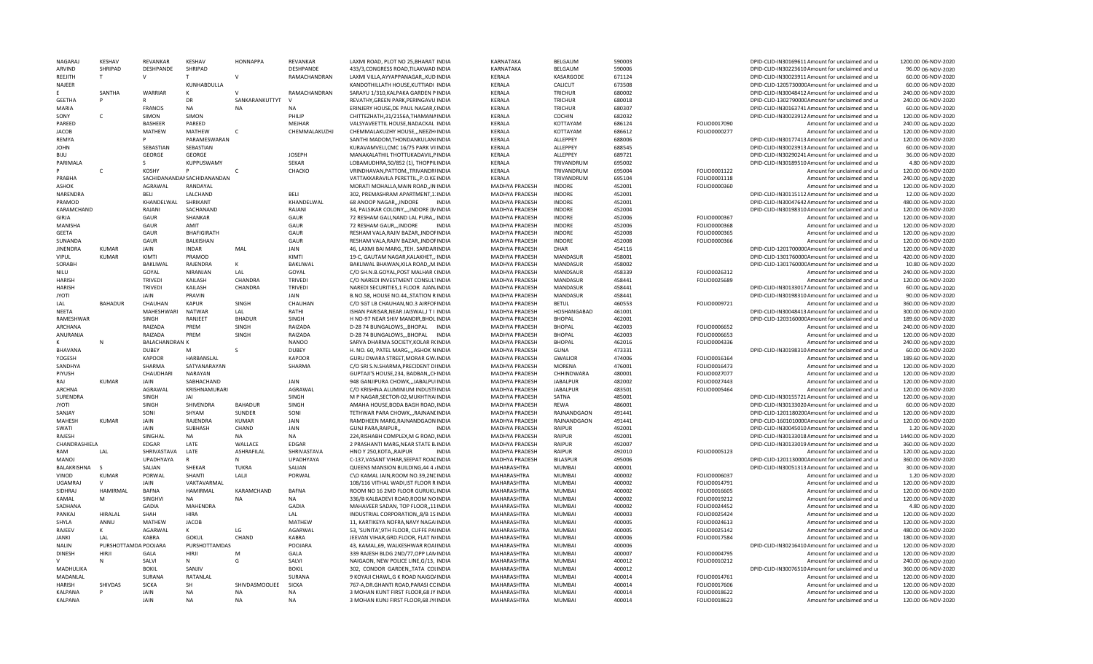| NAGARAJ                   | KESHAV               | REVANKAR              | KESHAV                      | <b>HONNAPPA</b>        | <b>REVANKAR</b>        | LAXMI ROAD, PLOT NO 25, BHARAT INDIA                                           | KARNATAKA                  | BELGAUM                        | 590003           |                              | DPID-CLID-IN30169611 Amount for unclaimed and up           | 1200.00 06-NOV-2020                      |
|---------------------------|----------------------|-----------------------|-----------------------------|------------------------|------------------------|--------------------------------------------------------------------------------|----------------------------|--------------------------------|------------------|------------------------------|------------------------------------------------------------|------------------------------------------|
| ARVIND                    | SHRIPAD              | DESHPANDE             | SHRIPAD                     |                        | DESHPANDE              | 433/3, CONGRESS ROAD, TILAKWAD INDIA                                           | KARNATAKA                  | BELGAUM                        | 590006           |                              | DPID-CLID-IN30223610 Amount for unclaimed and ur           | 96.00 06-NOV-2020                        |
| REEJITH                   | T                    | $\mathsf{V}$          |                             | $\mathsf{V}$           | RAMACHANDRAN           | LAXMI VILLA, AYYAPPANAGAR, , KUD INDIA                                         | KFRALA                     | KASARGODE                      | 671124           |                              | DPID-CLID-IN30023911 Amount for unclaimed and ur           | 60.00 06-NOV-2020                        |
| NAJEER                    |                      |                       | KUNHABDULLA                 |                        |                        | KANDOTHILLATH HOUSE, KUTTIADI INDIA                                            | KERALA                     | CALICUT                        | 673508           |                              | DPID-CLID-120573000CAmount for unclaimed and ur            | 60.00 06-NOV-2020                        |
|                           | SANTHA               | <b>WARRIAR</b>        | к                           | $\mathcal{U}$          | RAMACHANDRAN           | SARAYU 1/310, KALPAKA GARDEN P INDIA                                           | KERALA                     | <b>TRICHUR</b>                 | 680002           |                              | DPID-CLID-IN30048412 Amount for unclaimed and ur           | 240.00 06-NOV-2020                       |
| <b>GEETHA</b>             |                      |                       | DR                          | SANKARANKUTTYT         | $\mathcal{U}$          | REVATHY, GREEN PARK, PERINGAVU INDIA                                           | KERALA                     | TRICHUR                        | 680018           |                              | DPID-CLID-130279000CAmount for unclaimed and ur            | 240.00 06-NOV-2020                       |
| MARIA                     |                      | <b>FRANCIS</b>        | <b>NA</b>                   | <b>NA</b>              | <b>NA</b>              | ERINJERY HOUSE, DE PAUL NAGAR, (INDIA                                          | KERALA                     | TRICHUR                        | 680307           |                              | DPID-CLID-IN30163741 Amount for unclaimed and ur           | 60.00 06-NOV-2020                        |
| SONY                      | $\mathsf{C}$         | SIMON                 | SIMON                       |                        | PHILIP                 | CHITTEZHATH,31/2156A,THAMANAINDIA                                              | KERALA                     | COCHIN                         | 682032           |                              | DPID-CLID-IN30023912 Amount for unclaimed and ur           | 120.00 06-NOV-2020                       |
| PARFFD                    |                      | <b>BASHEER</b>        | PAREED                      |                        | MEJHAR                 | VALSYAVEETTIL HOUSE, NADACKAL INDIA                                            | KERALA                     | KOTTAYAM                       | 686124           | FOLIO0017090                 | Amount for unclaimed and ur                                | 240.00 06-NOV-2020                       |
| <b>JACOB</b>              |                      | MATHEW                | MATHEW                      |                        | CHEMMALAKUZHJ          | CHEMMALAKUZHY HOUSE,,, NEEZHIINDIA                                             | KERALA                     | KOTTAYAM                       | 686612           | FOLIO0000277                 | Amount for unclaimed and ur                                | 120.00 06-NOV-2020                       |
| RFMYA                     |                      |                       | PARAMESWARAN                |                        |                        | SANTHI MADOM, THONDANKULAN(INDIA                                               | KFRALA                     | ALLEPPEY                       | 688006           |                              | DPID-CLID-IN30177413 Amount for unclaimed and ur           | 120.00 06-NOV-2020                       |
| <b>JOHN</b>               |                      | SEBASTIAN             | SEBASTIAN                   |                        |                        | KURAVAMVELI, CMC 16/75 PARK VIIINDIA                                           | KERALA                     | ALLEPPEY                       | 688545           |                              | DPID-CLID-IN30023913 Amount for unclaimed and ur           | 60.00 06-NOV-2020                        |
| BIJU                      |                      | <b>GEORGE</b>         | <b>GEORGE</b>               |                        | <b>JOSEPH</b>          |                                                                                | KERALA                     | ALLEPPEY                       | 689721           |                              | DPID-CLID-IN30290241 Amount for unclaimed and ur           | 36.00 06-NOV-2020                        |
|                           |                      |                       |                             |                        |                        | MANAKALATHIL THOTTUKADAVIL, PINDIA                                             |                            |                                |                  |                              |                                                            |                                          |
| PARIMALA                  |                      | -S                    | KUPPUSWAMY                  |                        | SEKAR                  | LOBAMUDHRA, 50/852 (1), THOPPILINDIA                                           | KERALA                     | TRIVANDRUM                     | 695002           |                              | DPID-CLID-IN30189510 Amount for unclaimed and ur           | 4.80 06-NOV-2020                         |
|                           | $\mathsf{C}$         | <b>KOSHY</b>          | P                           | $\mathsf{C}$           | CHACKO                 | VRINDHAVAN, PATTOM, , TRIVANDRIINDIA                                           | KERALA                     | TRIVANDRUM                     | 695004           | FOLIO0001122                 | Amount for unclaimed and ur                                | 120.00 06-NOV-2020                       |
| PRABHA                    |                      |                       | SACHIDANANDAI SACHIDANANDAN |                        |                        | VATTAKKARAVILA PERETTIL,, P.O.KE INDIA                                         | KFRALA                     | TRIVANDRUM                     | 695104           | FOLIO0001118                 | Amount for unclaimed and ur                                | 240.00 06-NOV-2020                       |
| ASHOK                     |                      | AGRAWAL               | RANDAYAL                    |                        |                        | MORATI MOHALLA, MAIN ROAD,, IN INDIA                                           | MADHYA PRADESH             | <b>INDORF</b>                  | 452001           | FOLIO0000360                 | Amount for unclaimed and ur                                | 120.00 06-NOV-2020                       |
| <b>NARFNDRA</b>           |                      | <b>BFLI</b>           | LALCHAND                    |                        | <b>BFLI</b>            | 302, PREMASHRAM APARTMENT, 1. INDIA                                            | MADHYA PRADESH             | <b>INDORF</b>                  | 452001           |                              | DPID-CLID-IN30115112 Amount for unclaimed and ur           | 12.00 06-NOV-2020                        |
| PRAMOD                    |                      | KHANDELWAL            | SHRIKANT                    |                        | KHANDELWAL             | 68 ANOOP NAGARINDORE<br><b>INDIA</b>                                           | MADHYA PRADESH             | <b>INDORE</b>                  | 452001           |                              | DPID-CLID-IN30047642 Amount for unclaimed and ur           | 480.00 06-NOV-2020                       |
| KARAMCHAND                |                      | RAJANI                | SACHANAND                   |                        | RAJANI                 | 34, PALSIKAR COLONY,,,,INDORE (MINDIA                                          | MADHYA PRADESH             | <b>INDORE</b>                  | 452004           |                              | DPID-CLID-IN30198310 Amount for unclaimed and ur           | 120.00 06-NOV-2020                       |
| <b>GIRJA</b>              |                      | GAUR                  | SHANKAR                     |                        | GAUR                   | 72 RESHAM GALI, NAND LAL PURA,, INDIA                                          | MADHYA PRADESH             | <b>INDORE</b>                  | 452006           | FOLIO0000367                 | Amount for unclaimed and ur                                | 120.00 06-NOV-2020                       |
| MANISHA                   |                      | GAUR                  | AMIT                        |                        | GAUR                   | 72 RESHAM GAUR,,,INDORE<br><b>INDIA</b>                                        | MADHYA PRADESH             | <b>INDORF</b>                  | 452006           | FOLIO0000368                 | Amount for unclaimed and ur                                | 120.00 06-NOV-2020                       |
| <b>GFFTA</b>              |                      | GAUR                  | BHAFIGIRATH                 |                        | <b>GAUR</b>            | RESHAM VALA, RAJIV BAZAR, , INDOFINDIA                                         | MADHYA PRADESH             | <b>INDORE</b>                  | 452008           | FOLIO0000365                 | Amount for unclaimed and ur                                | 120.00 06-NOV-2020                       |
| SUNANDA                   |                      | GAUR                  | BALKISHAN                   |                        | GAUR                   | RESHAM VALA, RAJIV BAZAR, , INDOFINDIA                                         | MADHYA PRADESH             | <b>INDORF</b>                  | 452008           | FOLIO0000366                 | Amount for unclaimed and ur                                | 120.00 06-NOV-2020                       |
| <b>JINENDRA</b>           | <b>KUMAR</b>         | JAIN                  | <b>INDAR</b>                | MAL                    | JAIN                   | 46, LAXMI BAI MARG, TEH. SARDARINDIA                                           | MADHYA PRADESH             | DHAR                           | 454116           |                              | DPID-CLID-120170000CAmount for unclaimed and ur            | 120.00 06-NOV-2020                       |
| <b>VIPUL</b>              | KUMAR                | KIMTI                 | PRAMOD                      |                        | KIMTI                  | 19-C, GAUTAM NAGAR, KALAKHET, INDIA                                            | MADHYA PRADESH             | MANDASUF                       | 458001           |                              | DPID-CLID-130176000CAmount for unclaimed and ur            | 420.00 06-NOV-2020                       |
| <b>SORABH</b>             |                      | BAKLIWAL              | RAJENDRA                    | к                      | <b>BAKLIWAL</b>        |                                                                                | MADHYA PRADESH             | MANDASUR                       | 458002           |                              | DPID-CLID-130176000CAmount for unclaimed and ur            | 10.80 06-NOV-2020                        |
|                           |                      |                       |                             |                        |                        | BAKLIWAL BHAWAN, KILA ROAD,, M. INDIA                                          |                            |                                |                  |                              |                                                            |                                          |
| <b>NILU</b>               |                      | GOYAL                 | <b>NIRANJAN</b>             | LAL                    | GOYAL                  | C/O SH.N.B.GOYAL, POST MALHAR CINDIA                                           | MADHYA PRADESH             | MANDSAUR                       | 458339           | FOLIO0026312                 | Amount for unclaimed and ur                                | 240.00 06-NOV-2020                       |
| <b>HARISH</b>             |                      | <b>TRIVEDI</b>        | KAILASH                     | CHANDRA                | <b>TRIVEDI</b>         | C/O NAREDI INVESTMENT CONSULTINDIA                                             | MADHYA PRADESH             | MANDASUR                       | 458441           | FOLIO0025689                 | Amount for unclaimed and ur                                | 120.00 06-NOV-2020                       |
| <b>HARISH</b>             |                      | TRIVEDI               | KAILASH                     | CHANDRA                | <b>TRIVEDI</b>         | NAREDI SECURITIES,1 FLOOR AJAN INDIA                                           | MADHYA PRADESH             | MANDASUR                       | 458441           |                              | DPID-CLID-IN30133017 Amount for unclaimed and ur           | 60.00 06-NOV-2020                        |
| <b>JYOTI</b>              |                      | <b>JAIN</b>           | PRAVIN                      |                        | <b>JAIN</b>            | B.NO.58, HOUSE NO.44,, STATION RINDIA                                          | MADHYA PRADESH             | MANDASUR                       | 458441           |                              | DPID-CLID-IN30198310 Amount for unclaimed and ur           | 90.00 06-NOV-2020                        |
| LAL                       | <b>BAHADUR</b>       | CHAUHAN               | <b>KAPUR</b>                | SINGH                  | CHAUHAN                | C/O SGT LB CHAUHAN, NO.3 AIRFOFINDIA                                           | MADHYA PRADESH             | <b>BETUL</b>                   | 460553           | FOLIO0009721                 | Amount for unclaimed and ur                                | 360.00 06-NOV-2020                       |
| NEETA                     |                      | MAHESHWARI            | <b>NATWAR</b>               | LAL                    | RATHI                  | ISHAN PARISAR, NEAR JAISWAL, I T I INDIA                                       | MADHYA PRADESH             | HOSHANGABAD                    | 461001           |                              | DPID-CLID-IN30048413 Amount for unclaimed and ur           | 300.00 06-NOV-2020                       |
| RAMESHWAR                 |                      | SINGH                 | RANJEET                     | <b>BHADUR</b>          | SINGH                  | H NO-97 NEAR SHIV MANDIR.BHOLINDIA                                             | MADHYA PRADESH             | <b>BHOPAL</b>                  | 462001           |                              | DPID-CLID-120316000CAmount for unclaimed and ur            | 189.60 06-NOV-2020                       |
| <b>ARCHANA</b>            |                      | RAIZADA               | PREM                        | SINGH                  | RAIZADA                | D-28 74 BUNGALOWS,,,BHOPAL<br><b>INDIA</b>                                     | MADHYA PRADESH             | <b>BHOPAL</b>                  | 462003           | FOLIO0006652                 | Amount for unclaimed and ur                                | 240.00 06-NOV-2020                       |
| ANURANJA                  |                      | RAIZADA               | PREM                        | SINGH                  | RAIZADA                | D-28 74 BUNGALOWS,,,BHOPAL<br><b>INDIA</b>                                     | MADHYA PRADESH             | <b>BHOPAL</b>                  | 462003           | FOLIO0006653                 | Amount for unclaimed and ur                                | 120.00 06-NOV-2020                       |
|                           | N                    | <b>BALACHANDRAN K</b> |                             |                        | <b>NANOO</b>           | SARVA DHARMA SOCIETY, KOLAR R(INDIA                                            | MADHYA PRADESH             | <b>BHOPAL</b>                  | 462016           | FOLIO0004336                 | Amount for unclaimed and ur                                | 240.00 06-NOV-2020                       |
| <b>BHAVANA</b>            |                      | <b>DUBEY</b>          | M                           | -S                     | <b>DUBEY</b>           | H. NO. 60, PATEL MARG,,,,ASHOK NINDIA                                          | MADHYA PRADESH             | <b>GUNA</b>                    | 473331           |                              | DPID-CLID-IN30198310 Amount for unclaimed and ur           | 60.00 06-NOV-2020                        |
| YOGESH                    |                      | <b>KAPOOR</b>         | HARBANSLAL                  |                        | <b>KAPOOR</b>          | GURU DWARA STREET, MORAR GW. INDIA                                             | MADHYA PRADESH             | <b>GWALIOR</b>                 | 474006           | FOLIO0016164                 | Amount for unclaimed and ur                                | 189.60 06-NOV-2020                       |
| SANDHYA                   |                      | SHARMA                | SATYANARAYAN                |                        | SHARMA                 | C/O SRI S.N.SHARMA, PRECIDENT DIINDIA                                          | MADHYA PRADESH             | <b>MORENA</b>                  | 476001           | FOLIO0016473                 | Amount for unclaimed and ur                                | 120.00 06-NOV-2020                       |
| PIYUSH                    |                      | CHAUDHARI             | NARAYAN                     |                        |                        | GUPTAJI'S HOUSE, 234, BADBAN, CHINDIA                                          | MADHYA PRADESH             | CHHINDWARA                     | 480001           | FOLIO0027077                 | Amount for unclaimed and ur                                | 120.00 06-NOV-2020                       |
| RAI                       | KUMAR                | JAIN                  | SABHACHAND                  |                        | JAIN                   | 948 GANJIPURA CHOWK,,,JABALPUIINDIA                                            | MADHYA PRADESH             | <b>JABALPUR</b>                | 482002           | FOLIO0027443                 | Amount for unclaimed and ur                                |                                          |
|                           |                      |                       |                             |                        | AGRAWAL                |                                                                                | MADHYA PRADESH             |                                |                  |                              |                                                            |                                          |
| ARCHNA                    |                      | AGRAWAL               | KRISHNAMURARI               |                        |                        | C/O KRISHNA ALUMINIUM INDUSTFINDIA                                             |                            |                                |                  |                              |                                                            | 120.00 06-NOV-2020                       |
| SURENDRA                  |                      |                       |                             |                        |                        |                                                                                |                            | <b>JABALPUR</b>                | 483501           | FOLIO0005464                 | Amount for unclaimed and ur                                | 120.00 06-NOV-2020                       |
| <b>JYOTI</b>              |                      | SINGH                 | JAI                         |                        | SINGH                  | M P NAGAR, SECTOR-02, MUKHTIYAIINDIA                                           | MADHYA PRADESH             | SATNA                          | 485001           |                              | DPID-CLID-IN30155721 Amount for unclaimed and ur           | 120.00 06-NOV-2020                       |
| SANJAY                    |                      | SINGH                 | SHIVENDRA                   | <b>BAHADUR</b>         | SINGH                  | AMAHA HOUSE, BODA BAGH ROAD, INDIA                                             | MADHYA PRADESH             | REWA                           | 486001           |                              | DPID-CLID-IN30133020 Amount for unclaimed and ur           | 60.00 06-NOV-2020                        |
| MAHESH                    |                      | SONI                  | SHYAM                       | SUNDER                 | SONI                   | TETHWAR PARA CHOWK,,,RAJNANLINDIA                                              | MADHYA PRADESH             | RAJNANDGAON                    | 491441           |                              | DPID-CLID-120118020CAmount for unclaimed and ur            | 120.00 06-NOV-2020                       |
|                           | <b>KUMAR</b>         | JAIN                  | RAJENDRA                    | KUMAR                  | JAIN                   | RAMDHEEN MARG, RAJNANDGAON INDIA                                               | MADHYA PRADESH             | RAJNANDGAON                    | 491441           |                              | DPID-CLID-160101000CAmount for unclaimed and ur            | 120.00 06-NOV-2020                       |
| SWATI                     |                      | JAIN                  | <b>SUBHASH</b>              | CHAND                  | JAIN                   | GUNJ PARA, RAIPUR,<br><b>INDIA</b>                                             | MADHYA PRADESH             | <b>RAIPUR</b>                  | 492001           |                              | DPID-CLID-IN30045010 Amount for unclaimed and ur           | 1.20 06-NOV-2020                         |
| RAJFSH                    |                      | SINGHAL               | <b>NA</b>                   | <b>NA</b>              | <b>NA</b>              | 224 RISHABH COMPLEX M G ROAD INDIA                                             | MADHYA PRADESH             | <b>RAIPUR</b>                  | 492001           |                              | DPID-CLID-IN30133018 Amount for unclaimed and u            | 1440.00 06-NOV-2020                      |
| CHANDRASHIELA             |                      | EDGAR                 | LATE                        | WALLACE                | <b>EDGAR</b>           | 2 PRASHANTI MARG, NEAR STATE B. INDIA                                          | MADHYA PRADESH             | RAIPUR                         | 492007           |                              | DPID-CLID-IN30133019 Amount for unclaimed and ur           | 360.00 06-NOV-2020                       |
| RAM                       | LAL                  | SHRIVASTAVA           | LATE                        | ASHRAFILAL             | SHRIVASTAVA            | HNO Y 250, KOTA,, RAIPUR<br><b>INDIA</b>                                       | MADHYA PRADESH             | RAIPUR                         | 492010           | FOLIO0005123                 | Amount for unclaimed and ur                                | 120.00 06-NOV-2020                       |
| <b>MANOJ</b>              |                      | UPADHYAYA             |                             | $\mathbf N$            | <b>UPADHYAYA</b>       | C-137, VASANT VIHAR, SEEPAT ROACINDIA                                          | MADHYA PRADESH             | <b>BILASPUR</b>                | 495006           |                              | DPID-CLID-120113000CAmount for unclaimed and ur            | 360.00 06-NOV-2020                       |
| BALAKRISHNA               | - 5                  | SALIAN                | SHEKAR                      | <b>TUKRA</b>           | SALIAN                 | QUEENS MANSION BUILDING, 44 4 / INDIA                                          | MAHARASHTRA                | <b>MUMBAI</b>                  | 400001           |                              | DPID-CLID-IN30051313 Amount for unclaimed and ur           | 30.00 06-NOV-2020                        |
| VINOD                     | <b>KUMAR</b>         | PORWAL                | SHANTI                      | LALJI                  | PORWAL                 | C\O KAMAL JAIN, ROOM NO.39, 2NEINDIA                                           | MAHARASHTRA                | <b>MUMBAI</b>                  | 400002           | FOLIO0006037                 | Amount for unclaimed and ur                                | 1.20 06-NOV-2020                         |
| <b>UGAMRAJ</b>            | V                    | <b>JAIN</b>           | VAKTAVARMAL                 |                        |                        | 108/116 VITHAL WADI, IST FLOOR R INDIA                                         | MAHARASHTRA                | <b>MUMBAI</b>                  | 400002           | FOLIO0014791                 |                                                            | 120.00 06-NOV-2020                       |
| <b>SIDHRAJ</b>            | HAMIRMAL             | <b>BAFNA</b>          | HAMIRMAL                    | KARAMCHAND             | <b>BAFNA</b>           | ROOM NO 16 2MD FLOOR GURUKUINDIA                                               | MAHARASHTRA                | <b>MUMBAI</b>                  | 400002           | FOLIO0016605                 | Amount for unclaimed and ur<br>Amount for unclaimed and ur | 120.00 06-NOV-2020                       |
| KAMAL                     |                      | SINGHVI               |                             |                        | <b>NA</b>              |                                                                                | MAHARASHTRA                | MUMBAI                         |                  |                              |                                                            |                                          |
|                           | M                    |                       | <b>NA</b>                   | <b>NA</b>              |                        | 336/B KALBADEVI ROAD, ROOM NO INDIA                                            |                            |                                | 400002           | FOLIO0019212                 | Amount for unclaimed and ur                                | 120.00 06-NOV-2020                       |
| SADHANA                   |                      | GADIA                 | MAHENDRA                    |                        | GADIA                  | MAHAVEER SADAN, TOP FLOOR, 11INDIA                                             | MAHARASHTRA                | <b>MUMBAI</b>                  | 400002           | FOLIO0024452                 | Amount for unclaimed and ur                                | 4.80 06-NOV-2020                         |
| PANKAJ                    | <b>HIRALAL</b>       | SHAH                  | <b>HIRA</b>                 |                        | LAL                    | INDUSTRIAL CORPORATION, 8/B 1S INDIA                                           | MAHARASHTRA                | MUMBAI                         | 400003           | FOLIO0025424                 | Amount for unclaimed and ur                                | 120.00 06-NOV-2020                       |
| SHYLA                     | ANNU                 | MATHEW                | <b>JACOB</b>                |                        | <b>MATHEW</b>          | 11. KARTIKEYA NOFRA.NAVY NAGAIINDIA                                            | MAHARASHTRA                | <b>MUMBAI</b>                  | 400005           | FOLIO0024613                 | Amount for unclaimed and ur                                | 120.00 06-NOV-2020                       |
| RAJEEV                    | K                    | AGARWAL               | $\mathsf{K}$                | LG                     | AGARWAL                | 53, 'SUNITA', 9TH FLOOR, CUFFE PAIINDIA                                        | MAHARASHTRA                | MUMBAI                         | 400005           | FOLIO0025142                 | Amount for unclaimed and ur                                | 480.00 06-NOV-2020                       |
| <b>JANKI</b>              | LAL                  | KABRA                 | <b>GOKUL</b>                | CHAND                  | <b>KABRA</b>           | JEEVAN VIHAR, GRD. FLOOR, FLAT N(INDIA                                         | MAHARASHTRA                | <b>MUMBAI</b>                  | 400006           | FOLIO0017584                 | Amount for unclaimed and ur                                | 180.00 06-NOV-2020                       |
| <b>NALIN</b>              | PURSHOTTAMDA POOJARA |                       | PURSHOTTAMDAS               |                        | POOJARA                | 43, KAMAL, 69, WALKESHWAR ROAIINDIA                                            | MAHARASHTRA                | <b>MUMBAI</b>                  | 400006           |                              | DPID-CLID-IN30216410 Amount for unclaimed and ur           | 120.00 06-NOV-2020                       |
| <b>DINESH</b>             | <b>HIRJI</b>         | GALA                  | HIRJI                       | M                      | GALA                   | 339 RAJESH BLDG 2ND/77,OPP LANINDIA                                            | MAHARASHTRA                | MUMBAI                         | 400007           | FOLIO0004795                 | Amount for unclaimed and ur                                | 120.00 06-NOV-2020                       |
|                           |                      | SALVI                 | N                           | G                      | SALVI                  | NAIGAON, NEW POLICE LINE, G/13, INDIA                                          | MAHARASHTRA                | <b>MUMBAI</b>                  | 400012           | FOLIO0010212                 | Amount for unclaimed and ur                                | 240.00 06-NOV-2020                       |
| MADHULIKA                 |                      | <b>BOKIL</b>          | SANJIV                      |                        | <b>BOKIL</b>           | 302, CONDOR GARDEN, TATA COLINDIA                                              | MAHARASHTRA                | <b>MUMBAI</b>                  | 400012           |                              | DPID-CLID-IN30076510 Amount for unclaimed and ur           | 360.00 06-NOV-2020                       |
| MADANLAL                  |                      | SURANA                | RATANLAL                    |                        | SURANA                 | 9 KOYAJI CHAWL G K ROAD NAIGO/INDIA                                            | MAHARASHTRA                | <b>MUMBAI</b>                  | 400014           | FOLIO0014761                 | Amount for unclaimed and ur                                | 120.00 06-NOV-2020                       |
| <b>HARISH</b>             | SHIVDAS              | <b>SICKA</b>          | <b>SH</b>                   | SHIVDASMOOLIEE         | <b>SICKA</b>           | 767-A.DR.GHANTI ROAD.PARASI COINDIA                                            | MAHARASHTRA                | MUMBAI                         | 400014           | FOLIO0017606                 | Amount for unclaimed and ur                                | 120.00 06-NOV-2020                       |
| KALPANA<br><b>KALPANA</b> |                      | JAIN<br>JAIN          | <b>NA</b><br><b>NA</b>      | <b>NA</b><br><b>NA</b> | <b>NA</b><br><b>NA</b> | 3 MOHAN KUNT FIRST FLOOR, 68 JY INDIA<br>3 MOHAN KUNJ FIRST FLOOR, 68 JY(INDIA | MAHARASHTRA<br>MAHARASHTRA | <b>MUMBAI</b><br><b>MUMBAI</b> | 400014<br>400014 | FOLIO0018622<br>FOLIO0018623 | Amount for unclaimed and ur<br>Amount for unclaimed and ur | 120.00 06-NOV-2020<br>120.00 06-NOV-2020 |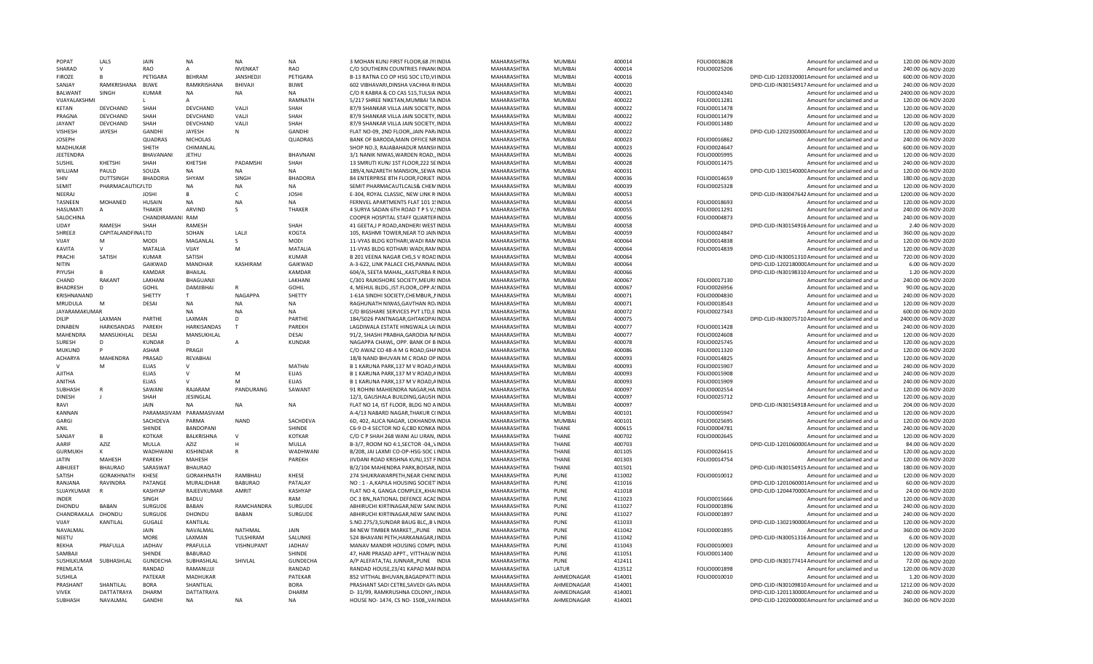| POPAT                          | LALS                          | <b>JAIN</b>      | <b>NA</b>               | <b>ΝΑ</b>         | <b>NA</b>          | 3 MOHAN KUNJ FIRST FLOOR, 68 JY(INDIA                                       | MAHARASHTRA                | MUMBA                    | 400014           | FOLIO0018628 | Amount for unclaimed and ur                                                                         | 120.00 06-NOV-2020                       |
|--------------------------------|-------------------------------|------------------|-------------------------|-------------------|--------------------|-----------------------------------------------------------------------------|----------------------------|--------------------------|------------------|--------------|-----------------------------------------------------------------------------------------------------|------------------------------------------|
| SHARAD                         | $\mathsf{V}$                  | <b>RAO</b>       | Δ                       | <b>NVFNKAT</b>    | RAO                | C/O SOUTHERN COUNTRIES FINAN(INDIA                                          | MAHARASHTRA                | MUMBAI                   | 400014           | FOLIO0025206 | Amount for unclaimed and ur                                                                         | 240.00 06-NOV-2020                       |
| <b>FIROZE</b>                  | R                             | PETIGARA         | <b>BFHRAM</b>           | <b>JANSHEDJI</b>  | PETIGARA           | B-13 RATNA CO OP HSG SOC LTD, VIINDIA                                       | MAHARASHTRA                | <b>MUMBAI</b>            | 400016           |              | DPID-CLID-1203320001Amount for unclaimed and ur                                                     | 600.00 06-NOV-2020                       |
| SANJAY                         | RAMKRISHANA                   | <b>BLIWE</b>     | RAMKRISHANA             | BHIVAJI           | <b>BLIWF</b>       | 602 VIBHAVARI, DINSHA VACHHA R(INDIA                                        | MAHARASHTRA                | MUMBAI                   | 400020           |              | DPID-CLID-IN30154917 Amount for unclaimed and ur                                                    | 240.00 06-NOV-2020                       |
| <b>BALWANT</b>                 | SINGH                         | <b>KUMAR</b>     | <b>NA</b>               | <b>NA</b>         | <b>NA</b>          | C/O R KABRA & CO CAS 515, TULSIA INDIA                                      | MAHARASHTRA                | <b>MUMBAI</b>            | 400021           | FOLIO0024340 | Amount for unclaimed and ur                                                                         | 2400.00 06-NOV-2020                      |
| VIJAYALAKSHMI                  |                               |                  |                         |                   | RAMNATH            | 5/217 SHREE NIKETAN, MUMBAI TA INDIA                                        | MAHARASHTRA                | MUMRAI                   | 400022           | FOLIO0011281 | Amount for unclaimed and ur                                                                         | 120.00 06-NOV-2020                       |
| <b>KETAN</b>                   | DEVCHAND                      | SHAH             | DEVCHAND                | VALJI             | SHAH               | 87/9 SHANKAR VILLA JAIN SOCIETY, INDIA                                      | MAHARASHTRA                | <b>MUMBAI</b>            | 400022           | FOLIO0011478 | Amount for unclaimed and ur                                                                         | 120.00 06-NOV-2020                       |
| PRAGNA                         | DEVCHAND                      | SHAH             | DEVCHAND                | VALII             | SHAH               | 87/9 SHANKAR VILLA JAIN SOCIETY, INDIA                                      | MAHARASHTRA                | MUMBAI                   | 400022           | FOLIO0011479 | Amount for unclaimed and ur                                                                         | 120.00 06-NOV-2020                       |
| <b>JAYANT</b>                  | <b>DFVCHAND</b>               | SHAH             | DEVCHAND                | VALI              | SHAH               | 87/9 SHANKAR VILLA JAIN SOCIETY, INDIA                                      | MAHARASHTRA                | MUMBAI                   | 400022           | FOLIO0011480 | Amount for unclaimed and ur                                                                         | 120.00 06-NOV-2020                       |
| <b>VISHESH</b>                 | JAYESH                        | <b>GANDHI</b>    | JAYESH                  | N                 | <b>GANDHI</b>      |                                                                             | MAHARASHTRA                | <b>MUMBAI</b>            | 400022           |              |                                                                                                     | 120.00 06-NOV-2020                       |
|                                |                               |                  |                         |                   |                    | FLAT NO-09, 2ND FLOOR, JAIN PAR/INDIA                                       |                            |                          |                  |              | DPID-CLID-120235000CAmount for unclaimed and ur                                                     |                                          |
| <b>JOSEPH</b>                  |                               | QUADRAS          | <b>NICHOLAS</b>         |                   | QUADRAS            | BANK OF BARODA, MAIN OFFICE NRINDIA                                         | MAHARASHTRA                | <b>MUMBAI</b>            | 400023           | FOLIO0016862 | Amount for unclaimed and ur                                                                         | 240.00 06-NOV-2020                       |
| <b>MADHUKAR</b>                |                               | SHETH            | CHIMANLAL               |                   |                    | SHOP NO.3. RAJABAHADUR MANSI(INDIA                                          | MAHARASHTRA                | <b>MUMBAI</b>            | 400023           | FOLIO0024647 | Amount for unclaimed and ur                                                                         | 600.00 06-NOV-2020                       |
| <b>JEETENDRA</b>               |                               | BHAVANANI        | <b>JETHU</b>            |                   | BHAVNANI           | 3/1 NANIK NIWAS, WARDEN ROAD, INDIA                                         | MAHARASHTRA                | MUMRAI                   | 400026           | FOLIO0005995 | Amount for unclaimed and u                                                                          | 120.00 06-NOV-2020                       |
| <b>SUSHIL</b>                  | KHETSHI                       | SHAH             | KHETSHI                 | PADAMSHI          | SHAH               | 13 SMRUTI KUNJ 1ST FLOOR, 222 SEINDIA                                       | MAHARASHTRA                | MUMBAI                   | 400028           | FOLIO0011475 | Amount for unclaimed and ur                                                                         | 240.00 06-NOV-2020                       |
| WILLIAM                        | PAULD                         | SOUZA            | <b>NA</b>               | <b>NA</b>         | <b>NA</b>          | 189/4, NAZARETH MANSION, , SEWA INDIA                                       | MAHARASHTRA                | <b>MUMBAI</b>            | 400031           |              | DPID-CLID-130154000CAmount for unclaimed and ur                                                     | 120.00 06-NOV-2020                       |
| SHIV                           | <b>DUTTSINGH</b>              | <b>BHADORIA</b>  | SHYAM                   | SINGH             | <b>BHADORIA</b>    | 84 ENTERPRISE 8TH FLOOR, FORJET INDIA                                       | MAHARASHTRA                | <b>MUMBAI</b>            | 400036           | FOLIO0014659 | Amount for unclaimed and ur                                                                         | 180.00 06-NOV-2020                       |
| <b>SEMIT</b>                   | PHARMACAUTIC/LTD              |                  | ΝA                      | NA                | <b>NA</b>          | SEMIT PHARMACAUTLCALS& CHEMINDIA                                            | MAHARASHTRA                | <b>MUMBAI</b>            | 400039           | FOLIO0025328 | Amount for unclaimed and ur                                                                         | 120.00 06-NOV-2020                       |
| NEERAJ                         |                               | <b>JOSHI</b>     | B                       | C                 | <b>JOSHI</b>       | E-304, ROYAL CLASSIC, NEW LINK RINDIA                                       | MAHARASHTRA                | <b>MUMBAI</b>            | 400053           |              | DPID-CLID-IN30047642 Amount for unclaimed and ur                                                    | 1200.00 06-NOV-2020                      |
| <b>TASNEEN</b>                 | MOHANED                       | <b>HUSAIN</b>    | <b>NA</b>               | <b>NA</b>         | <b>NA</b>          | FERNVEL APARTMENTS FLAT 101 1SINDIA                                         | MAHARASHTRA                | <b>MUMBAI</b>            | 400054           | FOLIO0018693 | Amount for unclaimed and ur                                                                         | 120.00 06-NOV-2020                       |
| <b>HASUMATI</b>                | А                             | THAKER           | ARVIND                  | $\varsigma$       | <b>THAKER</b>      | 4 SURYA SADAN 6TH ROAD T P S V. INDIA                                       | MAHARASHTRA                | <b>MUMBAI</b>            | 400055           | FOLIO0011291 | Amount for unclaimed and ur                                                                         | 240.00 06-NOV-2020                       |
| SALOCHINA                      |                               | CHANDIRAMANI RAM |                         |                   |                    | COOPER HOSPITAL STAFF QUARTERINDIA                                          | MAHARASHTRA                | MUMBAI                   | 400056           | FOLIO0004873 | Amount for unclaimed and ur                                                                         | 240.00 06-NOV-2020                       |
| <b>UDAY</b>                    | RAMESH                        | SHAH             | <b>RAMESH</b>           |                   | SHAH               | 41 GEETA, J P ROAD, ANDHERI WEST INDIA                                      | MAHARASHTRA                | <b>MUMBAI</b>            | 400058           |              | DPID-CLID-IN30154916 Amount for unclaimed and ur                                                    | 2.40 06-NOV-2020                         |
| SHREEJI                        | CAPITALANDFINALTD             |                  | SOHAN                   | LALJI             | KOGTA              | 105, RASHMI TOWER, NEAR TO JAININDIA                                        | MAHARASHTRA                | <b>MUMBAI</b>            | 400059           | FOLIO0024847 | Amount for unclaimed and ur                                                                         | 360.00 06-NOV-2020                       |
| VIIAY                          | M                             | MODI             | MAGANLAL                |                   | MODI               | 11-VYAS BLDG KOTHARI, WADI RAMINDIA                                         | MAHARASHTRA                | <b>MUMBAI</b>            | 400064           | FOLIO0014838 |                                                                                                     | 120.00 06-NOV-2020                       |
|                                | $\mathsf{V}$                  |                  |                         | -S<br>M           |                    |                                                                             |                            |                          |                  |              | Amount for unclaimed and ur                                                                         |                                          |
| <b>KAVITA</b>                  |                               | MATALIA          | VIJAY                   |                   | <b>MATALIA</b>     | 11-VYAS BLDG KOTHARI WADI, RAMINDIA                                         | MAHARASHTRA                | <b>MUMBAI</b>            | 400064           | FOLIO0014839 | Amount for unclaimed and ur                                                                         | 120.00 06-NOV-2020                       |
| PRACHI                         | SATISH                        | <b>KUMAR</b>     | SATISH                  |                   | <b>KUMAR</b>       | B 201 VEENA NAGAR CHS, SV ROADINDIA                                         | MAHARASHTRA                | <b>MUMBAI</b>            | 400064           |              | DPID-CLID-IN30051310 Amount for unclaimed and ur                                                    | 720.00 06-NOV-2020                       |
| <b>NITIN</b>                   |                               | <b>GAIKWAD</b>   | <b>MANOHAR</b>          | KASHIRAM          | GAIKWAD            | A-3-622. LINK PALACE CHS.PANNAL INDIA                                       | MAHARASHTRA                | MUMBAI                   | 400064           |              | DPID-CLID-120218000CAmount for unclaimed and ur                                                     | 6.00 06-NOV-2020                         |
| PIYUSH                         | R                             | <b>KAMDAR</b>    | <b>BHAILAL</b>          |                   | <b>KAMDAR</b>      | 604/A, SEETA MAHAL,, KASTURBA RINDIA                                        | MAHARASHTRA                | MUMBAI                   | 400066           |              | DPID-CLID-IN30198310 Amount for unclaimed and ur                                                    | 1.20 06-NOV-2020                         |
| CHAND                          | RAKANT                        | LAKHANI          | BHAGUANJI               |                   | LAKHANI            | C/301 RAJKISHORE SOCIETY, MEURIHNDIA                                        | MAHARASHTRA                | MUMBAI                   | 400067           | FOLIO0017130 | Amount for unclaimed and ur                                                                         | 240.00 06-NOV-2020                       |
| <b>BHADRESH</b>                | D                             | <b>GOHIL</b>     | <b>DAMJIBHAI</b>        |                   | <b>GOHIL</b>       | 4, MEHUL BLDG., IST.FLOOR,, OPP.A: INDIA                                    | MAHARASHTRA                | MUMBAI                   | 400067           | FOLIO0026956 | Amount for unclaimed and ur                                                                         | 90.00 06-NOV-2020                        |
| KRISHNANAND                    |                               | SHETTY           | T.                      | <b>NAGAPPA</b>    | SHETTY             | 1-61A SINDHI SOCIETY, CHEMBUR,, NINDIA                                      | <b>MAHARASHTRA</b>         | MUMBAI                   | 400071           | FOLIO0004830 | Amount for unclaimed and ur                                                                         | 240.00 06-NOV-2020                       |
| MRUDULA                        | M                             | <b>DESAI</b>     | NA                      | <b>NA</b>         | <b>NA</b>          | RAGHUNATH NIWAS, GAVTHAN RO/INDIA                                           | MAHARASHTRA                | MUMBAI                   | 400071           | FOLIO0018543 | Amount for unclaimed and ur                                                                         | 120.00 06-NOV-2020                       |
| <b>JAYARAMAKUMAR</b>           |                               |                  | NA                      | <b>NA</b>         | <b>NA</b>          | C/O BIGSHARE SERVICES PVT LTD,E INDIA                                       | MAHARASHTRA                | <b>MUMBAI</b>            | 400072           | FOLIO0027343 | Amount for unclaimed and ur                                                                         | 600.00 06-NOV-2020                       |
| <b>DILIP</b>                   | LAXMAN                        | PARTHE           | LAXMAN                  | D                 | PARTHE             | 184/5026 PANTNAGAR, GHTAKOPAIINDIA                                          | MAHARASHTRA                | <b>MUMBAI</b>            | 400075           |              | DPID-CLID-IN30075710 Amount for unclaimed and ur                                                    | 2400.00 06-NOV-2020                      |
| <b>DINABEN</b>                 | <b>HARKISANDAS</b>            | PAREKH           | <b>HARKISANDAS</b>      |                   | PAREKH             | LAGDIWALA ESTATE HINGWALA LAIINDIA                                          | MAHARASHTRA                | MUMBAI                   | 400077           | FOLIO0011428 | Amount for unclaimed and ur                                                                         | 240.00 06-NOV-2020                       |
| MAHENDRA                       | MANSUKHLAL                    | DESAI            | MANSUKHLAL              |                   | DESAI              | 91/2, SHASHI PRABHA, GARODIA NAINDIA                                        | MAHARASHTRA                | <b>MUMBAI</b>            | 400077           | FOLIO0024608 | Amount for unclaimed and ur                                                                         | 120.00 06-NOV-2020                       |
| <b>SURFSH</b>                  | D                             | KUNDAF           | D                       | $\overline{A}$    | <b>KUNDAR</b>      | NAGAPPA CHAWL, OPP. BANK OF BINDIA                                          | MAHARASHTRA                | MUMBAI                   | 400078           | FOLIO0025745 | Amount for unclaimed and ur                                                                         | 120.00 06-NOV-2020                       |
| <b>MUKUND</b>                  |                               | <b>ASHAR</b>     | PRAGJI                  |                   |                    | C/O AWAZ CO 48-A M G ROAD.GHAINDIA                                          | MAHARASHTRA                | MUMBAI                   | 400086           |              |                                                                                                     | 120.00 06-NOV-2020                       |
|                                |                               |                  |                         |                   |                    |                                                                             |                            |                          |                  | FOLIO0011320 | Amount for unclaimed and ur                                                                         |                                          |
| <b>ACHARYA</b>                 | <b>MAHFNDRA</b>               | PRASAD           | REVABHAI                |                   |                    | 18/B NAND BHUVAN M C ROAD OP INDIA                                          | MAHARASHTRA                | MUMBAI                   | 400093           | FOLIO0014825 | Amount for unclaimed and ur                                                                         | 120.00 06-NOV-2020                       |
|                                | м                             | <b>ELIAS</b>     | $\mathsf{V}$            |                   | MATHAI             | B 1 KARUNA PARK, 137 M V ROAD, AINDIA                                       | MAHARASHTRA                | <b>MUMBAI</b>            | 400093           | FOLIO0015907 | Amount for unclaimed and ur                                                                         | 240.00 06-NOV-2020                       |
| AIITHA                         |                               | <b>ELIAS</b>     | $\mathsf{v}$            | M                 | <b>FLIAS</b>       | B 1 KARUNA PARK, 137 M V ROAD, AINDIA                                       | MAHARASHTRA                | MUMBAI                   | 400093           | FOLIO0015908 | Amount for unclaimed and ur                                                                         | 240.00 06-NOV-2020                       |
| <b>ANITHA</b>                  |                               | <b>ELIAS</b>     |                         | M                 | <b>ELIAS</b>       | B 1 KARUNA PARK, 137 M V ROAD, AINDIA                                       | MAHARASHTRA                | MUMRAI                   | 400093           | FOLIO0015909 | Amount for unclaimed and ur                                                                         | 240.00 06-NOV-2020                       |
| <b>SUBHASH</b>                 |                               | SAWANI           | RAJARAM                 | PANDURANG         | SAWANT             | 91 ROHINI MAHIENDRA NAGAR, HA INDIA                                         | MAHARASHTRA                | <b>MUMBAI</b>            | 400097           | FOLIO0002554 | Amount for unclaimed and ur                                                                         | 120.00 06-NOV-2020                       |
| <b>DINESH</b>                  |                               | SHAH             | JESINGLAL               |                   |                    | 12/3, GAUSHALA BUILDING, GAUSH. INDIA                                       | MAHARASHTRA                | <b>MUMBAI</b>            | 400097           | FOLIO0025712 | Amount for unclaimed and ur                                                                         | 120.00 06-NOV-2020                       |
| RAVI                           |                               | JAIN             | NA                      | NA                | NA                 | FLAT NO 14, IST FLOOR, BLDG NO AINDIA                                       | MAHARASHTRA                | MUMBAI                   | 400097           |              | DPID-CLID-IN30154918 Amount for unclaimed and ur                                                    | 204.00 06-NOV-2020                       |
| KANNAN                         |                               | PARAMASIVAM      | PARAMASIVAM             |                   |                    | A-4/13 NABARD NAGAR, THAKUR C(INDIA                                         | MAHARASHTRA                | MUMBAI                   | 400101           | FOLIO0005947 | Amount for unclaimed and ur                                                                         | 120.00 06-NOV-2020                       |
| GARGI                          |                               | SACHDEVA         | PARMA                   | <b>NAND</b>       | SACHDEVA           | 6D, 402, ALICA NAGAR, LOKHANDWINDIA                                         | MAHARASHTRA                | <b>MUMBAI</b>            | 400101           | FOLIO0025695 | Amount for unclaimed and ur                                                                         | 120.00 06-NOV-2020                       |
| ANIL                           |                               | SHINDE           | BANDOPANI               |                   | <b>SHINDF</b>      | C6-9 O-4 SECTOR NO 6,CBD KONKA INDIA                                        | MAHARASHTRA                | <b>THANF</b>             | 400615           | FOLIO0004781 | Amount for unclaimed and ur                                                                         | 240.00 06-NOV-2020                       |
| SANJAY                         | R                             | <b>KOTKAR</b>    | BALKRISHNA              | $\mathsf{V}$      | <b>KOTKAR</b>      | C/O C P SHAH 268 WANI ALI URAN. INDIA                                       | MAHARASHTRA                | <b>THANE</b>             | 400702           | FOLIO0002645 | Amount for unclaimed and ur                                                                         | 120.00 06-NOV-2020                       |
| AARIF                          | AZIZ                          | MULLA            | AZIZ                    | H                 | MULLA              | B-3/7, ROOM NO 4:1, SECTOR -04,, VINDIA                                     | MAHARASHTRA                | <b>THANE</b>             | 400703           |              | DPID-CLID-120106000CAmount for unclaimed and ur                                                     | 84.00 06-NOV-2020                        |
| GURMUKH                        | к                             | WADHWANI         | KISHINDAR               | $\mathsf{R}$      | <b>WADHWAN</b>     | B/208, JAI LAXMI CO-OP-HSG-SOC LINDIA                                       | MAHARASHTRA                | <b>THANF</b>             | 401105           | FOLIO0026415 | Amount for unclaimed and ur                                                                         | 120.00 06-NOV-2020                       |
| <b>JATIN</b>                   | MAHESH                        | PAREKH           | MAHESH                  |                   | PAREKH             | JIVDANI ROAD KRISHNA KUNJ,1ST FINDIA                                        | MAHARASHTRA                | THANE                    | 401303           | FOLIO0014754 | Amount for unclaimed and ur                                                                         | 120.00 06-NOV-2020                       |
|                                | <b>BHAURAO</b>                |                  |                         |                   |                    |                                                                             |                            | <b>THANE</b>             |                  |              | DPID-CLID-IN30154915 Amount for unclaimed and ur                                                    |                                          |
| ABHIJEET                       |                               | SARASWAT         | <b>BHAURAO</b>          |                   |                    | B/2/104 MAHENDRA PARK, BOISAR, INDIA                                        | MAHARASHTRA                |                          | 401501           |              |                                                                                                     | 180.00 06-NOV-2020                       |
| SATISH                         | <b>GORAKHNATH</b>             | <b>KHESE</b>     | GORAKHNATH              | RAMBHAU           | KHESE              | 274 SHUKRAWARPETH, NEAR CHINCINDIA                                          | MAHARASHTRA                | <b>PUNE</b>              | 411002           | FOLIO0010012 | Amount for unclaimed and ur                                                                         | 120.00 06-NOV-2020                       |
| RANJANA                        | RAVINDRA                      | PATANGE          | MURALIDHAR              | <b>BABURAO</b>    | PATALAY            | NO: 1 - A, KAPILA HOUSING SOCIET INDIA                                      | MAHARASHTRA                | <b>PUNE</b>              | 411016           |              | DPID-CLID-1201060001Amount for unclaimed and ur                                                     | 60.00 06-NOV-2020                        |
| SUJAYKUMAR                     |                               | <b>KASHYAP</b>   | RAJEEVKUMAR             | AMRIT             | <b>KASHYAP</b>     | FLAT NO 4, GANGA COMPLEX, KHAIINDIA                                         | MAHARASHTRA                | <b>PUNE</b>              | 411018           |              | DPID-CLID-120447000CAmount for unclaimed and ur                                                     | 24.00 06-NOV-2020                        |
| <b>INDFR</b>                   |                               | SINGH            | BADLU                   |                   | RAM                | OC 3 BN, NATIONAL DEFENCE ACALINDIA                                         | MAHARASHTRA                | PUNF                     | 411023           | FOLIO0015666 | Amount for unclaimed and ur                                                                         | 120.00 06-NOV-2020                       |
| DHONDU                         | <b>BABAN</b>                  | <b>SURGUDE</b>   | BABAN                   | <b>RAMCHANDRA</b> | SURGUDE            | ABHIRUCHI KIRTINAGAR, NEW SANCINDIA                                         | MAHARASHTRA                | PUNF                     | 411027           | FOLIO0001896 | Amount for unclaimed and ur                                                                         | 240.00 06-NOV-2020                       |
| CHANDRAKALA                    | DHONDU                        | SURGUDE          | DHONDU                  | <b>BABAN</b>      | SURGUDE            | ABHIRUCHI KIRTINAGAR, NEW SANCINDIA                                         | MAHARASHTRA                | PUNF                     | 411027           | FOLIO0001897 | Amount for unclaimed and ur                                                                         | 240.00 06-NOV-2020                       |
| VIJAY                          | KANTILAL                      | <b>GUGALE</b>    | KANTILAL                |                   |                    | S.NO.275/3, SUNDAR BAUG BLC, B VINDIA                                       | MAHARASHTRA                | PUNE                     | 411033           |              | DPID-CLID-130219000CAmount for unclaimed and ur                                                     | 120.00 06-NOV-2020                       |
| NAVALMAL                       |                               | <b>IAIN</b>      | NAVALMAL                | NATHMAL           | JAIN               | 84 NEW TIMBER MARKET,,,PUNE INDIA                                           | MAHARASHTRA                | PUNE                     | 411042           | FOLIO0001895 | Amount for unclaimed and ur                                                                         | 360.00 06-NOV-2020                       |
| NEETU                          |                               | MORE             | LAXMAN                  | TULSHIRAM         | SALUNKE            | 524 BHAVANI PETH, HARKANAGAR, IINDIA                                        | MAHARASHTRA                | <b>PUNE</b>              | 411042           |              | DPID-CLID-IN30051316 Amount for unclaimed and ur                                                    | 6.00 06-NOV-2020                         |
|                                |                               | <b>JADHAV</b>    | PRAFULLA                | VISHNUPANT        | <b>JADHAV</b>      | MANAV MANDIR HOUSING COMPLINDIA                                             | MAHARASHTRA                | <b>PUNE</b>              | 411043           | FOLIO0010003 | Amount for unclaimed and ur                                                                         | 120.00 06-NOV-2020                       |
| REKHA                          | PRAFULLA                      |                  |                         |                   |                    |                                                                             |                            | PUNF                     | 411051           |              |                                                                                                     |                                          |
| SAMBAIL                        |                               | SHINDE           | <b>BABURAO</b>          |                   |                    |                                                                             |                            |                          |                  |              | Amount for unclaimed and u                                                                          | 120.00 06-NOV-2020                       |
|                                |                               |                  |                         |                   | SHINDE             | 47, HARI PRASAD APPT., VITTHALW INDIA                                       | MAHARASHTRA                | PUNF                     |                  | FOLIO0011400 |                                                                                                     |                                          |
| SUSHILKUMAR                    | SUBHASHLAL                    | <b>GUNDECHA</b>  | SUBHASHLAL              | SHIVLAL           | <b>GUNDECHA</b>    | A/P ALEFATA.TAL JUNNARPUNE INDIA                                            | MAHARASHTRA                |                          | 412411           |              | DPID-CLID-IN30177414 Amount for unclaimed and ur                                                    | 72.00 06-NOV-2020                        |
| PREMLATA                       |                               | RANDAD           | RAMANUJJI               |                   | RANDAD             | RANDAD HOUSE, 23/41 KAPAD MAFINDIA                                          | MAHARASHTRA                | LATUR                    | 413512           | FOLIO0001898 | Amount for unclaimed and ur                                                                         | 120.00 06-NOV-2020                       |
| SUSHILA                        |                               | PATEKAR          | <b>MADHUKAR</b>         |                   | PATEKAR            | 852 VITTHAL BHUVAN.BAGADPATTIINDIA                                          | <b>MAHARASHTRA</b>         | AHMEDNAGAR               | 414001           | FOLIO0010010 | Amount for unclaimed and u                                                                          | 1.20 06-NOV-2020                         |
| PRASHANT                       | SHANTILAL                     | <b>RORA</b>      | SHANTILAL               |                   | <b>RORA</b>        | PRASHANT SADI CETRE, SAVEDI GAVINDIA                                        | MAHARASHTRA                | AHMFDNAGAR               | 414001           |              | DPID-CLID-IN30109810 Amount for unclaimed and u                                                     | 1212.00 06-NOV-2020                      |
| <b>VIVFK</b><br><b>SUBHASH</b> | <b>DATTATRAYA</b><br>NAVALMAL | DHARM<br>GANDHI  | DATTATRAYA<br><b>NA</b> | <b>NA</b>         | DHARM<br><b>NA</b> | D-31/99, RAMKRUSHNA COLONY,, IINDIA<br>HOUSE NO-1474, CS NO-1508,, VAIINDIA | MAHARASHTRA<br>MAHARASHTRA | AHMEDNAGAR<br>AHMEDNAGAR | 414001<br>414001 |              | DPID-CLID-120113000CAmount for unclaimed and ur<br>DPID-CLID-120200000C Amount for unclaimed and ur | 240.00 06-NOV-2020<br>360.00 06-NOV-2020 |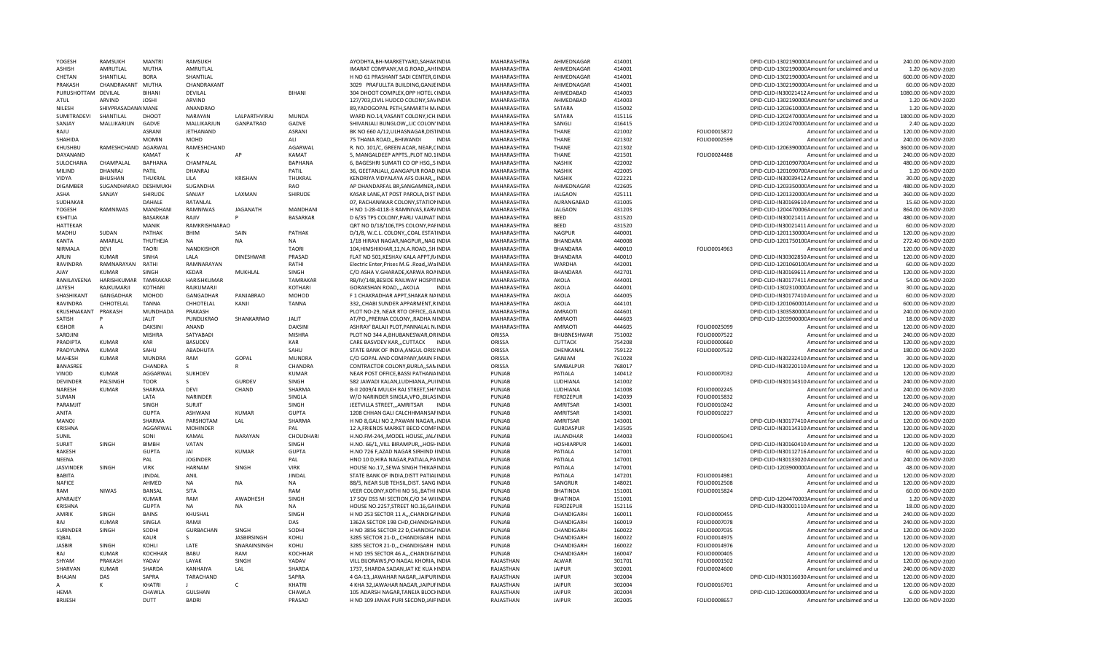| YOGESH              | <b>RAMSUKH</b>       | <b>MANTRI</b>   | RAMSUKH          |                    |                 | AYODHYA.BH-MARKETYARD.SAHAKINDIA            | MAHARASHTRA        | AHMEDNAGAR        | 414001 |              | DPID-CLID-130219000CAmount for unclaimed and u   | 240.00 06-NOV-2020  |
|---------------------|----------------------|-----------------|------------------|--------------------|-----------------|---------------------------------------------|--------------------|-------------------|--------|--------------|--------------------------------------------------|---------------------|
| <b>ASHISH</b>       | AMRUTLAL             | <b>MUTHA</b>    | AMRUTLAL         |                    |                 | IMARAT COMPANY, M.G.ROAD, , AHIINDIA        | MAHARASHTRA        | AHMEDNAGAR        | 414001 |              | DPID-CLID-130219000C Amount for unclaimed and ur | 1.20 06-NOV-2020    |
| CHETAN              | SHANTILAL            | <b>BORA</b>     | SHANTILAL        |                    |                 | H NO 61 PRASHANT SADI CENTER, GINDIA        | MAHARASHTRA        | AHMEDNAGAR        | 414001 |              | DPID-CLID-130219000CAmount for unclaimed and ur  | 600.00 06-NOV-2020  |
| PRAKASH             | CHANDRAKANT MUTHA    |                 | CHANDRAKANT      |                    |                 | 3029 PRAFULLTA BUILDING, GANJEINDIA         | MAHARASHTRA        | AHMEDNAGAR        | 414001 |              | DPID-CLID-130219000CAmount for unclaimed and ur  | 60.00 06-NOV-2020   |
| PURUSHOTTAM DEVILAL |                      | <b>BIHANI</b>   | DEVILAL          |                    | <b>BIHANI</b>   | 304 DHOOT COMPLEX, OPP HOTEL (INDIA         | MAHARASHTRA        | AHMEDABAD         | 414003 |              | DPID-CLID-IN30021412 Amount for unclaimed and ur | 1080.00 06-NOV-2020 |
| ATUL                | ARVIND               | <b>JOSHI</b>    | <b>ARVIND</b>    |                    |                 | 127/703, CIVIL HUDCO COLONY, SAVINDIA       | MAHARASHTRA        | AHMEDABAD         | 414003 |              | DPID-CLID-130219000CAmount for unclaimed and ur  | 1.20 06-NOV-2020    |
|                     |                      |                 | ANANDRAO         |                    |                 |                                             |                    | SATARA            | 415002 |              |                                                  | 1.20 06-NOV-2020    |
| NILESH              | SHIVPRASADANA MANE   |                 |                  |                    |                 | 89, YADOGOPAL PETH, SAMARTH M/INDIA         | MAHARASHTRA        |                   |        |              | DPID-CLID-120361000CAmount for unclaimed and ur  |                     |
| <b>SUMITRADEV</b>   | SHANTILAL            | DHOOT           | <b>NARAYAN</b>   | LALPARTHVIRAJ      | <b>MUNDA</b>    | WARD NO.14, VASANT COLONY, ICH. INDIA       | MAHARASHTRA        | SATARA            | 415116 |              | DPID-CLID-120247000CAmount for unclaimed and ur  | 1800.00 06-NOV-2020 |
| SANJAY              | MALLIKARJUN          | GADVE           | MALLIKARJUN      | <b>GANPATRAO</b>   | GADVE           | SHIVANJALI BUNGLOW, LIC COLON'INDIA         | MAHARASHTRA        | SANGLI            | 416415 |              | DPID-CLID-120247000CAmount for unclaimed and ur  | 2.40 06-NOV-2020    |
| RAIU                |                      | <b>ASRANI</b>   | JETHANAND        |                    | ASRANI          | BK NO 660 A/12, ULHASNAGAR, DISTINDIA       | MAHARASHTRA        | THANE             | 421002 | FOLIO0015872 | Amount for unclaimed and u                       | 120.00 06-NOV-2020  |
| SHAHIDA             |                      | <b>MOMIN</b>    | MOHD             |                    | ALI             | 75 THANA ROAD,,,BHIWANDI<br><b>INDIA</b>    | MAHARASHTRA        | <b>THANE</b>      | 421302 | FOLIO0002599 | Amount for unclaimed and ur                      | 240.00 06-NOV-2020  |
| KHUSHBU             | RAMESHCHAND AGARWAL  |                 | RAMESHCHAND      |                    | AGARWAL         | R. NO. 101/C, GREEN ACAR, NEAR, CINDIA      | MAHARASHTRA        | THANE             | 421302 |              | DPID-CLID-120639000CAmount for unclaimed and ur  | 3600.00 06-NOV-2020 |
| DAYANAND            |                      | <b>KAMAT</b>    | K                | AP                 | KAMAT           | 5, MANGALDEEP APPTS., PLOT NO.1INDIA        | MAHARASHTRA        | <b>THANF</b>      | 421501 | FOLIO0024488 | Amount for unclaimed and ur                      | 240.00 06-NOV-2020  |
| SULOCHANA           | CHAMPALAL            | <b>BAPHANA</b>  | CHAMPALAL        |                    | <b>BAPHANA</b>  | 6, BAGESHRI SUMATI CO OP HSG,,S INDIA       | MAHARASHTRA        | <b>NASHIK</b>     | 422002 |              | DPID-CLID-120109070CAmount for unclaimed and ur  | 480.00 06-NOV-2020  |
| MILIND              | DHANRAJ              | PATIL           | DHANRAJ          |                    | PATIL           | 36, GEETANJALI,, GANGAPUR ROAD, INDIA       | MAHARASHTRA        | <b>NASHIK</b>     | 422005 |              | DPID-CLID-120109070CAmount for unclaimed and ur  | 1.20 06-NOV-2020    |
| VIDYA               | BHUSHAN              | THUKRAL         | LILA             | KRISHAN            | THUKRAL         | KENDRIYA VIDYALAYA AFS OJHAR,,, INDIA       | MAHARASHTRA        | <b>NASHIK</b>     | 422221 |              | DPID-CLID-IN30039412 Amount for unclaimed and ur | 30.00 06-NOV-2020   |
|                     | SUGANDHARAO DESHMUKH |                 | SUGANDHA         |                    | <b>RAO</b>      |                                             |                    |                   |        |              |                                                  |                     |
| <b>DIGAMBER</b>     |                      |                 |                  |                    |                 | AP DHANDARFAL BR, SANGAMNER, INDIA          | MAHARASHTRA        | AHMEDNAGAR        | 422605 |              | DPID-CLID-120335000CAmount for unclaimed and ur  | 480.00 06-NOV-2020  |
| ASHA                | SANJAY               | <b>SHIRUDE</b>  | SANJAY           | LAXMAN             | SHIRUDE         | KASAR LANE, AT POST PAROLA, DIST INDIA      | MAHARASHTRA        | <b>JALGAON</b>    | 425111 |              | DPID-CLID-120132000CAmount for unclaimed and ur  | 360.00 06-NOV-2020  |
| SUDHAKAR            |                      | DAHALE          | RATANLAL         |                    |                 | 07, RACHANAKAR COLONY, STATION INDIA        | MAHARASHTRA        | AURANGABAD        | 431005 |              | DPID-CLID-IN30169610 Amount for unclaimed and ur | 15.60 06-NOV-2020   |
| YOGESH              | <b>RAMNIWAS</b>      | <b>MANDHANI</b> | RAMNIWAS         | <b>JAGANATH</b>    | <b>MANDHANI</b> | H NO 1-28-4118-3 RAMNIVAS.KARVINDIA         | MAHARASHTRA        | <b>JALGAON</b>    | 431203 |              | DPID-CLID-1204470006 Amount for unclaimed and ur | 864.00 06-NOV-2020  |
| KSHITIJA            |                      | <b>BASARKAR</b> | RAIIV            |                    | BASARKAR        | D 6/35 TPS COLONY, PARLI VAIJNAT INDIA      | MAHARASHTRA        | BEED              | 431520 |              | DPID-CLID-IN30021411 Amount for unclaimed and ur | 480.00 06-NOV-2020  |
| <b>HATTEKAR</b>     |                      | <b>MANIK</b>    | RAMKRISHNARAO    |                    |                 | QRT NO D/18/106, TPS COLONY, PAFINDIA       | MAHARASHTRA        | <b>BFFD</b>       | 431520 |              | DPID-CLID-IN30021411Amount for unclaimed and ur  | 60.00 06-NOV-2020   |
| MADHU               | SUDAN                | PATHAK          | <b>BHIM</b>      | SAIN               | PATHAK          | D/1/8. W.C.L. COLONYCOAL ESTATINDIA         | <b>MAHARASHTRA</b> | <b>NAGPUR</b>     | 440001 |              | DPID-CLID-120113000CAmount for unclaimed and ur  | 120.00 06-NOV-2020  |
| <b>KANTA</b>        | AMARLAL              | THUTHEJA        | <b>NA</b>        | <b>NA</b>          | <b>NA</b>       | 1/18 HIRAVI NAGAR, NAGPUR, , NAG INDIA      | MAHARASHTRA        | <b>BHANDARA</b>   | 440008 |              | DPID-CLID-120175010CAmount for unclaimed and ur  | 272.40 06-NOV-2020  |
| NIRMALA             | DEVI                 | <b>TAORI</b>    | NANDKISHOR       |                    | <b>TAORI</b>    | 104, HIMSHIKHAR, 11, N.A.ROAD,, SHINDIA     | MAHARASHTRA        | BHANDARA          | 440010 | FOLIO0014963 | Amount for unclaimed and ur                      | 120.00 06-NOV-2020  |
| ARUN                | KUMAR                | <b>SINHA</b>    |                  | <b>DINESHWAR</b>   |                 |                                             |                    | <b>BHANDARA</b>   |        |              |                                                  |                     |
|                     |                      |                 | LALA             |                    | PRASAD          | FLAT NO 501, KESHAV KALA APPT, R/INDIA      | MAHARASHTRA        |                   | 440010 |              | DPID-CLID-IN30302850 Amount for unclaimed and ur | 120.00 06-NOV-2020  |
| RAVINDRA            | RAMNARAYAN           | RATHI           | RAMNARAYAN       |                    | RATHI           | Electric Enter, Prises M.G . Road,, WaINDIA | MAHARASHTRA        | <b>WARDHA</b>     | 442001 |              | DPID-CLID-120106010CAmount for unclaimed and ur  | 60.00 06-NOV-2020   |
| AJAY                | <b>KUMAR</b>         | SINGH           | KEDAR            | MUKHLAL            | SINGH           | C/O ASHA V.GHARADE, KARWA ROAINDIA          | MAHARASHTRA        | BHANDARA          | 442701 |              | DPID-CLID-IN30169611 Amount for unclaimed and ur | 120.00 06-NOV-2020  |
| RANILAVEENA         | HARISHKUMAR          | TAMRAKAR        | HARISHKUMAR      |                    | <b>TAMRAKAR</b> | RB/IV/148, BESIDE RAILWAY HOSPITINDIA       | MAHARASHTRA        | AKOLA             | 444001 |              | DPID-CLID-IN30177411 Amount for unclaimed and ur | 54.00 06-NOV-2020   |
| <b>JAYESH</b>       | RAJKUMARJI           | KOTHARI         | RAJKUMARJI       |                    | <b>KOTHARI</b>  | GORAKSHAN ROAD,,,,AKOLA<br><b>INDIA</b>     | MAHARASHTRA        | AKOLA             | 444001 |              | DPID-CLID-130231000CAmount for unclaimed and ur  | 30.00 06-NOV-2020   |
| SHASHIKANT          | GANGADHAR            | <b>MOHOD</b>    | GANGADHAR        | PANJABRAO          | MOHOD           | F 1 CHAKRADHAR APPT, SHAKAR NAINDIA         | MAHARASHTRA        | AKOLA             | 444005 |              | DPID-CLID-IN30177410 Amount for unclaimed and ur | 60.00 06-NOV-2020   |
| RAVINDRA            | CHHOTELAL            | <b>TANNA</b>    | CHHOTELAL        | KANJI              | <b>TANNA</b>    | 332, CHABI SUNDER APPARMENT, RINDIA         | MAHARASHTRA        | AKOLA             | 444101 |              | DPID-CLID-1201060001Amount for unclaimed and ur  | 600.00 06-NOV-2020  |
| KRUSHNAKANT         | PRAKASH              | MUNDHADA        | PRAKASH          |                    |                 | PLOT NO-29, NEAR RTO OFFICE, GAINDIA        | MAHARASHTRA        | <b>AMRAOTI</b>    | 444601 |              | DPID-CLID-130358000CAmount for unclaimed and ur  | 240.00 06-NOV-2020  |
| <b>SATISH</b>       |                      | <b>JALIT</b>    | PUNDLIKRAO       | SHANKARRAO         | <b>JALIT</b>    | AT/PO,, PRERNA COLONY,, RADHA NINDIA        | MAHARASHTRA        | <b>AMRAOTI</b>    | 444603 |              | DPID-CLID-120390000CAmount for unclaimed and ur  | 18.00 06-NOV-2020   |
| <b>KISHOR</b>       |                      | <b>DAKSINI</b>  | ANAND            |                    | <b>DAKSINI</b>  |                                             | MAHARASHTRA        | AMRAOTI           | 444605 | FOLIO0025099 | Amount for unclaimed and ur                      | 120.00 06-NOV-2020  |
|                     | А                    |                 |                  |                    |                 | ASHRAY' BALAJI PLOT, PANNALAL NJINDIA       |                    |                   |        |              |                                                  |                     |
| SAROJINI            |                      | <b>MISHRA</b>   | SATYABADI        |                    | <b>MISHRA</b>   | PLOT NO 344 A, BHUBANESWAR, ORINDIA         | ORISSA             | BHUBNESHWAR       | 751002 | FOLIO0007522 | Amount for unclaimed and ur                      | 240.00 06-NOV-2020  |
| PRADIPTA            | <b>KUMAR</b>         | <b>KAR</b>      | <b>BASUDEV</b>   |                    | KAR             | CARE BASVDEV KAR,,,CUTTACK INDIA            | ORISSA             | <b>CUTTACK</b>    | 754208 | FOLIO0000660 | Amount for unclaimed and ur                      | 120.00 06-NOV-2020  |
| PRADYUMNA           | <b>KUMAR</b>         | SAHU            | ABADHUTA         |                    | SAHU            | STATE BANK OF INDIA, ANGUL ORIS: INDIA      | ORISSA             | DHENKANAL         | 759122 | FOLIO0007532 | Amount for unclaimed and ur                      | 180.00 06-NOV-2020  |
| MAHESH              | <b>KUMAR</b>         | <b>MUNDRA</b>   | RAM              | GOPAL              | <b>MUNDRA</b>   | C/O GOPAL AND COMPANY, MAIN FINDIA          | ORISSA             | GANJAM            | 761028 |              | DPID-CLID-IN30232410 Amount for unclaimed and ur | 30.00 06-NOV-2020   |
| BANASREE            |                      | CHANDRA         | -S               |                    | CHANDRA         | CONTRACTOR COLONY, BURLA,, SANINDIA         | ORISSA             | SAMBALPUR         | 768017 |              | DPID-CLID-IN30220110 Amount for unclaimed and ur | 120.00 06-NOV-2020  |
| VINOD               | <b>KUMAR</b>         | AGGARWAL        | SUKHDEV          |                    | <b>KUMAR</b>    | NEAR POST OFFICE BASSI PATHANAINDIA         | PUNJAB             | PATIALA           | 140412 | FOLIO0007032 | Amount for unclaimed and ur                      | 120.00 06-NOV-2020  |
| DEVINDER            | PALSINGH             | <b>TOOR</b>     | S.               | GURDEV             | SINGH           | 582 JAWADI KALAN, LUDHIANA, , PUIINDIA      | PUNJAB             | LUDHIANA          | 141002 |              | DPID-CLID-IN30114310 Amount for unclaimed and ur | 240.00 06-NOV-2020  |
| NARFSH              | <b>KUMAR</b>         | SHARMA          | DEVI             | CHAND              | SHARMA          | B-II 2009/4 MULKH RAJ STREET, SHIVINDIA     | PUNJAB             | LUDHIANA          | 141008 | FOLIO0002245 | Amount for unclaimed and ur                      | 240.00 06-NOV-2020  |
| SUMAN               |                      | LATA            | NARINDER         |                    | SINGLA          | W/O NARINDER SINGLA, VPO, BILASINDIA        | PUNJAB             | FEROZEPUR         | 142039 | FOLIO0015832 | Amount for unclaimed and ur                      | 120.00 06-NOV-2020  |
|                     |                      |                 |                  |                    |                 |                                             |                    |                   |        |              |                                                  |                     |
| PARAMJIT            |                      | SINGH           | <b>SURJIT</b>    |                    | SINGH           | JEETVILLA STREET,,,AMRITSAR<br><b>INDIA</b> | PUNJAB             | AMRITSAR          | 143001 | FOLIO0010242 | Amount for unclaimed and ur                      | 240.00 06-NOV-2020  |
| ANITA               |                      | <b>GUPTA</b>    | ASHWANI          | KUMAR              | GUPTA           | 1208 CHHAN GALI CALCHHMANSAFINDIA           | PUNJAB             | AMRITSAR          | 143001 | FOLIO0010227 | Amount for unclaimed and ur                      | 120.00 06-NOV-2020  |
| <b>MANOJ</b>        |                      | SHARMA          | PARSHOTAM        | LAL                | SHARMA          | H NO 8, GALI NO 2, PAWAN NAGAR, INDIA       | PUNJAB             | AMRITSAR          | 143001 |              | DPID-CLID-IN30177410 Amount for unclaimed and ur | 120.00 06-NOV-2020  |
| <b>KRISHNA</b>      |                      | AGGARWAL        | <b>MOHINDER</b>  |                    | PAL             | 12 A, FRIENDS MARKET BECO COMPINDIA         | PUNJAB             | GURDASPUR         | 143505 |              | DPID-CLID-IN30114310 Amount for unclaimed and ur | 120.00 06-NOV-2020  |
| SUNIL               |                      | SONI            | KAMAL            | NARAYAN            | CHOUDHARI       | H.NO.FM-244,, MODEL HOUSE,, JAL/INDIA       | PUNJAB             | <b>JALANDHAR</b>  | 144003 | FOLIO0005041 | Amount for unclaimed and ur                      | 120.00 06-NOV-2020  |
| <b>SURJIT</b>       | SINGH                | <b>BIMBH</b>    | VATAN            |                    | SINGH           | H.NO. 66/1,, VILL BIRAMPUR,,, HOSHINDIA     | PUNJAB             | <b>HOSHIARPUR</b> | 146001 |              | DPID-CLID-IN30160410 Amount for unclaimed and ur | 120.00 06-NOV-2020  |
| RAKESH              |                      | <b>GUPTA</b>    | <b>JAI</b>       | KUMAR              | <b>GUPTA</b>    | H.NO 726 F, AZAD NAGAR SIRHIND FINDIA       | PUNJAB             | PATIALA           | 147001 |              | DPID-CLID-IN30112716 Amount for unclaimed and ur | 60.00 06-NOV-2020   |
| NEENA               |                      | PAL             | <b>JOGINDER</b>  |                    | PAL             | HNO 10 D, HIRA NAGAR, PATIALA, PAINDIA      | PUNJAB             | PATIALA           | 147001 |              | DPID-CLID-IN30133020 Amount for unclaimed and ur | 240.00 06-NOV-2020  |
| <b>JASVINDER</b>    | SINGH                | <b>VIRK</b>     | HARNAM           | SINGH              | <b>VIRK</b>     | HOUSE No.17, SEWA SINGH THIKARINDIA         | PUNJAB             | PATIALA           | 147001 |              | DPID-CLID-120390000C Amount for unclaimed and ur | 48.00 06-NOV-2020   |
| <b>BABITA</b>       |                      | <b>JINDAL</b>   |                  |                    | <b>JINDAL</b>   |                                             |                    |                   |        | FOLIO0014981 |                                                  |                     |
|                     |                      |                 | ANIL             |                    |                 | STATE BANK OF INDIA, DISTT PATIALINDIA      | PUNJAB             | PATIALA           | 147201 |              | Amount for unclaimed and ur                      | 120.00 06-NOV-2020  |
| <b>NAFICE</b>       |                      | AHMED           | <b>NA</b>        | <b>NA</b>          | <b>NA</b>       | 88/5. NEAR SUB TEHSIL.DIST. SANG INDIA      | PUNJAB             | SANGRUR           | 148021 | FOLIO0012508 | Amount for unclaimed and u                       | 120.00 06-NOV-2020  |
| RAM                 | <b>NIWAS</b>         | <b>BANSAL</b>   | <b>SITA</b>      |                    | RAM             | VEER COLONY, KOTHI NO 56, BATHI INDIA       | PUNJAB             | <b>BHATINDA</b>   | 151001 | FOLIO0015824 | Amount for unclaimed and ur                      | 60.00 06-NOV-2020   |
| APARAJEY            |                      | <b>KUMAR</b>    | RAM              | AWADHESH           | SINGH           | 17 SQV DSS MI SECTION, C/O 34 WIIINDIA      | PUNJAB             | <b>BHATINDA</b>   | 151001 |              | DPID-CLID-1204470003Amount for unclaimed and ur  | 1.20 06-NOV-2020    |
| <b>KRISHNA</b>      |                      | <b>GUPTA</b>    | <b>NA</b>        | <b>NA</b>          | <b>NA</b>       | HOUSE NO.2257.STREET NO.16.GAUNDIA          | PUNJAB             | <b>FEROZEPUR</b>  | 152116 |              | DPID-CLID-IN30001110 Amount for unclaimed and ur | 18.00 06-NOV-2020   |
| AMRIK               | SINGH                | BAINS           | KHUSHAL          |                    | SINGH           | H NO 253 SECTOR 11 A,,,CHANDIGAINDIA        | PUNJAB             | CHANDIGARH        | 160011 | FOLIO0000455 | Amount for unclaimed and ur                      | 240.00 06-NOV-2020  |
| RAJ                 | <b>KUMAR</b>         | SINGLA          | RAMJI            |                    | DAS             | 1362A SECTOR 19B CHD, CHANDIGAINDIA         | PUNJAB             | CHANDIGARH        | 160019 | FOLIO0007078 | Amount for unclaimed and ur                      | 240.00 06-NOV-2020  |
| SURINDER            | SINGH                | SODHI           | <b>GURBACHAN</b> | SINGH              | SODHI           | H NO 3856 SECTOR 22 D, CHANDIG/INDIA        | PUNJAB             | CHANDIGARH        | 160022 | FOLIO0007035 | Amount for unclaimed and ur                      | 120.00 06-NOV-2020  |
| <b>IQBAL</b>        |                      | KAUR            | S.               | <b>IASRIRSINGH</b> | KOHLI           | 3285 SECTOR 21-D.,,CHANDIGARH INDIA         | PUNJAB             | CHANDIGARH        | 160022 | FOLIO0014975 | Amount for unclaimed and ur                      | 120.00 06-NOV-2020  |
|                     |                      | KOHLI           |                  | SNARAINSINGH       | KOHLI           |                                             | PUNJAB             | CHANDIGARH        |        |              |                                                  |                     |
| <b>JASBIR</b>       | SINGH                |                 | LATE             |                    |                 | 3285 SECTOR 21-D,,,CHANDIGARH INDIA         |                    |                   | 160022 | FOLIO0014976 | Amount for unclaimed and ur                      | 120.00 06-NOV-2020  |
| RAJ                 | <b>KUMAR</b>         | <b>KOCHHAR</b>  | <b>BABU</b>      | RAM                | KOCHHAR         | H NO 195 SECTOR 46 A,,,CHANDIGAINDIA        | PUNJAB             | CHANDIGARH        | 160047 | FOLIO0000405 | Amount for unclaimed and ur                      | 120.00 06-NOV-2020  |
| SHYAM               | PRAKASH              | YADAV           | LAYAK            | SINGH              | YADAV           | VILL BIJORAWS, PO NAGAL KHORIA, INDIA       | RAJASTHAN          | ALWAR             | 301701 | FOLIO0001502 | Amount for unclaimed and ur                      | 120.00 06-NOV-2020  |
| SHARVAN             | <b>KUMAR</b>         | SHARDA          | KANHAIYA         | LAL                | SHARDA          | 1737, SHARDA SADAN, JAT KE KUA KINDIA       | RAJASTHAN          | <b>JAIPUR</b>     | 302001 | FOLIO0024600 | Amount for unclaimed and ur                      | 240.00 06-NOV-2020  |
| BHAJAN              | DAS                  | SAPRA           | TARACHAND        |                    | SAPRA           | 4 GA-13, JAWAHAR NAGAR, JAIPURINDIA         | RAJASTHAN          | <b>JAIPUR</b>     | 302004 |              | DPID-CLID-IN30116030 Amount for unclaimed and ur | 120.00 06-NOV-2020  |
| А                   | K                    | <b>KHATRI</b>   |                  | $\mathsf{C}$       | KHATRI          | 4 KHA 32, JAWAHAR NAGAR, JAIPUFINDIA        | RAJASTHAN          | <b>JAIPUR</b>     | 302004 | FOLIO0016701 | Amount for unclaimed and ur                      | 120.00 06-NOV-2020  |
| <b>HFMA</b>         |                      | CHAWLA          | <b>GULSHAN</b>   |                    | CHAWLA          | 105 ADARSH NAGAR, TANEJA BLOCHNDIA          | RAJASTHAN          | <b>JAIPUR</b>     | 302004 |              | DPID-CLID-120360000CAmount for unclaimed and ur  | 6.00 06-NOV-2020    |
| <b>BRIJESH</b>      |                      | DUTT            | <b>BADRI</b>     |                    | PRASAD          | H NO 109 JANAK PURI SECOND, JAIPINDIA       | RAJASTHAN          | <b>JAIPUR</b>     | 302005 | FOLIO0008657 | Amount for unclaimed and ur                      | 120.00 06-NOV-2020  |
|                     |                      |                 |                  |                    |                 |                                             |                    |                   |        |              |                                                  |                     |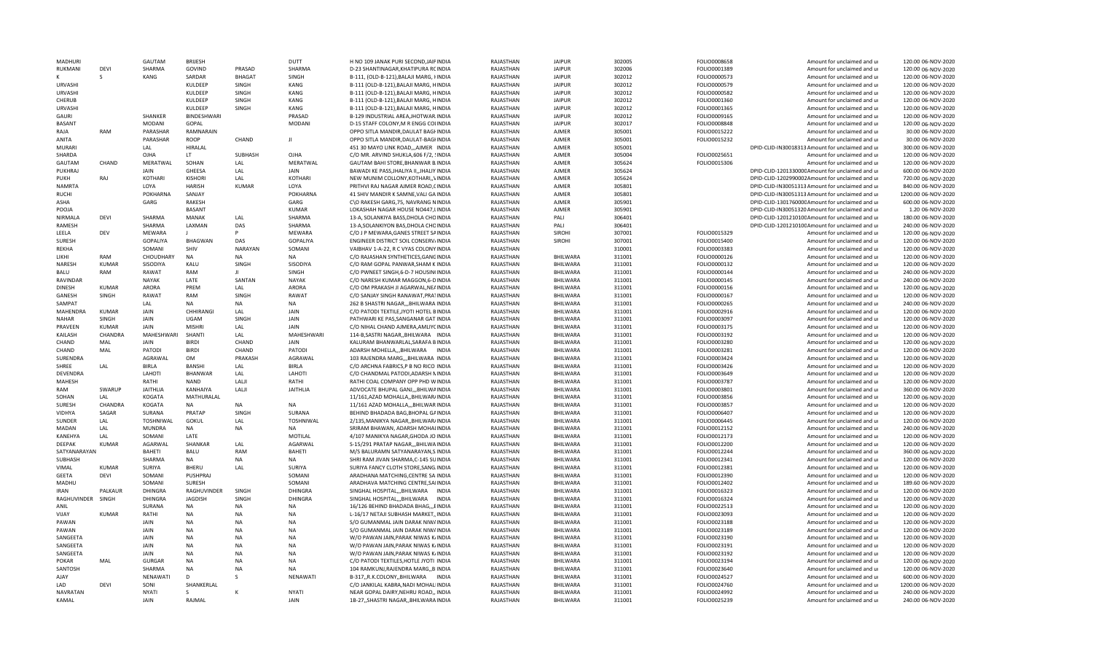| MADHURI                  |              | GAUTAM               | <b>BRIJESH</b>     |                | DUTT                 | H NO 109 JANAK PURI SECOND JAIPINDIA                                           | RAJASTHAN              | <b>JAIPUR</b>               | 302005           | FOLIO0008658                 | Amount for unclaimed and ur                                | 120.00 06-NOV-2020                       |
|--------------------------|--------------|----------------------|--------------------|----------------|----------------------|--------------------------------------------------------------------------------|------------------------|-----------------------------|------------------|------------------------------|------------------------------------------------------------|------------------------------------------|
| RUKMANI                  | <b>DEVI</b>  | SHARMA               | GOVIND             | PRASAD         | SHARMA               | D-23 SHANTINAGAR, KHATIPURA RCINDIA                                            | RAJASTHAN              | <b>JAIPUR</b>               | 302006           | FOLIO0001389                 | Amount for unclaimed and ur                                | 120.00 06-NOV-2020                       |
|                          |              | KANG                 | SARDAR             | <b>BHAGAT</b>  | SINGH                | B-111, (OLD-B-121), BALAJI MARG, FINDIA                                        | RAJASTHAN              | <b>JAIPUR</b>               | 302012           | FOLIO0000573                 | Amount for unclaimed and ur                                | 120.00 06-NOV-2020                       |
| <b>URVASHI</b>           |              |                      | KULDEEP            | SINGH          | KANG                 | B-111 (OLD-B-121), BALAJI MARG, HINDIA                                         | RAJASTHAN              | <b>JAIPUR</b>               | 302012           | FOLIO0000579                 | Amount for unclaimed and ur                                | 120.00 06-NOV-2020                       |
| <b>URVASHI</b>           |              |                      | KULDEEP            | SINGH          | KANG                 | B-111 (OLD-B-121), BALAJI MARG, HINDIA                                         | RAJASTHAN              | <b>JAIPUR</b>               | 302012           | FOLIO0000582                 | Amount for unclaimed and ur                                | 120.00 06-NOV-2020                       |
| CHERUB                   |              |                      | KULDEEP            | SINGH          | KANG                 | B-111 (OLD-B-121), BALAJI MARG, HINDIA                                         | RAJASTHAN              | <b>JAIPUR</b>               | 302012           | FOLIO0001360                 | Amount for unclaimed and ur                                | 120.00 06-NOV-2020                       |
| <b>URVASHI</b>           |              |                      | KULDEEP            | SINGH          | KANG                 | B-111 (OLD-B-121), BALAJI MARG, HINDIA                                         | RAJASTHAN              | <b>JAIPUR</b>               | 302012           | FOLIO0001365                 | Amount for unclaimed and ur                                | 120.00 06-NOV-2020                       |
| GAURI                    |              | SHANKER              | <b>BINDESHWARI</b> |                | PRASAD               | B-129 INDUSTRIAL AREA, JHOTWAR INDIA                                           | RAJASTHAN              | <b>JAIPUR</b>               | 302012           | FOLIO0009165                 | Amount for unclaimed and ur                                | 120.00 06-NOV-2020                       |
| <b>BASANT</b>            |              | <b>MODANI</b>        | GOPAL              |                | <b>MODANI</b>        | D-15 STAFF COLONY, M R ENGG COLINDIA                                           | RAJASTHAN              | <b>JAIPUR</b>               | 302017           | FOLIO0008848                 | Amount for unclaimed and ur                                | 120.00 06-NOV-2020                       |
| RAJA                     | RAM          | PARASHAR             | RAMNARAIN          |                |                      | OPPO SITLA MANDIR, DAULAT BAGHNDIA                                             | RAJASTHAN              | AJMER                       | 305001           | FOLIO0015222                 | Amount for unclaimed and ur                                | 30.00 06-NOV-2020                        |
| ANITA                    |              | PARASHAR             | <b>ROOP</b>        | CHAND          | $\mathbf{H}$         | OPPO SITLA MANDIR, DAULAT-BAGHNDIA                                             | RAJASTHAN              | <b>AIMFR</b>                | 305001           | FOLIO0015232                 | Amount for unclaimed and ur                                | 30.00 06-NOV-2020                        |
| MURARI                   |              | LAL                  | HIRALAL            |                |                      | 451 30 MAYO LINK ROAD,,,AJMER INDIA                                            | RAJASTHAN              | <b>AIMFR</b>                | 305001           |                              | DPID-CLID-IN30018313 Amount for unclaimed and ur           | 300.00 06-NOV-2020                       |
| SHARDA                   |              |                      | LT.                |                | OJHA                 |                                                                                |                        | <b>AJMER</b>                |                  |                              |                                                            | 120.00 06-NOV-2020                       |
|                          |              | OJHA                 |                    | SUBHASH        |                      | C/O MR. ARVIND SHUKLA, 606 F/2, SINDIA                                         | RAJASTHAN              |                             | 305004           | FOLIO0025651                 | Amount for unclaimed and ur                                |                                          |
| GAUTAM                   | CHAND        | MERATWAL             | SOHAN              | LAL            | MERATWAL             | GAUTAM BAHI STORE, BHANWAR B. INDIA                                            | RAJASTHAN              | <b>AJMER</b>                | 305624           | FOLIO0015306                 | Amount for unclaimed and ur                                | 120.00 06-NOV-2020                       |
| PUKHRAJ                  |              | JAIN                 | GHEESA             | LAL            | JAIN                 | BAWADI KE PASS, JHALIYA II, JHALIY INDIA                                       | RAJASTHAN              | AJMER                       | 305624           |                              | DPID-CLID-120133000CAmount for unclaimed and ur            | 600.00 06-NOV-2020                       |
| <b>PUKH</b>              | RAJ          | KOTHARI              | <b>KISHORI</b>     | LAL            | KOTHARI              | NEW MUNIM COLLONY, KOTHARI,, VINDIA                                            | RAJASTHAN              | <b>AJMER</b>                | 305624           |                              | DPID-CLID-1202990002Amount for unclaimed and ur            | 720.00 06-NOV-2020                       |
| <b>NAMRTA</b>            |              | LOYA                 | <b>HARISH</b>      | <b>KUMAR</b>   | LOYA                 | PRITHVI RAJ NAGAR AJMER ROAD, CINDIA                                           | RAJASTHAN              | AJMER                       | 305801           |                              | DPID-CLID-IN30051313 Amount for unclaimed and ur           | 840.00 06-NOV-2020                       |
| RUCHI                    |              | POKHARNA             | SANJAY             |                | <b>POKHARNA</b>      | 41 SHIV MANDIR K SAMNE, VALI GA INDIA                                          | RAJASTHAN              | AJMER                       | 305801           |                              | DPID-CLID-IN30051313 Amount for unclaimed and ur           | 1200.00 06-NOV-2020                      |
| ASHA                     |              | GARG                 | RAKESH             |                | GARG                 | C\O RAKESH GARG, 75, NAVRANG NINDIA                                            | RAJASTHAN              | <b>AJMER</b>                | 305901           |                              | DPID-CLID-130176000CAmount for unclaimed and ur            | 600.00 06-NOV-2020                       |
| POOJA                    |              |                      | BASANT             |                | <b>KUMAR</b>         | LOKASHAH NAGAR HOUSE NO447, LINDIA                                             | RAJASTHAN              | AJMER                       | 305901           |                              | DPID-CLID-IN30051320 Amount for unclaimed and ur           | 1.20 06-NOV-2020                         |
| NIRMALA                  | <b>DEVI</b>  | SHARMA               | MANAK              | LAL            | SHARMA               | 13-A, SOLANKIYA BASS, DHOLA CHOINDIA                                           | RAJASTHAN              | PALI                        | 306401           |                              | DPID-CLID-120121010CAmount for unclaimed and ur            | 180.00 06-NOV-2020                       |
| RAMESH                   |              | SHARMA               | LAXMAN             | DAS            | SHARMA               | 13-A, SOLANKIYON BAS, DHOLA CHOINDIA                                           | RAJASTHAN              | PALI                        | 306401           |                              | DPID-CLID-120121010CAmount for unclaimed and ur            | 240.00 06-NOV-2020                       |
| LEELA                    | DEV          | MEWARA               |                    |                | MEWARA               | C/O J P MEWARA, GANES STREET SAINDIA                                           | RAJASTHAN              | SIROHI                      | 307001           | FOLIO0015329                 | Amount for unclaimed and ur                                | 120.00 06-NOV-2020                       |
| SURESH                   |              | GOPALIYA             | BHAGWAN            | DAS            | <b>GOPALIYA</b>      | ENGINEER DISTRICT SOIL CONSERV/INDIA                                           | RAJASTHAN              | <b>SIROHI</b>               | 307001           | FOLIO0015400                 | Amount for unclaimed and ur                                | 120.00 06-NOV-2020                       |
| REKHA                    |              | SOMANI               | SHIV               | <b>NARAYAN</b> | SOMANI               | VAIBHAV 1-A-22, R C VYAS COLONY INDIA                                          | RAJASTHAN              |                             | 310001           | FOLIO0003383                 | Amount for unclaimed and ur                                | 120.00 06-NOV-2020                       |
| LIKHI                    | RAM          | CHOUDHARY            | <b>NA</b>          | <b>NA</b>      | NA                   | C/O RAJASHAN SYNTHETICES, GANGINDIA                                            | RAJASTHAN              | BHILWARA                    | 311001           | FOLIO0000126                 | Amount for unclaimed and ur                                | 120.00 06-NOV-2020                       |
|                          | KUMAR        |                      |                    |                |                      |                                                                                |                        |                             |                  |                              |                                                            |                                          |
| NARESH                   |              | SISODIYA             | KALU               | SINGH          | SISODIYA             | C/O RAM GOPAL PANWAR, SHAM K INDIA                                             | RAJASTHAN              | BHILWARA                    | 311001           | FOLIO0000132                 | Amount for unclaimed and ur                                | 120.00 06-NOV-2020                       |
| BALU                     | RAM          | RAWAT                | RAM                |                | SINGH                | C/O PWNEET SINGH, 6-D-7 HOUSIN(INDIA                                           | RAJASTHAN              | BHILWARA                    | 311001           | FOLIO0000144                 | Amount for unclaimed and ur                                | 240.00 06-NOV-2020                       |
| RAVINDAR                 |              | <b>NAYAK</b>         | LATE               | SANTAN         | <b>NAYAK</b>         | C/O NARESH KUMAR MAGGON, 6-DINDIA                                              | RAJASTHAN              | BHILWARA                    | 311001           | FOLIO0000145                 | Amount for unclaimed and ur                                | 240.00 06-NOV-2020                       |
| <b>DINESH</b>            | <b>KUMAR</b> | <b>ARORA</b>         | PREM               | LAL            | <b>ARORA</b>         | C/O OM PRAKASH JI AGARWAL.NEAINDIA                                             | RAJASTHAN              | <b>BHILWARA</b>             | 311001           | FOLIO0000156                 | Amount for unclaimed and ur                                | 120.00 06-NOV-2020                       |
| GANESH                   | <b>SINGH</b> | RAWAT                | RAM                | <b>SINGH</b>   | RAWAT                | C/O SANJAY SINGH RANAWAT, PRATINDIA                                            | RAJASTHAN              | BHILWARA                    | 311001           | FOLIO0000167                 | Amount for unclaimed and ur                                | 120.00 06-NOV-2020                       |
| SAMPAT                   |              | LAL                  | <b>NA</b>          | <b>NA</b>      | <b>NA</b>            | 262 B SHASTRI NAGAR,,, BHILWARA INDIA                                          | RAJASTHAN              | BHILWARA                    | 311001           | FOLIO0000265                 | Amount for unclaimed and ur                                | 240.00 06-NOV-2020                       |
| MAHENDRA                 | KUMAR        | JAIN                 | CHHIRANGI          | LAL            | JAIN                 | C/O PATODI TEXTILE, JYOTI HOTEL BINDIA                                         | RAJASTHAN              | BHILWARA                    | 311001           | FOLIO0002916                 | Amount for unclaimed and ur                                | 120.00 06-NOV-2020                       |
| <b>NAHAR</b>             | <b>SINGH</b> | JAIN                 | UGAM               | SINGH          | JAIN                 | PATHWARI KE PAS, SANGANAR GAT INDIA                                            | RAJASTHAN              | BHILWARA                    | 311001           | FOLIO0003097                 | Amount for unclaimed and ur                                | 120.00 06-NOV-2020                       |
| PRAVEEN                  | KUMAR        | JAIN                 | <b>MISHRI</b>      | LAL            | JAIN                 | C/O NIHAL CHAND AJMERA, AMLIYCINDIA                                            | RAJASTHAN              | BHILWARA                    | 311001           | FOLIO0003175                 | Amount for unclaimed and ur                                | 120.00 06-NOV-2020                       |
| KAILASH                  | CHANDRA      | MAHESHWARI           | SHANTI             | LAL            | MAHESHWARI           | 114-B, SASTRI NAGAR, , BHILWARA INDIA                                          | RAJASTHAN              | BHILWARA                    | 311001           | FOLIO0003192                 | Amount for unclaimed and ur                                | 120.00 06-NOV-2020                       |
| CHAND                    | MAL          | JAIN                 | <b>BIRDI</b>       | CHAND          | <b>JAIN</b>          | KALURAM BHANWARLAL.SARAFA BINDIA                                               | RAJASTHAN              | <b>BHILWARA</b>             | 311001           | FOLIO0003280                 | Amount for unclaimed and ur                                | 120.00 06-NOV-2020                       |
| CHAND                    | MAL          | PATODI               | <b>BIRDI</b>       | CHAND          | PATODI               | ADARSH MOHELLA,,,BHILWARA INDIA                                                | RAJASTHAN              | BHILWARA                    | 311001           | FOLIO0003281                 | Amount for unclaimed and ur                                | 120.00 06-NOV-2020                       |
| SURENDRA                 |              | AGRAWAL              | OM                 | PRAKASH        | AGRAWAL              | 103 RAJENDRA MARG,,,BHILWARA INDIA                                             | RAJASTHAN              | BHILWARA                    | 311001           | FOLIO0003424                 | Amount for unclaimed and ur                                | 120.00 06-NOV-2020                       |
| <b>SHRFF</b>             | LAL          | <b>BIRLA</b>         | <b>BANSHI</b>      | LAL            | <b>BIRLA</b>         | C/O ARCHNA FABRICS, P B NO RICO INDIA                                          | RAJASTHAN              | BHILWARA                    | 311001           | FOLIO0003426                 | Amount for unclaimed and ur                                | 120.00 06-NOV-2020                       |
| DEVENDRA                 |              | LAHOTI               | <b>BHANWAR</b>     | LAL            | LAHOTI               | C/O CHANDMAL PATODI, ADARSH NINDIA                                             | RAJASTHAN              | BHILWARA                    | 311001           | FOLIO0003649                 | Amount for unclaimed and ur                                | 120.00 06-NOV-2020                       |
|                          |              |                      |                    |                |                      |                                                                                |                        |                             |                  |                              |                                                            |                                          |
| MAHESH                   |              | RATHI                | <b>NAND</b>        | LALJI          | RATHI                | RATHI COAL COMPANY OPP PHD WINDIA                                              | RAJASTHAN              | BHILWARA                    | 311001           | FOLIO0003787                 | Amount for unclaimed and ur                                | 120.00 06-NOV-2020                       |
| RAM                      | SWARUF       | <b>JAITHLIA</b>      | KANHAIYA           | LALJI          | <b>JAITHLIA</b>      | ADVOCATE BHUPAL GANJ,,,BHILWAINDIA                                             | RAJASTHAN              | BHILWARA                    | 311001           | FOLIO0003801                 | Amount for unclaimed and ur                                | 360.00 06-NOV-2020                       |
| SOHAN                    | LAL          | <b>KOGATA</b>        | MATHURALAL         |                |                      | 11/161, AZAD MOHALLA, BHILWAR/INDIA                                            | RAJASTHAN              | BHILWARA                    | 311001           | FOLIO0003856                 | Amount for unclaimed and ur                                | 120.00 06-NOV-2020                       |
| SURESH                   | CHANDRA      | KOGATA               | <b>NA</b>          | <b>NA</b>      | <b>NA</b>            | 11/161 AZAD MOHALLA,,,BHILWAR INDIA                                            | RAJASTHAN              | BHILWARA                    | 311001           | FOLIO0003857                 | Amount for unclaimed and ur                                | 120.00 06-NOV-2020                       |
| <b>VIDHYA</b>            | SAGAR        | SURANA               | PRATAP             | SINGH          | SURANA               | BEHIND BHADADA BAG, BHOPAL GAINDIA                                             | RAJASTHAN              | BHILWARA                    | 311001           | FOLIO0006407                 | Amount for unclaimed and ur                                | 120.00 06-NOV-2020                       |
| SUNDER                   | LAI.         | <b>TOSHNIWAL</b>     | GOKUL              | LAL            | <b>TOSHNIWAL</b>     | 2/135, MANIKYA NAGAR, , BHILWAR/INDIA                                          | RAJASTHAN              | BHILWARA                    | 311001           | FOLIO0006445                 | Amount for unclaimed and ur                                | 120.00 06-NOV-2020                       |
| <b>MADAN</b>             | LAL          | <b>MUNDRA</b>        | <b>NA</b>          | <b>NA</b>      | <b>NA</b>            | SRIRAM BHAWAN, ADARSH MOHALINDIA                                               | RAJASTHAN              | <b>BHILWARA</b>             | 311001           | FOLIO0012152                 | Amount for unclaimed and ur                                | 240.00 06-NOV-2020                       |
| <b>KANFHYA</b>           | A            | SOMANI               | LATE               |                | MOTILAL              | 4/107 MANIKYA NAGAR, GHODA JO INDIA                                            | RAJASTHAN              | <b>BHILWARA</b>             | 311001           | FOLIO0012173                 | Amount for unclaimed and ur                                | 120.00 06-NOV-2020                       |
| DEEPAK                   | KUMAR        | AGARWAL              | SHANKAR            | LAL            | AGARWAL              | S-15/291 PRATAP NAGAR,,,BHILWAINDIA                                            | RAJASTHAN              | BHILWARA                    | 311001           | FOLIO0012200                 | Amount for unclaimed and ur                                | 120.00 06-NOV-2020                       |
| SATYANARAYAN             |              | BAHETI               | BALU               | RAM            | BAHETI               | M/S BALURAMN SATYANARAYAN, S. INDIA                                            | RAJASTHAN              | BHILWARA                    | 311001           | FOLIO0012244                 | Amount for unclaimed and ur                                | 360.00 06-NOV-2020                       |
| <b>SUBHASH</b>           |              | SHARMA               | <b>NA</b>          | <b>NA</b>      | <b>NA</b>            | SHRI RAM JIVAN SHARMA, C-145 SUINDIA                                           | RAJASTHAN              | BHILWARA                    | 311001           | FOLIO0012341                 | Amount for unclaimed and ur                                | 120.00 06-NOV-2020                       |
| VIMAL                    | <b>KUMAR</b> | SURIYA               | BHERU              | LAL            | SURIYA               | SURIYA FANCY CLOTH STORE, SANG. INDIA                                          | RAJASTHAN              | BHILWARA                    | 311001           | FOLIO0012381                 | Amount for unclaimed and ur                                | 120.00 06-NOV-2020                       |
| <b>GEETA</b>             | DEVI         | SOMANI               | PUSHPRAJ           |                | SOMANI               | ARADHANA MATCHING, CENTRE SAIINDIA                                             | RAJASTHAN              | BHILWARA                    | 311001           | FOLIO0012390                 | Amount for unclaimed and ur                                | 120.00 06-NOV-2020                       |
| MADHU                    |              | SOMANI               | SURESH             |                | SOMANI               | ARADHAVA MATCHING CENTRE, SAIINDIA                                             | RAJASTHAN              | BHILWARA                    | 311001           | FOLIO0012402                 | Amount for unclaimed and ur                                | 189.60 06-NOV-2020                       |
| <b>IRAN</b>              | PALKAUR      | <b>DHINGRA</b>       | RAGHUVINDER        | SINGH          | DHINGRA              | SINGHAL HOSPITALBHILWARA INDIA                                                 | RAJASTHAN              | <b>BHILWARA</b>             | 311001           | FOLIO0016323                 | Amount for unclaimed and ur                                | 120.00 06-NOV-2020                       |
|                          |              |                      |                    |                |                      |                                                                                |                        |                             |                  |                              |                                                            |                                          |
| RAGHUVINDER              | SINGH        | DHINGRA              | <b>JAGDISH</b>     | SINGH          | DHINGRA              | SINGHAL HOSPITAL,,,BHILWARA INDIA                                              | RAJASTHAN              | BHILWARA                    | 311001           | FOLIO0016324                 | Amount for unclaimed and ur                                | 120.00 06-NOV-2020                       |
| ANIL                     |              | SURANA               | <b>NA</b>          | <b>NA</b>      | <b>NA</b>            | 16/126 BEHIND BHADADA BHAG,,,EINDIA                                            | RAJASTHAN              | <b>BHILWARA</b>             | 311001           | FOLIO0022513                 | Amount for unclaimed and ur                                | 120.00 06-NOV-2020                       |
| VIJAY                    |              | RATHI                | <b>NA</b>          | <b>NA</b>      | <b>NA</b>            | L-16/17 NETAJI SUBHASH MARKET, INDIA                                           | RAJASTHAN              | <b>BHILWARA</b>             | 311001           | FOLIO0023093                 | Amount for unclaimed and ur                                | 120.00 06-NOV-2020                       |
| PAWAN                    | <b>KUMAR</b> |                      |                    |                |                      |                                                                                |                        | BHILWARA                    | 311001           | FOLIO0023188                 | Amount for unclaimed and ur                                | 120.00 06-NOV-2020                       |
|                          |              | JAIN                 | <b>NA</b>          | <b>NA</b>      | <b>NA</b>            | S/O GUMANMAL JAIN DARAK NIW/INDIA                                              | RAJASTHAN              |                             |                  |                              |                                                            |                                          |
| PAWAN                    |              | JAIN                 | NA                 | <b>NA</b>      | <b>NA</b>            | S/O GUMANMAL JAIN DARAK NIW/INDIA                                              | RAJASTHAN              | BHILWARA                    | 311001           | FOLIO0023189                 | Amount for unclaimed and ur                                | 120.00 06-NOV-2020                       |
| SANGEETA                 |              | JAIN                 | <b>NA</b>          | <b>NA</b>      | <b>NA</b>            | W/O PAWAN JAIN, PARAK NIWAS K/INDIA                                            | RAJASTHAN              | BHILWARA                    | 311001           | FOLIO0023190                 | Amount for unclaimed and ur                                | 120.00 06-NOV-2020                       |
| SANGEETA                 |              | JAIN                 | <b>NA</b>          | <b>NA</b>      | <b>NA</b>            | W/O PAWAN JAIN, PARAK NIWAS K/INDIA                                            | RAJASTHAN              | BHILWARA                    | 311001           | FOLIO0023191                 | Amount for unclaimed and ur                                | 120.00 06-NOV-2020                       |
| SANGEETA                 |              | JAIN                 | <b>NA</b>          | <b>NA</b>      | <b>NA</b>            | W/O PAWAN JAIN, PARAK NIWAS K/INDIA                                            | RAJASTHAN              | BHILWARA                    | 311001           | FOLIO0023192                 | Amount for unclaimed and ur                                | 120.00 06-NOV-2020                       |
| POKAR                    | MAL          | <b>GURGAR</b>        | <b>NA</b>          | <b>NA</b>      | <b>NA</b>            | C/O PATODI TEXTILES, HOTLE JYOTI INDIA                                         | RAJASTHAN              | BHILWARA                    | 311001           | FOLIO0023194                 | Amount for unclaimed and ur                                | 120.00 06-NOV-2020                       |
| SANTOSH                  |              | SHARMA               | <b>NA</b>          | <b>NA</b>      | <b>NA</b>            | 104 RAMKUNJ, RAJENDRA MARG, BINDIA                                             | RAJASTHAN              | BHILWARA                    | 311001           | FOLIO0023640                 | Amount for unclaimed and ur                                | 120.00 06-NOV-2020                       |
| AIAY                     |              |                      | $\Gamma$           | $\varsigma$    |                      |                                                                                |                        |                             |                  |                              | Amount for unclaimed and ur                                | 600.00 06-NOV-2020                       |
| LAD                      |              | NENAWATI             | SHANKFRLAI         |                | NENAWATI             | B-317,,R.K.COLONY,,BHILWARA INDIA                                              | RAJASTHAN              | BHILWARA                    | 311001           | FOLIO0024527                 |                                                            |                                          |
|                          | <b>DEVI</b>  | SONI                 |                    |                |                      | C/O JANKILAL KABRA, NADI MOHALIINDIA                                           | RAJASTHAN              | BHILWARA                    | 311001           | FOLIO0024760                 | Amount for unclaimed and ur                                | 1200.00 06-NOV-2020                      |
| <b>NAVRATAN</b><br>KAMAL |              | <b>NYATI</b><br>JAIN | RAJMAL             |                | <b>NYATI</b><br>JAIN | NEAR GOPAL DAIRY, NEHRU ROAD,, INDIA<br>1B-27,, SHASTRI NAGAR,, BHILWARA INDIA | RAJASTHAN<br>RAJASTHAN | BHILWARA<br><b>BHILWARA</b> | 311001<br>311001 | FOLIO0024992<br>FOLIO0025239 | Amount for unclaimed and ur<br>Amount for unclaimed and ur | 240.00 06-NOV-2020<br>240.00 06-NOV-2020 |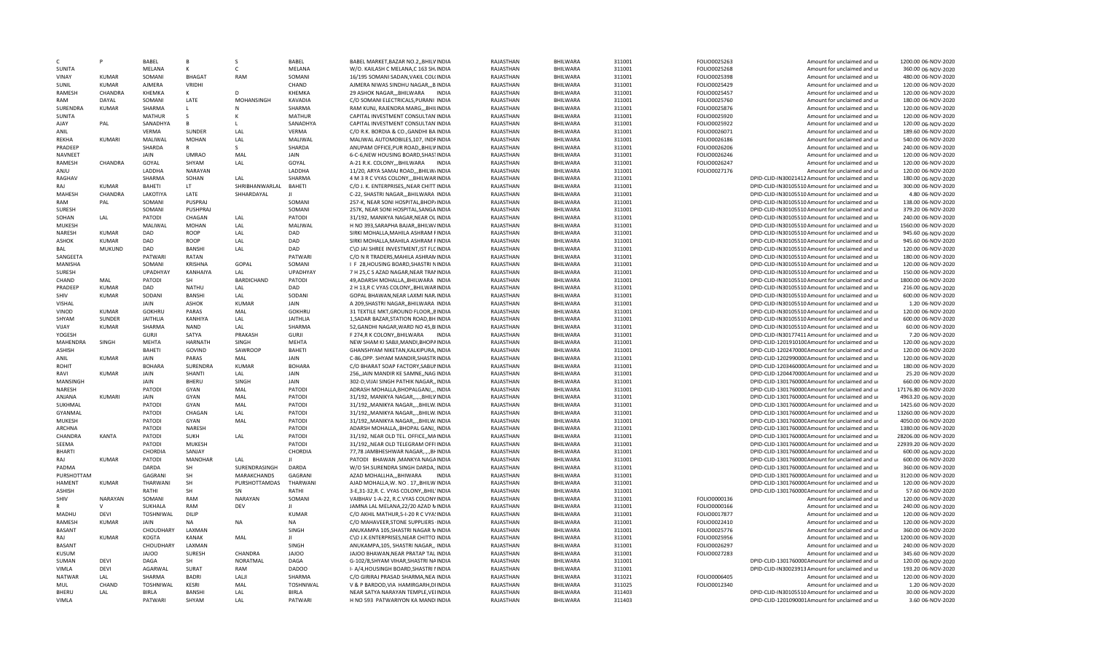| C.              | P              | <b>BABFL</b>     | R.             | -S                | <b>BABFL</b>    | BABEL MARKET, BAZAR NO.2, BHILVINDIA     | RAJASTHAN | <b>BHILWARA</b> | 311001 | FOLIO0025263 | Amount for unclaimed and ur                      | 1200.00 06-NOV-2020  |
|-----------------|----------------|------------------|----------------|-------------------|-----------------|------------------------------------------|-----------|-----------------|--------|--------------|--------------------------------------------------|----------------------|
| <b>SUNITA</b>   |                | MELANA           | к              | C.                | MELANA          | W/O. KAILASH C MELANA,C 163 SH.INDIA     | RAJASTHAN | BHILWARA        | 311001 | FOLIO0025268 | Amount for unclaimed and ur                      | 360.00 06-NOV-2020   |
| VINAY           | KUMAR          | SOMANI           | <b>BHAGAT</b>  | RAM               | SOMANI          | 16/195 SOMANI SADAN, VAKIL COL(INDIA     | RAJASTHAN | BHILWARA        | 311001 | FOLIO0025398 | Amount for unclaimed and ur                      | 480.00 06-NOV-2020   |
| SUNIL           | <b>KUMAR</b>   | AJMERA           | VRIDHI         |                   | CHAND           | AJMERA NIWAS SINDHU NAGAR,,,B INDIA      | RAJASTHAN | BHILWARA        | 311001 | FOLIO0025429 | Amount for unclaimed and ur                      | 120.00 06-NOV-2020   |
| RAMESH          | CHANDRA        | KHEMKA           | к              | D.                | KHEMKA          | 29 ASHOK NAGAR,,,BHILWARA<br>INDIA       | RAJASTHAN | BHILWARA        | 311001 | FOLIO0025457 | Amount for unclaimed and ur                      | 120.00 06-NOV-2020   |
| RAM             | DAYAL          | SOMANI           | LATE           | MOHANSINGH        | KAVADIA         | C/O SOMANI ELECTRICALS, PURANI INDIA     | RAJASTHAN | BHILWARA        | 311001 | FOLIO0025760 | Amount for unclaimed and ur                      | 180.00 06-NOV-2020   |
| SURENDRA        | <b>KUMAR</b>   | SHARMA           | $\mathbf{L}$   | N                 | SHARMA          | RAM KUNJ, RAJENDRA MARG,,,BHILINDIA      | RAJASTHAN | BHILWARA        | 311001 | FOLIO0025876 | Amount for unclaimed and ur                      | 120.00 06-NOV-2020   |
| <b>SUNITA</b>   |                | <b>MATHUR</b>    | -S             | к                 | <b>MATHUR</b>   | CAPITAL INVESTMENT CONSULTAN INDIA       | RAJASTHAN | <b>BHILWARA</b> | 311001 | FOLIO0025920 | Amount for unclaimed and ur                      | 120.00 06-NOV-2020   |
| AJAY            | PAL            | SANADHYA         | $\mathsf{B}$   |                   | SANADHYA        | CAPITAL INVESTMENT CONSULTAN INDIA       | RAJASTHAN | BHILWARA        | 311001 | FOLIO0025922 | Amount for unclaimed and ur                      | 120.00 06-NOV-2020   |
| ANIL            |                | VERMA            | SUNDER         | LAL               | VERMA           | C/O R.K. BORDIA & CO., GANDHI BA INDIA   | RAJASTHAN | BHILWARA        | 311001 | FOLIO0026071 | Amount for unclaimed and ur                      | 189.60 06-NOV-2020   |
| RFKHA           | KUMAR          | MALIWAL          | <b>MOHAN</b>   | LAL               | MALIWAL         | MALIWAL AUTOMOBILES, 107, INDFINDIA      | RAJASTHAN | BHILWARA        | 311001 | FOLIO0026186 | Amount for unclaimed and ur                      | 540.00 06-NOV-2020   |
| PRADEEP         |                | SHARDA           | R              | -S                | SHARDA          | ANUPAM OFFICE, PUR ROAD, BHILVINDIA      | RAJASTHAN | BHILWARA        | 311001 | FOLIO0026206 | Amount for unclaimed and ur                      | 240.00 06-NOV-2020   |
| NAVNEET         |                | JAIN             | <b>UMRAO</b>   | MAL               | JAIN            | 6-C-6, NEW HOUSING BOARD, SHASTINDIA     | RAJASTHAN | BHILWARA        | 311001 | FOLIO0026246 | Amount for unclaimed and ur                      | 120.00 06-NOV-2020   |
| RAMESH          | CHANDRA        | GOYAL            | SHYAM          | LAL               | GOYAL           |                                          | RAJASTHAN | BHILWARA        |        | FOLIO0026247 |                                                  | 120.00 06-NOV-2020   |
|                 |                |                  |                |                   |                 | A-21 R.K. COLONY,,,BHILWARA INDIA        |           |                 | 311001 |              | Amount for unclaimed and ur                      |                      |
| ULIA            |                | LADDHA           | NARAYAN        |                   | LADDHA          | 11/20, ARYA SAMAJ ROAD,,,BHILW/INDIA     | RAJASTHAN | BHILWARA        | 311001 | FOLIO0027176 | Amount for unclaimed and ur                      | 120.00 06-NOV-2020   |
| RAGHAV          |                | SHARMA           | SOHAN          | LAL               | SHARMA          | 4 M 3 R C VYAS COLONY,,, BHILWAR INDIA   | RAJASTHAN | BHILWARA        | 311001 |              | DPID-CLID-IN30021412 Amount for unclaimed and ur | 180.00 06-NOV-2020   |
| RAJ             | KUMAR          | BAHETI           | LT.            | SHRIBHANWARLAL    | <b>BAHETI</b>   | C/O J. K. ENTERPRISES, NEAR CHITT INDIA  | RAJASTHAN | BHILWARA        | 311001 |              | DPID-CLID-IN30105510 Amount for unclaimed and ur | 300.00 06-NOV-2020   |
| MAHESH          | CHANDRA        | LAKOTIYA         | LATE           | SHHARDAYAL        | $\mathbf{H}$    | C-22, SHASTRI NAGAR,,,BHILWARA INDIA     | RAJASTHAN | BHILWARA        | 311001 |              | DPID-CLID-IN30105510 Amount for unclaimed and ur | 4.80 06-NOV-2020     |
| RAM             | PAL            | SOMANI           | PUSPRAJ        |                   | SOMANI          | 257-K, NEAR SONI HOSPITAL, BHOP/INDIA    | RAJASTHAN | <b>BHILWARA</b> | 311001 |              | DPID-CLID-IN30105510 Amount for unclaimed and ur | 138.00 06-NOV-2020   |
| <b>SURESH</b>   |                | SOMANI           | PUSHPRAJ       |                   | SOMANI          | 257K, NEAR SONI HOSPITAL, SANGA INDIA    | RAJASTHAN | <b>BHILWARA</b> | 311001 |              | DPID-CLID-IN30105510 Amount for unclaimed and ur | 379.20 06-NOV-2020   |
| SOHAN           | LAL            | PATODI           | CHAGAN         | LAL               | PATODI          | 31/192, MANIKYA NAGAR, NEAR OL INDIA     | RAJASTHAN | BHILWARA        | 311001 |              | DPID-CLID-IN30105510 Amount for unclaimed and ur | 240.00 06-NOV-2020   |
| MUKESH          |                | MALIWAL          | <b>MOHAN</b>   | LAL               | MALIWAL         | H NO 393, SARAPHA BAJAR, BHILW/INDIA     | RAJASTHAN | BHILWARA        | 311001 |              | DPID-CLID-IN30105510 Amount for unclaimed and ur | 1560.00 06-NOV-2020  |
| NARESH          | <b>KUMAR</b>   | DAD              | ROOP           | LAL               | DAD             | SIRKI MOHALLA, MAHILA ASHRAM FINDIA      | RAJASTHAN | BHILWARA        | 311001 |              | DPID-CLID-IN30105510 Amount for unclaimed and ur | 945.60 06-NOV-2020   |
| ASHOK           | <b>KUMAR</b>   | DAD              | ROOP           | LAL               | DAD             | SIRKI MOHALLA, MAHILA ASHRAM FINDIA      | RAJASTHAN | BHILWARA        | 311001 |              | DPID-CLID-IN30105510 Amount for unclaimed and ur | 945.60 06-NOV-2020   |
| BAL             | <b>MUKUND</b>  | DAD              | BANSHI         | LAL               | DAD             | C\O JAI SHREE INVESTMENT, IST FLCINDIA   | RAJASTHAN | BHILWARA        | 311001 |              | DPID-CLID-IN30105510 Amount for unclaimed and ur | 120.00 06-NOV-2020   |
| SANGEETA        |                | PATWARI          | RATAN          |                   | PATWARI         | C/O N R TRADERS, MAHILA ASHRAN INDIA     | RAJASTHAN | BHILWARA        | 311001 |              | DPID-CLID-IN30105510 Amount for unclaimed and ur | 180.00 06-NOV-2020   |
| MANISHA         |                | SOMANI           | KRISHNA        | GOPAL             | SOMANI          | I F 28, HOUSING BOARD, SHASTRI NINDIA    | RAJASTHAN | <b>BHILWARA</b> | 311001 |              | DPID-CLID-IN30105510 Amount for unclaimed and ur | 120.00 06-NOV-2020   |
|                 |                |                  |                |                   |                 |                                          |           |                 |        |              |                                                  |                      |
| <b>SURESH</b>   |                | UPADHYAY         | KANHAIYA       | LAL               | <b>UPADHYAY</b> | 7 H 25,C S AZAD NAGAR, NEAR TRANINDIA    | RAJASTHAN | BHILWARA        | 311001 |              | DPID-CLID-IN30105510 Amount for unclaimed and ur | 150.00 06-NOV-2020   |
| CHAND           | MAL            | PATODI           | SH             | <b>BARDICHAND</b> | PATODI          | 49, ADARSH MOHALLA, BHILWARA INDIA       | RAJASTHAN | BHILWARA        | 311001 |              | DPID-CLID-IN30105510 Amount for unclaimed and ur | 1800.00 06-NOV-2020  |
| PRADEEP         | <b>KUMAR</b>   | DAD              | NATHU          | LAL               | DAD             | 2 H 13, R C VYAS COLONY, BHILWARINDIA    | RAJASTHAN | <b>BHILWARA</b> | 311001 |              | DPID-CLID-IN30105510 Amount for unclaimed and ur | 216.00 06-NOV-2020   |
| <b>SHIV</b>     | KUMAR          | SODANI           | BANSHI         | LAL               | SODANI          | GOPAL BHAWAN, NEAR LAXMI NARJINDIA       | RAJASTHAN | BHILWARA        | 311001 |              | DPID-CLID-IN30105510 Amount for unclaimed and ur | 600.00 06-NOV-2020   |
| VISHAL          |                | JAIN             | <b>ASHOK</b>   | <b>KUMAR</b>      | JAIN            | A 209, SHASTRI NAGAR, , BHILWARA INDIA   | RAJASTHAN | BHILWARA        | 311001 |              | DPID-CLID-IN30105510 Amount for unclaimed and ur | 1.20 06-NOV-2020     |
| VINOD           | <b>KUMAR</b>   | <b>GOKHRU</b>    | PARAS          | MAL               | <b>GOKHRU</b>   | 31 TEXTILE MKT, GROUND FLOOR, BINDIA     | RAJASTHAN | BHILWARA        | 311001 |              | DPID-CLID-IN30105510 Amount for unclaimed and ur | 120.00 06-NOV-2020   |
| SHYAM           | <b>SUNDER</b>  | <b>JAITHLIA</b>  | KANHIYA        | LAL               | <b>JAITHLIA</b> | 1, SADAR BAZAR, STATION ROAD, BH INDIA   | RAJASTHAN | BHILWARA        | 311001 |              | DPID-CLID-IN30105510 Amount for unclaimed and ur | 600.00 06-NOV-2020   |
| VIJAY           | <b>KUMAR</b>   | SHARMA           | <b>NAND</b>    | LAL               | SHARMA          | 52, GANDHI NAGAR, WARD NO 45, BIINDIA    | RAJASTHAN | BHILWARA        | 311001 |              | DPID-CLID-IN30105510 Amount for unclaimed and ur | 60.00 06-NOV-2020    |
| YOGESH          |                | <b>GURJI</b>     | SATYA          | PRAKASH           | <b>GURJI</b>    | F 274,R K COLONY,, BHILWARA<br>INDIA     | RAJASTHAN | BHILWARA        | 311001 |              | DPID-CLID-IN30177411 Amount for unclaimed and ur | 7.20 06-NOV-2020     |
| <b>MAHFNDRA</b> | SINGH          | <b>MEHTA</b>     | <b>HARNATH</b> | <b>SINGH</b>      | <b>MEHTA</b>    | NEW SHAM KI SABJI.MANDI.BHOPAINDIA       | RAJASTHAN | <b>BHILWARA</b> | 311001 |              | DPID-CLID-120191010CAmount for unclaimed and ur  | 120.00 06-NOV-2020   |
| ASHISH          |                | BAHETI           | GOVIND         | SAWROOP           | <b>BAHETI</b>   | GHANSHYAM NIKETAN, KALKIPURA, INDIA      | RAJASTHAN | BHILWARA        | 311001 |              | DPID-CLID-120247000CAmount for unclaimed and ur  | 120.00 06-NOV-2020   |
| ANIL            | <b>KUMAR</b>   | JAIN             | PARAS          | MAL               | JAIN            | C-86, OPP. SHYAM MANDIR, SHASTRINDIA     | RAJASTHAN | BHILWARA        | 311001 |              | DPID-CLID-120299000CAmount for unclaimed and ur  | 120.00 06-NOV-2020   |
| <b>ROHIT</b>    |                | <b>BOHARA</b>    | SURENDRA       | <b>KUMAR</b>      | <b>BOHARA</b>   | C/O BHARAT SOAP FACTORY, SABUNINDIA      | RAJASTHAN | BHILWARA        | 311001 |              | DPID-CLID-120346000CAmount for unclaimed and ur  | 180.00 06-NOV-2020   |
| RAVI            | <b>KUMAR</b>   | JAIN             | SHANTI         | LAL               | JAIN            | 256, JAIN MANDIR KE SAMNE, NAG INDIA     | RAJASTHAN | BHILWARA        | 311001 |              | DPID-CLID-120447000CAmount for unclaimed and ur  | 25.20 06-NOV-2020    |
| MANSINGH        |                | JAIN             | BHERU          | SINGH             | JAIN            | 302-D, VIJAI SINGH PATHIK NAGAR,, INDIA  | RAJASTHAN | <b>BHILWARA</b> | 311001 |              | DPID-CLID-130176000CAmount for unclaimed and ur  | 660.00 06-NOV-2020   |
| NARESH          |                | PATODI           | GYAN           | MAL               | PATODI          | ADRASH MOHALLA, BHOPALGANJ,, INDIA       | RAJASTHAN | BHILWARA        | 311001 |              | DPID-CLID-130176000CAmount for unclaimed and ur  | 17176.80 06-NOV-2020 |
| ANJANA          | KUMARI         | JAIN             | GYAN           | MAL               | PATODI          | 31/192, MANIKYA NAGAR,  BHILVINDIA       | RAJASTHAN | BHILWARA        | 311001 |              | DPID-CLID-130176000CAmount for unclaimed and ur  | 4963.20 06-NOV-2020  |
| SUKHMAL         |                | PATODI           | GYAN           | MAL               | PATODI          |                                          |           | <b>BHILWARA</b> |        |              |                                                  |                      |
|                 |                |                  |                |                   |                 | 31/192,, MANIKYA NAGAR,,., BHILW.INDIA   | RAJASTHAN |                 | 311001 |              | DPID-CLID-130176000CAmount for unclaimed and ur  | 1425.60 06-NOV-2020  |
| GYANMAL         |                | PATODI           | CHAGAN         | LAL               | PATODI          | 31/192,, MANIKYA NAGAR,,., BHILW.INDIA   | RAJASTHAN | <b>BHILWARA</b> | 311001 |              | DPID-CLID-130176000CAmount for unclaimed and ur  | 13260.00 06-NOV-2020 |
| MUKESH          |                | PATODI           | GYAN           | MAL               | PATODI          | 31/192, MANIKYA NAGAR,  BHILW INDIA      | RAJASTHAN | BHILWARA        | 311001 |              | DPID-CLID-130176000CAmount for unclaimed and ur  | 4050.00 06-NOV-2020  |
| <b>ARCHNA</b>   |                | PATODI           | NARESH         |                   | PATODI          | ADARSH MOHALLABHOPAL GANJINDIA           | RAJASTHAN | <b>BHILWARA</b> | 311001 |              | DPID-CLID-130176000CAmount for unclaimed and ur  | 1380.00 06-NOV-2020  |
| CHANDRA         | KANTA          | PATODI           | <b>SUKH</b>    | LAL               | PATODI          | 31/192, NEAR OLD TEL. OFFICE,, MAINDIA   | RAJASTHAN | <b>BHILWARA</b> | 311001 |              | DPID-CLID-130176000CAmount for unclaimed and ur  | 28206.00 06-NOV-2020 |
| SEEMA           |                | PATODI           | <b>MUKESH</b>  |                   | PATODI          | 31/192,, NEAR OLD TELEGRAM OFFI INDIA    | RAJASTHAN | BHILWARA        | 311001 |              | DPID-CLID-130176000CAmount for unclaimed and ur  | 22939.20 06-NOV-2020 |
| <b>BHARTI</b>   |                | CHORDIA          | SANJAY         |                   | CHORDIA         | 77,78 JAMBHESHWAR NAGAR,.,.,BI-INDIA     | RAJASTHAN | BHILWARA        | 311001 |              | DPID-CLID-130176000CAmount for unclaimed and ur  | 600.00 06-NOV-2020   |
| RAI             | KUMAR          | PATODI           | <b>MANOHAR</b> | LAL               | л               | PATODI BHAWAN , MANKYA NAGAINDIA         | RAJASTHAN | BHILWARA        | 311001 |              | DPID-CLID-130176000CAmount for unclaimed and ur  | 600.00 06-NOV-2020   |
| PADMA           |                | DARDA            | SH             | SURENDRASINGH     | <b>DARDA</b>    | W/O SH.SURENDRA SINGH DARDA, INDIA       | RAJASTHAN | BHILWARA        | 311001 |              | DPID-CLID-130176000CAmount for unclaimed and ur  | 360.00 06-NOV-2020   |
| PURSHOTTAM      |                | <b>GAGRANI</b>   | SH             | MARAKCHANDS       | GAGRAN          | AZAD MOHALLHA,,,BHIWARA INDIA            | RAJASTHAN | BHILWARA        | 311001 |              | DPID-CLID-130176000CAmount for unclaimed and ur  | 3120.00 06-NOV-2020  |
| <b>HAMENT</b>   | <b>KUMAR</b>   | THARWANI         | SH             | PURSHOTTAMDAS     | THARWANI        | AJAD MOHALLA, W. NO. 17, BHILW INDIA     | RAJASTHAN | BHILWARA        | 311001 |              | DPID-CLID-130176000CAmount for unclaimed and ur  | 120.00 06-NOV-2020   |
| <b>ASHISH</b>   |                | RATHI            | <b>SH</b>      | <b>SN</b>         | RATHI           | 3-E,31-32,R. C. VYAS COLONY,, BHIL'INDIA | RAJASTHAN | <b>BHILWARA</b> | 311001 |              | DPID-CLID-130176000CAmount for unclaimed and ur  | 57.60 06-NOV-2020    |
| SHIV            | <b>NARAYAN</b> | SOMANI           | RAM            | NARAYAN           | SOMANI          | VAIBHAV 1-A-22, R.C.VYAS COLONYINDIA     | RAJASTHAN | BHILWARA        | 311001 | FOLIO0000136 | Amount for unclaimed and ur                      | 120.00 06-NOV-2020   |
|                 | $\mathsf{V}$   | SUKHALA          | <b>RAM</b>     | DFV               | $\mathbf{H}$    | JAMNA LAL MELANA, 22/20 AZAD NINDIA      | RAJASTHAN | <b>BHILWARA</b> | 311001 | FOLIO0000166 | Amount for unclaimed and ur                      | 240.00 06-NOV-2020   |
| MADHU           | DEVI           | <b>TOSHNIWAL</b> | DILIP          |                   | <b>KUMAR</b>    | C/O AKHIL MATHUR, 5-I-20 R C VYASINDIA   | RAJASTHAN | BHILWARA        | 311001 | FOLIO0017877 | Amount for unclaimed and ur                      | 120.00 06-NOV-2020   |
| RAMESH          | <b>KUMAR</b>   | <b>JAIN</b>      | <b>NA</b>      | <b>NA</b>         | <b>NA</b>       | C/O MAHAVEER, STONE SUPPLIERS INDIA      | RAJASTHAN | BHILWARA        | 311001 | FOLIO0022410 | Amount for unclaimed and ur                      | 120.00 06-NOV-2020   |
| <b>BASANT</b>   |                | CHOUDHARY        | LAXMAN         |                   | SINGH           | ANUKAMPA 105, SHASTRI NAGAR MINDIA       | RAJASTHAN | BHILWARA        | 311001 | FOLIO0025776 | Amount for unclaimed and ur                      | 360.00 06-NOV-2020   |
|                 |                |                  |                |                   | $\mathbf{H}$    |                                          |           |                 |        |              |                                                  |                      |
| RAJ             | KUMAR          | KOGTA            | KANAK          | MAL               |                 | C\O J.K.ENTERPRISES, NEAR CHITTO INDIA   | RAJASTHAN | BHILWARA        | 311001 | FOLIO0025956 | Amount for unclaimed and ur                      | 1200.00 06-NOV-2020  |
| <b>BASANT</b>   |                | CHOUDHARY        | LAXMAN         |                   | SINGH           | ANUKAMPA, 105, SHASTRI NAGAR, INDIA      | RAJASTHAN | <b>BHILWARA</b> | 311001 | FOLIO0026297 | Amount for unclaimed and ur                      | 240.00 06-NOV-2020   |
| <b>KUSUM</b>    |                | OOLAL            | <b>SURESH</b>  | CHANDRA           | JAJOO           | JAJOO BHAWAN.NEAR PRATAP TALINDIA        | RAJASTHAN | BHILWARA        | 311001 | FOLIO0027283 | Amount for unclaimed and ur                      | 345.60 06-NOV-2020   |
| SUMAN           | DEVI           | DAGA             | SH             | NORATMAL          | DAGA            | G-102/8, SHYAM VIHAR, SHASTRI NAINDIA    | RAJASTHAN | BHILWARA        | 311001 |              | DPID-CLID-130176000CAmount for unclaimed and ur  | 120.00 06-NOV-2020   |
| VIMLA           | DFVI           | AGARWAL          | SURAT          | RAM               | DADOO           | I- A/4, HOUSINGH BOARD, SHASTRI I INDIA  | RAJASTHAN | BHILWARA        | 311001 |              | DPID-CLID-IN30023913 Amount for unclaimed and ur | 193.20 06-NOV-2020   |
| <b>NATWAR</b>   | LAL            | SHARMA           | <b>RADRI</b>   | LAL II            | SHARMA          | C/O GIRIRAJ PRASAD SHARMA, NEALINDIA     | RAJASTHAN | BHILWARA        | 311021 | FOLIO0006405 | Amount for unclaimed and u                       | 120.00 06-NOV-2020   |
| MUL             | CHAND          | TOSHNIWAL        | KESRI          | MAL               | TOSHNIWAL       | V & P BARDOD, VIA HAMIRGARH, DIINDIA     | RAJASTHAN | BHILWARA        | 311025 | FOLIO0012340 | Amount for unclaimed and ur                      | 1.20 06-NOV-2020     |
| BHERU           | LAL            | <b>BIRLA</b>     | BANSHI         | LAL               | <b>BIRLA</b>    | NEAR SATYA NARAYAN TEMPLE, VEIINDIA      | RAJASTHAN | BHILWARA        | 311403 |              | DPID-CLID-IN30105510 Amount for unclaimed and ur | 30.00 06-NOV-2020    |
| VIMLA           |                | PATWARI          | SHYAM          | LAL               | PATWARI         | H NO 593 PATWARIYON KA MANDIINDIA        | RAJASTHAN | BHILWARA        | 311403 |              | DPID-CLID-1201090001Amount for unclaimed and ur  | 3.60 06-NOV-2020     |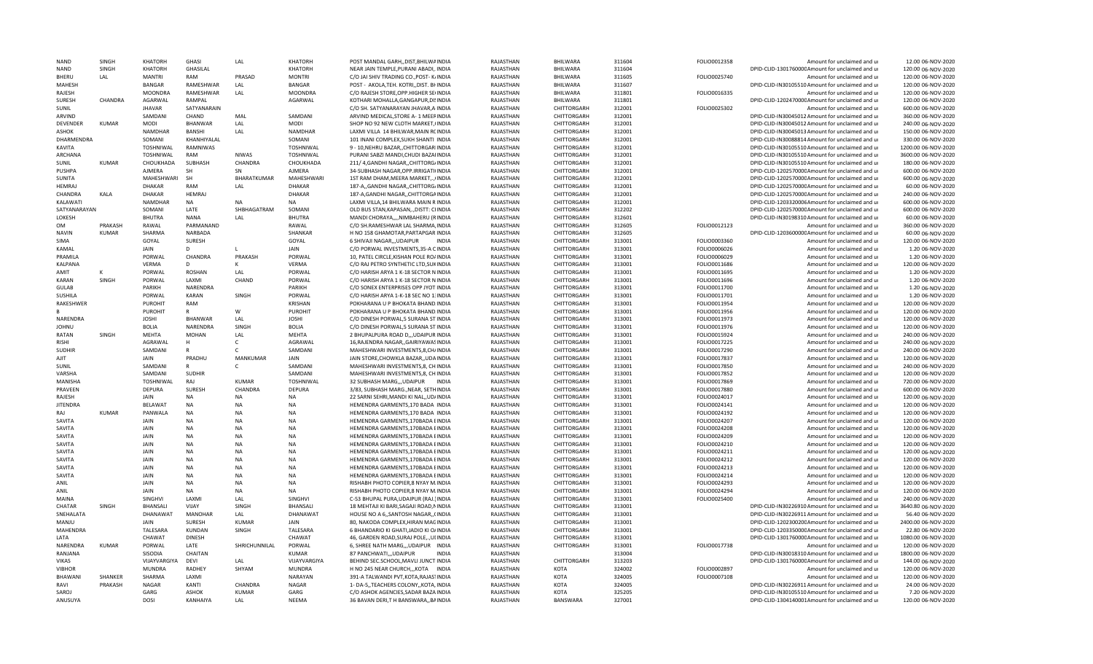| NAND              | SINGH          | KHATORH        | GHASI           | LAL           | <b>KHATORH</b>  | POST MANDAL GARHDIST.BHILWAINDI/           | RAJASTHAN | BHILWARA           | 311604 | FOLIO0012358 | Amount for unclaimed and u                       | 12.00 06-NOV-2020   |
|-------------------|----------------|----------------|-----------------|---------------|-----------------|--------------------------------------------|-----------|--------------------|--------|--------------|--------------------------------------------------|---------------------|
| <b>NAND</b>       | SINGH          | <b>KHATORH</b> | GHASILAL        |               | <b>KHATORH</b>  | NEAR JAIN TEMPLE.PURANI ABADIINDIA         | RAJASTHAN | <b>BHILWARA</b>    | 311604 |              | DPID-CLID-130176000CAmount for unclaimed and ur  | 120.00 06-NOV-2020  |
| <b>BHFRU</b>      | LAL            | <b>MANTRI</b>  | RAM             | PRASAD        | <b>MONTRI</b>   | C/O JAI SHIV TRADING CO., POST- K/INDIA    | RAJASTHAN | BHILWARA           | 311605 | FOLIO0025740 | Amount for unclaimed and ur                      | 120.00 06-NOV-2020  |
| MAHESH            |                | <b>BANGAR</b>  | RAMESHWAR       | LAL           | <b>BANGAR</b>   | POST - AKOLA, TEH. KOTRI, , DIST. BI INDIA | RAJASTHAN | BHILWARA           | 311607 |              | DPID-CLID-IN30105510 Amount for unclaimed and ur | 120.00 06-NOV-2020  |
| RAJESH            |                | <b>MOONDRA</b> | RAMESHWAR       | LAL           | <b>MOONDRA</b>  | C/O RAJESH STORE, OPP.HIGHER SEIINDIA      | RAJASTHAN | BHILWARA           | 311801 | FOLIO0016335 | Amount for unclaimed and ur                      | 120.00 06-NOV-2020  |
| SURESH            | CHANDRA        | AGARWAL        | RAMPAL          |               | AGARWAL         | KOTHARI MOHALLA, GANGAPUR, DISINDIA        | RAJASTHAN | BHILWARA           | 311801 |              | DPID-CLID-120247000CAmount for unclaimed and ur  | 120.00 06-NOV-2020  |
|                   |                |                |                 |               |                 |                                            |           |                    |        |              |                                                  |                     |
| SUNIL             |                | <b>JHAVAR</b>  | SATYANARAIN     |               |                 | C/O SH. SATYANARAYAN JHAVAR, A INDIA       | RAJASTHAN | <b>CHITTORGARH</b> | 312001 | FOLIO0025302 | Amount for unclaimed and ur                      | 600.00 06-NOV-2020  |
| ARVIND            |                | SAMDANI        | CHAND           | MAL           | SAMDANI         | ARVIND MEDICAL, STORE A-1 MEERINDIA        | RAJASTHAN | CHITTORGARH        | 312001 |              | DPID-CLID-IN30045012 Amount for unclaimed and ur | 360.00 06-NOV-2020  |
| <b>DEVENDER</b>   | <b>KUMAR</b>   | <b>MODI</b>    | <b>BHANWAR</b>  | LAL           | MODI            | SHOP NO 92 NEW CLOTH MARKET, (INDIA        | RAJASTHAN | CHITTORGARH        | 312001 |              | DPID-CLID-IN30045012 Amount for unclaimed and ur | 240.00 06-NOV-2020  |
| <b>ASHOK</b>      |                | <b>NAMDHAR</b> | BANSHI          | LAL           | NAMDHAR         | LAXMI VILLA 14 BHILWAR, MAIN RCINDIA       | RAJASTHAN | CHITTORGARH        | 312001 |              | DPID-CLID-IN30045013 Amount for unclaimed and ur | 150.00 06-NOV-2020  |
| <b>DHARMENDRA</b> |                | SOMANI         | KHANHIYALAL     |               | SOMANI          | 101 INANI COMPLEX, SUKH SHANTI INDIA       | RAJASTHAN | CHITTORGARH        | 312001 |              | DPID-CLID-IN30088814 Amount for unclaimed and ur | 330.00 06-NOV-2020  |
| KAVITA            |                | TOSHNIWAL      | RAMNIWAS        |               | TOSHNIWAL       | 9 - 10, NEHRU BAZAR, , CHITTORGARIINDIA    | RAJASTHAN | CHITTORGARH        | 312001 |              | DPID-CLID-IN30105510 Amount for unclaimed and ur | 1200.00 06-NOV-2020 |
| <b>ARCHANA</b>    |                | TOSHNIWAL      | RAM             | <b>NIWAS</b>  | TOSHNIWAL       | PURANI SABZI MANDI, CHUDI BAZAHNDIA        | RAJASTHAN | CHITTORGARH        | 312001 |              | DPID-CLID-IN30105510 Amount for unclaimed and ur | 3600.00 06-NOV-2020 |
| SUNIL             | <b>KUMAR</b>   |                | SUBHASH         | CHANDRA       | CHOUKHADA       |                                            | RAJASTHAN | CHITTORGARH        |        |              |                                                  | 180.00 06-NOV-2020  |
|                   |                | CHOUKHADA      |                 |               |                 | 211/ 4, GANDHI NAGAR, , CHITTORG/INDIA     |           |                    | 312001 |              | DPID-CLID-IN30105510 Amount for unclaimed and ur |                     |
| PUSHPA            |                | AJMERA         | SH              | SN            | AJMERA          | 34-SUBHASH NAGAR, OPP.IRRIGATI(INDIA       | RAJASTHAN | CHITTORGARH        | 312001 |              | DPID-CLID-120257000CAmount for unclaimed and ur  | 600.00 06-NOV-2020  |
| SUNITA            |                | MAHESHWARI     | <b>SH</b>       | BHARATKUMAR   | MAHESHWARI      | 1ST RAM DHAM, MEERA MARKET,  (INDIA        | RAJASTHAN | CHITTORGARH        | 312001 |              | DPID-CLID-120257000CAmount for unclaimed and ur  | 600.00 06-NOV-2020  |
| <b>HFMRAI</b>     |                | <b>DHAKAR</b>  | RAM             | LAL           | DHAKAR          | 187-A,, GANDHI NAGAR,, CHITTORG/INDIA      | RAJASTHAN | <b>CHITTORGARH</b> | 312001 |              | DPID-CLID-120257000CAmount for unclaimed and ur  | 60.00 06-NOV-2020   |
| CHANDRA           | KALA           | DHAKAR         | <b>HEMRAJ</b>   |               | DHAKAR          | 187-A, GANDHI NAGAR, , CHITTORGAINDIA      | RAJASTHAN | CHITTORGARH        | 312001 |              | DPID-CLID-120257000CAmount for unclaimed and ur  | 240.00 06-NOV-2020  |
| KALAWATI          |                | NAMDHAR        | NA              | <b>NA</b>     | <b>NA</b>       | LAXMI VILLA, 14 BHILWARA MAIN R INDIA      | RAJASTHAN | CHITTORGARH        | 312001 |              | DPID-CLID-1203320006 Amount for unclaimed and ur | 600.00 06-NOV-2020  |
| SATYANARAYAN      |                | SOMANI         | LATE            | SHBHAGATRAM   | SOMANI          | OLD BUS STAN, KAPASAN,  , DISTT: CHNDIA    | RAJASTHAN | CHITTORGARH        | 312202 |              | DPID-CLID-120257000CAmount for unclaimed and ur  | 600.00 06-NOV-2020  |
| LOKESH            |                | <b>BHUTRA</b>  | <b>NANA</b>     | LAL           | <b>BHUTRA</b>   | MANDI CHORAYA,,,,NIMBAHERU (RINDIA         | RAJASTHAN | CHITTORGARH        | 312601 |              | DPID-CLID-IN30198310 Amount for unclaimed and ur | 60.00 06-NOV-2020   |
|                   |                |                |                 |               |                 |                                            |           |                    |        |              |                                                  |                     |
| OМ                | <b>PRAKASH</b> | RAWAL          | PARMANAND       |               | RAWAL           | C/O SH.RAMESHWAR LAL SHARMA, INDIA         | RAJASTHAN | CHITTORGARH        | 312605 | FOLIO0012123 | Amount for unclaimed and ur                      | 360.00 06-NOV-2020  |
| <b>NAVIN</b>      | <b>KUMAR</b>   | SHARMA         | NARBADA         |               | SHANKAR         | H NO 158 GHAMOTAR, PARTAPGAR INDIA         | RAJASTHAN | CHITTORGARH        | 312605 |              | DPID-CLID-120360000CAmount for unclaimed and ur  | 60.00 06-NOV-2020   |
| SIMA              |                | GOYAL          | SURESH          |               | GOYAL           | 6 SHIVAJI NAGAR,,,UDAIPUR<br>INDIA         | RAJASTHAN | CHITTORGARH        | 313001 | FOLIO0003360 | Amount for unclaimed and ur                      | 120.00 06-NOV-2020  |
| KAMAL             |                | <b>JAIN</b>    | D               |               | JAIN            | C/O PORWAL INVESTMENTS, 35-A CINDIA        | RAJASTHAN | CHITTORGARH        | 313001 | FOLIO0006026 | Amount for unclaimed and ur                      | 1.20 06-NOV-2020    |
| PRAMILA           |                | PORWAL         | CHANDRA         | PRAKASH       | PORWAL          | 10, PATEL CIRCLE, KISHAN POLE RO/INDIA     | RAJASTHAN | CHITTORGARH        | 313001 | FOLIO0006029 | Amount for unclaimed and ur                      | 1.20 06-NOV-2020    |
| KALPANA           |                | <b>VERMA</b>   | D               | к             | <b>VERMA</b>    | C/O RAJ PETRO SYNTHETIC LTD.SUKINDIA       | RAJASTHAN | CHITTORGARH        | 313001 | FOLIO0011686 | Amount for unclaimed and u                       | 120.00 06-NOV-2020  |
| AMIT              | ĸ              | PORWAL         | ROSHAN          | LAL           | PORWAL          | C/O HARISH ARYA 1 K-18 SECTOR N INDIA      | RAJASTHAN | CHITTORGARH        | 313001 | FOLIO0011695 | Amount for unclaimed and ur                      | 1.20 06-NOV-2020    |
| <b>KARAN</b>      | SINGH          | PORWAL         | LAXMI           | CHAND         | PORWAL          | C/O HARISH ARYA 1 K-18 SECTOR N INDIA      | RAJASTHAN | CHITTORGARH        | 313001 | FOLIO0011696 | Amount for unclaimed and ur                      | 1.20 06-NOV-2020    |
| <b>GULAB</b>      |                | PARIKH         | <b>NARENDRA</b> |               | PARIKH          | C/O SONEX ENTERPRISES OPP JYOT INDIA       | RAJASTHAN | CHITTORGARH        | 313001 | FOLIO0011700 | Amount for unclaimed and ur                      | 1.20 06-NOV-2020    |
| <b>SUSHILA</b>    |                | PORWAL         | KARAN           | SINGH         | PORWAL          |                                            |           | CHITTORGARH        |        |              |                                                  |                     |
|                   |                |                |                 |               |                 | C/O HARISH ARYA 1-K-18 SEC NO 1: INDIA     | RAJASTHAN |                    | 313001 | FOLIO0011701 | Amount for unclaimed and ur                      | 1.20 06-NOV-2020    |
| RAKESHWER         |                | PUROHIT        | RAM             |               | KRISHAN         | POKHARANA U P BHOKATA BHAND INDIA          | RAJASTHAN | CHITTORGARH        | 313001 | FOLIO0011954 | Amount for unclaimed and ur                      | 120.00 06-NOV-2020  |
|                   |                | <b>PUROHIT</b> | R               | W             | <b>PUROHIT</b>  | POKHARANA U P BHOKATA BHAND.INDIA          | RAJASTHAN | CHITTORGARH        | 313001 | FOLIO0011956 | Amount for unclaimed and ur                      | 120.00 06-NOV-2020  |
| NARENDRA          |                | <b>JOSHI</b>   | <b>BHANWAR</b>  | LAL           | <b>JOSHI</b>    | C/O DINESH PORWAL,5 SURANA ST INDIA        | RAJASTHAN | CHITTORGARH        | 313001 | FOLIO0011973 | Amount for unclaimed and ur                      | 120.00 06-NOV-2020  |
| <b>JOHNU</b>      |                | <b>BOLIA</b>   | NARENDRA        | SINGH         | <b>BOLIA</b>    | C/O DINESH PORWAL,5 SURANA ST INDIA        | RAJASTHAN | CHITTORGARH        | 313001 | FOLIO0011976 | Amount for unclaimed and ur                      | 120.00 06-NOV-2020  |
| <b>RATAN</b>      | SINGH          | MEHTA          | <b>MOHAN</b>    | LAL           | <b>MEHTA</b>    | 2 BHUPALPURA ROAD D,,,UDAIPUR INDIA        | RAJASTHAN | CHITTORGARH        | 313001 | FOLIO0015924 | Amount for unclaimed and ur                      | 240.00 06-NOV-2020  |
| RISHI             |                | AGRAWAL        | H               | $\mathsf{C}$  | AGRAWAL         | 16, RAJENDRA NAGAR, GAIRIYAWASINDIA        | RAJASTHAN | CHITTORGARH        | 313001 | FOLIO0017225 | Amount for unclaimed and ur                      | 240.00 06-NOV-2020  |
| <b>SUDHIR</b>     |                | SAMDANI        |                 | $\mathsf{C}$  | SAMDANI         | MAHESHWARI INVESTMENTS, 8, CH/INDIA        | RAJASTHAN | CHITTORGARH        | 313001 |              | Amount for unclaimed and ur                      | 240.00 06-NOV-2020  |
|                   |                |                |                 |               |                 |                                            |           |                    |        | FOLIO0017290 |                                                  |                     |
| AIIT              |                | <b>JAIN</b>    | PRADHU          | MANKUMAR      | JAIN            | JAIN STORE, CHOWKLA BAZAR, , UDAINDIA      | RAJASTHAN | CHITTORGARH        | 313001 | FOLIO0017837 | Amount for unclaimed and ur                      | 120.00 06-NOV-2020  |
| SUNIL             |                | SAMDANI        | R               | $\mathsf{C}$  | SAMDANI         | MAHESHWARI INVESTMENTS, 8, CH INDIA        | RAJASTHAN | CHITTORGARH        | 313001 | FOLIO0017850 | Amount for unclaimed and ur                      | 240.00 06-NOV-2020  |
| VARSHA            |                | SAMDANI        | <b>SUDHIR</b>   |               | SAMDANI         | MAHESHWARI INVESTMENTS, 8, CH INDIA        | RAJASTHAN | CHITTORGARH        | 313001 | FOLIO0017852 | Amount for unclaimed and ur                      | 120.00 06-NOV-2020  |
| MANISHA           |                | TOSHNIWAL      | RAJ             | KUMAR         | TOSHNIWAL       | 32 SUBHASH MARG,,,UDAIPUR INDIA            | RAJASTHAN | CHITTORGARH        | 313001 | FOLIO0017869 | Amount for unclaimed and ur                      | 720.00 06-NOV-2020  |
| PRAVEEN           |                | DEPURA         | SURESH          | CHANDRA       | <b>DEPURA</b>   | 3/83, SUBHASH MARG., NEAR, SETHINDIA       | RAJASTHAN | CHITTORGARH        | 313001 | FOLIO0017880 | Amount for unclaimed and ur                      | 600.00 06-NOV-2020  |
| RAJESH            |                | JAIN           | <b>NA</b>       | <b>NA</b>     | <b>NA</b>       | 22 SARNI SEHRI, MANDI KI NAL, , UDJINDIA   | RAJASTHAN | CHITTORGARH        | 313001 | FOLIO0024017 | Amount for unclaimed and ur                      | 120.00 06-NOV-2020  |
| <b>JITENDRA</b>   |                | <b>BELAWAT</b> | <b>NA</b>       | <b>NA</b>     | <b>NA</b>       | HEMENDRA GARMENTS, 170 BADA INDIA          | RAJASTHAN | CHITTORGARH        | 313001 | FOLIO0024141 | Amount for unclaimed and ur                      | 120.00 06-NOV-2020  |
| RAI               | KUMAR          | PANWALA        | <b>NA</b>       | <b>NA</b>     | <b>NA</b>       | HEMENDRA GARMENTS, 170 BADA INDIA          | RAJASTHAN | CHITTORGARH        | 313001 | FOLIO0024192 | Amount for unclaimed and ur                      |                     |
|                   |                |                |                 |               |                 |                                            |           |                    |        |              |                                                  | 120.00 06-NOV-2020  |
| SAVITA            |                | JAIN           | <b>NA</b>       | <b>NA</b>     | NA              | HEMENDRA GARMENTS, 170BADA EINDIA          | RAJASTHAN | CHITTORGARH        | 313001 | FOLIO0024207 | Amount for unclaimed and ur                      | 120.00 06-NOV-2020  |
| SAVITA            |                | JAIN           | <b>NA</b>       | <b>NA</b>     | NA              | HEMENDRA GARMENTS, 170BADA EINDIA          | RAJASTHAN | CHITTORGARH        | 313001 | FOLIO0024208 | Amount for unclaimed and ur                      | 120.00 06-NOV-2020  |
| SAVITA            |                | JAIN           | <b>NA</b>       | <b>NA</b>     | <b>NA</b>       | HEMENDRA GARMENTS, 170BADA EINDIA          | RAJASTHAN | CHITTORGARH        | 313001 | FOLIO0024209 | Amount for unclaimed and ur                      | 120.00 06-NOV-2020  |
| SAVITA            |                | JAIN           | NA              | <b>NA</b>     | <b>NA</b>       | HEMENDRA GARMENTS, 170BADA EINDIA          | RAJASTHAN | CHITTORGARH        | 313001 | FOLIO0024210 | Amount for unclaimed and ur                      | 120.00 06-NOV-2020  |
| SAVITA            |                | JAIN           | <b>NA</b>       | <b>NA</b>     | <b>NA</b>       | HEMENDRA GARMENTS, 170BADA EINDIA          | RAJASTHAN | CHITTORGARH        | 313001 | FOLIO0024211 | Amount for unclaimed and ur                      | 120.00 06-NOV-2020  |
| SAVITA            |                | JAIN           | <b>NA</b>       | <b>NA</b>     | <b>NA</b>       | HEMENDRA GARMENTS.170BADA EINDIA           | RAJASTHAN | CHITTORGARH        | 313001 | FOLIO0024212 | Amount for unclaimed and ur                      | 120.00 06-NOV-2020  |
| SAVITA            |                | JAIN           | <b>NA</b>       | <b>NA</b>     | <b>NA</b>       | HEMENDRA GARMENTS, 170BADA EINDIA          | RAJASTHAN | CHITTORGARH        | 313001 | FOLIO0024213 | Amount for unclaimed and ur                      | 120.00 06-NOV-2020  |
| SAVITA            |                | JAIN           | NA              | <b>NA</b>     | NA              | HEMENDRA GARMENTS, 170BADA EINDIA          | RAJASTHAN | CHITTORGARH        | 313001 | FOLIO0024214 | Amount for unclaimed and ur                      | 120.00 06-NOV-2020  |
| ANIL              |                | JAIN           |                 | <b>NA</b>     | <b>NA</b>       | RISHABH PHOTO COPIER,8 NYAY M.INDIA        |           | CHITTORGARH        |        |              |                                                  | 120.00 06-NOV-2020  |
|                   |                |                | NA              |               |                 |                                            | RAJASTHAN |                    | 313001 | FOLIO0024293 | Amount for unclaimed and ur                      |                     |
| ANIL              |                | JAIN           | <b>NA</b>       | <b>NA</b>     | <b>NA</b>       | RISHABH PHOTO COPIER,8 NYAY M.INDIA        | RAJASTHAN | CHITTORGARH        | 313001 | FOLIO0024294 | Amount for unclaimed and ur                      | 120.00 06-NOV-2020  |
| <b>MAINA</b>      |                | SINGHVI        | LAXMI           | LAL           | SINGHVI         | C-53 BHUPAL PURA, UDAIPUR (RAJ.) INDIA     | RAJASTHAN | CHITTORGARH        | 313001 | FOLIO0025400 | Amount for unclaimed and ur                      | 240.00 06-NOV-2020  |
| CHATAR            | SINGH          | BHANSALI       | VIJAY           | SINGH         | <b>BHANSALI</b> | 18 MEHTAJI KI BARI, SAGAJI ROAD, NINDIA    | RAJASTHAN | CHITTORGARH        | 313001 |              | DPID-CLID-IN30226910 Amount for unclaimed and ur | 3640.80 06-NOV-2020 |
| SNEHALATA         |                | DHANAWAT       | <b>MANOHAR</b>  | LAL           | DHANAWAT        | HOUSE NO A 6, SANTOSH NAGAR, CINDIA        | RAJASTHAN | CHITTORGARH        | 313001 |              | DPID-CLID-IN30226911 Amount for unclaimed and ur | 56.40 06-NOV-2020   |
| MANJU             |                | <b>JAIN</b>    | SURESH          | <b>KUMAR</b>  | <b>JAIN</b>     | 80, NAKODA COMPLEX, HIRAN MAGINDIA         | RAJASTHAN | CHITTORGARH        | 313001 |              | DPID-CLID-120230020CAmount for unclaimed and ur  | 2400.00 06-NOV-2020 |
| MAHENDRA          |                | TALESARA       | KUNDAN          | SINGH         | TALESARA        | 6 BHANDARIO KI GHATI, JADIO KI O/INDIA     | RAJASTHAN | CHITTORGARH        | 313001 |              | DPID-CLID-120335000C Amount for unclaimed and ur | 22.80 06-NOV-2020   |
| LATA              |                | CHAWAT         | <b>DINESH</b>   |               | CHAWAT          | 46, GARDEN ROAD, SURAJ POLE,., ULINDIA     | RAJASTHAN | CHITTORGARH        | 313001 |              | DPID-CLID-130176000CAmount for unclaimed and ur  | 1080.00 06-NOV-2020 |
| <b>NARFNDRA</b>   | <b>KUMAR</b>   | PORWAL         | LATE            | SHRICHUNNILAL | PORWAL          | 6. SHREE NATH MARG UDAIPUR INDIA           | RAJASTHAN | CHITTORGARH        | 313001 | FOLIO0017738 | Amount for unclaimed and u                       | 120.00 06-NOV-2020  |
|                   |                |                |                 |               |                 |                                            |           |                    |        |              |                                                  |                     |
| RANJANA           |                | SISODIA        | CHAITAN         |               | KUMAR           | 87 PANCHWATI,,,UDAIPUR<br><b>INDIA</b>     | RAJASTHAN |                    | 313004 |              | DPID-CLID-IN30018310 Amount for unclaimed and ur | 1800.00 06-NOV-2020 |
| <b>VIKAS</b>      |                | VIJAYVARGIYA   | DEVI            | LAL           | VIJAYVARGIYA    | BEHIND SEC.SCHOOL, MAVLI JUNCTINDIA        | RAJASTHAN | CHITTORGARH        | 313203 |              | DPID-CLID-130176000CAmount for unclaimed and ur  | 144.00 06-NOV-2020  |
| VIBHOR            |                | <b>MUNDRA</b>  | <b>RADHFY</b>   | SHYAM         | <b>MUNDRA</b>   | H NO 245 NEAR CHURCH,,,KOTA INDIA          | RAJASTHAN | KOTA               | 324002 | FOLIO0002897 | Amount for unclaimed and ur                      | 120.00 06-NOV-2020  |
| <b>BHAWANI</b>    | SHANKER        | SHARMA         | LAXMI           |               | NARAYAN         | 391-A TALWANDI PVT, KOTA, RAJASTINDIA      | RAJASTHAN | KOTA               | 324005 | FOLIO0007108 | Amount for unclaimed and u                       | 120.00 06-NOV-2020  |
| RAVI              | PRAKASH        | NAGAR          | KANTI           | CHANDRA       | <b>NAGAR</b>    | 1- DA-5,, TEACHERS COLONY,, KOTA, INDIA    | RAJASTHAN | <b>KOTA</b>        | 324005 |              | DPID-CLID-IN30226911 Amount for unclaimed and ur | 24.00 06-NOV-2020   |
| SAROJ             |                | GARG           | <b>ASHOK</b>    | KUMAR         | GARG            | C/O ASHOK AGENCIES, SADAR BAZA INDIA       | RAJASTHAN | <b>KOTA</b>        | 325205 |              | DPID-CLID-IN30105510 Amount for unclaimed and ur | 7.20 06-NOV-2020    |
| ANUSUYA           |                | <b>DOSI</b>    | KANHAIYA        | LAL           | <b>NEEMA</b>    | 36 BAVAN DERI, TH BANSWARA,, BAINDIA       | RAJASTHAN | BANSWARA           | 327001 |              | DPID-CLID-1304140001Amount for unclaimed and ur  | 120.00 06-NOV-2020  |
|                   |                |                |                 |               |                 |                                            |           |                    |        |              |                                                  |                     |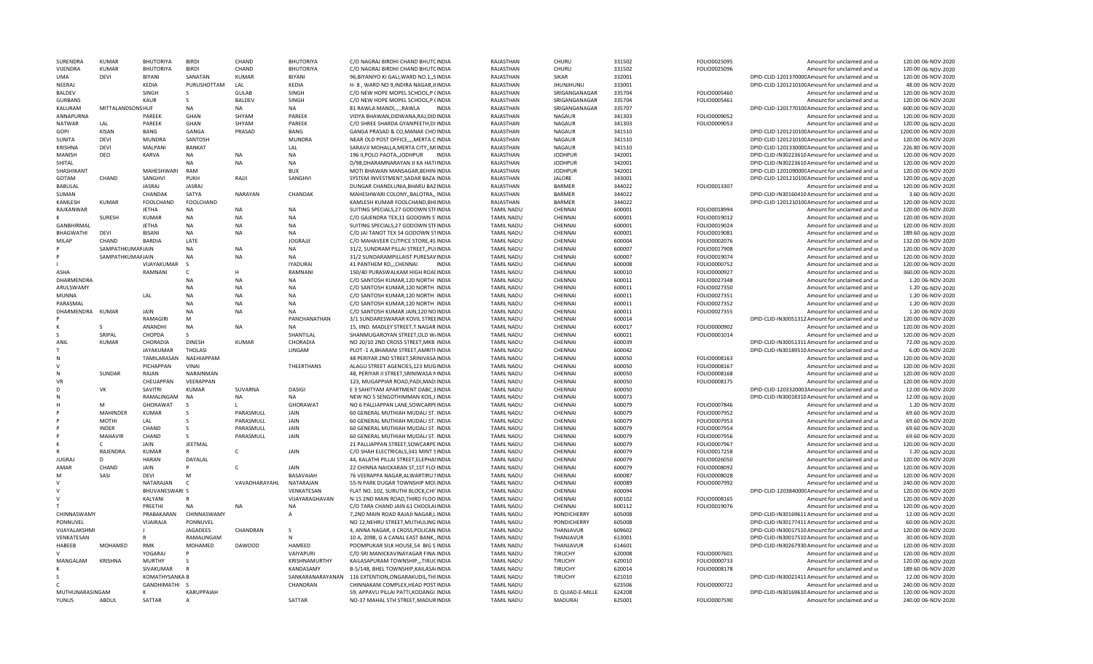| SURENDRA             | <b>KUMAR</b>      | <b>BHUTORIYA</b>      | <b>BIRDI</b>      | CHAND         | <b>BHUTORIYA</b> | C/O NAGRAJ BIRDHI CHAND BHUTCINDIA       | RAJASTHAN              | CHURU                            | 331502 | FOLIO0025095 | Amount for unclaimed and ur                      | 120.00 06-NOV-2020  |
|----------------------|-------------------|-----------------------|-------------------|---------------|------------------|------------------------------------------|------------------------|----------------------------------|--------|--------------|--------------------------------------------------|---------------------|
| VIJENDRA             | <b>KUMAR</b>      | <b>BHUTORIYA</b>      | <b>BIRDI</b>      | CHAND         | <b>BHUTORIYA</b> | C/O NAGRAJ BIRDHI CHAND BHUTCINDIA       | RAJASTHAN              | CHURU                            | 331502 | FOLIO0025096 | Amount for unclaimed and ur                      | 120.00 06-NOV-2020  |
| UMA                  | <b>DFVI</b>       | <b>BIYANI</b>         | SANATAN           | <b>KUMAR</b>  | <b>BIYANI</b>    | 96, BIYANIYO KI GALI, WARD NO.1,, SINDIA | RAJASTHAN              | <b>SIKAR</b>                     | 332001 |              | DPID-CLID-120137000CAmount for unclaimed and ur  | 120.00 06-NOV-2020  |
| NEERAJ               |                   | <b>KFDIA</b>          | PURUSHOTTAM       | LAL           | KEDIA            | H- 8, WARD NO 9, INDIRA NAGAR, JHNDIA    | RAJASTHAN              | <b>JHUNJHUNU</b>                 | 333001 |              | DPID-CLID-120121010CAmount for unclaimed and ur  | 48.00 06-NOV-2020   |
| <b>BALDEV</b>        |                   | SINGH                 | -S                | <b>GULAB</b>  | SINGH            | C/O NEW HOPE MOPEL SCHOOL, P (INDIA      | RAJASTHAN              | SRIGANGANAGAR                    | 335704 | FOLIO0005460 | Amount for unclaimed and ur                      | 120.00 06-NOV-2020  |
| <b>GURBANS</b>       |                   | KALIR                 | <sub>S</sub>      | <b>BALDEV</b> | SINGH            | C/O NEW HOPE MOPEL SCHOOL, P (INDIA      | RAJASTHAN              | SRIGANGANAGAR                    | 335704 | FOLIO0005461 | Amount for unclaimed and ur                      | 120.00 06-NOV-2020  |
| KALURAM              | MITTALANDSONS HUF |                       | <b>NA</b>         | <b>NA</b>     | <b>NA</b>        | 81 RAWLA MANDI,.,,,RAWLA<br><b>INDIA</b> | RAJASTHAN              | SRIGANGANAGAR                    | 335707 |              | DPID-CLID-120177010CAmount for unclaimed and ur  | 600.00 06-NOV-2020  |
| ANNAPURNA            |                   | PAREEK                | GHAN              | SHYAM         | PAREEK           | VIDYA BHAWAN, DIDWANA, RAJ, DIDINDIA     | RAJASTHAN              | <b>NAGAUR</b>                    | 341303 | FOLIO0009052 | Amount for unclaimed and ur                      | 120.00 06-NOV-2020  |
| <b>NATWAR</b>        | LAL               | PAREEK                | GHAN              | SHYAM         | PAREEK           | C/O SHREE SHARDA GYANPEETH, DI INDIA     | RAJASTHAN              | <b>NAGAUR</b>                    | 341303 | FOLIO0009053 | Amount for unclaimed and ur                      | 120.00 06-NOV-2020  |
| GOPI                 | <b>KISAN</b>      | BANG                  | GANGA             | PRASAD        | BANG             | GANGA PRASAD & CO, MANAK CHO INDIA       | RAJASTHAN              | NAGAUR                           | 341510 |              | DPID-CLID-120121010CAmount for unclaimed and ur  | 1200.00 06-NOV-2020 |
| SUNITA               | DEVI              | <b>MUNDRA</b>         | SANTOSH           |               | <b>MUNDRA</b>    | NEAR OLD POST OFFICE,,,, MERTA C INDIA   | RAJASTHAN              | <b>NAGAUR</b>                    | 341510 |              | DPID-CLID-120121010CAmount for unclaimed and ur  | 120.00 06-NOV-2020  |
| <b>KRISHNA</b>       | <b>DEVI</b>       | <b>MALPANI</b>        | <b>BANKAT</b>     |               | LAL              | SARAVJI MOHALLA.MERTA CITYMIINDIA        | RAJASTHAN              | <b>NAGAUR</b>                    | 341510 |              | DPID-CLID-120133000CAmount for unclaimed and ur  | 226.80 06-NOV-2020  |
| MANISH               | DEO               | KARVA                 | <b>NA</b>         | <b>NA</b>     | <b>NA</b>        | 196 II, POLO PAOTA, JODHPUR INDIA        | RAJASTHAN              | <b>JODHPUR</b>                   | 342001 |              | DPID-CLID-IN30223610 Amount for unclaimed and ur | 120.00 06-NOV-2020  |
|                      |                   |                       | <b>NA</b>         |               | <b>NA</b>        |                                          |                        |                                  |        |              |                                                  |                     |
| SHITAL<br>SHASHIKANT |                   | <b>MAHESHWARI</b>     | RAM               | <b>NA</b>     | <b>BUX</b>       | D/98, DHARAMNARAYAN JI KA HATHNDIA       | RAJASTHAN<br>RAIASTHAN | <b>JODHPUR</b><br><b>JODHPUR</b> | 342001 |              | DPID-CLID-IN30223610 Amount for unclaimed and ur | 120.00 06-NOV-2020  |
|                      |                   |                       |                   |               |                  | MOTI BHAWAN MANSAGAR, BEHINIINDIA        |                        |                                  | 342001 |              | DPID-CLID-120109000CAmount for unclaimed and ur  | 120.00 06-NOV-2020  |
| GOTAM                | CHAND             | SANGHVI               | PUKH              | RAJJI         | SANGHVI          | SYSTEM INVESTMENT, SADAR BAZAIINDIA      | RAJASTHAN              | <b>JALORE</b>                    | 343001 |              | DPID-CLID-120121010CAmount for unclaimed and ur  | 120.00 06-NOV-2020  |
| BABULAL              |                   | <b>JASRAJ</b>         | <b>JASRAJ</b>     |               |                  | DUNGAR CHANDLUNIA, BHARU BAZINDIA        | RAJASTHAN              | <b>BARMER</b>                    | 344022 | FOLIO0013307 | Amount for unclaimed and ur                      | 120.00 06-NOV-2020  |
| SUMAN                |                   | CHANDAK               | SATYA             | NARAYAN       | CHANDAK          | MAHESHWARI COLONY,, BALOTRA,, INDIA      | RAJASTHAN              | <b>BARMER</b>                    | 344022 |              | DPID-CLID-IN30160410 Amount for unclaimed and ur | 3.60 06-NOV-2020    |
| KAMLESH              | <b>KUMAR</b>      | FOOLCHAND             | FOOLCHAND         |               |                  | KAMLESH KUMAR FOOLCHAND, BHIINDIA        | RAJASTHAN              | <b>BARMER</b>                    | 344022 |              | DPID-CLID-120121010CAmount for unclaimed and ur  | 120.00 06-NOV-2020  |
| RAJKANWAR            |                   | <b>JFTHA</b>          | <b>NA</b>         | <b>NA</b>     | <b>NA</b>        | SUITING SPECIALS, 27 GODOWN STFINDIA     | <b>TAMIL NADU</b>      | CHENNAI                          | 600001 | FOLIO0018994 | Amount for unclaimed and ur                      | 120.00 06-NOV-2020  |
|                      | SURESH            | <b>KUMAR</b>          | NA                | <b>NA</b>     | <b>NA</b>        | C/O GAJENDRA TEX, 11 GODOWN S'INDIA      | <b>TAMIL NADU</b>      | CHENNAI                          | 600001 | FOLIO0019012 | Amount for unclaimed and ur                      | 120.00 06-NOV-2020  |
| <b>GANBHIRMAI</b>    |                   | <b>JETHA</b>          | <b>NA</b>         | <b>NA</b>     | <b>NA</b>        | SUITING SPECIALS, 27 GODOWN STFINDIA     | <b>TAMIL NADU</b>      | CHENNAI                          | 600001 | FOLIO0019024 | Amount for unclaimed and ur                      | 120.00 06-NOV-2020  |
| <b>BHAGWATHI</b>     | DFVI              | <b>BISANI</b>         | <b>NA</b>         | <b>NA</b>     | <b>NA</b>        | C/O JAI TANOT TEX 54 GODOWN STINDIA      | <b>TAMIL NADU</b>      | CHENNAI                          | 600001 | FOLIO0019081 | Amount for unclaimed and ur                      | 189.60 06-NOV-2020  |
| <b>MILAP</b>         | CHAND             | <b>BARDIA</b>         | LATE              |               | <b>JOGRAJJI</b>  | C/O MAHAVEER CUTPICE STORE, 45 INDIA     | <b>TAMIL NADU</b>      | CHENNAI                          | 600004 | FOLIO0002076 | Amount for unclaimed and ur                      | 132.00 06-NOV-2020  |
|                      | SAMPATHKUMAFJAIN  |                       | NA                | <b>NA</b>     | NA               | 31/2, SUNDRAM PILLAI STREET,, PUIINDIA   | <b>TAMIL NADU</b>      | CHENNAI                          | 600007 | FOLIO0017908 | Amount for unclaimed and ur                      | 120.00 06-NOV-2020  |
|                      | SAMPATHKUMAFJAIN  |                       | <b>NA</b>         | <b>NA</b>     | <b>NA</b>        | 31/2 SUNDARAMPILLAIST PURESAVINDIA       | <b>TAMIL NADU</b>      | CHENNAI                          | 600007 | FOLIO0019074 | Amount for unclaimed and ur                      | 120.00 06-NOV-2020  |
|                      |                   |                       |                   |               | <b>IYADURAL</b>  | 41 PANTHEM RD,,,CHENNAI<br><b>INDIA</b>  | <b>TAMIL NADU</b>      | CHENNAI                          | 600008 | FOLIO0000752 | Amount for unclaimed and ur                      | 120.00 06-NOV-2020  |
|                      |                   | VIJAYAKUMAR           | - S               |               |                  |                                          |                        |                                  |        |              |                                                  |                     |
| ASHA                 |                   | RAMNANI               | c                 | Н             | RAMNANI          | 150/40 PURASWALKAM HIGH ROALINDIA        | <b>TAMIL NADU</b>      | CHENNA                           | 600010 | FOLIO0000927 | Amount for unclaimed and ur                      | 360.00 06-NOV-2020  |
| DHARMENDRA           |                   |                       | <b>NA</b>         | <b>NA</b>     | <b>NA</b>        | C/O SANTOSH KUMAR, 120 NORTH INDIA       | <b>TAMIL NADU</b>      | CHENNAI                          | 600011 | FOLIO0027348 | Amount for unclaimed and ur                      | 1.20 06-NOV-2020    |
| ARULSWAMY            |                   |                       | <b>NA</b>         | <b>NA</b>     | <b>NA</b>        | C/O SANTOSH KUMAR, 120 NORTH IINDIA      | <b>TAMIL NADU</b>      | CHENNAI                          | 600011 | FOLIO0027350 | Amount for unclaimed and ur                      | 1.20 06-NOV-2020    |
| MUNNA                |                   | LAL                   | <b>NA</b>         | <b>NA</b>     | <b>NA</b>        | C/O SANTOSH KUMAR, 120 NORTH INDIA       | <b>TAMIL NADU</b>      | CHENNAI                          | 600011 | FOLIO0027351 | Amount for unclaimed and ur                      | 1.20 06-NOV-2020    |
| PARASMAL             |                   |                       | <b>NA</b>         | <b>NA</b>     | NA               | C/O SANTOSH KUMAR, 120 NORTH INDIA       | <b>TAMIL NADU</b>      | CHENNAI                          | 600011 | FOLIO0027352 | Amount for unclaimed and ur                      | 1.20 06-NOV-2020    |
| DHARMENDRA           | <b>KUMAR</b>      | <b>JAIN</b>           | <b>NA</b>         | <b>NA</b>     | <b>NA</b>        | C/O SANTOSH KUMAR JAIN, 120 NOINDIA      | <b>TAMIL NADU</b>      | CHENNAI                          | 600011 | FOLIO0027355 | Amount for unclaimed and ur                      | 1.20 06-NOV-2020    |
|                      |                   | <b>RAMAGIRI</b>       | M                 |               | PANCHANATHAN     | 3/1 SUNDARESWARAR KOVIL STREEINDIA       | <b>TAMIL NADU</b>      | CHENNAI                          | 600014 |              | DPID-CLID-IN30051312 Amount for unclaimed and ur | 120.00 06-NOV-2020  |
|                      | $\varsigma$       | ANANDHI               | NA                | <b>NA</b>     | <b>NA</b>        | 15, IIND. MADLEY STREET, T.NAGAR INDIA   | <b>TAMIL NADU</b>      | CHENNAI                          | 600017 | FOLIO0000902 | Amount for unclaimed and ur                      | 120.00 06-NOV-2020  |
|                      | SRIPAL            | CHOPDA                | <sub>S</sub>      |               | SHANTILAL        | SHANMUGAROYAN STREET, OLD W/INDIA        | <b>TAMIL NADU</b>      | CHENNAI                          | 600021 | FOLIO0001014 | Amount for unclaimed and ur                      | 120.00 06-NOV-2020  |
| ANIL                 | <b>KUMAR</b>      | CHORADIA              | <b>DINESH</b>     | <b>KUMAR</b>  | CHORADIA         | NO 20/10 2ND CROSS STREET, MKB INDIA     | <b>TAMIL NADU</b>      | CHENNAI                          | 600039 |              | DPID-CLID-IN30051311 Amount for unclaimed and ur | 72.00 06-NOV-2020   |
|                      |                   | <b>JAYAKUMAR</b>      | <b>THOLASI</b>    |               | LINGAM           | PLOT-1 A, BHARANI STREET, AMRITHNDIA     | <b>TAMIL NADU</b>      | CHENNAI                          | 600042 |              | DPID-CLID-IN30189510 Amount for unclaimed and ur | 6.00 06-NOV-2020    |
| N                    |                   | TAMILARASAN           | NAEHIAPPAM        |               |                  | 48 PERIYAR 2ND STREET, SRINIVASA INDIA   | <b>TAMIL NADU</b>      | CHENNAI                          | 600050 | FOLIO0008163 | Amount for unclaimed and ur                      | 120.00 06-NOV-2020  |
|                      |                   | PICHAPPAN             | VINAI             |               | THEERTHANS       | ALAGU STREET AGENCIES, 123 MUGINDIA      | <b>TAMIL NADU</b>      | CHENNAI                          | 600050 | FOLIO0008167 | Amount for unclaimed and ur                      | 120.00 06-NOV-2020  |
|                      | SUNDAR            | RAJAN                 | NARAINMAN         |               |                  | 48, PERIYAR II STREET, SRINIWASA NINDIA  | <b>TAMIL NADU</b>      | CHENNAI                          | 600050 | FOLIO0008168 | Amount for unclaimed and ur                      | 120.00 06-NOV-2020  |
| VR                   |                   | CHEUAPPAN             | VEERAPPAN         |               |                  | 123, MUGAPPIAR ROAD, PADI, MADIINDIA     | <b>TAMIL NADU</b>      | CHENNAI                          | 600050 | FOLIO0008175 | Amount for unclaimed and ur                      | 120.00 06-NOV-2020  |
| D                    |                   |                       |                   |               |                  |                                          |                        |                                  |        |              |                                                  |                     |
|                      | VK                | SAVITRI               | <b>KUMAR</b>      | SUVARNA       | <b>DASIGI</b>    | E 3 SAHITYAM APARTMENT DABC, 3 INDIA     | <b>TAMIL NADU</b>      | CHENNAI                          | 600050 |              | DPID-CLID-1203320003Amount for unclaimed and ur  | 12.00 06-NOV-2020   |
|                      |                   | RAMALINGAM            | <b>NA</b>         | NA            | <b>NA</b>        | NEW NO 5 SENGOTHIMMAN KOIL, IIINDIA      | <b>TAMIL NADU</b>      | CHENNA                           | 600073 |              | DPID-CLID-IN30018310 Amount for unclaimed and ur | 12.00 06-NOV-2020   |
|                      |                   | GHORAWAT              | $\mathcal{S}$     | $\mathbf{L}$  | <b>GHORAWAT</b>  | NO 6 PALLIAPPAN LANE.SOWCARPEINDIA       | <b>TAMIL NADU</b>      | CHENNAI                          | 600079 | FOLIO0007846 | Amount for unclaimed and u                       | 1.20 06-NOV-2020    |
|                      | <b>MAHINDER</b>   | KUMAR                 | -S                | PARASMULL     | <b>JAIN</b>      | 60 GENERAL MUTHIAH MUDALI ST. INDIA      | <b>TAMIL NADU</b>      | CHENNAI                          | 600079 | FOLIO0007952 | Amount for unclaimed and ur                      | 69.60 06-NOV-2020   |
|                      | MOTHI             | LAL                   |                   | PARASMULI     | JAIN             | 60 GENERAL MUTHIAH MUDALI ST. INDIA      | <b>TAMIL NADU</b>      | CHENNAI                          | 600079 | FOLIO0007953 | Amount for unclaimed and ur                      | 69.60 06-NOV-2020   |
|                      | <b>INDER</b>      | CHAND                 | $\varsigma$       | PARASMULL     | JAIN             | 60 GENERAL MUTHIAH MUDALI ST. INDIA      | <b>TAMIL NADU</b>      | CHENNAI                          | 600079 | FOLIO0007954 | Amount for unclaimed and ur                      | 69.60 06-NOV-2020   |
|                      | MAHAVIR           | CHAND                 | -S                | PARASMULL     | JAIN             | 60 GENERAL MUTHIAH MUDALI ST. INDIA      | <b>TAMIL NADU</b>      | CHENNAI                          | 600079 | FOLIO0007956 | Amount for unclaimed and ur                      | 69.60 06-NOV-2020   |
|                      | C.                | JAIN                  | <b>JEETMAL</b>    |               |                  | 21 PALLIAPPAN STREET, SOWCARPE INDIA     | <b>TAMIL NADU</b>      | CHENNAI                          | 600079 | FOLIO0007967 | Amount for unclaimed and ur                      | 120.00 06-NOV-2020  |
|                      | RAJENDRA          | <b>KUMAR</b>          |                   | C             | JAIN             | C/O SHAH ELECTRICALS, 341 MINT SINDIA    | <b>TAMIL NADU</b>      | CHENNAI                          | 600079 | FOLIO0017258 | Amount for unclaimed and ur                      | 1.20 06-NOV-2020    |
| <b>JUGRA</b>         | D.                | <b>HARAN</b>          | DAYALAL           |               |                  | 44. KALATHI PILLAI STREET.ELEPHAIINDIA   | <b>TAMIL NADU</b>      | CHENNAI                          | 600079 | FOLIO0026050 | Amount for unclaimed and ur                      | 120.00 06-NOV-2020  |
| AMAR                 | CHAND             | JAIN                  |                   | $\mathsf{C}$  | JAIN             | 22 CHINNA NAICKARAN ST,1ST FLO INDIA     | <b>TAMIL NADU</b>      | CHENNAI                          | 600079 | FOLIO0008092 | Amount for unclaimed and ur                      | 120.00 06-NOV-2020  |
| м                    | SASI              | DEVI                  | M                 |               | BASAVAIAH        | 76 VEERAPPA NAGAR, ALWARTIRU IINDIA      | <b>TAMIL NADU</b>      | CHENNAI                          | 600087 | FOLIO0008028 | Amount for unclaimed and ur                      | 120.00 06-NOV-2020  |
| v                    |                   | NATARAJAN             | $\mathsf{C}$      | VAVADHARAYAHL | NATARAJAN        | 55-N PARK DUGAR TOWNSHIP MOLINDIA        | <b>TAMIL NADU</b>      | CHENNA                           | 600089 | FOLIO0007992 | Amount for unclaimed and ur                      | 240.00 06-NOV-2020  |
|                      |                   | <b>BHUVANESWARI S</b> |                   |               | VENKATESAN       | FLAT NO. 102. SURUTHI BLOCK.CHITINDIA    | <b>TAMIL NADU</b>      | CHENNAI                          | 600094 |              | DPID-CLID-120384000CAmount for unclaimed and ur  | 120.00 06-NOV-2020  |
|                      |                   | KALYANI               | $\mathsf{R}$      |               | VIJAYARAGHAVAN   | N-15 2ND MAIN ROAD, THIRD FLOO INDIA     | <b>TAMIL NADU</b>      | CHENNAI                          | 600102 | FOLIO0008165 | Amount for unclaimed and ur                      | 120.00 06-NOV-2020  |
|                      |                   | PREETHI               | <b>NA</b>         | <b>NA</b>     | <b>NA</b>        | C/O TARA CHAND JAIN 61 CHOOLAIINDIA      | <b>TAMIL NADU</b>      | CHENNAI                          | 600112 | FOLIO0019076 | Amount for unclaimed and ur                      | 120.00 06-NOV-2020  |
| CHINNASWAMY          |                   | PRABAKARAN            | CHINNASWAMY       |               |                  | 7,2ND MAIN ROAD RAJAJI NAGAR, LINDIA     | <b>TAMIL NADU</b>      | PONDICHERRY                      | 605008 |              | DPID-CLID-IN30169611 Amount for unclaimed and ur | 12.00 06-NOV-2020   |
|                      |                   |                       |                   |               | $\overline{A}$   |                                          |                        |                                  |        |              |                                                  |                     |
| PONNUVEL             |                   | VIJAIRAJA             | PONNUVEL          |               |                  | NO 12, NEHRU STREET, MUTHULING INDIA     | <b>TAMIL NADU</b>      | PONDICHERRY                      | 605008 |              | DPID-CLID-IN30177411 Amount for unclaimed and ur | 60.00 06-NOV-2020   |
| VIJAYALAKSHMI        |                   |                       | JAGADEES          | CHANDRAN      | S                | 4, ANNA NAGAR, II CROSS, POLICAN INDIA   | <b>TAMIL NADU</b>      | THANJAVUR                        | 609602 |              | DPID-CLID-IN30017510 Amount for unclaimed and ur | 120.00 06-NOV-2020  |
| VENKATESAN           |                   |                       | RAMALINGAM        |               | $\mathsf{N}$     | 10 A, 2098, G A CANAL EAST BANK, INDIA   | <b>TAMIL NADU</b>      | THANJAVUR                        | 613001 |              | DPID-CLID-IN30017510 Amount for unclaimed and ur | 30.00 06-NOV-2020   |
| HABEEB               | MOHAMED           | <b>RMK</b>            | MOHAMED           | <b>DAWOOD</b> | HAMEED           | POOMPUKAR SILK HOUSE.54 BIG S'INDIA      | <b>TAMIL NADU</b>      | THANJAVUR                        | 614601 |              | DPID-CLID-IN30267930 Amount for unclaimed and ur | 120.00 06-NOV-2020  |
|                      |                   | YOGARAI               |                   |               | VAIYAPURI        | C/O SRI MANICKAVINAYAGAR FINA INDIA      | <b>TAMIL NADU</b>      | <b>TIRUCHY</b>                   | 620008 | FOLIO0007601 | Amount for unclaimed and ur                      | 120.00 06-NOV-2020  |
| MANGALAM             | KRISHNA           | <b>MURTHY</b>         |                   |               | KRISHNAMURTHY    | KAILASAPURAM TOWNSHIP,,,TIRUCINDIA       | <b>TAMIL NADU</b>      | TIRUCHY                          | 620010 | FOLIO0000733 | Amount for unclaimed and ur                      | 120.00 06-NOV-2020  |
|                      |                   | SIVAKUMAR             |                   |               | KANDASAMY        | B-5/148, BHEL TOWNSHIP, KAILASAIINDIA    | <b>TAMIL NADU</b>      | TIRUCHY                          | 620014 | FOLIO0008178 | Amount for unclaimed and ur                      | 189.60 06-NOV-2020  |
|                      |                   | KOMATHYSANKA B        |                   |               | SANKARANARAYANAN | 116 EXTENTION, ONGARAKUDIL, THUNDIA      | <b>TAMIL NADU</b>      | TIRUCHY                          | 621010 |              | DPID-CLID-IN30021411Amount for unclaimed and ur  | 12.00 06-NOV-2020   |
|                      |                   | GANDHIMATHI S         |                   |               | CHANDRAN         | CHINNAKANI COMPLEX, HEAD POST INDIA      | <b>TAMIL NADU</b>      |                                  | 623506 | FOLIO0000722 | Amount for unclaimed and u                       | 240.00 06-NOV-2020  |
| MUTHUNARASINGAM      |                   |                       | <b>KARUPPAIAH</b> |               |                  | 59, APPAVU PILLAI PATTI, KODANGI INDIA   | <b>TAMIL NADU</b>      | D. QUIAD-E-MILLE                 | 624208 |              | DPID-CLID-IN30169610 Amount for unclaimed and ur | 120.00 06-NOV-2020  |
| <b>YUNUS</b>         | ABDUL             | SATTAR                | A                 |               | SATTAR           | NO-37 MAHAL 5TH STREET, MADURINDIA       | <b>TAMIL NADU</b>      | <b>MADURAI</b>                   | 625001 | FOLIO0007590 | Amount for unclaimed and ur                      | 240.00 06-NOV-2020  |
|                      |                   |                       |                   |               |                  |                                          |                        |                                  |        |              |                                                  |                     |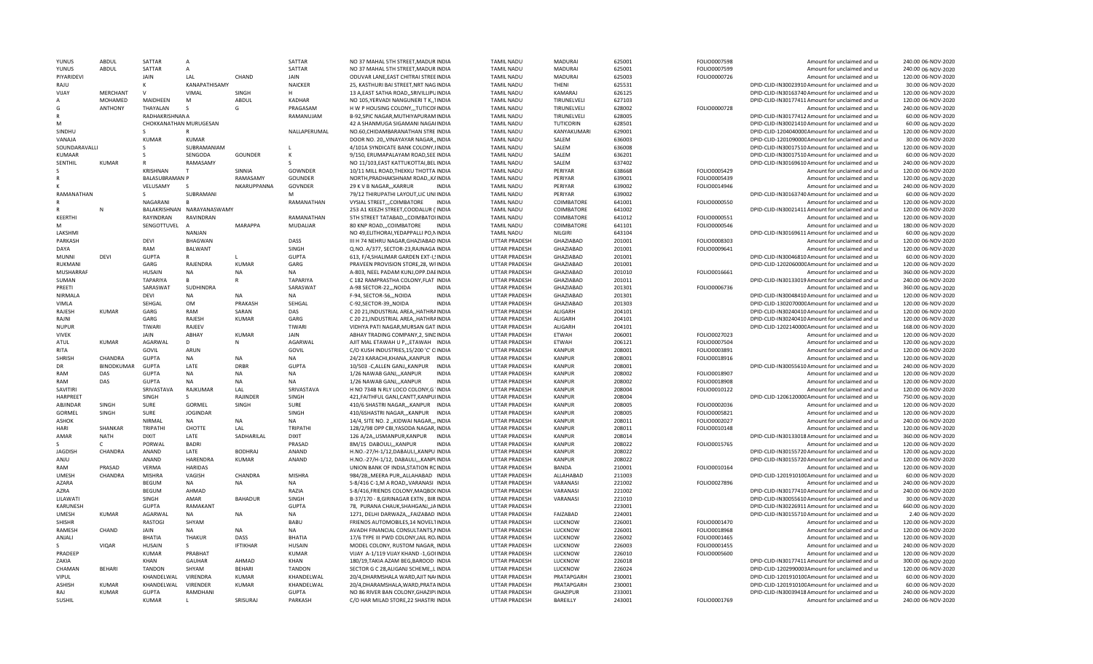| YUNUS           | ABDUL           | SATTAR                 | A                          |                 | SATTAR          | NO 37 MAHAL 5TH STREET, MADUR INDIA        | <b>TAMIL NADU</b>    | MADURAI          | 625001 | FOLIO0007598 | Amount for unclaimed and ur                      | 240.00 06-NOV-2020 |
|-----------------|-----------------|------------------------|----------------------------|-----------------|-----------------|--------------------------------------------|----------------------|------------------|--------|--------------|--------------------------------------------------|--------------------|
| YUNUS           | ABDUL           | SATTAR                 | A                          |                 | SATTAR          | NO 37 MAHAL 5TH STREET, MADUR INDIA        | <b>TAMIL NADU</b>    | MADURAI          | 625001 | FOLIO0007599 | Amount for unclaimed and ur                      | 240.00 06-NOV-2020 |
| PIYARIDEVI      |                 | <b>JAIN</b>            | LAL                        | CHAND           | JAIN            | ODUVAR LANE, EAST CHITRAI STREE INDIA      | <b>TAMIL NADU</b>    | MADURAI          | 625003 | FOLIO0000726 | Amount for unclaimed and ur                      | 120.00 06-NOV-2020 |
| RAJU            |                 |                        | KANAPATHISAMY              |                 | <b>NAICKER</b>  | 25, KASTHURI BAI STREET, NRT NAG INDIA     | <b>TAMIL NADU</b>    | THENI            | 625531 |              | DPID-CLID-IN30023910 Amount for unclaimed and ur | 30.00 06-NOV-2020  |
| VIJAY           | <b>MERCHANT</b> | $\mathsf{v}$           | VIMAL                      | SINGH           |                 | 13 A, EAST SATHA ROAD, , SRIVILLIPUINDIA   | <b>TAMIL NADU</b>    | KAMARAJ          | 626125 |              | DPID-CLID-IN30163740 Amount for unclaimed and ur | 120.00 06-NOV-2020 |
| Α               | MOHAMED         | MAIDHEEN               |                            | ABDUL           | KADHAR          |                                            | <b>TAMIL NADU</b>    | TIRUNELVELI      | 627103 |              | DPID-CLID-IN30177411 Amount for unclaimed and ur |                    |
|                 |                 |                        | M                          |                 |                 | NO 105, YERVADI NANGUNERI T K,, IINDIA     |                      |                  |        |              |                                                  | 120.00 06-NOV-2020 |
| G               | <b>ANTHONY</b>  | THAYALAN               | <sub>S</sub>               | G               | PRAGASAM        | H W P HOUSING COLONY, , TUTICOFINDIA       | <b>TAMIL NADU</b>    | TIRUNELVELI      | 628002 | FOLIO0000728 | Amount for unclaimed and ur                      | 240.00 06-NOV-2020 |
| R               |                 | RADHAKRISHNANA         |                            |                 | RAMANUJAM       | B-92.SPIC NAGAR.MUTHIYAPURAM INDIA         | <b>TAMIL NADU</b>    | TIRUNELVELI      | 628005 |              | DPID-CLID-IN30177412 Amount for unclaimed and ur | 60.00 06-NOV-2020  |
| M               |                 | CHOKKANATHAN MURUGESAN |                            |                 |                 | 42 A SHANMUGA SIGAMANI NAGAIINDIA          | <b>TAMIL NADU</b>    | TUTICORIN        | 628501 |              | DPID-CLID-IN30021410 Amount for unclaimed and ur | 60.00 06-NOV-2020  |
| <b>SINDHL</b>   |                 | S.                     | $\mathsf{R}$               |                 | NALLAPERUMAL    | NO.60, CHIDAMBARANATHAN STREINDIA          | <b>TAMIL NADU</b>    | KANYAKUMARI      | 629001 |              | DPID-CLID-120404000C Amount for unclaimed and ur | 120.00 06-NOV-2020 |
| VANAJA          |                 | <b>KUMAR</b>           | <b>KUMAR</b>               |                 |                 | DOOR NO. 20,, VINAYAYAR NAGAR,, INDIA      | <b>TAMIL NADU</b>    | SALEM            | 636003 |              | DPID-CLID-120109000CAmount for unclaimed and ur  | 30.00 06-NOV-2020  |
| SOUNDARAVALLI   |                 | s                      | SUBRAMANIAM                |                 |                 | 4/101A SYNDICATE BANK COLONY, IINDIA       | <b>TAMIL NADU</b>    | SALEM            | 636008 |              | DPID-CLID-IN30017510 Amount for unclaimed and ur | 120.00 06-NOV-2020 |
| <b>KUMAAR</b>   |                 |                        | SENGODA                    | GOUNDER         | К               | 9/150, ERUMAPALAYAM ROAD, SEE INDIA        | <b>TAMIL NADU</b>    | SALEM            | 636201 |              | DPID-CLID-IN30017510 Amount for unclaimed and ur | 60.00 06-NOV-2020  |
| SENTHIL         | <b>KUMAR</b>    |                        | RAMASAMY                   |                 |                 | NO 11/103, EAST KATTUKOTTAI, BEL INDIA     | <b>TAMIL NADU</b>    | SALEM            | 637402 |              | DPID-CLID-IN30169610 Amount for unclaimed and ur | 240.00 06-NOV-2020 |
|                 |                 | <b>KRISHNAN</b>        |                            | <b>SINNIA</b>   |                 |                                            |                      | PFRIYAR          |        | FOLIO0005429 |                                                  |                    |
|                 |                 |                        |                            |                 | GOWNDER         | 10/11 MILL ROAD, THEKKU THOTTA INDIA       | <b>TAMIL NADU</b>    |                  | 638668 |              | Amount for unclaimed and ur                      | 120.00 06-NOV-2020 |
|                 |                 | <b>BALASUBRAMAN P</b>  |                            | RAMASAMY        | GOUNDER         | NORTH, PRADHAKSHNAM ROAD, , KAINDIA        | <b>TAMIL NADU</b>    | PERIYAR          | 639001 | FOLIO0005439 | Amount for unclaimed and ur                      | 120.00 06-NOV-2020 |
|                 |                 | VELUSAMY               | $\overline{\mathbf{S}}$    | NKARUPPANNA     | GOVNDER         | 29 K V B NAGAR,,, KARRUR<br><b>INDIA</b>   | <b>TAMIL NADU</b>    | PFRIYAR          | 639002 | FOLIO0014946 | Amount for unclaimed and ur                      | 240.00 06-NOV-2020 |
| RAMANATHAN      |                 | $\mathsf{S}$           | SUBRAMANI                  |                 | M               | 79/12 THIRUPATHI LAYOUT, LIC UNIINDIA      | <b>TAMIL NADU</b>    | PERIYAR          | 639002 |              | DPID-CLID-IN30163740 Amount for unclaimed and ur | 60.00 06-NOV-2020  |
|                 |                 | NAGARANI               | $\overline{B}$             |                 | RAMANATHAN      | VYSIAL STREET,.,COIMBATORE<br><b>INDIA</b> | <b>TAMIL NADU</b>    | COIMBATORE       | 641001 | FOLIO0000550 | Amount for unclaimed and ur                      | 120.00 06-NOV-2020 |
|                 | N               |                        | BALAKRISHNAN NARAYANASWAMY |                 |                 | 253 A1 KEEZH STREET, COODALUR ('INDIA      | <b>TAMIL NADU</b>    | COIMBATORE       | 641002 |              | DPID-CLID-IN30021411 Amount for unclaimed and ur | 120.00 06-NOV-2020 |
| KEERTHI         |                 | RAYINDRAN              | RAVINDRAN                  |                 | RAMANATHAN      | 5TH STREET TATABAD,,,COIMBATOIINDIA        | <b>TAMIL NADU</b>    | COIMBATORE       | 641012 | FOLIO0000551 | Amount for unclaimed and ur                      | 120.00 06-NOV-2020 |
| M               |                 | SENGOTTUVEL            | $\overline{A}$             | <b>MARAPPA</b>  | <b>MUDALIAR</b> | 80 KNP ROAD,,,COIMBATORE<br><b>INDIA</b>   | <b>TAMIL NADU</b>    | COIMBATORE       | 641101 | FOLIO0000546 | Amount for unclaimed and ur                      | 180.00 06-NOV-2020 |
| LAKSHMI         |                 |                        | <b>NANJAN</b>              |                 |                 | NO 49, ELITHORAI, YEDAPPALLI PO, NINDIA    | <b>TAMIL NADU</b>    | <b>NILGIRI</b>   | 643104 |              | DPID-CLID-IN30169611 Amount for unclaimed and ur | 60.00 06-NOV-2020  |
|                 |                 |                        |                            |                 |                 |                                            |                      |                  |        |              |                                                  |                    |
| PARKASH         |                 | <b>DFVI</b>            | BHAGWAN                    |                 | DASS            | III H 74 NEHRU NAGAR, GHAZIABAD INDIA      | <b>UTTAR PRADESH</b> | GHAZIABAD        | 201001 | FOLIO0008303 | Amount for unclaimed and ur                      | 120.00 06-NOV-2020 |
| DAYA            |                 | RAM                    | <b>BALWANT</b>             |                 | SINGH           | Q.NO. A/377, SECTOR-23, RAJNAGA INDIA      | UTTAR PRADESH        | GHAZIABAD        | 201001 | FOLIO0009641 | Amount for unclaimed and ur                      | 120.00 06-NOV-2020 |
| <b>MUNNI</b>    | <b>DEVI</b>     | <b>GUPTA</b>           | $\mathsf{R}$               |                 | <b>GUPTA</b>    | 613, F/4, SHALIMAR GARDEN EXT-I, SINDIA    | UTTAR PRADESH        | GHAZIABAD        | 201001 |              | DPID-CLID-IN30046810 Amount for unclaimed and ur | 60.00 06-NOV-2020  |
| RUKMANI         |                 | GARG                   | RAJENDRA                   | KUMAR           | GARG            | PRAVEEN PROVISION STORE, 28, WHNDIA        | <b>UTTAR PRADESH</b> | <b>GHAZIABAD</b> | 201001 |              | DPID-CLID-120206000C Amount for unclaimed and ur | 120.00 06-NOV-2020 |
| MUSHARRAF       |                 | <b>HUSAIN</b>          | NA                         | <b>NA</b>       | <b>NA</b>       | A-803, NEEL PADAM KUNJ, OPP. DAEINDIA      | <b>UTTAR PRADESH</b> | <b>GHAZIABAD</b> | 201010 | FOLIO0016661 | Amount for unclaimed and ur                      | 360.00 06-NOV-2020 |
| SUMAN           |                 | <b>TAPARIYA</b>        | B                          | R               | <b>TAPARIYA</b> | C 182 RAMPRASTHA COLONY, FLAT INDIA        | <b>UTTAR PRADESH</b> | GHAZIABAD        | 201011 |              | DPID-CLID-IN30133019 Amount for unclaimed and ur | 240.00 06-NOV-2020 |
| PREETI          |                 | SARASWAT               | SUDHINDRA                  |                 | SARASWAT        | A-98 SECTOR-22,,,NOIDA<br><b>INDIA</b>     | UTTAR PRADESH        | GHAZIABAD        | 201301 | FOLIO0006736 | Amount for unclaimed and ur                      | 360.00 06-NOV-2020 |
| <b>NIRMALA</b>  |                 | <b>DEVI</b>            | <b>NA</b>                  | <b>NA</b>       | <b>NA</b>       | <b>INDIA</b><br>F-94, SECTOR-56,,, NOIDA   | <b>UTTAR PRADESH</b> | GHAZIABAD        | 201301 |              | DPID-CLID-IN30048410 Amount for unclaimed and ur | 120.00 06-NOV-2020 |
|                 |                 |                        |                            |                 |                 |                                            |                      |                  |        |              |                                                  |                    |
| VIMLA           |                 | SEHGAL                 | <b>OM</b>                  | PRAKASH         | SEHGAL          | C-92, SECTOR-39,, NOIDA<br><b>INDIA</b>    | UTTAR PRADESH        | GHAZIABAD        | 201303 |              | DPID-CLID-130207000CAmount for unclaimed and ur  | 120.00 06-NOV-2020 |
| RAJESH          | <b>KUMAR</b>    | GARG                   | RAM                        | SARAN           | DAS             | C 20 21, INDUSTRIAL AREA,, HATHRAINDIA     | UTTAR PRADESH        | <b>ALIGARH</b>   | 204101 |              | DPID-CLID-IN30240410 Amount for unclaimed and ur | 120.00 06-NOV-2020 |
| RAJNI           |                 | GARG                   | RAJESH                     | <b>KUMAR</b>    | GARG            | C 20 21, INDUSTRIAL AREA, HATHRAINDIA      | UTTAR PRADESH        | ALIGARH          | 204101 |              | DPID-CLID-IN30240410 Amount for unclaimed and ur | 120.00 06-NOV-2020 |
| <b>NUPUR</b>    |                 | TIWARI                 | RAIFFV                     |                 | TIWARI          | VIDHYA PATI NAGAR, MURSAN GATIINDIA        | UTTAR PRADESH        | ALIGARH          | 204101 |              | DPID-CLID-120214000CAmount for unclaimed and ur  | 168.00 06-NOV-2020 |
| <b>VIVEK</b>    |                 | JAIN                   | ABHAY                      | <b>KUMAR</b>    | JAIN            | ABHAY TRADING COMPANY, 2, SINDINDIA        | UTTAR PRADESH        | <b>ETWAH</b>     | 206001 | FOLIO0027023 | Amount for unclaimed and ur                      | 120.00 06-NOV-2020 |
| ATUL            | KUMAR           | AGARWAL                | D                          | N               | AGARWAI         | AJIT MAL ETAWAH U P.,,ETAWAH INDIA         | UTTAR PRADESH        | <b>ETWAH</b>     | 206121 | FOLIO0007504 | Amount for unclaimed and ur                      | 120.00 06-NOV-2020 |
| <b>RITA</b>     |                 | GOVIL                  | <b>ARUN</b>                |                 | GOVIL           | C/O KUSH INDUSTRIES, 15/200 'C' CIINDIA    | <b>UTTAR PRADESH</b> | <b>KANPUR</b>    | 208001 | FOLIO0003891 | Amount for unclaimed and ur                      | 120.00 06-NOV-2020 |
| <b>SHRISH</b>   | CHANDRA         | <b>GUPTA</b>           | <b>NA</b>                  | <b>NA</b>       | <b>NA</b>       | 24/23 KARACHI, KHANA,, KANPUR INDIA        | UTTAR PRADESH        | KANPUR           | 208001 | FOLIO0018916 | Amount for unclaimed and ur                      | 120.00 06-NOV-2020 |
| DR              | BINODKUMAR      | GUPTA                  | LATE                       | DRRR            | <b>GUPTA</b>    | 10/503 - C, ALLEN GANJ,, KANPUR INDIA      | UTTAR PRADESH        | KANPUR           | 208001 |              | DPID-CLID-IN30055610 Amount for unclaimed and ur | 240.00 06-NOV-2020 |
|                 |                 |                        |                            |                 |                 |                                            |                      |                  |        |              |                                                  |                    |
| RAM             | DAS             | <b>GUPTA</b>           | <b>NA</b>                  | <b>NA</b>       | <b>NA</b>       | 1/26 NAWAB GANJ,,,KANPUR<br><b>INDIA</b>   | UTTAR PRADESH        | <b>KANPUR</b>    | 208002 | FOLIO0018907 | Amount for unclaimed and ur                      | 120.00 06-NOV-2020 |
| RAM             | DAS             | <b>GUPTA</b>           | <b>NA</b>                  | NA              | <b>NA</b>       | 1/26 NAWAB GANJ,,,KANPUR<br><b>INDIA</b>   | UTTAR PRADESH        | <b>KANPUR</b>    | 208002 | FOLIO0018908 | Amount for unclaimed and ur                      | 120.00 06-NOV-2020 |
| SAVITIRI        |                 | SRIVASTAVA             | RAJKUMAR                   | LAL             | SRIVASTAVA      | H NO 734B N RLY LOCO COLONY, G'INDIA       | <b>UTTAR PRADESH</b> | <b>KANPUR</b>    | 208004 | FOLIO0010122 | Amount for unclaimed and ur                      | 120.00 06-NOV-2020 |
| <b>HARPREET</b> |                 | SINGH                  | S                          | <b>RAJINDFF</b> | SINGH           | 421, FAITHFUL GANJ, CANTT, KANPUIINDIA     | <b>UTTAR PRADESH</b> | <b>KANPUR</b>    | 208004 |              | DPID-CLID-120612000CAmount for unclaimed and ur  | 750.00 06-NOV-2020 |
| ABJINDAR        | SINGH           | <b>SURE</b>            | GORMEL                     | SINGH           | SURE            | 410/6 SHASTRI NAGAR,,,KANPUR INDIA         | UTTAR PRADESH        | <b>KANPUR</b>    | 208005 | FOLIO0002036 | Amount for unclaimed and ur                      | 120.00 06-NOV-2020 |
| GORMEL          | SINGH           | <b>SURE</b>            | <b>JOGINDAR</b>            |                 | SINGH           | 410/6SHASTRI NAGAR,,,KANPUR INDIA          | <b>UTTAR PRADESH</b> | <b>KANPUR</b>    | 208005 | FOLIO0005821 | Amount for unclaimed and ur                      | 120.00 06-NOV-2020 |
| ASHOK           |                 | NIRMAL                 | NA                         | NA              | NA              | 14/4, SITE NO. 2 "KIDWAI NAGAR", INDIA     | UTTAR PRADESH        | KANPUR           | 208011 | FOLIO0002027 | Amount for unclaimed and ur                      | 240.00 06-NOV-2020 |
| <b>HARI</b>     | SHANKAR         | TRIPATHI               | CHOTTE                     | LAL             | <b>TRIPATH</b>  | 128/2/98 OPP CBI, YASODA NAGAR, INDIA      | UTTAR PRADESH        | <b>KANPUR</b>    | 208011 | FOLIO0010148 | Amount for unclaimed and ur                      | 120.00 06-NOV-2020 |
|                 |                 |                        |                            |                 |                 |                                            |                      |                  |        |              |                                                  |                    |
| AMAR            | <b>NATH</b>     | <b>DIXIT</b>           | LATE                       | SADHARILAL      | <b>DIXIT</b>    | 126 A/2A,,USMANPUR,KANPUR<br><b>INDIA</b>  | UTTAR PRADESH        | <b>KANPUR</b>    | 208014 |              | DPID-CLID-IN30133018 Amount for unclaimed and ur | 360.00 06-NOV-2020 |
|                 | $\mathcal{C}$   | PORWAL                 | <b>BADRI</b>               |                 | PRASAD          | 8M/15 DABOULI,,,KANPUR<br><b>INDIA</b>     | UTTAR PRADESH        | <b>KANPUR</b>    | 208022 | FOLIO0015765 | Amount for unclaimed and ur                      | 120.00 06-NOV-2020 |
| <b>JAGDISH</b>  | CHANDRA         | ANAND                  | LATE                       | <b>BODHRAJ</b>  | ANAND           | H.NO.-27/H-1/12,DABAULI,,KANPUIINDIA       | UTTAR PRADESH        | <b>KANPUR</b>    | 208022 |              | DPID-CLID-IN30155720 Amount for unclaimed and ur | 120.00 06-NOV-2020 |
| ANIU            |                 | ANAND                  | <b>HARFNDRA</b>            | KUMAR           | ANAND           | H.NO.-27/H-1/12, DABAULI,,,KANPLINDIA      | UTTAR PRADESH        | <b>KANPUR</b>    | 208022 |              | DPID-CLID-IN30155720 Amount for unclaimed and ur | 120.00 06-NOV-2020 |
| RAM             | PRASAD          | <b>VERMA</b>           | <b>HARIDAS</b>             |                 |                 | UNION BANK OF INDIA.STATION RCINDIA        | UTTAR PRADESH        | <b>BANDA</b>     | 210001 | FOLIO0010164 | Amount for unclaimed and u                       | 120.00 06-NOV-2020 |
| <b>UMFSH</b>    | CHANDRA         | <b>MISHRA</b>          | VAGISH                     | CHANDRA         | <b>MISHRA</b>   | 984/2B,, MEERA PUR,, ALLAHABAD INDIA       | UTTAR PRADESH        | ALLAHABAD        | 211003 |              | DPID-CLID-120191010CAmount for unclaimed and ur  | 60.00 06-NOV-2020  |
| AZARA           |                 | <b>BEGUM</b>           | NA                         | NA              | NA              | S-8/416 C-1, M A ROAD,, VARANASI INDIA     | UTTAR PRADESH        | VARANASI         | 221002 | FOLIO0027896 | Amount for unclaimed and ur                      | 240.00 06-NOV-2020 |
| AZRA            |                 | <b>BEGUM</b>           | AHMAD                      |                 | RAZIA           | S-8/416, FRIENDS COLONY, MAQBO(INDIA       | UTTAR PRADESH        | VARANASI         | 221002 |              | DPID-CLID-IN30177410 Amount for unclaimed and ur | 240.00 06-NOV-2020 |
| LILAWATI        |                 | SINGH                  | AMAR                       | <b>BAHADUR</b>  | SINGH           | B-37/170 - 8, GIRINAGAR EXTN, BIR INDIA    | UTTAR PRADESH        | VARANASI         | 221010 |              | DPID-CLID-IN30055610 Amount for unclaimed and ur | 30.00 06-NOV-2020  |
|                 |                 |                        |                            |                 |                 |                                            |                      |                  |        |              |                                                  |                    |
| <b>KARUNESH</b> |                 | <b>GUPTA</b>           | RAMAKANT                   |                 | <b>GUPTA</b>    | 78, PURANA CHAUK, SHAHGANJ, JAINDIA        | <b>UTTAR PRADESH</b> |                  | 223001 |              | DPID-CLID-IN30226911 Amount for unclaimed and ur | 660.00 06-NOV-2020 |
| <b>UMESH</b>    | <b>KUMAR</b>    | AGARWAL                | NA                         | <b>NA</b>       | <b>NA</b>       | 1271, DELHI DARWAZA,,,FAIZABAD INDIA       | <b>UTTAR PRADESH</b> | FAIZABAD         | 224001 |              | DPID-CLID-IN30155710 Amount for unclaimed and ur | 2.40 06-NOV-2020   |
| SHISHR          |                 | <b>RASTOGI</b>         | SHYAM                      |                 | BABU            | FRIENDS AUTOMOBILES, 14 NOVELTINDIA        | UTTAR PRADESH        | LUCKNOW          | 226001 | FOLIO0001470 | Amount for unclaimed and ur                      | 120.00 06-NOV-2020 |
| <b>RAMESH</b>   | CHAND           | <b>JAIN</b>            | <b>NA</b>                  | <b>NA</b>       | <b>NA</b>       | AVADH FINANCIAL CONSULTANTS, NINDIA        | <b>UTTAR PRADESH</b> | <b>LUCKNOW</b>   | 226001 | FOLIO0018968 | Amount for unclaimed and ur                      | 120.00 06-NOV-2020 |
| ANJALI          |                 | <b>BHATIA</b>          | THAKUR                     | DASS            | <b>BHATIA</b>   | 17/6 TYPE III PWD COLONY, JAIL ROJINDIA    | UTTAR PRADESH        | LUCKNOW          | 226002 | FOLIO0001465 | Amount for unclaimed and ur                      | 120.00 06-NOV-2020 |
| S.              | <b>VIQAR</b>    | <b>HUSAIN</b>          | $\mathsf{S}$               | <b>IFTIKHAR</b> | <b>HUSAIN</b>   | MODEL COLONY, RUSTOM NAGAR, INDIA          | UTTAR PRADESH        | LUCKNOW          | 226003 | FOLIO0001455 | Amount for unclaimed and ur                      | 240.00 06-NOV-2020 |
| PRADEEP         |                 | <b>KUMAR</b>           | PRABHAT                    |                 | <b>KUMAR</b>    | VIJAY A-1/119 VIJAY KHAND -1, GOIINDIA     | UTTAR PRADESH        | LUCKNOW          | 226010 | FOLIO0005600 | Amount for unclaimed and ur                      | 120.00 06-NOV-2020 |
| ZAKIA           |                 | KHAN                   | GAUHAR                     | AHMAD           | <b>KHAN</b>     | 180/19, TAKIA AZAM BEG, BAROOD IINDIA      | UTTAR PRADESH        | LUCKNOW          | 226018 |              | DPID-CLID-IN30177411 Amount for unclaimed and ur | 300.00 06-NOV-2020 |
|                 |                 |                        |                            |                 |                 |                                            |                      |                  |        |              |                                                  |                    |
| CHAMAN          | <b>BEHARI</b>   | <b>TANDON</b>          | SHYAM                      | <b>BFHARI</b>   | <b>TANDON</b>   | SECTOR G C 28, ALIGANJ SCHEME,, LINDIA     | UTTAR PRADESH        | <b>LUCKNOW</b>   | 226024 |              | DPID-CLID-1202990003Amount for unclaimed and ur  | 120.00 06-NOV-2020 |
| <b>VIPUL</b>    |                 | KHANDELWAL             | <b>VIRENDRA</b>            | KUMAR           | KHANDFLWAL      | 20/4, DHARMSHALA WARD, AJIT NA(INDIA       | UTTAR PRADESH        | PRATAPGARH       | 230001 |              | DPID-CLID-120191010CAmount for unclaimed and ur  | 60.00 06-NOV-2020  |
| <b>ASHISH</b>   |                 |                        | <b>VIRENDER</b>            | KUMAR           | KHANDFLWAL      | 20/4, DHARAMSHALA, WARD, PRATAINDIA        | UTTAR PRADESH        | PRATAPGARH       | 230001 |              | DPID-CLID-120191010CAmount for unclaimed and ur  | 60.00 06-NOV-2020  |
|                 | KUMAR           | KHANDELWAL             |                            |                 |                 |                                            |                      |                  |        |              |                                                  |                    |
| RAI             | KUMAR           | <b>GLIPTA</b>          | RAMDHANI                   |                 | GUPTA           | NO 86 RIVER BAN COLONY, GHAZIPUNDIA        | UTTAR PRADESH        | <b>GHAZIPUR</b>  | 233001 |              | DPID-CLID-IN30039418 Amount for unclaimed and ur | 240.00 06-NOV-2020 |
| SUSHIL          |                 | KUMAR                  | $\mathbf{L}$               | SRISURAI        | PARKASH         | C/O HAR MILAD STORE, 22 SHASTRI INDIA      | <b>UTTAR PRADESH</b> | <b>BARFILLY</b>  | 243001 | FOLIO0001769 | Amount for unclaimed and ur                      | 240.00 06-NOV-2020 |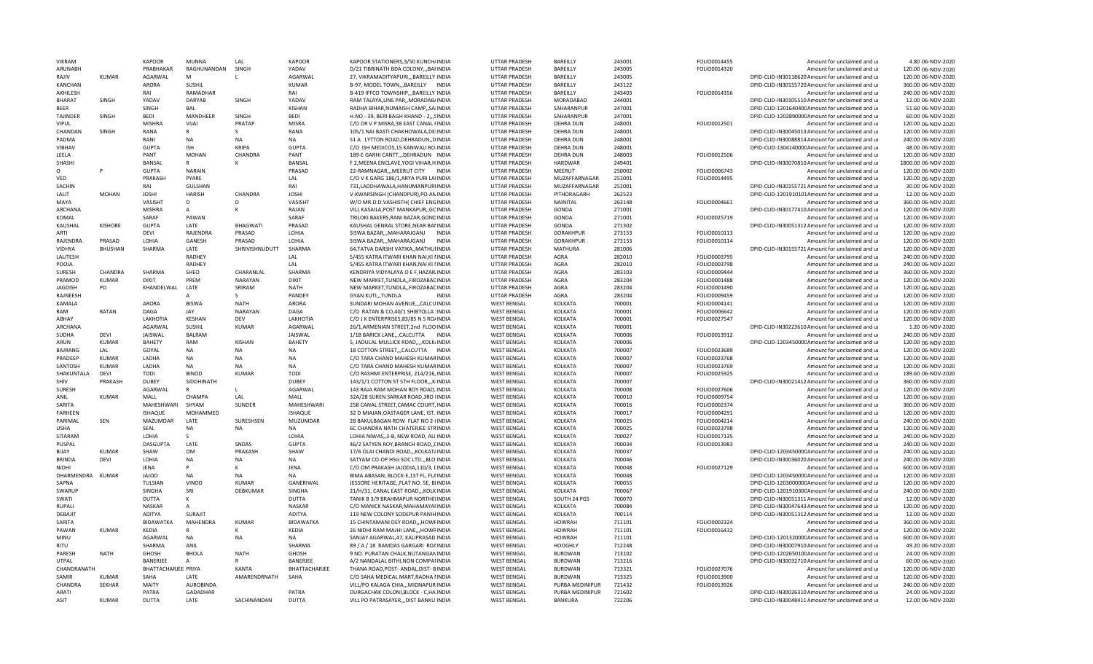| <b>VIKRAM</b>    |                | <b>KAPOOR</b>         | MUNNA            | LAI             | <b>KAPOOR</b>         | KAPOOR STATIONERS, 3/50 KUNCH/INDIA                                            | UTTAR PRADESH                            | BAREILLY                          | 243001           | FOLIO0014455 | Amount for unclaimed and ur                                                                          | 4.80 06-NOV-2020                         |
|------------------|----------------|-----------------------|------------------|-----------------|-----------------------|--------------------------------------------------------------------------------|------------------------------------------|-----------------------------------|------------------|--------------|------------------------------------------------------------------------------------------------------|------------------------------------------|
| ARUNABH          |                | PRABHAKAR             | RAGHUNANDAN      | SINGH           | YADAV                 | D/21 TIBRINATH BDA COLONY,,,BAFINDIA                                           | UTTAR PRADESH                            | BAREILLY                          | 243005           | FOLIO0014320 | Amount for unclaimed and ur                                                                          | 120.00 06-NOV-2020                       |
| RAJIV            | <b>KUMAR</b>   | AGARWAL               | M                | $\mathbf{L}$    | AGARWAL               | 27, VIKRAMADITYAPURI,,, BAREILLY INDIA                                         | UTTAR PRADESH                            | BAREILLY                          | 243005           |              | DPID-CLID-IN30118620 Amount for unclaimed and ur                                                     | 120.00 06-NOV-2020                       |
| KANCHAN          |                | ARORA                 | <b>SUSHIL</b>    |                 | KUMAR                 | B-97, MODEL TOWN,,, BAREILLY INDIA                                             | UTTAR PRADESH                            | BAREILLY                          | 243122           |              | DPID-CLID-IN30155720 Amount for unclaimed and ur                                                     | 360.00 06-NOV-2020                       |
| AKHILESH         |                | RAI                   | RAMADHAR         |                 | RAI                   | B-419 IFFCO TOWNSHIP,,,BAREILLY INDIA                                          | UTTAR PRADESH                            | BAREILLY                          | 243403           | FOLIO0014356 | Amount for unclaimed and ur                                                                          | 240.00 06-NOV-2020                       |
| <b>BHARAT</b>    | SINGH          | YADAV                 | DARYAB           | SINGH           | YADAV                 | RAM TALAYA, LINE PAR,, MORADAB/INDIA                                           | UTTAR PRADESH                            | MORADABAD                         | 244001           |              | DPID-CLID-IN30105510 Amount for unclaimed and ur                                                     | 12.00 06-NOV-2020                        |
| <b>BEER</b>      |                | SINGH                 | BAL              |                 | <b>KISHAN</b>         | RADHA BIHAR, NUMAISH CAMP,, SAIINDIA                                           | UTTAR PRADESH                            | SAHARANPUR                        | 247001           |              | DPID-CLID-120164040CAmount for unclaimed and ur                                                      | 51.60 06-NOV-2020                        |
| TAJINDER         | SINGH          | <b>BEDI</b>           | MANDHEER         | SINGH           | <b>BEDI</b>           | H.NO - 39, BERI BAGH KHAND - 2,,,SINDIA                                        | UTTAR PRADESH                            | SAHARANPUR                        | 247001           |              | DPID-CLID-120289000CAmount for unclaimed and ur                                                      | 60.00 06-NOV-2020                        |
| VIPUL            |                | <b>MISHRA</b>         | VIJAI            | PRATAP          | <b>MISRA</b>          | C/O DR V P MISRA, 38 EAST CANAL FINDIA                                         | UTTAR PRADESH                            | DEHRA DUN                         | 248001           | FOLIO0012501 | Amount for unclaimed and ur                                                                          | 120.00 06-NOV-2020                       |
| CHANDAN          | SINGH          | RANA                  |                  | S               | RANA                  | 105/1 NAI BASTI CHAKHOWALA, DEIINDIA                                           | UTTAR PRADESH                            | <b>DEHRA DUN</b>                  | 248001           |              | DPID-CLID-IN30045013 Amount for unclaimed and ur                                                     | 120.00 06-NOV-2020                       |
| PADMA            |                | RANI                  | NA               | NA              | <b>NA</b>             | 51 A LYTTON ROAD, DEHRADUN, , DINDIA                                           | UTTAR PRADESH                            | <b>DEHRA DUN</b>                  | 248001           |              | DPID-CLID-IN30088814 Amount for unclaimed and ur                                                     | 240.00 06-NOV-2020                       |
| VIBHAV           |                | <b>GUPTA</b>          | <b>ISH</b>       | <b>KRIPA</b>    | <b>GUPTA</b>          | C/O ISH MEDICOS.15 KANWALI ROJINDIA                                            | UTTAR PRADESH                            | <b>DEHRA DUN</b>                  | 248001           |              | DPID-CLID-130414000CAmount for unclaimed and ur                                                      | 48.00 06-NOV-2020                        |
| LEELA            |                | PANT                  | <b>MOHAN</b>     | CHANDRA         | PANT                  | 189-E GARHI CANTT,,,DEHRADUN INDIA                                             | <b>UTTAR PRADESH</b>                     | <b>DEHRA DUN</b>                  | 248003           | FOLIO0012506 | Amount for unclaimed and ur                                                                          | 120.00 06-NOV-2020                       |
| SHASHI           |                | BANSAL                | $\mathsf{R}$     |                 | BANSAL                | F 2, MEENA ENCLAVE, YOGI VIHAR, HINDIA                                         | UTTAR PRADESH                            | <b>HARDWAR</b>                    | 249401           |              | DPID-CLID-IN30070810 Amount for unclaimed and ur                                                     | 1800.00 06-NOV-2020                      |
| O                |                | <b>GUPTA</b>          | <b>NARAIN</b>    |                 | PRASAD                | 22-RAMNAGAR,,, MEERUT CITY INDIA                                               | UTTAR PRADESH                            | MFFRUT                            | 250002           | FOLIO0006743 | Amount for unclaimed and ur                                                                          | 120.00 06-NOV-2020                       |
| VED              |                | PRAKASH               | PYARE            |                 | LAL                   | C/O V K GARG 186/1, ARYA PURI LAIINDIA                                         | UTTAR PRADESH                            | MUZAFFARNAGAR                     | 251001           | FOLIO0014495 | Amount for unclaimed and ur                                                                          |                                          |
|                  |                |                       |                  |                 |                       |                                                                                |                                          |                                   |                  |              |                                                                                                      | 120.00 06-NOV-2020                       |
| SACHIN           |                | RAI                   | <b>GULSHAN</b>   |                 | RAI                   | 731,LADDHAWALA,HANUMANPURIINDIA                                                | UTTAR PRADESH                            | MUZAFFARNAGAR                     | 251001           |              | DPID-CLID-IN30155721 Amount for unclaimed and ur                                                     | 30.00 06-NOV-2020                        |
| LALIT            | <b>MOHAN</b>   | <b>JOSHI</b>          | HARISH           | CHANDRA         | <b>JOSHI</b>          | V-KWARSINGH (CHANDPUR), PO-ANINDIA                                             | UTTAR PRADESH                            | PITHORAGARH                       | 262523           |              | DPID-CLID-1201910101Amount for unclaimed and ur                                                      | 12.00 06-NOV-2020                        |
| MAYA             |                | VASISHT               | D                | D               | VASISHT               | W/O MR.D.D.VASHISTH( CHIEF ENGINDIA                                            | UTTAR PRADESH                            | NAINITAL                          | 263148           | FOLIO0004661 | Amount for unclaimed and ur                                                                          | 360.00 06-NOV-2020                       |
| ARCHANA          |                | <b>MISHRA</b>         | A                | к               | RAIAN                 | VILL KASAILA, POST MANKAPUR, GCINDIA                                           | UTTAR PRADESH                            | GONDA                             | 271001           |              | DPID-CLID-IN30177410 Amount for unclaimed and ur                                                     | 120.00 06-NOV-2020                       |
| KOMAL            |                | SARAF                 | PAWAN            |                 | SARAF                 | TRILOKI BAKERS, RANI BAZAR, GONDINDIA                                          | UTTAR PRADESH                            | GONDA                             | 271001           | FOLIO0025719 | Amount for unclaimed and ur                                                                          | 120.00 06-NOV-2020                       |
| KAUSHAL          | <b>KISHORE</b> | <b>GUPTA</b>          | LATE             | <b>BHAGWATI</b> | PRASAD                | KAUSHAL GENRAL STORE, NEAR BANINDIA                                            | UTTAR PRADESH                            | GONDA                             | 271302           |              | DPID-CLID-IN30051312 Amount for unclaimed and ur                                                     | 120.00 06-NOV-2020                       |
| ARTI             |                | <b>DEVI</b>           | RAJENDRA         | PRASAD          | LOHIA                 | SISWA BAZARMAHARAJGANJ<br><b>INDIA</b>                                         | UTTAR PRADESH                            | <b>GORAKHPUR</b>                  | 273153           | FOLIO0010113 | Amount for unclaimed and ur                                                                          | 120.00 06-NOV-2020                       |
| RAJENDRA         | PRASAD         | LOHIA                 | <b>GANESH</b>    | PRASAD          | LOHIA                 | SISWA BAZAR,,,MAHARAJGANJ<br><b>INDIA</b>                                      | UTTAR PRADESH                            | GORAKHPUR                         | 273153           | FOLIO0010114 | Amount for unclaimed and ur                                                                          | 120.00 06-NOV-2020                       |
| VIDHYA           | BHUSHAN        | SHARMA                | LATE             | SHRIVISHNUDUTT  | SHARMA                | 64, TATVA DARSHI VATIKA,, MATHUI INDIA                                         | UTTAR PRADESH                            | MATHURA                           | 281006           |              | DPID-CLID-IN30155721 Amount for unclaimed and ur                                                     | 120.00 06-NOV-2020                       |
| LALITESH         |                |                       | RADHEY           |                 | LAL                   | 5/455 KATRA ITWARI KHAN NAI, KI IINDIA                                         | UTTAR PRADESH                            | AGRA                              | 282010           | FOLIO0003795 | Amount for unclaimed and ur                                                                          | 240.00 06-NOV-2020                       |
| POOJA            |                |                       | <b>RADHEY</b>    |                 | A                     | 5/455 KATRA ITWARI KHAN, NAI KI IINDIA                                         | UTTAR PRADESH                            | <b>AGRA</b>                       | 282010           | FOLIO0003798 | Amount for unclaimed and ur                                                                          | 240.00 06-NOV-2020                       |
| <b>SURESH</b>    | CHANDRA        | SHARMA                | SHEO             | CHARANLAI       | SHARMA                | KENDRIYA VIDYALAYA O E F, HAZAR INDIA                                          | UTTAR PRADESH                            | AGRA                              | 283103           | FOLIO0009444 | Amount for unclaimed and ur                                                                          | 360.00 06-NOV-2020                       |
| PRAMOD           | <b>KUMAR</b>   | <b>DIXIT</b>          | PREM             | NARAYAN         | <b>DIXIT</b>          | NEW MARKET, TUNDLA,, FIROZABACINDIA                                            | UTTAR PRADESH                            | AGRA                              | 283204           | FOLIO0001488 | Amount for unclaimed and ur                                                                          | 120.00 06-NOV-2020                       |
| <b>JAGDISH</b>   | PD             | KHANDELWAL            | LATE             | SRIRAM          | NATH                  | NEW MARKET, TUNDLA,, FIROZABACINDIA                                            | UTTAR PRADESH                            | AGRA                              | 283204           | FOLIO0001490 | Amount for unclaimed and ur                                                                          | 120.00 06-NOV-2020                       |
| RAJNEESH         |                |                       | A                | S.              | PANDEY                | <b>INDIA</b><br><b>GYAN KUTITUNDLA</b>                                         | UTTAR PRADESH                            | AGRA                              | 283204           | FOLIO0009459 | Amount for unclaimed and ur                                                                          | 120.00 06-NOV-2020                       |
| KAMALA           |                | ARORA                 | <b>BISWA</b>     | <b>NATH</b>     | ARORA                 | SUNDARI MOHAN AVENUE,,,CALCUINDIA                                              | <b>WEST BENGAL</b>                       | KOLKATA                           | 700001           | FOLIO0004141 | Amount for unclaimed and ur                                                                          | 120.00 06-NOV-2020                       |
| RAM              | RATAN          | DAGA                  | <b>JAY</b>       | <b>NARAYAN</b>  | DAGA                  | C/O RATAN & CO,40/1 SHIBTOLLA : INDIA                                          | <b>WEST BENGAL</b>                       | KOLKATA                           | 700001           | FOLIO0006642 | Amount for unclaimed and ur                                                                          | 120.00 06-NOV-2020                       |
| ABHAY            |                | LAKHOTIA              | <b>KESHAN</b>    | DFV             | LAKHOTIA              | C/O J K ENTERPRISES.83/85 N S RO/INDIA                                         | <b>WEST BENGAL</b>                       | KOLKATA                           | 700001           | FOLIO0027547 | Amount for unclaimed and u                                                                           | 120.00 06-NOV-2020                       |
| <b>ARCHANA</b>   |                | <b>AGARWAL</b>        | SUSHIL           | <b>KUMAR</b>    | AGARWAL               | 26/1,ARMENIAN STREET,2nd FLOOINDIA                                             | <b>WEST BENGAL</b>                       | KOLKATA                           | 700001           |              | DPID-CLID-IN30223610 Amount for unclaimed and ur                                                     | 1.20 06-NOV-2020                         |
| SUDHA            | DEVI           | <b>JAISWAL</b>        | BALRAM           |                 | JAISWAL               | 1/1B BARICK LANE,,,CALCUTTA<br>INDIA                                           | <b>WEST BENGAL</b>                       | <b>KOLKATA</b>                    | 700006           | FOLIO0013912 | Amount for unclaimed and ur                                                                          | 240.00 06-NOV-2020                       |
| ARUN             | <b>KUMAR</b>   | <b>BAHETY</b>         | RAM              | KISHAN          | <b>BAHETY</b>         | 5, JADULAL MULLICK ROAD,,,,KOLK/INDIA                                          | <b>WEST BENGAL</b>                       | KOLKATA                           | 700006           |              | DPID-CLID-120345000CAmount for unclaimed and ur                                                      | 120.00 06-NOV-2020                       |
| <b>BAIRANG</b>   | LAL            | GOYAL                 | <b>NA</b>        | N <sub>A</sub>  | <b>NA</b>             | 18 COTTON STREET,,,CALCUTTA INDIA                                              | <b>WEST BENGAL</b>                       | KOLKATA                           | 700007           | FOLIO0023689 |                                                                                                      | 120.00 06-NOV-2020                       |
| PRADEEP          | <b>KUMAR</b>   | LADHA                 | <b>NA</b>        | <b>NA</b>       | <b>NA</b>             |                                                                                |                                          |                                   |                  |              | Amount for unclaimed and ur                                                                          |                                          |
|                  |                |                       |                  |                 |                       | C/O TARA CHAND MAHESH KUMARINDIA                                               | <b>WEST BENGAL</b>                       | <b>KOLKATA</b>                    | 700007           | FOLIO0023768 | Amount for unclaimed and ur                                                                          | 120.00 06-NOV-2020                       |
| SANTOSH          | <b>KUMAR</b>   | LADHA                 | NA               | <b>NA</b>       | NA                    | C/O TARA CHAND MAHESH KUMARINDIA                                               | <b>WEST BENGAL</b>                       | KOLKATA                           | 700007           | FOLIO0023769 | Amount for unclaimed and ur                                                                          | 120.00 06-NOV-2020                       |
| SHAKUNTALA       | DEVI           | TODI                  | <b>BINOD</b>     | KUMAR           | <b>TODI</b>           | C/O RASHMI ENTERPRISE, 214/216, INDIA                                          | <b>WEST BENGAL</b>                       | KOLKATA                           | 700007           | FOLIO0025925 | Amount for unclaimed and ur                                                                          | 189.60 06-NOV-2020                       |
| SHIV             | PRAKASH        | <b>DUBFY</b>          | SIDDHINATH       |                 | <b>DUBFY</b>          | 143/1/1 COTTON ST 5TH FLOOR,,,KINDIA                                           | <b>WEST BENGAL</b>                       | KOLKATA                           | 700007           |              | DPID-CLID-IN30021412 Amount for unclaimed and ur                                                     | 360.00 06-NOV-2020                       |
| <b>SURESH</b>    |                | AGARWAL               | $\mathsf{R}$     | $\mathbf{L}$    | AGARWAL               | 143 RAJA RAM MOHAN ROY ROAD, INDIA                                             | <b>WEST BENGAL</b>                       | KOLKATA                           | 700008           | FOLIO0027606 | Amount for unclaimed and ur                                                                          | 120.00 06-NOV-2020                       |
| ANIL             | KUMAR          | MALL                  | CHAMPA           | LAL             | <b>MALI</b>           | 32A/28 SUREN SARKAR ROAD, 3RD IINDIA                                           | <b>WEST BENGAL</b>                       | KOLKATA                           | 700010           | FOLIO0009754 | Amount for unclaimed and ur                                                                          | 120.00 06-NOV-2020                       |
| SARITA           |                | MAHESHWARI            | SHYAM            | SUNDER          | <b>MAHESHWARI</b>     | 25B CANAL STREET.CAMAC COURT. INDIA                                            | <b>WEST BENGAL</b>                       | <b>KOLKATA</b>                    | 700016           | FOLIO0002374 | Amount for unclaimed and ur                                                                          | 360.00 06-NOV-2020                       |
| <b>FARHEEN</b>   |                | ISHAQUE               | MOHAMMED         |                 | ISHAQUE               | 32 D MIAJAN, OASTAGER LANE, IST. INDIA                                         | <b>WEST BENGAL</b>                       | <b>KOLKATA</b>                    | 700017           | FOLIO0004291 | Amount for unclaimed and ur                                                                          | 120.00 06-NOV-2020                       |
| PARIMAL          | SEN            | MAZUMDAR              | LATE             | SURESHSEN       | MUZUMDAR              | 28 BAKULBAGAN ROW FLAT NO 2-{INDIA                                             | <b>WEST BENGAL</b>                       | <b>KOLKATA</b>                    | 700025           | FOLIO0004214 | Amount for unclaimed and ur                                                                          | 240.00 06-NOV-2020                       |
| <b>USHA</b>      |                | SEAL                  | <b>NA</b>        | <b>NA</b>       | <b>NA</b>             | 6C CHANDRA NATH CHATERJEE STRINDIA                                             | <b>WEST BENGAL</b>                       | KOLKATA                           | 700025           | FOLIO0023798 | Amount for unclaimed and ur                                                                          | 120.00 06-NOV-2020                       |
| SITARAM          |                | <b>LOHIA</b>          | S.               |                 | LOHIA                 | LOHIA NIWAS, 3-B, NEW ROAD, ALI INDIA                                          | <b>WEST BENGAL</b>                       | KOLKATA                           | 700027           | FOLIO0017135 | Amount for unclaimed and ur                                                                          | 240.00 06-NOV-2020                       |
| PUSPAL           |                | <b>DASGUPTA</b>       | LATE             | SNDAS           | GUPT/                 | 46/2 SATYEN ROY, BRANCH ROAD,, CINDIA                                          | <b>WEST BENGAL</b>                       | KOLKATA                           | 700034           | FOLIO0013983 | Amount for unclaimed and ur                                                                          | 240.00 06-NOV-2020                       |
| BIJAY            | <b>KUMAR</b>   | SHAW                  | OM               | PRAKASH         | SHAW                  | 17/6 OLAI CHANDI ROAD,,, KOLKAT/INDIA                                          | <b>WEST BENGAL</b>                       | KOLKATA                           | 700037           |              | DPID-CLID-120345000CAmount for unclaimed and ur                                                      | 240.00 06-NOV-2020                       |
| <b>BRINDA</b>    | <b>DFVI</b>    | LOHIA                 | <b>NA</b>        | <b>NA</b>       | <b>NA</b>             | SATYAM CO-OP HSG SOC LTDBLO INDIA                                              | <b>WEST BENGAL</b>                       | KOLKATA                           | 700046           |              | DPID-CLID-IN30036020 Amount for unclaimed and ur                                                     | 240.00 06-NOV-2020                       |
| <b>NIDHI</b>     |                | JENA                  | p                | к               | <b>JFNA</b>           | C/O OM PRAKASH JAJODIA,110/3, [INDIA                                           | <b>WEST BENGAL</b>                       | <b>KOLKATA</b>                    | 700048           | FOLIO0027129 | Amount for unclaimed and ur                                                                          | 600.00 06-NOV-2020                       |
| DHARMENDRA KUMAR |                | <b>OOLAL</b>          | NA               | <b>NA</b>       | <b>NA</b>             | BIMA ABASAN, BLOCK-E,1ST FL, FLAINDIA                                          | <b>WEST BENGAL</b>                       | KOLKATA                           | 700048           |              | DPID-CLID-120345000CAmount for unclaimed and ur                                                      | 120.00 06-NOV-2020                       |
| SAPNA            |                | TULSIAN               | <b>VINOD</b>     | KUMAR           | GANERIWAL             | JESSORE HERITAGE, FLAT NO. 5E, BIINDIA                                         | <b>WEST BENGAL</b>                       | KOLKATA                           | 700055           |              | DPID-CLID-120300000C Amount for unclaimed and ur                                                     | 120.00 06-NOV-2020                       |
| SWARUP           |                | <b>SINGHA</b>         | SRI              | <b>DEBKUMAR</b> | SINGHA                | 21/H/31, CANAL EAST ROAD,,,KOLK INDIA                                          | <b>WEST BENGAL</b>                       | KOLKATA                           | 700067           |              | DPID-CLID-120191030CAmount for unclaimed and ur                                                      | 240.00 06-NOV-2020                       |
| SWATI            |                | <b>DUTTA</b>          | К                |                 | <b>DUTTA</b>          | TANIK B 3/9 BRAHMAPUR NORTHEIINDIA                                             | <b>WEST BENGAL</b>                       | SOUTH 24 PGS                      | 700070           |              | DPID-CLID-IN30051311 Amount for unclaimed and ur                                                     | 12.00 06-NOV-2020                        |
| RUPALI           |                | <b>NASKAR</b>         | A                |                 | <b>NASKAR</b>         | C/O MANICK NASKAR, MAHAMAYAHNDIA                                               | <b>WEST BENGAL</b>                       | <b>KOLKATA</b>                    | 700084           |              | DPID-CLID-IN30047643 Amount for unclaimed and ur                                                     | 120.00 06-NOV-2020                       |
| DEBAJIT          |                | ADITYA                | SURAJIT          |                 | ADITYA                | 119 NEW COLONY SODEPUR PANIHINDIA                                              | <b>WEST BENGAL</b>                       | KOLKATA                           | 700114           |              | DPID-CLID-IN30051312 Amount for unclaimed and ur                                                     | 12.00 06-NOV-2020                        |
| SARITA           |                | <b>BIDAWATKA</b>      | MAHENDRA         | <b>KUMAR</b>    | <b>BIDAWATKA</b>      |                                                                                |                                          | <b>HOWRAH</b>                     | 711101           | FOLIO0002324 |                                                                                                      |                                          |
| PAWAN            | <b>KUMAR</b>   | KEDIA                 | R                | К               | KEDIA                 | 15 CHINTAMANI DEY ROAD,,,HOWFINDIA<br>26 NIDHI RAM MAJHI LANE,,,HOWRINDIA      | <b>WEST BENGAL</b><br><b>WEST BENGAL</b> | <b>HOWRAH</b>                     | 711101           | FOLIO0016432 | Amount for unclaimed and ur<br>Amount for unclaimed and ur                                           | 360.00 06-NOV-2020<br>120.00 06-NOV-2020 |
|                  |                |                       |                  |                 | <b>NA</b>             |                                                                                |                                          |                                   |                  |              |                                                                                                      |                                          |
| MINU             |                | AGARWAL               | <b>NA</b>        | <b>NA</b>       |                       | SANJAY AGARWAL, 47, KALIPRASAD INDIA                                           | <b>WEST BENGAL</b>                       | <b>HOWRAH</b>                     | 711101           |              | DPID-CLID-120132000CAmount for unclaimed and ur                                                      | 600.00 06-NOV-2020                       |
| RITU             |                | SHARMA                | ANIL             |                 | SHARMA                | 89 / A / 18 RAMDAS GARGARI ROAINDIA                                            | <b>WEST BENGAL</b>                       | <b>HOOGHLY</b>                    | 712248           |              | DPID-CLID-IN30007910 Amount for unclaimed and ur                                                     | 49.20 06-NOV-2020                        |
| PARESH           | <b>NATH</b>    | GHOSH                 | <b>BHOLA</b>     | <b>NATH</b>     | <b>GHOSH</b>          | 9 NO. PURATAN CHALK, NUTANGANINDIA                                             | <b>WEST BENGAL</b>                       | <b>BURDWAN</b>                    | 713102           |              | DPID-CLID-120265010CAmount for unclaimed and ur                                                      | 24.00.06-NOV-2020                        |
| <b>UTPAL</b>     |                | BANERJEE              | $\overline{A}$   |                 | BANERJEE              | A/2 NANDALAL BITHI, NON COMPANINDIA                                            | <b>WEST BENGAL</b>                       | <b>BURDWAN</b>                    | 713216           |              | DPID-CLID-IN30032710 Amount for unclaimed and ur                                                     | 60.00 06-NOV-2020                        |
|                  |                |                       |                  |                 |                       |                                                                                |                                          |                                   |                  |              |                                                                                                      |                                          |
| CHANDRANATH      |                | BHATTACHARJEE PRIYA   |                  | KANTA           | BHATTACHARJEE         | THANA ROAD, POST- ANDAL, DIST- BINDIA                                          | <b>WEST BENGAL</b>                       | <b>BURDWAN</b>                    | 713321           | FOLIO0027076 | Amount for unclaimed and ur                                                                          | 120.00 06-NOV-2020                       |
| SAMIR            | KUMAR          | SAHA                  | LATF             | AMARENDRNATH    | SAHA                  | C/O SAHA MEDICAL MART, RADHA I INDIA                                           | <b>WEST BENGAL</b>                       | <b>BURDWAN</b>                    | 713325           | FOLIO0013900 | Amount for unclaimed and u                                                                           | 120.00 06-NOV-2020                       |
| CHANDRA          | <b>SFKHAR</b>  | MAITY                 | <b>AUROBINDA</b> |                 |                       | VILL/PO KALAGA CHIA,,, MIDNAPUR INDIA                                          | <b>WEST BENGAL</b>                       | PURBA MEDINIPUR                   | 721432           | FOLIO0013926 | Amount for unclaimed and ur                                                                          | 240.00 06-NOV-2020                       |
| ARATI<br>ASIT    | <b>KUMAR</b>   | PATRA<br><b>DUTTA</b> | GADADHAR<br>LATE | SACHINANDAN     | PATRA<br><b>DUTTA</b> | DURGACHAK COLONI, BLOCK - C, HA INDIA<br>VILL PO PATRASAYER,,,DIST BANKUIINDIA | <b>WEST BENGAL</b><br><b>WEST BENGAL</b> | PURBA MEDINIPUR<br><b>BANKURA</b> | 721602<br>722206 |              | DPID-CLID-IN30026310 Amount for unclaimed and ur<br>DPID-CLID-IN30048411 Amount for unclaimed and ur | 24.00 06-NOV-2020<br>12.00 06-NOV-2020   |